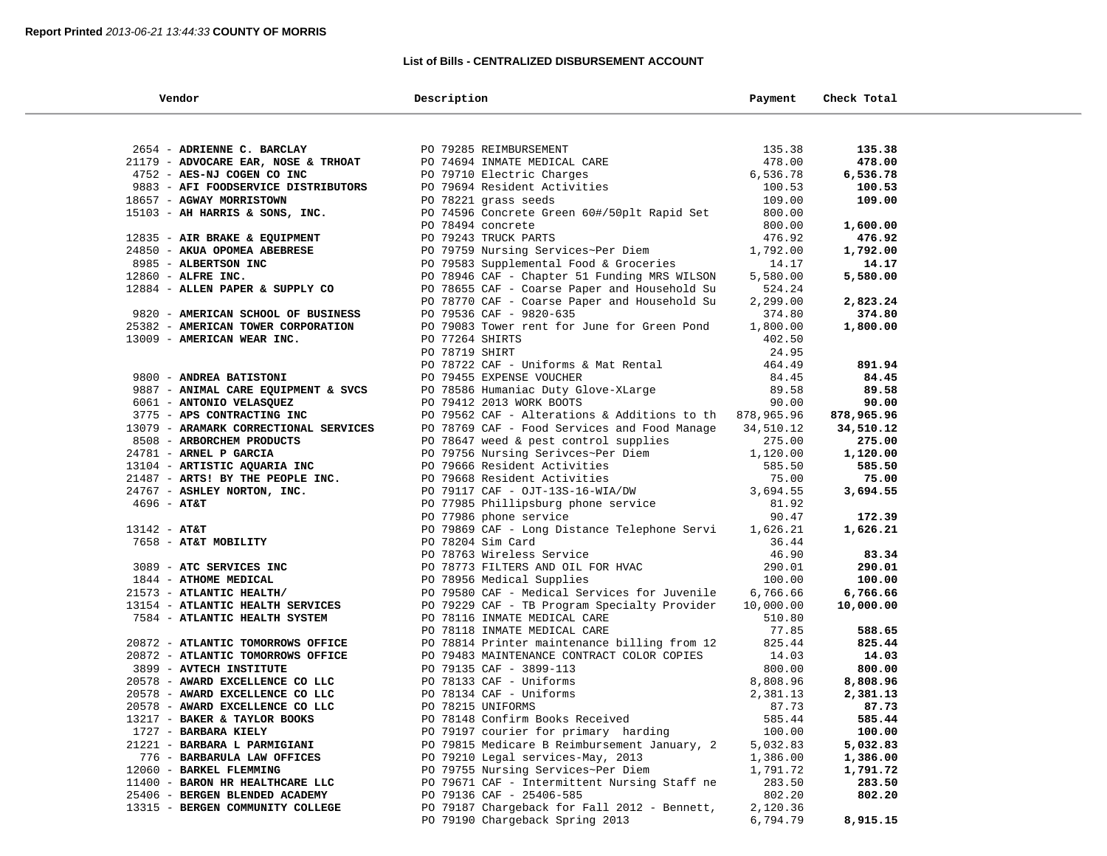## **List of Bills - CENTRALIZED DISBURSEMENT ACCOUNT**

| Vendor             |                                       | Description                                                                     | Payment              | Check Total        |  |
|--------------------|---------------------------------------|---------------------------------------------------------------------------------|----------------------|--------------------|--|
|                    |                                       |                                                                                 |                      |                    |  |
|                    | 2654 - ADRIENNE C. BARCLAY            | PO 79285 REIMBURSEMENT                                                          | 135.38               | 135.38             |  |
|                    | 21179 - ADVOCARE EAR, NOSE & TRHOAT   | PO 74694 INMATE MEDICAL CARE                                                    | 478.00               | 478.00             |  |
|                    | 4752 - AES-NJ COGEN CO INC            | PO 79710 Electric Charges                                                       | 6,536.78             | 6,536.78           |  |
|                    | 9883 - AFI FOODSERVICE DISTRIBUTORS   | PO 79694 Resident Activities                                                    | 100.53               | 100.53             |  |
|                    | 18657 - AGWAY MORRISTOWN              | PO 78221 grass seeds                                                            | 109.00               | 109.00             |  |
|                    | 15103 - AH HARRIS & SONS, INC.        | PO 74596 Concrete Green 60#/50plt Rapid Set                                     | 800.00               |                    |  |
|                    |                                       | PO 78494 concrete                                                               | 800.00               | 1,600.00           |  |
|                    | 12835 - AIR BRAKE & EQUIPMENT         | PO 79243 TRUCK PARTS                                                            | 476.92               | 476.92             |  |
|                    | 24850 - AKUA OPOMEA ABEBRESE          | PO 79759 Nursing Services~Per Diem                                              | 1,792.00             | 1,792.00           |  |
|                    | 8985 - ALBERTSON INC                  | PO 79583 Supplemental Food & Groceries                                          | 14.17                | 14.17              |  |
| 12860 - ALFRE INC. |                                       | PO 78946 CAF - Chapter 51 Funding MRS WILSON                                    | 5,580.00             | 5,580.00           |  |
|                    | 12884 - ALLEN PAPER & SUPPLY CO       | PO 78655 CAF - Coarse Paper and Household Su                                    | 524.24               |                    |  |
|                    |                                       | PO 78770 CAF - Coarse Paper and Household Su                                    | 2,299.00             | 2,823.24           |  |
|                    | 9820 - AMERICAN SCHOOL OF BUSINESS    | PO 79536 CAF - 9820-635                                                         | 374.80               | 374.80             |  |
|                    | 25382 - AMERICAN TOWER CORPORATION    | PO 79083 Tower rent for June for Green Pond                                     | 1,800.00             | 1,800.00           |  |
|                    | 13009 - AMERICAN WEAR INC.            | PO 77264 SHIRTS                                                                 | 402.50               |                    |  |
|                    |                                       | PO 78719 SHIRT                                                                  | 24.95                |                    |  |
|                    |                                       | PO 78722 CAF - Uniforms & Mat Rental                                            | 464.49               | 891.94             |  |
|                    | 9800 - ANDREA BATISTONI               | PO 79455 EXPENSE VOUCHER                                                        | 84.45                | 84.45              |  |
|                    | 9887 - ANIMAL CARE EQUIPMENT & SVCS   | PO 78586 Humaniac Duty Glove-XLarge                                             | 89.58                | 89.58              |  |
|                    | 6061 - ANTONIO VELASQUEZ              | PO 79412 2013 WORK BOOTS                                                        | 90.00                | 90.00              |  |
|                    | 3775 - APS CONTRACTING INC            | PO 79562 CAF - Alterations & Additions to th $878,965.96$                       |                      | 878,965.96         |  |
|                    | 13079 - ARAMARK CORRECTIONAL SERVICES | PO 78769 CAF - Food Services and Food Manage                                    | 34,510.12            | 34,510.12          |  |
|                    | 8508 - ARBORCHEM PRODUCTS             | PO 78647 weed & pest control supplies                                           | 275.00               | 275.00             |  |
|                    | 24781 - ARNEL P GARCIA                | PO 79756 Nursing Serivces~Per Diem                                              | 1,120.00             | 1,120.00           |  |
|                    | 13104 - ARTISTIC AQUARIA INC          | PO 79666 Resident Activities                                                    | 585.50               | 585.50             |  |
|                    | 21487 - ARTS! BY THE PEOPLE INC.      | PO 79668 Resident Activities                                                    | 75.00                | 75.00              |  |
|                    | 24767 - ASHLEY NORTON, INC.           | PO 79117 CAF - OJT-13S-16-WIA/DW                                                | 3,694.55             | 3,694.55           |  |
| $4696 - AT&T$      |                                       | PO 77985 Phillipsburg phone service                                             | 81.92                |                    |  |
| $13142 - AT&T$     |                                       | PO 77986 phone service<br>PO 79869 CAF - Long Distance Telephone Servi          | 90.47<br>1,626.21    | 172.39<br>1,626.21 |  |
|                    | 7658 - AT&T MOBILITY                  | PO 78204 Sim Card                                                               | 36.44                |                    |  |
|                    |                                       | PO 78763 Wireless Service                                                       | 46.90                | 83.34              |  |
|                    | 3089 - ATC SERVICES INC               | PO 78773 FILTERS AND OIL FOR HVAC                                               | 290.01               | 290.01             |  |
|                    | 1844 - ATHOME MEDICAL                 | PO 78956 Medical Supplies                                                       | 100.00               | 100.00             |  |
|                    | 21573 - ATLANTIC HEALTH/              | PO 79580 CAF - Medical Services for Juvenile                                    | 6,766.66             | 6,766.66           |  |
|                    | 13154 - ATLANTIC HEALTH SERVICES      | PO 79229 CAF - TB Program Specialty Provider                                    | 10,000.00            | 10,000.00          |  |
|                    | 7584 - ATLANTIC HEALTH SYSTEM         | PO 78116 INMATE MEDICAL CARE                                                    | 510.80               |                    |  |
|                    |                                       | PO 78118 INMATE MEDICAL CARE                                                    | 77.85                | 588.65             |  |
|                    | 20872 - ATLANTIC TOMORROWS OFFICE     | PO 78814 Printer maintenance billing from 12                                    | 825.44               | 825.44             |  |
|                    | 20872 - ATLANTIC TOMORROWS OFFICE     | PO 79483 MAINTENANCE CONTRACT COLOR COPIES                                      | 14.03                | 14.03              |  |
|                    | 3899 - AVTECH INSTITUTE               | PO 79135 CAF - 3899-113                                                         | 800.00               | 800.00             |  |
|                    | 20578 - AWARD EXCELLENCE CO LLC       | PO 78133 CAF - Uniforms                                                         | 8,808.96             | 8,808.96           |  |
|                    | 20578 - AWARD EXCELLENCE CO LLC       | PO 78134 CAF - Uniforms                                                         | 2,381.13             | 2,381.13           |  |
|                    | 20578 - AWARD EXCELLENCE CO LLC       | PO 78215 UNIFORMS                                                               | 87.73                | 87.73              |  |
|                    | 13217 - BAKER & TAYLOR BOOKS          | PO 78148 Confirm Books Received                                                 | 585.44               | 585.44             |  |
|                    | 1727 - BARBARA KIELY                  | PO 79197 courier for primary harding                                            | 100.00               | 100.00             |  |
|                    | 21221 - BARBARA L PARMIGIANI          | PO 79815 Medicare B Reimbursement January, 2                                    | 5,032.83             | 5,032.83           |  |
|                    | 776 - BARBARULA LAW OFFICES           | PO 79210 Legal services-May, 2013                                               | 1,386.00             | 1,386.00           |  |
|                    | 12060 - BARKEL FLEMMING               | PO 79755 Nursing Services~Per Diem                                              | 1,791.72             | 1,791.72           |  |
|                    | 11400 - BARON HR HEALTHCARE LLC       | PO 79671 CAF - Intermittent Nursing Staff ne                                    | 283.50               | 283.50             |  |
|                    | 25406 - BERGEN BLENDED ACADEMY        | PO 79136 CAF - 25406-585                                                        | 802.20               | 802.20             |  |
|                    | 13315 - BERGEN COMMUNITY COLLEGE      | PO 79187 Chargeback for Fall 2012 - Bennett,<br>PO 79190 Chargeback Spring 2013 | 2,120.36<br>6,794.79 | 8,915.15           |  |
|                    |                                       |                                                                                 |                      |                    |  |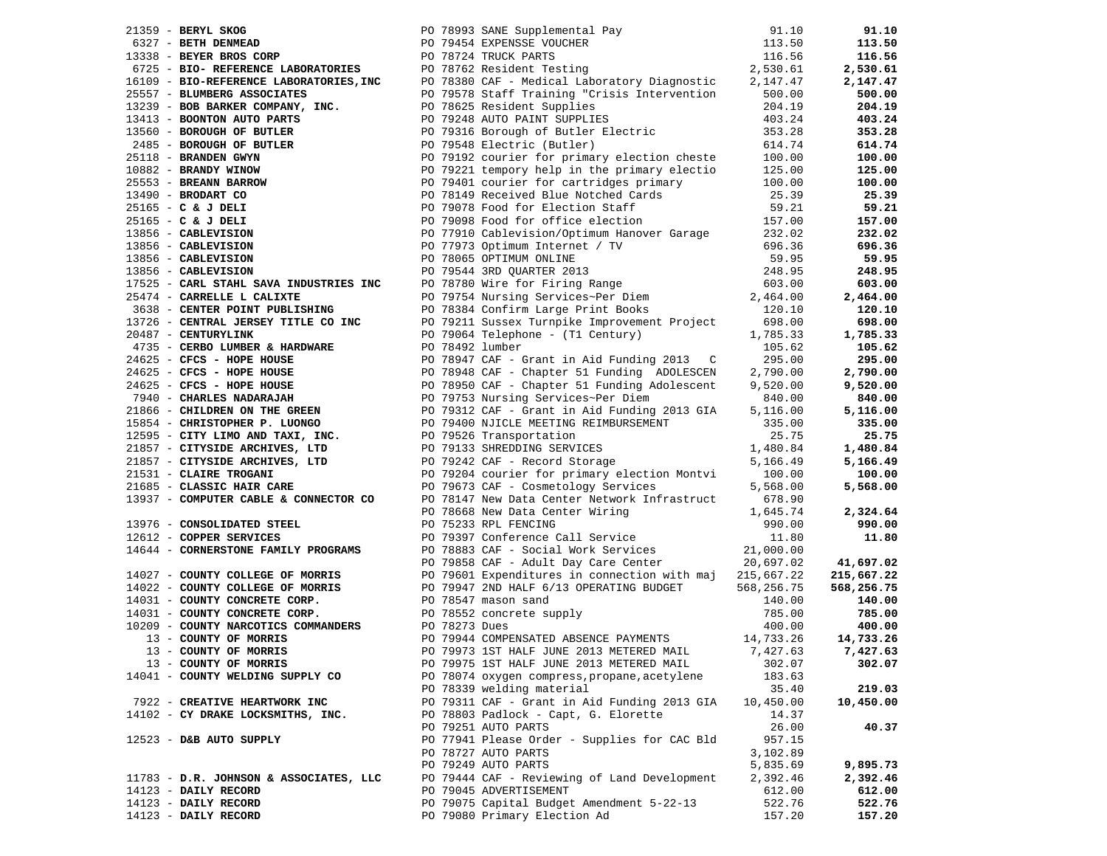|                                                                                                                                                                                                                                              |  |                                                                                                                                                                                                                                                        |            | 91.10      |
|----------------------------------------------------------------------------------------------------------------------------------------------------------------------------------------------------------------------------------------------|--|--------------------------------------------------------------------------------------------------------------------------------------------------------------------------------------------------------------------------------------------------------|------------|------------|
|                                                                                                                                                                                                                                              |  | 2139 - BERTL SKOG PROPAGE 2013 ANN SUPPIEM PO 78993 SAME SUPPIEMENT PROPAGE 213.00<br>113.50<br>113.50<br>113.50<br>113.50<br>113.50<br>115.50<br>115.50<br>115.50<br>127.47<br>113.50<br>127.47<br>2.530.61<br>128.557 - BLUMBERC BORATORIES PO 78762 |            | 113.50     |
|                                                                                                                                                                                                                                              |  |                                                                                                                                                                                                                                                        |            | 116.56     |
|                                                                                                                                                                                                                                              |  |                                                                                                                                                                                                                                                        |            | 2,530.61   |
|                                                                                                                                                                                                                                              |  |                                                                                                                                                                                                                                                        |            | 2,147.47   |
|                                                                                                                                                                                                                                              |  |                                                                                                                                                                                                                                                        |            | 500.00     |
|                                                                                                                                                                                                                                              |  |                                                                                                                                                                                                                                                        |            | 204.19     |
|                                                                                                                                                                                                                                              |  |                                                                                                                                                                                                                                                        |            | 403.24     |
|                                                                                                                                                                                                                                              |  |                                                                                                                                                                                                                                                        |            | 353.28     |
|                                                                                                                                                                                                                                              |  |                                                                                                                                                                                                                                                        |            | 614.74     |
|                                                                                                                                                                                                                                              |  |                                                                                                                                                                                                                                                        |            | 100.00     |
|                                                                                                                                                                                                                                              |  |                                                                                                                                                                                                                                                        |            | 125.00     |
|                                                                                                                                                                                                                                              |  |                                                                                                                                                                                                                                                        |            | 100.00     |
|                                                                                                                                                                                                                                              |  |                                                                                                                                                                                                                                                        |            | 25.39      |
|                                                                                                                                                                                                                                              |  |                                                                                                                                                                                                                                                        |            | 59.21      |
|                                                                                                                                                                                                                                              |  |                                                                                                                                                                                                                                                        |            | 157.00     |
|                                                                                                                                                                                                                                              |  |                                                                                                                                                                                                                                                        |            | 232.02     |
|                                                                                                                                                                                                                                              |  |                                                                                                                                                                                                                                                        |            |            |
|                                                                                                                                                                                                                                              |  | PO 77973 Optimum Internet / TV<br>PO 77973 Optimum Internet / TV<br>PO 78065 OPTIMUM ONLINE<br>PO 78780 Wire for Firing Range<br>PO 78780 Wire for Firing Range<br>PO 78384 Confirm Large Print Books<br>PO 78384 Confirm Large Print Book             |            | 696.36     |
|                                                                                                                                                                                                                                              |  |                                                                                                                                                                                                                                                        |            | 59.95      |
|                                                                                                                                                                                                                                              |  |                                                                                                                                                                                                                                                        |            | 248.95     |
| 17525 - CARL STAHL SAVA INDUSTRIES INC                                                                                                                                                                                                       |  |                                                                                                                                                                                                                                                        |            | 603.00     |
| 25474 - CARRELLE L CALIXTE                                                                                                                                                                                                                   |  |                                                                                                                                                                                                                                                        |            | 2,464.00   |
| 3638 - CENTER POINT PUBLISHING                                                                                                                                                                                                               |  |                                                                                                                                                                                                                                                        |            | 120.10     |
| 13726 - CENTRAL JERSEY TITLE CO INC                                                                                                                                                                                                          |  | PO 79211 Sussex Turnpike Improvement Project                                                                                                                                                                                                           | 698.00     | 698.00     |
| 20487 - CENTURYLINK                                                                                                                                                                                                                          |  | PO 79064 Telephone - (T1 Century)                                                                                                                                                                                                                      | 1,785.33   | 1,785.33   |
| $4735$ - CERBO LUMBER & HARDWARE<br>24625 - CFCS - HOPE HOUSE                                                                                                                                                                                |  | PO 78492 lumber                                                                                                                                                                                                                                        | 105.62     | 105.62     |
|                                                                                                                                                                                                                                              |  |                                                                                                                                                                                                                                                        |            | 295.00     |
|                                                                                                                                                                                                                                              |  |                                                                                                                                                                                                                                                        |            | 2,790.00   |
|                                                                                                                                                                                                                                              |  |                                                                                                                                                                                                                                                        |            | 9,520.00   |
|                                                                                                                                                                                                                                              |  |                                                                                                                                                                                                                                                        |            | 840.00     |
|                                                                                                                                                                                                                                              |  |                                                                                                                                                                                                                                                        |            | 5,116.00   |
|                                                                                                                                                                                                                                              |  |                                                                                                                                                                                                                                                        |            | 335.00     |
|                                                                                                                                                                                                                                              |  |                                                                                                                                                                                                                                                        |            | 25.75      |
|                                                                                                                                                                                                                                              |  |                                                                                                                                                                                                                                                        |            | 1,480.84   |
|                                                                                                                                                                                                                                              |  |                                                                                                                                                                                                                                                        |            | 5,166.49   |
|                                                                                                                                                                                                                                              |  |                                                                                                                                                                                                                                                        |            | 100.00     |
|                                                                                                                                                                                                                                              |  |                                                                                                                                                                                                                                                        |            | 5,568.00   |
|                                                                                                                                                                                                                                              |  | 24625 - CEKNO LUMBER WANNAHER PO 78947 CAR - CHANGER PO 78947 CAR - CHANGER PO 78948 CAR - CHANGER PO 78948 CAR - CHANGER PO 78948 CAR - CHANGER PO 78948 CAR - CHANGER PO 78948 CAR - CHANGER PO 78950 CAR - CHANGER PO 7895                          |            |            |
|                                                                                                                                                                                                                                              |  |                                                                                                                                                                                                                                                        |            | 2,324.64   |
| 13976 - CONSOLIDATED STEEL<br>בוגרי - כרי היה המוסרת המשפחת ה                                                                                                                                                                                |  | PO 78668 New Data Center Wiring 1,645.74<br>PO 75233 RPL FENCING 990.00<br>PO 79397 Conference Call Service 11.80                                                                                                                                      |            | 990.00     |
| 12612 - COPPER SERVICES                                                                                                                                                                                                                      |  |                                                                                                                                                                                                                                                        |            | 11.80      |
| 14644 - CORNERSTONE FAMILY PROGRAMS                                                                                                                                                                                                          |  | PO 78883 CAF - Social Work Services 21,000.00                                                                                                                                                                                                          |            |            |
|                                                                                                                                                                                                                                              |  | PO 79858 CAF - Adult Day Care Center                                                                                                                                                                                                                   | 20,697.02  | 41,697.02  |
|                                                                                                                                                                                                                                              |  | PO 79601 Expenditures in connection with maj 215,667.22                                                                                                                                                                                                |            | 215,667.22 |
|                                                                                                                                                                                                                                              |  | PO 79947 2ND HALF 6/13 OPERATING BUDGET                                                                                                                                                                                                                | 568,256.75 | 568,256.75 |
|                                                                                                                                                                                                                                              |  |                                                                                                                                                                                                                                                        | 140.00     | 140.00     |
|                                                                                                                                                                                                                                              |  |                                                                                                                                                                                                                                                        | 785.00     | 785.00     |
| PO 79858 CAF - Adult Day (<br>14027 - COUNTY COLLEGE OF MORRIS<br>14022 - COUNTY COLLEGE OF MORRIS<br>14031 - COUNTY CONCRETE CORP.<br>14031 - COUNTY CONCRETE CORP.<br>16031 - COUNTY CONCRETE CORP.<br>16078547 mason sand<br>16078547 mas |  |                                                                                                                                                                                                                                                        | 400.00     | 400.00     |
|                                                                                                                                                                                                                                              |  | PO 79944 COMPENSATED ABSENCE PAYMENTS                                                                                                                                                                                                                  | 14,733.26  | 14,733.26  |
|                                                                                                                                                                                                                                              |  | PO 79973 1ST HALF JUNE 2013 METERED MAIL                                                                                                                                                                                                               | 7,427.63   | 7,427.63   |
| 13 - COUNTY OF MORRIS                                                                                                                                                                                                                        |  | PO 79975 1ST HALF JUNE 2013 METERED MAIL                                                                                                                                                                                                               | 302.07     | 302.07     |
| 14041 - COUNTY WELDING SUPPLY CO                                                                                                                                                                                                             |  | PO 78074 oxygen compress, propane, acetylene                                                                                                                                                                                                           | 183.63     |            |
|                                                                                                                                                                                                                                              |  | PO 78339 welding material                                                                                                                                                                                                                              | 35.40      | 219.03     |
|                                                                                                                                                                                                                                              |  | PO 79311 CAF - Grant in Aid Funding 2013 GIA                                                                                                                                                                                                           | 10,450.00  |            |
| 7922 - CREATIVE HEARTWORK INC                                                                                                                                                                                                                |  |                                                                                                                                                                                                                                                        |            | 10,450.00  |
| 14102 - CY DRAKE LOCKSMITHS, INC.                                                                                                                                                                                                            |  | PO 78803 Padlock - Capt, G. Elorette                                                                                                                                                                                                                   | 14.37      |            |
|                                                                                                                                                                                                                                              |  | PO 79251 AUTO PARTS                                                                                                                                                                                                                                    | 26.00      | 40.37      |
| 12523 - D&B AUTO SUPPLY                                                                                                                                                                                                                      |  | PO 77941 Please Order - Supplies for CAC Bld                                                                                                                                                                                                           | 957.15     |            |
|                                                                                                                                                                                                                                              |  | PO 78727 AUTO PARTS                                                                                                                                                                                                                                    | 3,102.89   |            |
|                                                                                                                                                                                                                                              |  | PO 79249 AUTO PARTS                                                                                                                                                                                                                                    | 5,835.69   | 9,895.73   |
| 11783 - D.R. JOHNSON & ASSOCIATES, LLC                                                                                                                                                                                                       |  | PO 79444 CAF - Reviewing of Land Development                                                                                                                                                                                                           | 2,392.46   | 2,392.46   |
| 14123 - DAILY RECORD                                                                                                                                                                                                                         |  | PO 79045 ADVERTISEMENT                                                                                                                                                                                                                                 | 612.00     | 612.00     |
| 14123 - DAILY RECORD                                                                                                                                                                                                                         |  | PO 79075 Capital Budget Amendment 5-22-13                                                                                                                                                                                                              | 522.76     | 522.76     |
| 14123 - DAILY RECORD                                                                                                                                                                                                                         |  | PO 79080 Primary Election Ad                                                                                                                                                                                                                           | 157.20     | 157.20     |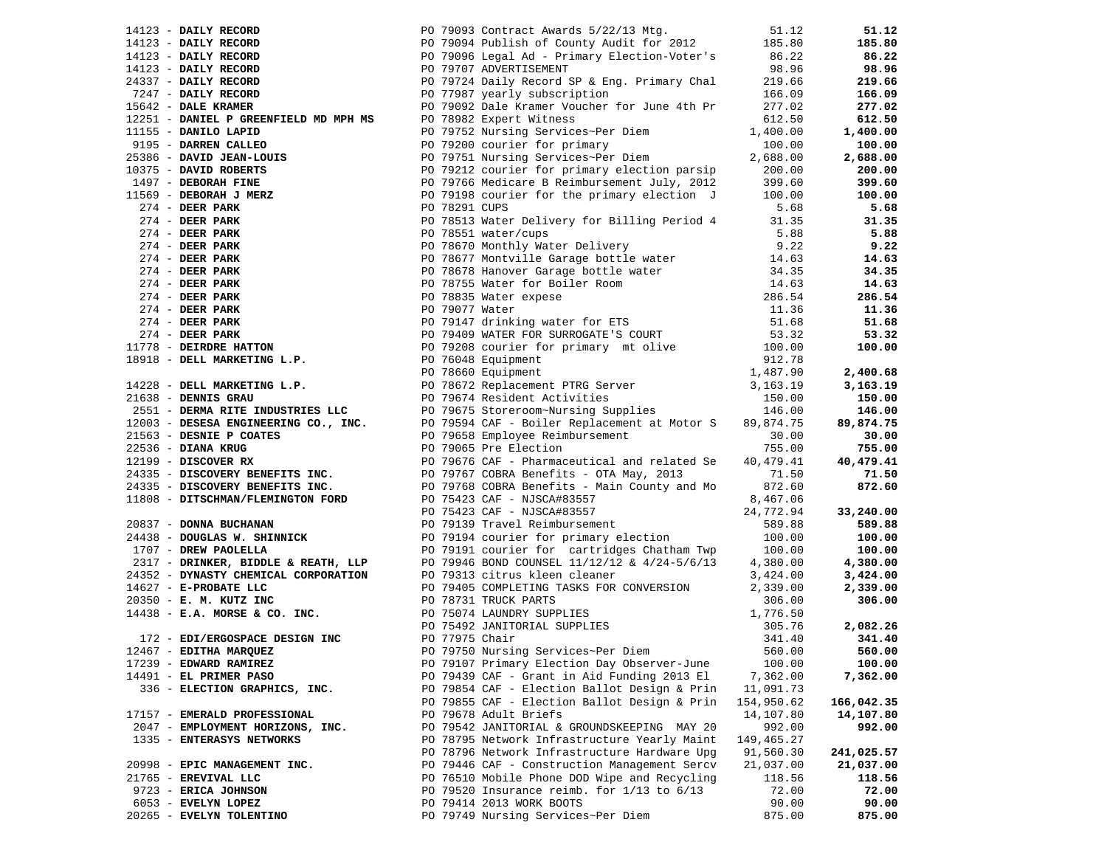| 14123 - DAILY RECORD<br>14123 - DAILY RECORD<br>14123 - DAILY RECORD<br>14123 - DAILY RECORD<br>24337 - DAILY RECORD |                | PO 79093 Contract Awards 5/22/13 Mtg.                                                                                                                                                                                                                                                                                    | 51.12      | 51.12      |
|----------------------------------------------------------------------------------------------------------------------|----------------|--------------------------------------------------------------------------------------------------------------------------------------------------------------------------------------------------------------------------------------------------------------------------------------------------------------------------|------------|------------|
|                                                                                                                      |                | PO 79094 Publish of County Audit for 2012                                                                                                                                                                                                                                                                                | 185.80     | 185.80     |
|                                                                                                                      |                | PO 79096 Legal Ad - Primary Election-Voter's                                                                                                                                                                                                                                                                             | 86.22      | 86.22      |
|                                                                                                                      |                | PO 79707 ADVERTISEMENT                                                                                                                                                                                                                                                                                                   | 98.96      | 98.96      |
|                                                                                                                      |                | PO 79724 Daily Record SP & Eng. Primary Chal                                                                                                                                                                                                                                                                             | 219.66     | 219.66     |
| 7247 - DAILY RECORD                                                                                                  |                | PO 77987 yearly subscription                                                                                                                                                                                                                                                                                             | 166.09     | 166.09     |
| 15642 - DALE KRAMER                                                                                                  |                | PO 79092 Dale Kramer Voucher for June 4th Pr                                                                                                                                                                                                                                                                             | 277.02     | 277.02     |
| 12251 - DANIEL P GREENFIELD MD MPH MS                                                                                |                | PO 78982 Expert Witness                                                                                                                                                                                                                                                                                                  | 612.50     | 612.50     |
| 11155 - DANILO LAPID                                                                                                 |                | PO 79752 Nursing Services~Per Diem                                                                                                                                                                                                                                                                                       | 1,400.00   | 1,400.00   |
|                                                                                                                      |                | PO 79200 courier for primary                                                                                                                                                                                                                                                                                             | 100.00     | 100.00     |
| <sub>2122</sub> - DARREN CALLEO<br>25386 - DAVID JEAN-LOUIS<br>10375 - DAVID JEAN                                    |                | PO 79751 Nursing Services~Per Diem                                                                                                                                                                                                                                                                                       | 2,688.00   | 2,688.00   |
|                                                                                                                      |                |                                                                                                                                                                                                                                                                                                                          | 200.00     | 200.00     |
|                                                                                                                      |                |                                                                                                                                                                                                                                                                                                                          | 399.60     | 399.60     |
|                                                                                                                      |                |                                                                                                                                                                                                                                                                                                                          | 100.00     | 100.00     |
|                                                                                                                      |                |                                                                                                                                                                                                                                                                                                                          | 5.68       | 5.68       |
|                                                                                                                      |                |                                                                                                                                                                                                                                                                                                                          | 31.35      | 31.35      |
|                                                                                                                      |                |                                                                                                                                                                                                                                                                                                                          | 5.88       | 5.88       |
|                                                                                                                      |                |                                                                                                                                                                                                                                                                                                                          | 9.22       | 9.22       |
|                                                                                                                      |                |                                                                                                                                                                                                                                                                                                                          |            |            |
|                                                                                                                      |                |                                                                                                                                                                                                                                                                                                                          | 14.63      | 14.63      |
|                                                                                                                      |                |                                                                                                                                                                                                                                                                                                                          | 34.35      | 34.35      |
|                                                                                                                      |                |                                                                                                                                                                                                                                                                                                                          | 14.63      | 14.63      |
|                                                                                                                      |                |                                                                                                                                                                                                                                                                                                                          | 286.54     | 286.54     |
|                                                                                                                      |                |                                                                                                                                                                                                                                                                                                                          | 11.36      | 11.36      |
|                                                                                                                      |                |                                                                                                                                                                                                                                                                                                                          | 51.68      | 51.68      |
|                                                                                                                      |                |                                                                                                                                                                                                                                                                                                                          | 53.32      | 53.32      |
|                                                                                                                      |                |                                                                                                                                                                                                                                                                                                                          | 100.00     | 100.00     |
|                                                                                                                      |                |                                                                                                                                                                                                                                                                                                                          | 912.78     |            |
|                                                                                                                      |                | 27386 - <b>DAVID JEAN-LOUIS</b><br>27386 - <b>DAVID KREATIS</b><br>274 - <b>DEBORAH JIMES</b><br>274 - <b>DEBORAH JIMES</b><br>274 - <b>DEBORAH JIMES</b><br>274 - <b>DEBORAH JIMES</b><br>274 - <b>DERE PARK BREATING PORT AND PORTLAND TO THE PROPER PARK PORTLAND TO TH</b><br>$\sum_{i=1}^{n}$<br>PO 78660 Equipment | 1,487.90   | 2,400.68   |
| 14228 - DELL MARKETING L.P.                                                                                          |                | PO 78672 Replacement PTRG Server                                                                                                                                                                                                                                                                                         | 3,163.19   | 3,163.19   |
| 21638 - DENNIS GRAU                                                                                                  |                | ED 79675 Storeroom-Nursing Supplies<br>PO 79675 Storeroom-Nursing Supplies                                                                                                                                                                                                                                               | 150.00     | 150.00     |
| 2551 - DERMA RITE INDUSTRIES LLC                                                                                     |                |                                                                                                                                                                                                                                                                                                                          | 146.00     | 146.00     |
| 12003 - DESESA ENGINEERING CO., INC.                                                                                 |                | PO 79594 CAF - Boiler Replacement at Motor S                                                                                                                                                                                                                                                                             | 89,874.75  | 89,874.75  |
| 21563 - DESNIE P COATES                                                                                              |                | PO 79658 Employee Reimbursement                                                                                                                                                                                                                                                                                          | 30.00      | 30.00      |
| 22536 - DIANA KRUG                                                                                                   |                | PO 79065 Pre Election                                                                                                                                                                                                                                                                                                    | 755.00     | 755.00     |
| 12199 - DISCOVER RX                                                                                                  |                | PO 79676 CAF - Pharmaceutical and related Se                                                                                                                                                                                                                                                                             | 40,479.41  | 40,479.41  |
| 24335 - DISCOVERY BENEFITS INC.                                                                                      |                | PO 79767 COBRA Benefits - OTA May, 2013                                                                                                                                                                                                                                                                                  | 71.50      | 71.50      |
| 24335 - DISCOVERY BENEFITS INC.                                                                                      |                | PO 79768 COBRA Benefits - Main County and Mo                                                                                                                                                                                                                                                                             | 872.60     | 872.60     |
| 11808 - DITSCHMAN/FLEMINGTON FORD                                                                                    |                | PO 75423 CAF - NJSCA#83557                                                                                                                                                                                                                                                                                               | 8,467.06   |            |
|                                                                                                                      |                | PO 75423 CAF - NJSCA#83557                                                                                                                                                                                                                                                                                               | 24,772.94  | 33,240.00  |
| 20837 - DONNA BUCHANAN                                                                                               |                | PO 79139 Travel Reimbursement                                                                                                                                                                                                                                                                                            | 589.88     | 589.88     |
| 24438 - DOUGLAS W. SHINNICK                                                                                          |                | PO 79194 courier for primary election                                                                                                                                                                                                                                                                                    | 100.00     | 100.00     |
| 1707 - DREW PAOLELLA                                                                                                 |                | PO 79191 courier for cartridges Chatham Twp                                                                                                                                                                                                                                                                              | 100.00     | 100.00     |
| 2317 - DRINKER, BIDDLE & REATH, LLP                                                                                  |                | PO 79946 BOND COUNSEL 11/12/12 & 4/24-5/6/13                                                                                                                                                                                                                                                                             | 4,380.00   | 4,380.00   |
| 24352 - DYNASTY CHEMICAL CORPORATION                                                                                 |                | PO 79313 citrus kleen cleaner                                                                                                                                                                                                                                                                                            | 3,424.00   | 3,424.00   |
| $14627 - E-PROBATE$ LLC                                                                                              |                | PO 79405 COMPLETING TASKS FOR CONVERSION                                                                                                                                                                                                                                                                                 | 2,339.00   | 2,339.00   |
| 20350 - E. M. KUTZ INC                                                                                               |                |                                                                                                                                                                                                                                                                                                                          | 306.00     | 306.00     |
| $14438$ - E.A. MORSE & CO. INC.                                                                                      |                | PO 78731 TRUCK PARTS<br>PO 75074 LAUNDRY SUPPLIES<br>PO 75492 JANITORIAL SUPPLIES                                                                                                                                                                                                                                        | 1,776.50   |            |
|                                                                                                                      |                |                                                                                                                                                                                                                                                                                                                          | 305.76     | 2,082.26   |
| 172 - EDI/ERGOSPACE DESIGN INC                                                                                       | PO 77975 Chair |                                                                                                                                                                                                                                                                                                                          | 341.40     | 341.40     |
| 12467 - EDITHA MARQUEZ                                                                                               |                | PO 79750 Nursing Services~Per Diem                                                                                                                                                                                                                                                                                       | 560.00     | 560.00     |
| 17239 - EDWARD RAMIREZ                                                                                               |                | PO 79107 Primary Election Day Observer-June                                                                                                                                                                                                                                                                              | 100.00     | 100.00     |
| 14491 - EL PRIMER PASO                                                                                               |                | PO 79439 CAF - Grant in Aid Funding 2013 El                                                                                                                                                                                                                                                                              | 7,362.00   | 7,362.00   |
| 336 - ELECTION GRAPHICS, INC.                                                                                        |                | PO 79854 CAF - Election Ballot Design & Prin                                                                                                                                                                                                                                                                             | 11,091.73  |            |
|                                                                                                                      |                | PO 79855 CAF - Election Ballot Design & Prin                                                                                                                                                                                                                                                                             | 154,950.62 | 166,042.35 |
| 17157 - EMERALD PROFESSIONAL                                                                                         |                | PO 79678 Adult Briefs                                                                                                                                                                                                                                                                                                    | 14,107.80  | 14,107.80  |
| 2047 - EMPLOYMENT HORIZONS, INC.                                                                                     |                | PO 79542 JANITORIAL & GROUNDSKEEPING MAY 20                                                                                                                                                                                                                                                                              | 992.00     | 992.00     |
| 1335 - ENTERASYS NETWORKS                                                                                            |                | PO 78795 Network Infrastructure Yearly Maint                                                                                                                                                                                                                                                                             | 149,465.27 |            |
|                                                                                                                      |                | PO 78796 Network Infrastructure Hardware Upg                                                                                                                                                                                                                                                                             | 91,560.30  | 241,025.57 |
| 20998 - EPIC MANAGEMENT INC.                                                                                         |                | PO 79446 CAF - Construction Management Sercy                                                                                                                                                                                                                                                                             | 21,037.00  | 21,037.00  |
| 21765 - EREVIVAL LLC                                                                                                 |                | PO 76510 Mobile Phone DOD Wipe and Recycling                                                                                                                                                                                                                                                                             | 118.56     | 118.56     |
| 9723 - ERICA JOHNSON                                                                                                 |                | PO 79520 Insurance reimb. for 1/13 to 6/13                                                                                                                                                                                                                                                                               | 72.00      | 72.00      |
| 6053 - EVELYN LOPEZ                                                                                                  |                | PO 79414 2013 WORK BOOTS                                                                                                                                                                                                                                                                                                 | 90.00      | 90.00      |
| 20265 - EVELYN TOLENTINO                                                                                             |                | PO 79749 Nursing Services~Per Diem                                                                                                                                                                                                                                                                                       | 875.00     | 875.00     |
|                                                                                                                      |                |                                                                                                                                                                                                                                                                                                                          |            |            |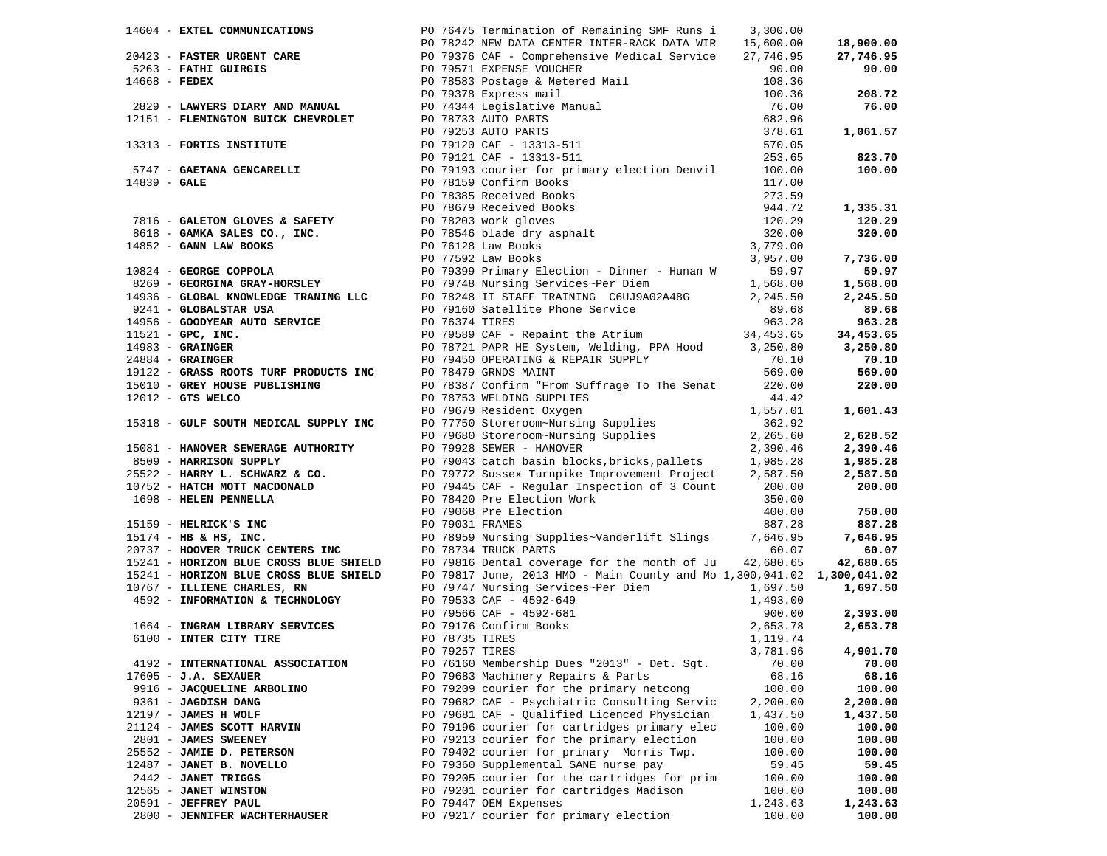|                                                                                                         |  | 14604 - EXTEL COMMUNICATIONS<br>2016-14 - EXTEL COMMUNICATIONS<br>201423 NEW DATA CENTER INTER-RACK DATA WIR 15,500.00<br>14658 - <b>FASTER URGENT CARE</b><br>20179376 CAPTER INTER-RACK DATA WIR 15,500.00<br>201839 - <b>LAWINGTON BUICK CH</b> |          | 18,900.00 |
|---------------------------------------------------------------------------------------------------------|--|----------------------------------------------------------------------------------------------------------------------------------------------------------------------------------------------------------------------------------------------------|----------|-----------|
|                                                                                                         |  |                                                                                                                                                                                                                                                    |          | 27,746.95 |
|                                                                                                         |  |                                                                                                                                                                                                                                                    |          | 90.00     |
|                                                                                                         |  |                                                                                                                                                                                                                                                    |          |           |
|                                                                                                         |  |                                                                                                                                                                                                                                                    |          |           |
|                                                                                                         |  |                                                                                                                                                                                                                                                    |          | 208.72    |
|                                                                                                         |  |                                                                                                                                                                                                                                                    |          | 76.00     |
|                                                                                                         |  |                                                                                                                                                                                                                                                    |          |           |
|                                                                                                         |  |                                                                                                                                                                                                                                                    |          | 1,061.57  |
|                                                                                                         |  |                                                                                                                                                                                                                                                    |          |           |
|                                                                                                         |  |                                                                                                                                                                                                                                                    |          | 823.70    |
|                                                                                                         |  |                                                                                                                                                                                                                                                    |          | 100.00    |
|                                                                                                         |  |                                                                                                                                                                                                                                                    |          |           |
|                                                                                                         |  |                                                                                                                                                                                                                                                    |          |           |
|                                                                                                         |  |                                                                                                                                                                                                                                                    |          |           |
|                                                                                                         |  |                                                                                                                                                                                                                                                    |          | 1,335.31  |
|                                                                                                         |  |                                                                                                                                                                                                                                                    |          | 120.29    |
|                                                                                                         |  |                                                                                                                                                                                                                                                    |          | 320.00    |
|                                                                                                         |  |                                                                                                                                                                                                                                                    |          |           |
|                                                                                                         |  |                                                                                                                                                                                                                                                    |          | 7,736.00  |
|                                                                                                         |  |                                                                                                                                                                                                                                                    |          | 59.97     |
|                                                                                                         |  |                                                                                                                                                                                                                                                    |          |           |
|                                                                                                         |  |                                                                                                                                                                                                                                                    |          | 1,568.00  |
|                                                                                                         |  |                                                                                                                                                                                                                                                    |          | 2,245.50  |
|                                                                                                         |  | PO 78248 II SIAFF IRMINING COOPERATION -1.1.1.1.1<br>PO 79160 Satellite Phone Service 89.68<br>PO 76374 TIRES 963.28<br>PO 79589 CAF - Repaint the Atrium 34,453.65                                                                                |          | 89.68     |
| 14956 - GOODYEAR AUTO SERVICE<br>11521 - GPC, INC.<br>14983 - GRAINGER<br>24884 - GRAINGER              |  |                                                                                                                                                                                                                                                    |          | 963.28    |
|                                                                                                         |  |                                                                                                                                                                                                                                                    |          | 34,453.65 |
|                                                                                                         |  | PO 78721 PAPR HE System, Welding, PPA Hood 3,250.80                                                                                                                                                                                                |          | 3,250.80  |
| $24884$ - GRAINGER                                                                                      |  |                                                                                                                                                                                                                                                    | 70.10    | 70.10     |
|                                                                                                         |  | PO 79450 OPERATING & REPAIR SUPPLY<br>PO 78479 GRNDS MAINT<br>PO 78479 GRNDS MAINT                                                                                                                                                                 | 569.00   | 569.00    |
| 19122 - GRASS ROOTS TURF PRODUCTS INC<br>15010 - GREY HOUSE PUBLISHING<br>15010 - GREY HOUSE PUBLISHING |  | PO 78387 Confirm "From Suffrage To The Senat 220.00                                                                                                                                                                                                |          | 220.00    |
|                                                                                                         |  |                                                                                                                                                                                                                                                    |          |           |
|                                                                                                         |  |                                                                                                                                                                                                                                                    |          |           |
|                                                                                                         |  | 15010 - GREY HOUSE PUBLIESHING (200 100 1938/2011 - 1938/2012 - 478 WELCON BUBLIESHING (200 100 200 100 200 100 200 100 200 100 200 100 200 100 200 100 200 100 200 100 200 100 200 100 200 100 200 100 200 100 200 100 200                        |          |           |
|                                                                                                         |  |                                                                                                                                                                                                                                                    |          |           |
|                                                                                                         |  |                                                                                                                                                                                                                                                    |          |           |
|                                                                                                         |  |                                                                                                                                                                                                                                                    |          |           |
|                                                                                                         |  |                                                                                                                                                                                                                                                    |          |           |
|                                                                                                         |  |                                                                                                                                                                                                                                                    |          |           |
|                                                                                                         |  |                                                                                                                                                                                                                                                    |          |           |
|                                                                                                         |  |                                                                                                                                                                                                                                                    |          |           |
|                                                                                                         |  |                                                                                                                                                                                                                                                    |          |           |
|                                                                                                         |  |                                                                                                                                                                                                                                                    |          |           |
|                                                                                                         |  |                                                                                                                                                                                                                                                    |          |           |
|                                                                                                         |  |                                                                                                                                                                                                                                                    |          |           |
|                                                                                                         |  |                                                                                                                                                                                                                                                    |          |           |
|                                                                                                         |  |                                                                                                                                                                                                                                                    |          |           |
|                                                                                                         |  |                                                                                                                                                                                                                                                    |          |           |
|                                                                                                         |  |                                                                                                                                                                                                                                                    |          |           |
|                                                                                                         |  |                                                                                                                                                                                                                                                    |          |           |
|                                                                                                         |  |                                                                                                                                                                                                                                                    |          |           |
|                                                                                                         |  |                                                                                                                                                                                                                                                    |          |           |
|                                                                                                         |  |                                                                                                                                                                                                                                                    |          |           |
|                                                                                                         |  |                                                                                                                                                                                                                                                    |          |           |
|                                                                                                         |  |                                                                                                                                                                                                                                                    |          |           |
| 4192 - INTERNATIONAL ASSOCIATION                                                                        |  | PO 76160 Membership Dues "2013" - Det. Sgt.                                                                                                                                                                                                        | 70.00    | 70.00     |
| $17605 - J.A.$ SEXAUER                                                                                  |  | PO 79683 Machinery Repairs & Parts                                                                                                                                                                                                                 | 68.16    | 68.16     |
| 9916 - JACQUELINE ARBOLINO                                                                              |  | PO 79209 courier for the primary netcong                                                                                                                                                                                                           | 100.00   | 100.00    |
| 9361 - JAGDISH DANG                                                                                     |  |                                                                                                                                                                                                                                                    |          |           |
|                                                                                                         |  | PO 79682 CAF - Psychiatric Consulting Servic                                                                                                                                                                                                       | 2,200.00 | 2,200.00  |
| 12197 - JAMES H WOLF                                                                                    |  | PO 79681 CAF - Qualified Licenced Physician                                                                                                                                                                                                        | 1,437.50 | 1,437.50  |
| 21124 - JAMES SCOTT HARVIN                                                                              |  | PO 79196 courier for cartridges primary elec                                                                                                                                                                                                       | 100.00   | 100.00    |
| 2801 - JAMES SWEENEY                                                                                    |  | PO 79213 courier for the primary election                                                                                                                                                                                                          | 100.00   | 100.00    |
| 25552 - JAMIE D. PETERSON                                                                               |  | PO 79402 courier for prinary Morris Twp.                                                                                                                                                                                                           | 100.00   | 100.00    |
| 12487 - JANET B. NOVELLO                                                                                |  | PO 79360 Supplemental SANE nurse pay                                                                                                                                                                                                               | 59.45    | 59.45     |
| 2442 - JANET TRIGGS                                                                                     |  | PO 79205 courier for the cartridges for prim                                                                                                                                                                                                       | 100.00   | 100.00    |
| 12565 - JANET WINSTON                                                                                   |  | PO 79201 courier for cartridges Madison                                                                                                                                                                                                            | 100.00   | 100.00    |
|                                                                                                         |  | PO 79447 OEM Expenses                                                                                                                                                                                                                              |          |           |
| 20591 - JEFFREY PAUL                                                                                    |  |                                                                                                                                                                                                                                                    | 1,243.63 | 1,243.63  |
| 2800 - JENNIFER WACHTERHAUSER                                                                           |  | PO 79217 courier for primary election                                                                                                                                                                                                              | 100.00   | 100.00    |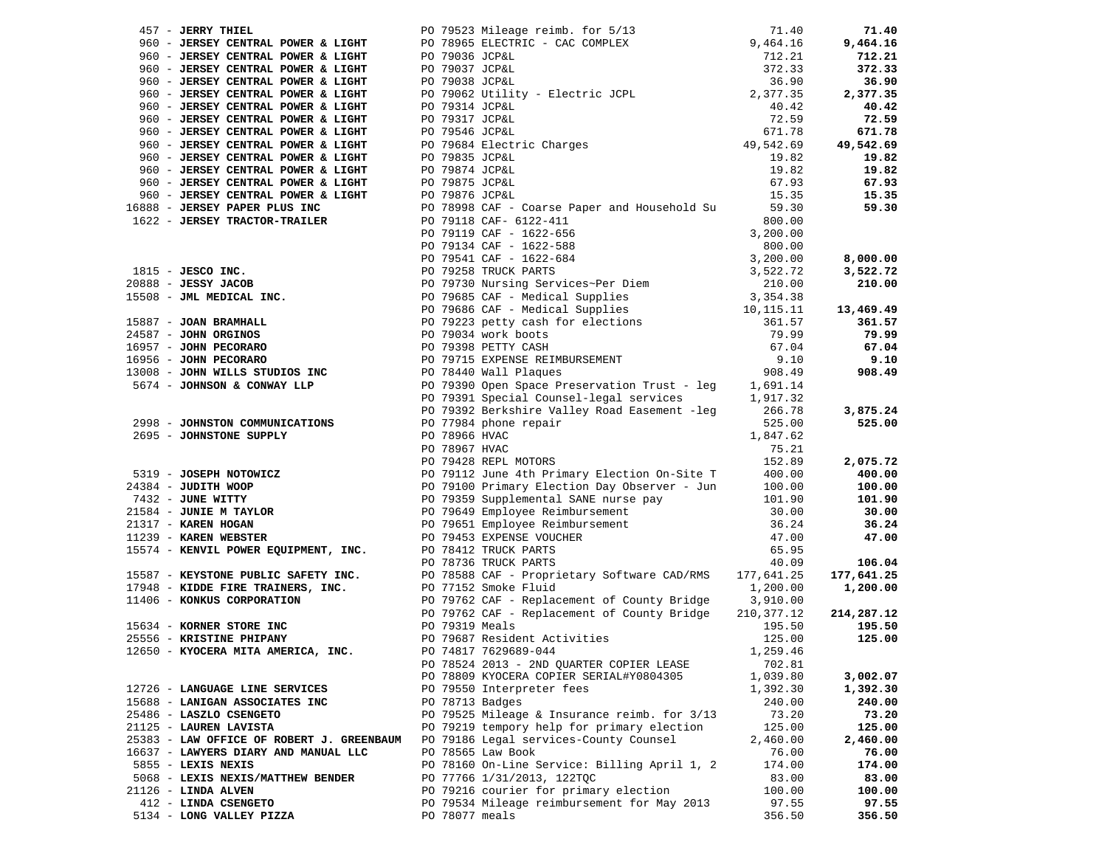| 457 - JERRY THIEL                                                                                                                                                                                                                                                                                   |                                  | PO 79523 Mileage reimb. for 5/13 (1.40)<br>PO 78965 ELECTRIC - CAC COMPLEX (9,464.16)<br>PO 79036 JOB&L                                                                                                                                                  |            | 71.40      |
|-----------------------------------------------------------------------------------------------------------------------------------------------------------------------------------------------------------------------------------------------------------------------------------------------------|----------------------------------|----------------------------------------------------------------------------------------------------------------------------------------------------------------------------------------------------------------------------------------------------------|------------|------------|
| 960 - JERSEY CENTRAL POWER & LIGHT                                                                                                                                                                                                                                                                  |                                  |                                                                                                                                                                                                                                                          |            | 9,464.16   |
| 960 - JERSEY CENTRAL POWER & LIGHT                                                                                                                                                                                                                                                                  | PO 79036 JCP&L                   |                                                                                                                                                                                                                                                          | 712.21     | 712.21     |
| 960 - JERSEY CENTRAL POWER & LIGHT                                                                                                                                                                                                                                                                  |                                  |                                                                                                                                                                                                                                                          | 372.33     | 372.33     |
| 960 - JERSEY CENTRAL POWER & LIGHT                                                                                                                                                                                                                                                                  | PO 79037 JCP&L<br>PO 79038 JCP&L |                                                                                                                                                                                                                                                          | 36.90      | 36.90      |
|                                                                                                                                                                                                                                                                                                     |                                  |                                                                                                                                                                                                                                                          |            |            |
| 960 - JERSEY CENTRAL POWER & LIGHT                                                                                                                                                                                                                                                                  |                                  | PO $79062$ Utility - Electric JCPL $2,377.35$                                                                                                                                                                                                            |            | 2,377.35   |
| 960 - JERSEY CENTRAL POWER & LIGHT                                                                                                                                                                                                                                                                  |                                  |                                                                                                                                                                                                                                                          |            | 40.42      |
| 960 - JERSEY CENTRAL POWER & LIGHT                                                                                                                                                                                                                                                                  |                                  |                                                                                                                                                                                                                                                          |            | 72.59      |
| 960 - JERSEY CENTRAL POWER & LIGHT                                                                                                                                                                                                                                                                  |                                  |                                                                                                                                                                                                                                                          |            | 671.78     |
| 960 - JERSEY CENTRAL POWER & LIGHT                                                                                                                                                                                                                                                                  |                                  |                                                                                                                                                                                                                                                          |            | 49,542.69  |
| 960 - JERSEY CENTRAL POWER & LIGHT                                                                                                                                                                                                                                                                  | PO 79835 JCP&L                   |                                                                                                                                                                                                                                                          |            | 19.82      |
|                                                                                                                                                                                                                                                                                                     |                                  | PO 79314 JCP&L<br>PO 79317 JCP&L<br>PO 79546 JCP&L<br>PO 79684 Electric Charges<br>PO 79835 JCP&L<br>PO 79875 JCP&L<br>PO 79875 JCP&L<br>PO 7876 JCP&L<br>PO 79876 JCP&L<br>PO 79876 JCP&L<br>PO 79876 JCP&L<br>PO 79876 JCP&L<br>PO 78986 CPEL<br>PO 78 |            |            |
| 960 - JERSEY CENTRAL POWER & LIGHT                                                                                                                                                                                                                                                                  | PO 79874 JCP&L<br>PO 79875 JCP&L |                                                                                                                                                                                                                                                          |            | 19.82      |
| 960 - JERSEY CENTRAL POWER & LIGHT                                                                                                                                                                                                                                                                  |                                  |                                                                                                                                                                                                                                                          |            | 67.93      |
| 960 - JERSEY CENTRAL POWER & LIGHT                                                                                                                                                                                                                                                                  |                                  | PO 79876 JCP&L<br>PO 78998 CAF - Coarse Paper and Household Su                                                                                                                                                                                           |            | 15.35      |
| 16888 - JERSEY PAPER PLUS INC                                                                                                                                                                                                                                                                       |                                  |                                                                                                                                                                                                                                                          | 59.30      | 59.30      |
|                                                                                                                                                                                                                                                                                                     |                                  |                                                                                                                                                                                                                                                          |            |            |
|                                                                                                                                                                                                                                                                                                     |                                  |                                                                                                                                                                                                                                                          |            |            |
|                                                                                                                                                                                                                                                                                                     |                                  |                                                                                                                                                                                                                                                          |            |            |
|                                                                                                                                                                                                                                                                                                     |                                  |                                                                                                                                                                                                                                                          |            |            |
|                                                                                                                                                                                                                                                                                                     |                                  |                                                                                                                                                                                                                                                          |            | 8,000.00   |
|                                                                                                                                                                                                                                                                                                     |                                  |                                                                                                                                                                                                                                                          |            | 3,522.72   |
|                                                                                                                                                                                                                                                                                                     |                                  |                                                                                                                                                                                                                                                          |            | 210.00     |
|                                                                                                                                                                                                                                                                                                     |                                  |                                                                                                                                                                                                                                                          |            |            |
|                                                                                                                                                                                                                                                                                                     |                                  |                                                                                                                                                                                                                                                          |            | 13,469.49  |
|                                                                                                                                                                                                                                                                                                     |                                  |                                                                                                                                                                                                                                                          |            | 361.57     |
|                                                                                                                                                                                                                                                                                                     |                                  |                                                                                                                                                                                                                                                          |            | 79.99      |
|                                                                                                                                                                                                                                                                                                     |                                  |                                                                                                                                                                                                                                                          |            |            |
|                                                                                                                                                                                                                                                                                                     |                                  |                                                                                                                                                                                                                                                          |            | 67.04      |
|                                                                                                                                                                                                                                                                                                     |                                  |                                                                                                                                                                                                                                                          |            | 9.10       |
|                                                                                                                                                                                                                                                                                                     |                                  |                                                                                                                                                                                                                                                          |            | 908.49     |
|                                                                                                                                                                                                                                                                                                     |                                  |                                                                                                                                                                                                                                                          |            |            |
| 16888 - <b>JERSEY PAPER PLUS INC</b><br>1622 - <b>JERSEY TRACTOR-TRAILER</b><br>1622 - <b>JERSEY TRACTOR-TRAILER</b><br>1622 - <b>JERSEY TRACTOR-TRAILER</b><br>1815 - <b>JESCO INC.</b><br>1815 - <b>JESCO INC.</b><br>1815 - <b>JESCO INC.</b><br>1815 - <b>JESCO INC.</b><br>1815                |                                  | PO 79391 Special Counsel-legal services 1,917.32<br>PO 79392 Berkshire Valley Road Easement -leg 266.78                                                                                                                                                  |            |            |
|                                                                                                                                                                                                                                                                                                     |                                  |                                                                                                                                                                                                                                                          |            | 3,875.24   |
| 2998 - JOHNSTON COMMUNICATIONS PO 77984 phone repair                                                                                                                                                                                                                                                |                                  |                                                                                                                                                                                                                                                          | 525.00     | 525.00     |
| 2695 - JOHNSTONE SUPPLY                                                                                                                                                                                                                                                                             | PO 78966 HVAC                    |                                                                                                                                                                                                                                                          | 1,847.62   |            |
|                                                                                                                                                                                                                                                                                                     |                                  |                                                                                                                                                                                                                                                          |            |            |
|                                                                                                                                                                                                                                                                                                     | PO 78967 HVAC                    |                                                                                                                                                                                                                                                          | 75.21      |            |
|                                                                                                                                                                                                                                                                                                     |                                  | PO 79428 REPL MOTORS                                                                                                                                                                                                                                     | 152.89     | 2,075.72   |
|                                                                                                                                                                                                                                                                                                     |                                  |                                                                                                                                                                                                                                                          |            | 400.00     |
|                                                                                                                                                                                                                                                                                                     |                                  |                                                                                                                                                                                                                                                          |            | 100.00     |
| 319 - <b>JOSEPH NOTOWICZ</b><br>24384 - <b>JUDITH WOOP</b><br>24384 - <b>JUDITH WOOP</b><br>24384 - <b>JUDITH WOOP</b><br>21584 - <b>JUNE WITTY</b><br>21584 - <b>JUNE WITTY</b><br>21584 - <b>JUNE WITTY</b><br>21584 - <b>JUNE WITTY</b><br>21584 - <b>JUNE WITTY</b><br>21584 - <b>JUNE WITT</b> |                                  |                                                                                                                                                                                                                                                          |            | 101.90     |
|                                                                                                                                                                                                                                                                                                     |                                  |                                                                                                                                                                                                                                                          |            | 30.00      |
|                                                                                                                                                                                                                                                                                                     |                                  |                                                                                                                                                                                                                                                          |            | 36.24      |
|                                                                                                                                                                                                                                                                                                     |                                  |                                                                                                                                                                                                                                                          |            | 47.00      |
|                                                                                                                                                                                                                                                                                                     |                                  |                                                                                                                                                                                                                                                          |            |            |
|                                                                                                                                                                                                                                                                                                     |                                  |                                                                                                                                                                                                                                                          |            |            |
|                                                                                                                                                                                                                                                                                                     |                                  |                                                                                                                                                                                                                                                          |            | 106.04     |
|                                                                                                                                                                                                                                                                                                     |                                  |                                                                                                                                                                                                                                                          | 177,641.25 | 177,641.25 |
|                                                                                                                                                                                                                                                                                                     |                                  |                                                                                                                                                                                                                                                          | 1,200.00   | 1,200.00   |
|                                                                                                                                                                                                                                                                                                     |                                  |                                                                                                                                                                                                                                                          | 3,910.00   |            |
| 15587 - KEYSTONE PUBLIC SAFETY INC.<br>17948 - KIDDE FIRE TRAINERS, INC.<br>11406 - KONKUS CORPORATION<br>11406 - KONKUS CORPORATION<br>11406 - CORPORATION<br>19762 CAF - Replacement of County Bridge                                                                                             |                                  |                                                                                                                                                                                                                                                          | 210,377.12 | 214,287.12 |
| 15634 - KORNER STORE INC                                                                                                                                                                                                                                                                            | PO 79319 Meals                   |                                                                                                                                                                                                                                                          | 195.50     | 195.50     |
| 25556 - KRISTINE PHIPANY                                                                                                                                                                                                                                                                            |                                  | PO 79687 Resident Activities                                                                                                                                                                                                                             | 125.00     | 125.00     |
|                                                                                                                                                                                                                                                                                                     |                                  | PO 74817 7629689-044                                                                                                                                                                                                                                     | 1,259.46   |            |
| 12650 - KYOCERA MITA AMERICA, INC.                                                                                                                                                                                                                                                                  |                                  |                                                                                                                                                                                                                                                          |            |            |
|                                                                                                                                                                                                                                                                                                     |                                  | PO 78524 2013 - 2ND QUARTER COPIER LEASE                                                                                                                                                                                                                 | 702.81     |            |
|                                                                                                                                                                                                                                                                                                     |                                  | PO 78809 KYOCERA COPIER SERIAL#Y0804305                                                                                                                                                                                                                  | 1,039.80   | 3,002.07   |
| 12726 - LANGUAGE LINE SERVICES                                                                                                                                                                                                                                                                      |                                  | PO 79550 Interpreter fees                                                                                                                                                                                                                                | 1,392.30   | 1,392.30   |
| 15688 - LANIGAN ASSOCIATES INC                                                                                                                                                                                                                                                                      | PO 78713 Badges                  |                                                                                                                                                                                                                                                          | 240.00     | 240.00     |
| 25486 - LASZLO CSENGETO                                                                                                                                                                                                                                                                             |                                  | PO 79525 Mileage & Insurance reimb. for 3/13                                                                                                                                                                                                             | 73.20      | 73.20      |
| 21125 - LAUREN LAVISTA                                                                                                                                                                                                                                                                              |                                  | PO 79219 tempory help for primary election                                                                                                                                                                                                               | 125.00     | 125.00     |
| 25383 - LAW OFFICE OF ROBERT J. GREENBAUM                                                                                                                                                                                                                                                           |                                  | PO 79186 Legal services-County Counsel                                                                                                                                                                                                                   | 2,460.00   | 2,460.00   |
| 16637 - LAWYERS DIARY AND MANUAL LLC                                                                                                                                                                                                                                                                |                                  | PO 78565 Law Book                                                                                                                                                                                                                                        | 76.00      | 76.00      |
|                                                                                                                                                                                                                                                                                                     |                                  |                                                                                                                                                                                                                                                          |            |            |
| 5855 - LEXIS NEXIS                                                                                                                                                                                                                                                                                  |                                  | PO 78160 On-Line Service: Billing April 1, 2                                                                                                                                                                                                             | 174.00     | 174.00     |
| 5068 - LEXIS NEXIS/MATTHEW BENDER                                                                                                                                                                                                                                                                   |                                  | PO 77766 1/31/2013, 122TQC                                                                                                                                                                                                                               | 83.00      | 83.00      |
| $21126$ - LINDA ALVEN                                                                                                                                                                                                                                                                               |                                  | PO 79216 courier for primary election                                                                                                                                                                                                                    | 100.00     | 100.00     |
| 412 - LINDA CSENGETO                                                                                                                                                                                                                                                                                |                                  | PO 79534 Mileage reimbursement for May 2013                                                                                                                                                                                                              | 97.55      | 97.55      |
| 5134 - LONG VALLEY PIZZA                                                                                                                                                                                                                                                                            | PO 78077 meals                   |                                                                                                                                                                                                                                                          | 356.50     | 356.50     |
|                                                                                                                                                                                                                                                                                                     |                                  |                                                                                                                                                                                                                                                          |            |            |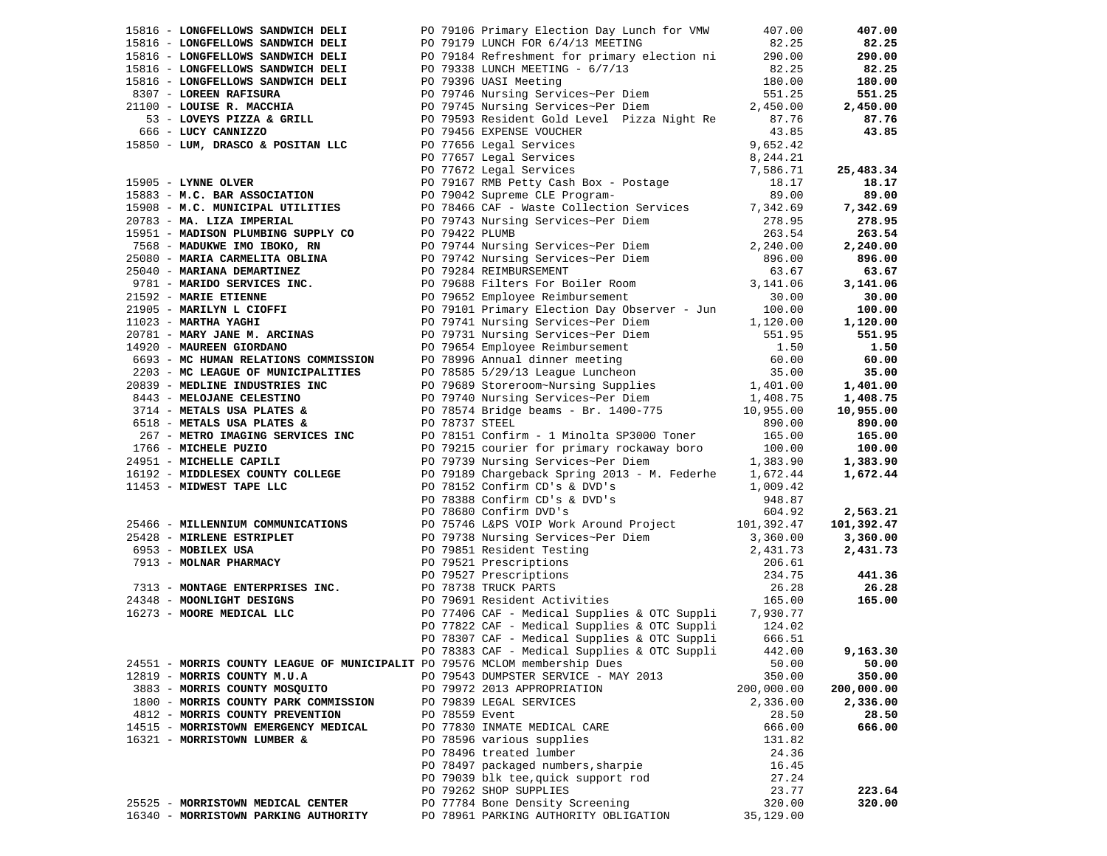| 15816 - LONGFELLOWS SANDWICH DELI                                          |                | PO 79106 Primary Election Day Lunch for VMW                                                                                                                                                                                                | 407.00             | 407.00             |
|----------------------------------------------------------------------------|----------------|--------------------------------------------------------------------------------------------------------------------------------------------------------------------------------------------------------------------------------------------|--------------------|--------------------|
| 15816 - LONGFELLOWS SANDWICH DELI                                          |                | PO 79179 LUNCH FOR 6/4/13 MEETING                                                                                                                                                                                                          | 82.25              | 82.25              |
| 15816 - LONGFELLOWS SANDWICH DELI                                          |                | PO 79184 Refreshment for primary election ni                                                                                                                                                                                               | 290.00             | 290.00             |
| 15816 - LONGFELLOWS SANDWICH DELI                                          |                | PO 79338 LUNCH MEETING - 6/7/13                                                                                                                                                                                                            | 82.25              | 82.25              |
| 15816 - LONGFELLOWS SANDWICH DELI                                          |                | PO 79396 UASI Meeting                                                                                                                                                                                                                      | 180.00             | 180.00             |
| 8307 - LOREEN RAFISURA                                                     |                | PO 79746 Nursing Services~Per Diem                                                                                                                                                                                                         | 551.25             | 551.25             |
| 21100 - LOUISE R. MACCHIA                                                  |                | PO 79745 Nursing Services~Per Diem                                                                                                                                                                                                         | 2,450.00           | 2,450.00           |
| 53 - LOVEYS PIZZA & GRILL                                                  |                | PO 79593 Resident Gold Level Pizza Night Re                                                                                                                                                                                                | 87.76              | 87.76              |
| 666 - LUCY CANNIZZO                                                        |                | PO 79456 EXPENSE VOUCHER                                                                                                                                                                                                                   | 43.85              | 43.85              |
| 15850 - LUM, DRASCO & POSITAN LLC                                          |                |                                                                                                                                                                                                                                            | 9,652.42           |                    |
|                                                                            |                |                                                                                                                                                                                                                                            | 8,244.21           |                    |
|                                                                            |                | PO 77656 Legal Services<br>PO 77657 Legal Services<br>PO 77672 Legal Services                                                                                                                                                              | 7,586.71           | 25,483.34          |
| 15905 - LYNNE OLVER                                                        |                | PO 79167 RMB Petty Cash Box - Postage<br>PO 79042 Supreme CLE Program-<br>PO 78466 CAE MICLE CAN                                                                                                                                           | 18.17              | 18.17              |
| 15883 - M.C. BAR ASSOCIATION                                               |                |                                                                                                                                                                                                                                            | 89.00              | 89.00              |
| 15908 - M.C. MUNICIPAL UTILITIES                                           |                | PO 78466 CAF - Waste Collection Services                                                                                                                                                                                                   | 7,342.69           | 7,342.69           |
| 20783 - MA. LIZA IMPERIAL                                                  |                |                                                                                                                                                                                                                                            | 278.95             | 278.95             |
| 15951 - MADISON PLUMBING SUPPLY CO                                         | PO 79422 PLUMB | PO 79743 Nursing Services~Per Diem                                                                                                                                                                                                         | 263.54             | 263.54             |
| 7568 - MADUKWE IMO IBOKO, RN                                               |                |                                                                                                                                                                                                                                            | 2,240.00           | 2,240.00           |
| 25080 - MARIA CARMELITA OBLINA                                             |                | PO 79744 Nursing Services~Per Diem<br>PO 79742 Nursing Services~Per Diem<br>DO 79384 DEIMDURGEMENT                                                                                                                                         | 896.00             | 896.00             |
| 25040 - MARIANA DEMARTINEZ                                                 |                | PO 79284 REIMBURSEMENT                                                                                                                                                                                                                     | 63.67              | 63.67              |
| 9781 - MARIDO SERVICES INC.                                                |                | PO 79688 Filters For Boiler Room                                                                                                                                                                                                           | 3,141.06           | 3,141.06           |
|                                                                            |                | PO 79652 Employee Reimbursement                                                                                                                                                                                                            |                    |                    |
| 21592 - MARIE ETIENNE                                                      |                |                                                                                                                                                                                                                                            | 30.00              | 30.00              |
| 21905 - MARILYN L CIOFFI                                                   |                | PO 79101 Primary Election Day Observer - Jun                                                                                                                                                                                               | 100.00             | 100.00             |
| $11023$ - MARTHA YAGHI                                                     |                |                                                                                                                                                                                                                                            |                    | 1,120.00           |
| 20781 - MARY JANE M. ARCINAS                                               |                |                                                                                                                                                                                                                                            |                    | 551.95             |
| 14920 - MAUREEN GIORDANO                                                   |                |                                                                                                                                                                                                                                            |                    | 1.50               |
| 6693 - MC HUMAN RELATIONS COMMISSION                                       |                |                                                                                                                                                                                                                                            |                    | 60.00              |
| 2203 - MC LEAGUE OF MUNICIPALITIES                                         |                |                                                                                                                                                                                                                                            |                    | 35.00              |
| 20839 - MEDLINE INDUSTRIES INC                                             |                |                                                                                                                                                                                                                                            |                    | 1,401.00           |
| 8443 - MELOJANE CELESTINO                                                  |                | PO 79741 Nursing Services~Per Diem<br>PO 79741 Nursing Services~Per Diem<br>PO 79731 Nursing Services~Per Diem<br>PO 78644 Employee Reimbursement<br>PO 78996 Annual dinner meeting<br>PO 78996 Annual dinner meeting<br>PO 78996 Annual d |                    | 1,408.75           |
| 3714 - METALS USA PLATES &                                                 |                |                                                                                                                                                                                                                                            |                    | 10,955.00          |
| 6518 - METALS USA PLATES &                                                 | PO 78737 STEEL |                                                                                                                                                                                                                                            | 890.00             | 890.00             |
| 267 - METRO IMAGING SERVICES INC                                           |                | PO 78151 Confirm - 1 Minolta SP3000 Toner                                                                                                                                                                                                  | 165.00             | 165.00             |
| 1766 - MICHELE PUZIO                                                       |                | PO 79215 courier for primary rockaway boro 100.00                                                                                                                                                                                          |                    | 100.00<br>1,383.90 |
| 24951 - MICHELLE CAPILI<br>16192 - MIDDLESEX COUNTY COLLEGE                |                | PO 79739 Nursing Services~Per Diem                                                                                                                                                                                                         | 1,383.90           | 1,672.44           |
|                                                                            |                | PO 79189 Chargeback Spring 2013 - M. Federhe<br>PO 78152 Confirm CD's & DVD's                                                                                                                                                              | 1,672.44           |                    |
| 11453 - MIDWEST TAPE LLC                                                   |                |                                                                                                                                                                                                                                            | 1,009.42<br>948.87 |                    |
|                                                                            |                | PO 78388 Confirm CD's & DVD's<br>PO 78680 Confirm DVD's                                                                                                                                                                                    | 604.92             | 2,563.21           |
| 25466 - MILLENNIUM COMMUNICATIONS                                          |                |                                                                                                                                                                                                                                            |                    | 101,392.47         |
| 25428 - MIRLENE ESTRIPLET                                                  |                | PO 75746 L&PS VOIP Work Around Project 101,392.47                                                                                                                                                                                          | 3,360.00           | 3,360.00           |
| 6953 - MOBILEX USA                                                         |                |                                                                                                                                                                                                                                            | 2,431.73           | 2,431.73           |
| 7913 - MOLNAR PHARMACY                                                     |                |                                                                                                                                                                                                                                            | 206.61             |                    |
|                                                                            |                |                                                                                                                                                                                                                                            | 234.75             | 441.36             |
| 7313 - MONTAGE ENTERPRISES INC.                                            |                | PO 78738 TRUCK PARTS                                                                                                                                                                                                                       | 26.28              | 26.28              |
| 24348 - MOONLIGHT DESIGNS                                                  |                | PO 79738 Nursing Services-Per Diem<br>PO 79738 Nursing Services-Per Diem<br>PO 79851 Resident Testing<br>PO 79527 Prescriptions<br>PO 78738 TRUCK PARTS<br>PO 79691 Resident Activities                                                    | 165.00             | 165.00             |
| 16273 - MOORE MEDICAL LLC                                                  |                | PO 77406 CAF - Medical Supplies & OTC Suppli 7,930.77                                                                                                                                                                                      |                    |                    |
|                                                                            |                | PO 77822 CAF - Medical Supplies & OTC Suppli                                                                                                                                                                                               | 124.02             |                    |
|                                                                            |                | PO 78307 CAF - Medical Supplies & OTC Suppli                                                                                                                                                                                               | 666.51             |                    |
|                                                                            |                | PO 78383 CAF - Medical Supplies & OTC Suppli                                                                                                                                                                                               | 442.00             | 9,163.30           |
| 24551 - MORRIS COUNTY LEAGUE OF MUNICIPALIT PO 79576 MCLOM membership Dues |                |                                                                                                                                                                                                                                            | 50.00              | 50.00              |
| 12819 - MORRIS COUNTY M.U.A                                                |                | PO 79543 DUMPSTER SERVICE - MAY 2013                                                                                                                                                                                                       | 350.00             | 350.00             |
| 3883 - MORRIS COUNTY MOSQUITO                                              |                | PO 79972 2013 APPROPRIATION                                                                                                                                                                                                                | 200,000.00         | 200,000.00         |
| 1800 - MORRIS COUNTY PARK COMMISSION                                       |                | PO 79839 LEGAL SERVICES                                                                                                                                                                                                                    | 2,336.00           | 2,336.00           |
| 4812 - MORRIS COUNTY PREVENTION                                            | PO 78559 Event |                                                                                                                                                                                                                                            | 28.50              | 28.50              |
| 14515 - MORRISTOWN EMERGENCY MEDICAL                                       |                | PO 77830 INMATE MEDICAL CARE                                                                                                                                                                                                               | 666.00             | 666.00             |
| 16321 - MORRISTOWN LUMBER &                                                |                | PO 78596 various supplies                                                                                                                                                                                                                  | 131.82             |                    |
|                                                                            |                | PO 78496 treated lumber                                                                                                                                                                                                                    | 24.36              |                    |
|                                                                            |                | PO 78497 packaged numbers, sharpie                                                                                                                                                                                                         | 16.45              |                    |
|                                                                            |                | PO 79039 blk tee, quick support rod                                                                                                                                                                                                        | 27.24              |                    |
|                                                                            |                | PO 79262 SHOP SUPPLIES                                                                                                                                                                                                                     | 23.77              | 223.64             |
| 25525 - MORRISTOWN MEDICAL CENTER                                          |                | PO 77784 Bone Density Screening                                                                                                                                                                                                            | 320.00             | 320.00             |
| 16340 - MORRISTOWN PARKING AUTHORITY                                       |                | PO 78961 PARKING AUTHORITY OBLIGATION                                                                                                                                                                                                      | 35,129.00          |                    |
|                                                                            |                |                                                                                                                                                                                                                                            |                    |                    |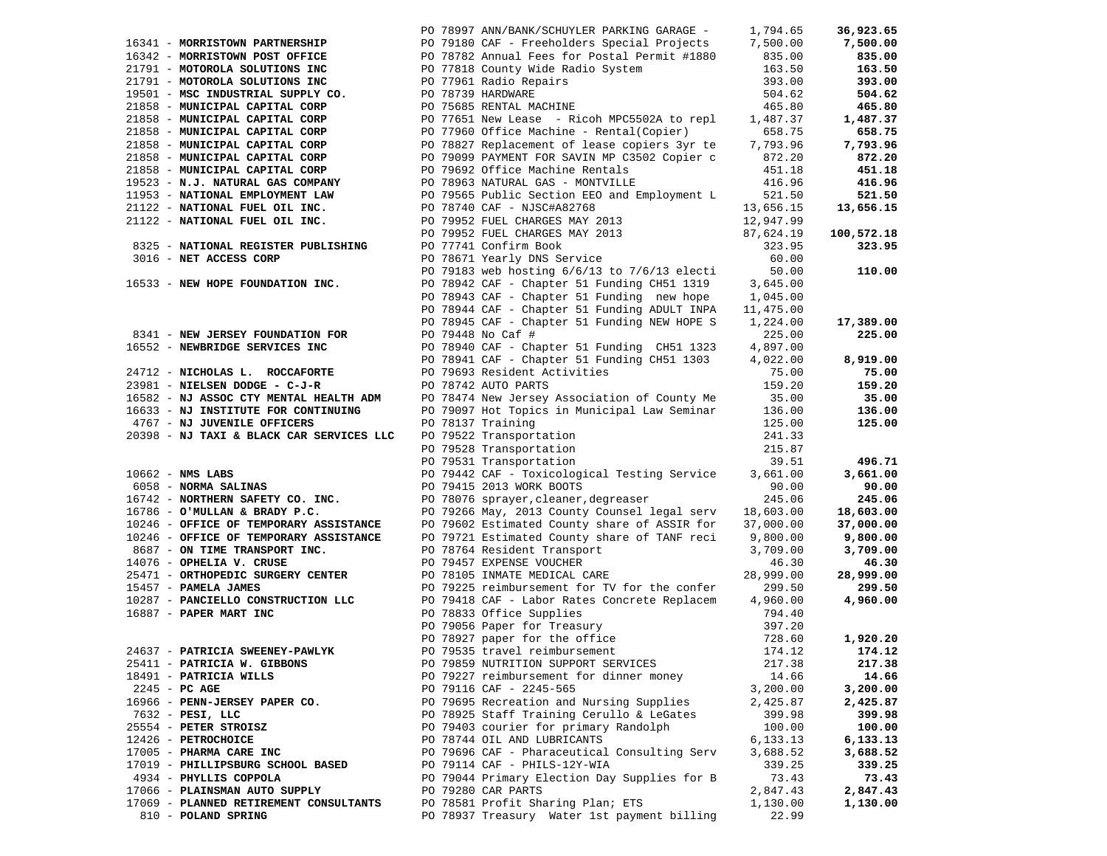|                                          | PO 78997 ANN/BANK/SCHUYLER PARKING GARAGE -                                                                 | 1,794.65          | 36,923.65  |
|------------------------------------------|-------------------------------------------------------------------------------------------------------------|-------------------|------------|
| 16341 - MORRISTOWN PARTNERSHIP           | PO 79180 CAF - Freeholders Special Projects 7,500.00                                                        |                   | 7,500.00   |
| 16342 - MORRISTOWN POST OFFICE           | PO 78782 Annual Fees for Postal Permit #1880                                                                | 835.00            | 835.00     |
| 21791 - MOTOROLA SOLUTIONS INC           | PO 77818 County Wide Radio System                                                                           | 163.50            | 163.50     |
| 21791 - MOTOROLA SOLUTIONS INC           | PO 77961 Radio Repairs                                                                                      | 393.00            | 393.00     |
| 19501 - MSC INDUSTRIAL SUPPLY CO.        | PO 78739 HARDWARE                                                                                           | 504.62            | 504.62     |
| 21858 - MUNICIPAL CAPITAL CORP           | PO 75685 RENTAL MACHINE                                                                                     | 465.80            | 465.80     |
| 21858 - MUNICIPAL CAPITAL CORP           | PO 77651 New Lease - Ricoh MPC5502A to repl                                                                 | 1,487.37          | 1,487.37   |
| 21858 - MUNICIPAL CAPITAL CORP           | PO 77960 Office Machine - Rental(Copier)                                                                    | 658.75            | 658.75     |
| 21858 - MUNICIPAL CAPITAL CORP           | PO 78827 Replacement of lease copiers 3yr te 7,793.96                                                       |                   | 7,793.96   |
| 21858 - MUNICIPAL CAPITAL CORP           | PO 79099 PAYMENT FOR SAVIN MP C3502 Copier c                                                                | 872.20            | 872.20     |
| 21858 - MUNICIPAL CAPITAL CORP           | PO 79692 Office Machine Rentals                                                                             | 451.18            | 451.18     |
| 19523 - N.J. NATURAL GAS COMPANY         | PO 78963 NATURAL GAS - MONTVILLE                                                                            | 416.96            | 416.96     |
| 11953 - NATIONAL EMPLOYMENT LAW          | PO 79565 Public Section EEO and Employment L                                                                | 521.50            | 521.50     |
| 21122 - NATIONAL FUEL OIL INC.           |                                                                                                             | 13,656.15         | 13,656.15  |
| 21122 - NATIONAL FUEL OIL INC.           | PO 78740 CAF - NJSC#A82768<br>PO 79952 FUEL CHARGES MAY 2013<br>DO 79252                                    | 12,947.99         |            |
|                                          | PO 79952 FUEL CHARGES MAY 2013                                                                              | 87,624.19         | 100,572.18 |
| 8325 - NATIONAL REGISTER PUBLISHING      | PO 77741 Confirm Book                                                                                       | 323.95            | 323.95     |
| 3016 - NET ACCESS CORP                   | PO 78671 Yearly DNS Service                                                                                 | 60.00             |            |
|                                          | PO 79183 web hosting 6/6/13 to 7/6/13 electi                                                                | 50.00             | 110.00     |
| 16533 - NEW HOPE FOUNDATION INC.         |                                                                                                             |                   |            |
|                                          | PO 78942 CAF - Chapter 51 Funding CH51 1319 3,645.00<br>PO 78943 CAF - Chapter 51 Funding new hope 1,045.00 |                   |            |
|                                          | PO 78944 CAF - Chapter 51 Funding ADULT INPA                                                                |                   |            |
|                                          | PO 78945 CAF - Chapter 51 Funding NEW HOPE S                                                                | 11,475.00         | 17,389.00  |
| 8341 - NEW JERSEY FOUNDATION FOR         | PO 79448 No Caf #                                                                                           | 1,224.00          | 225.00     |
| 16552 - NEWBRIDGE SERVICES INC           | PO 78940 CAF - Chapter 51 Funding CH51 1323                                                                 | 225.00            |            |
|                                          | PO 78941 CAF - Chapter 51 Funding CH51 1303                                                                 | 4,897.00          | 8,919.00   |
| 24712 - NICHOLAS L. ROCCAFORTE           | PO 79693 Resident Activities                                                                                | 4,022.00<br>75.00 | 75.00      |
| 23981 - NIELSEN DODGE - C-J-R            | PO 78742 AUTO PARTS                                                                                         | 159.20            | 159.20     |
| 16582 - NJ ASSOC CTY MENTAL HEALTH ADM   | PO 78474 New Jersey Association of County Me                                                                | 35.00             | 35.00      |
|                                          | PO 79097 Hot Topics in Municipal Law Seminar                                                                |                   |            |
| 16633 - NJ INSTITUTE FOR CONTINUING      | PO 78137 Training                                                                                           | 136.00            | 136.00     |
| 4767 - NJ JUVENILE OFFICERS              |                                                                                                             | 125.00            | 125.00     |
| 20398 - NJ TAXI & BLACK CAR SERVICES LLC | PO 79522 Transportation                                                                                     | 241.33            |            |
|                                          | PO 79528 Transportation                                                                                     | 215.87            |            |
|                                          | PO 79531 Transportation<br>PO 79442 CAF - Toxicological Testing Service                                     | 39.51             | 496.71     |
| $10662$ - NMS LABS                       |                                                                                                             | 3,661.00          | 3,661.00   |
| 6058 - NORMA SALINAS                     | PO 79415 2013 WORK BOOTS<br>PO 78076 sprayer, cleaner, degreaser                                            | 90.00             | 90.00      |
| 16742 - NORTHERN SAFETY CO. INC.         |                                                                                                             | 245.06            | 245.06     |
| 16786 - O'MULLAN & BRADY P.C.            | PO 79266 May, 2013 County Counsel legal serv                                                                | 18,603.00         | 18,603.00  |
| 10246 - OFFICE OF TEMPORARY ASSISTANCE   | PO 79602 Estimated County share of ASSIR for                                                                | 37,000.00         | 37,000.00  |
| 10246 - OFFICE OF TEMPORARY ASSISTANCE   | PO 79721 Estimated County share of TANF reci                                                                | 9,800.00          | 9,800.00   |
| 8687 - ON TIME TRANSPORT INC.            | PO 78764 Resident Transport                                                                                 | 3,709.00          | 3,709.00   |
| 14076 - OPHELIA V. CRUSE                 | PO 79457 EXPENSE VOUCHER                                                                                    | 46.30             | 46.30      |
| 25471 - ORTHOPEDIC SURGERY CENTER        | PO 78105 INMATE MEDICAL CARE                                                                                | 28,999.00         | 28,999.00  |
| 15457 - PAMELA JAMES                     | PO 79225 reimbursement for TV for the confer                                                                | 299.50            | 299.50     |
| 10287 - PANCIELLO CONSTRUCTION LLC       | PO 79418 CAF - Labor Rates Concrete Replacem                                                                | 4,960.00          | 4,960.00   |
| 16887 - PAPER MART INC                   | PO 78833 Office Supplies                                                                                    | 794.40            |            |
|                                          | PO 79056 Paper for Treasury                                                                                 | 397.20            |            |
|                                          | PO 78927 paper for the office                                                                               | 728.60            | 1,920.20   |
| 24637 - PATRICIA SWEENEY-PAWLYK          | PO 79535 travel reimbursement                                                                               | 174.12            | 174.12     |
| 25411 - PATRICIA W. GIBBONS              | PO 79859 NUTRITION SUPPORT SERVICES                                                                         | 217.38            | 217.38     |
| 18491 - PATRICIA WILLS                   | PO 79227 reimbursement for dinner money                                                                     | 14.66             | 14.66      |
| $2245$ - PC AGE                          | PO 79116 CAF - 2245-565                                                                                     | 3,200.00          | 3,200.00   |
| 16966 - PENN-JERSEY PAPER CO.            | PO 79695 Recreation and Nursing Supplies                                                                    | 2,425.87          | 2,425.87   |
| 7632 - PESI, LLC                         | PO 78925 Staff Training Cerullo & LeGates                                                                   | 399.98            | 399.98     |
| 25554 - PETER STROISZ                    | PO 79403 courier for primary Randolph                                                                       | 100.00            | 100.00     |
| 12426 - PETROCHOICE                      | PO 78744 OIL AND LUBRICANTS                                                                                 | 6,133.13          | 6,133.13   |
| 17005 - PHARMA CARE INC                  | PO 79696 CAF - Pharaceutical Consulting Serv                                                                | 3,688.52          | 3,688.52   |
| 17019 - PHILLIPSBURG SCHOOL BASED        | PO 79114 CAF - PHILS-12Y-WIA                                                                                | 339.25            | 339.25     |
| 4934 - PHYLLIS COPPOLA                   | PO 79044 Primary Election Day Supplies for B                                                                | 73.43             | 73.43      |
| 17066 - PLAINSMAN AUTO SUPPLY            | PO 79280 CAR PARTS                                                                                          | 2,847.43          | 2,847.43   |
| 17069 - PLANNED RETIREMENT CONSULTANTS   | PO 78581 Profit Sharing Plan; ETS                                                                           | 1,130.00          | 1,130.00   |
| 810 - POLAND SPRING                      | PO 78937 Treasury Water 1st payment billing                                                                 | 22.99             |            |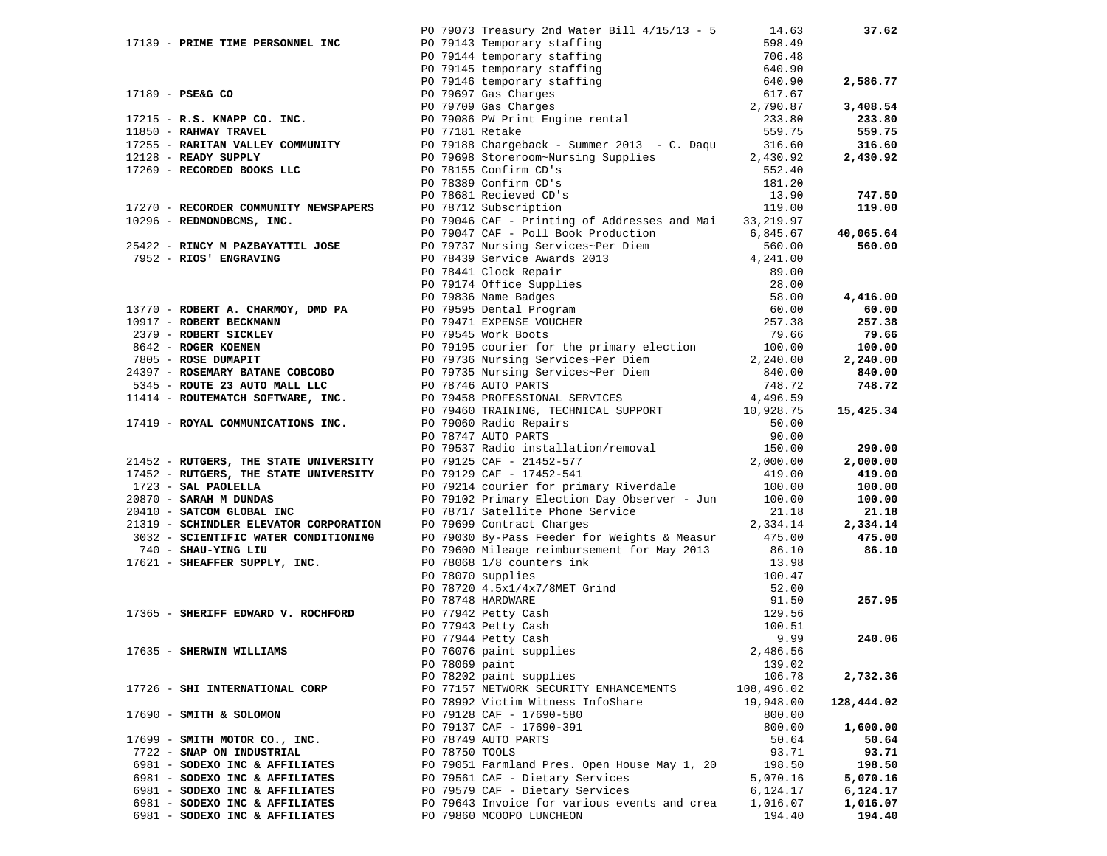|                                            | PO 79073 Treasury 2nd Water Bill $4/15/13$ - 5                                                                                                                                                                                                   | 14.63                  | 37.62      |
|--------------------------------------------|--------------------------------------------------------------------------------------------------------------------------------------------------------------------------------------------------------------------------------------------------|------------------------|------------|
|                                            |                                                                                                                                                                                                                                                  | 598.49                 |            |
|                                            |                                                                                                                                                                                                                                                  | 706.48                 |            |
|                                            |                                                                                                                                                                                                                                                  | 640.90                 |            |
|                                            |                                                                                                                                                                                                                                                  | 640.90                 | 2,586.77   |
|                                            | 17139 - <b>PRIME TIME PERSONNEL INC</b><br>PO 79143 Temporary staffing<br>PO 79144 temporary staffing<br>PO 79145 Temporary staffing<br>PO 79146 temporary staffing<br>PO 79146 temporary staffing<br>PO 79146 temporary staffing<br>PO 79146 te |                        |            |
|                                            |                                                                                                                                                                                                                                                  | 617.67                 |            |
|                                            |                                                                                                                                                                                                                                                  | 2,790.87               | 3,408.54   |
|                                            |                                                                                                                                                                                                                                                  | 233.80                 | 233.80     |
|                                            |                                                                                                                                                                                                                                                  | 559.75                 | 559.75     |
|                                            |                                                                                                                                                                                                                                                  | 316.60                 | 316.60     |
|                                            |                                                                                                                                                                                                                                                  | 2,430.92               | 2,430.92   |
|                                            |                                                                                                                                                                                                                                                  | 552.40                 |            |
|                                            | PO 78389 Confirm CD's                                                                                                                                                                                                                            | 181.20                 |            |
|                                            | PO 78681 Recieved CD's                                                                                                                                                                                                                           | 13.90                  | 747.50     |
|                                            |                                                                                                                                                                                                                                                  |                        |            |
| 17270 - RECORDER COMMUNITY NEWSPAPERS      | PO 78712 Subscription                                                                                                                                                                                                                            | 119.00                 | 119.00     |
| 10296 - REDMONDBCMS, INC.                  | PO 79046 CAF - Printing of Addresses and Mai 33,219.97                                                                                                                                                                                           |                        |            |
|                                            | PO 79047 CAF - Poll Book Production 6,845.67                                                                                                                                                                                                     |                        | 40,065.64  |
| 25422 - RINCY M PAZBAYATTIL JOSE           |                                                                                                                                                                                                                                                  | 560.00                 | 560.00     |
| 7952 - RIOS' ENGRAVING                     |                                                                                                                                                                                                                                                  | 560.00<br>4,241.00     |            |
|                                            |                                                                                                                                                                                                                                                  | 89.00                  |            |
|                                            |                                                                                                                                                                                                                                                  | 28.00                  |            |
|                                            |                                                                                                                                                                                                                                                  |                        | 4,416.00   |
| 13770 - ROBERT A. CHARMOY, DMD PA          |                                                                                                                                                                                                                                                  | 58.00<br>60.00         | 60.00      |
|                                            | PO 79047 CAR - FOIL BOOK Frouncion<br>PO 79737 Nursing Service Awards 2013<br>PO 78439 Service Awards 2013<br>PO 79174 Office Supplies<br>PO 79836 Name Badges<br>PO 79595 Dental Program<br>PO 79471 EXPENSE VOUCHER<br>PO 79545 Work Boots     |                        |            |
| 10917 - ROBERT BECKMANN                    | PO 79471 EAPENSE VOORGES<br>PO 79195 Courier for<br>PO 79736 Nursing Ser<br>PO 79735 Nursing Ser<br>PO 78746 AUTO PARTS                                                                                                                          | 257.38                 | 257.38     |
| 2379 - ROBERT SICKLEY                      |                                                                                                                                                                                                                                                  | 79.66                  | 79.66      |
| 8642 - ROGER KOENEN<br>7805 - ROSE DUMAPIT | PO 79195 courier for the primary election 100.00<br>PO 79736 Nursing Services~Per Diem 2,240.00                                                                                                                                                  |                        | 100.00     |
|                                            | PO 79736 Nursing Services~Per Diem                                                                                                                                                                                                               | 2,240.00               | 2,240.00   |
| 24397 - ROSEMARY BATANE COBCOBO            | PO 79735 Nursing Services~Per Diem                                                                                                                                                                                                               | 840.00                 | 840.00     |
| 5345 - ROUTE 23 AUTO MALL LLC              |                                                                                                                                                                                                                                                  | 748.72                 | 748.72     |
| 11414 - ROUTEMATCH SOFTWARE, INC.          |                                                                                                                                                                                                                                                  | 4,496.59               |            |
|                                            | PO 79458 PROFESSIONAL SERVICES<br>PO 79460 TRAINING, TECHNICAL SUPPORT                                                                                                                                                                           | 1, 1988.<br>10, 928.75 | 15,425.34  |
| 17419 - ROYAL COMMUNICATIONS INC.          |                                                                                                                                                                                                                                                  | 50.00                  |            |
|                                            | PO 79060 Radio Repairs<br>PO 78747 AUTO PARTS                                                                                                                                                                                                    | 90.00                  |            |
|                                            |                                                                                                                                                                                                                                                  |                        |            |
|                                            | PO 79537 Radio installation/removal<br>PO 79125 CAF - 21452-577<br>PO 79129 CAF - 17452-541<br>PO 79214 courier for primary Riverdale                                                                                                            | 150.00                 | 290.00     |
| 21452 - RUTGERS, THE STATE UNIVERSITY      |                                                                                                                                                                                                                                                  | 2,000.00               | 2,000.00   |
| 17452 - RUTGERS, THE STATE UNIVERSITY      |                                                                                                                                                                                                                                                  | 419.00                 | 419.00     |
| 1723 - SAL PAOLELLA                        |                                                                                                                                                                                                                                                  | 100.00                 | 100.00     |
| 20870 - SARAH M DUNDAS                     | PO 79102 Primary Election Day Observer - Jun 100.00                                                                                                                                                                                              |                        | 100.00     |
| 20410 - SATCOM GLOBAL INC                  | PO 78717 Satellite Phone Service<br>DO 79699 Contract Charges                                                                                                                                                                                    | 21.18                  | 21.18      |
| 21319 - SCHINDLER ELEVATOR CORPORATION     | PO 79699 Contract Charges                                                                                                                                                                                                                        | 2,334.14               | 2,334.14   |
| 3032 - SCIENTIFIC WATER CONDITIONING       | PO 79030 By-Pass Feeder for Weights & Measur                                                                                                                                                                                                     | 475.00                 | 475.00     |
| 740 - SHAU-YING LIU                        | PO 79600 Mileage reimbursement for May 2013                                                                                                                                                                                                      | 86.10                  | 86.10      |
| 17621 - SHEAFFER SUPPLY, INC.              | PO 78068 1/8 counters ink                                                                                                                                                                                                                        | 13.98                  |            |
|                                            | PO 78070 supplies                                                                                                                                                                                                                                | 100.47                 |            |
|                                            | PO 78720 4.5x1/4x7/8MET Grind<br>PO 78720 4.5x1/4x7/8MET Grind<br>PO 77942 Petty Cash<br>PO 77943 Petty Cash<br>PO 77944 Petty Cash<br>PO 76076 paint supplies                                                                                   |                        |            |
|                                            |                                                                                                                                                                                                                                                  | 52.00                  |            |
|                                            |                                                                                                                                                                                                                                                  | 91.50                  | 257.95     |
| 17365 - SHERIFF EDWARD V. ROCHFORD         |                                                                                                                                                                                                                                                  | 129.56                 |            |
|                                            |                                                                                                                                                                                                                                                  | 100.51                 |            |
|                                            |                                                                                                                                                                                                                                                  | 9.99                   | 240.06     |
| 17635 - SHERWIN WILLIAMS                   |                                                                                                                                                                                                                                                  | 2,486.56               |            |
|                                            | PO 78069 paint                                                                                                                                                                                                                                   | 139.02                 |            |
|                                            | PO 78202 paint supplies                                                                                                                                                                                                                          | 106.78                 | 2,732.36   |
| 17726 - SHI INTERNATIONAL CORP             | PO 77157 NETWORK SECURITY ENHANCEMENTS                                                                                                                                                                                                           | 108,496.02             |            |
|                                            | PO 78992 Victim Witness InfoShare                                                                                                                                                                                                                | 19,948.00              | 128,444.02 |
|                                            |                                                                                                                                                                                                                                                  |                        |            |
| $17690$ - SMITH & SOLOMON                  | PO 79128 CAF - 17690-580                                                                                                                                                                                                                         | 800.00                 |            |
|                                            | PO 79137 CAF - 17690-391                                                                                                                                                                                                                         | 800.00                 | 1,600.00   |
| 17699 - SMITH MOTOR CO., INC.              | PO 78749 AUTO PARTS                                                                                                                                                                                                                              | 50.64                  | 50.64      |
| 7722 - SNAP ON INDUSTRIAL                  | PO 78750 TOOLS                                                                                                                                                                                                                                   | 93.71                  | 93.71      |
| 6981 - SODEXO INC & AFFILIATES             | PO 79051 Farmland Pres. Open House May 1, 20                                                                                                                                                                                                     | 198.50                 | 198.50     |
| 6981 - SODEXO INC & AFFILIATES             | PO 79561 CAF - Dietary Services                                                                                                                                                                                                                  | 5,070.16               | 5,070.16   |
| 6981 - SODEXO INC & AFFILIATES             | PO 79579 CAF - Dietary Services                                                                                                                                                                                                                  | 6,124.17               | 6,124.17   |
| 6981 - SODEXO INC & AFFILIATES             | PO 79643 Invoice for various events and crea                                                                                                                                                                                                     | 1,016.07               | 1,016.07   |
| 6981 - SODEXO INC & AFFILIATES             | PO 79860 MCOOPO LUNCHEON                                                                                                                                                                                                                         | 194.40                 | 194.40     |
|                                            |                                                                                                                                                                                                                                                  |                        |            |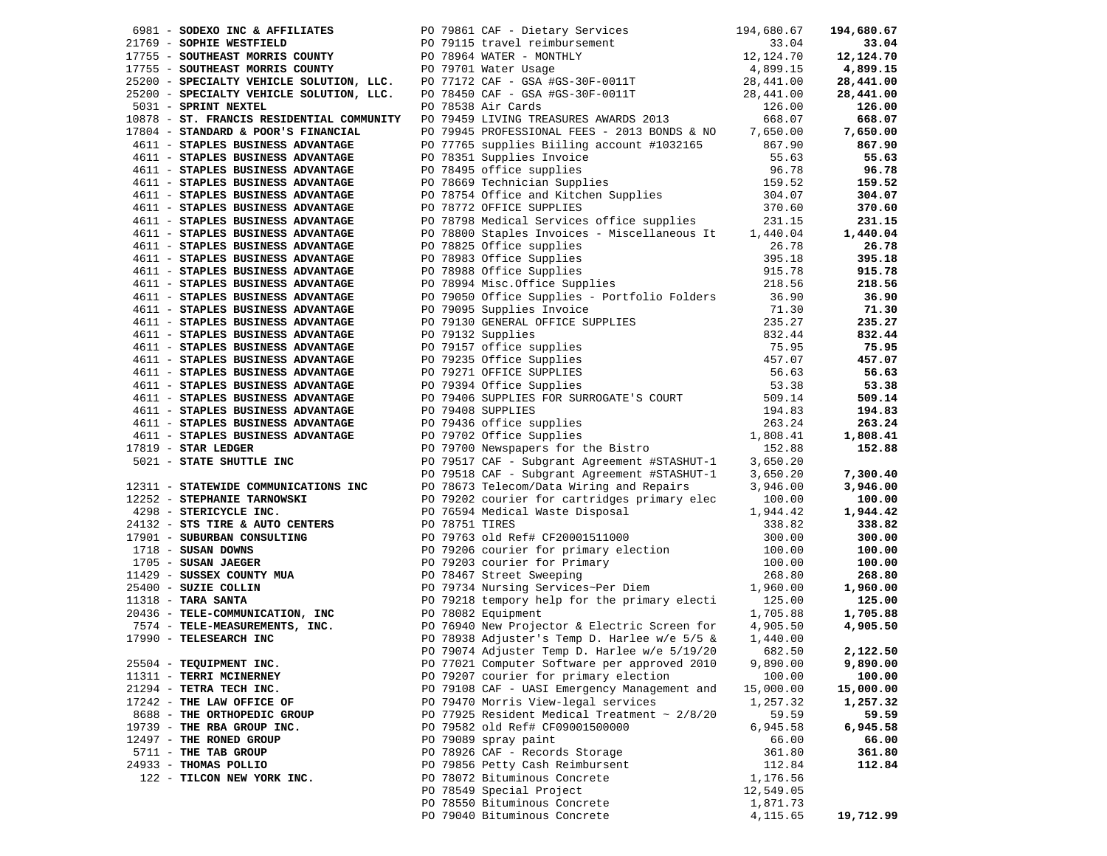| 6981 - SODEXO INC & AFFILIATES<br>21769 - SOPHIE WESTFIELD<br>17755 - SOUTHEAST MORRIS COUNTY<br>17755 - SOUTHEAST MORRIS COUNTY<br>17755 - SOUTHEAST MORRIS COUNTY<br>17755 - SOUTHEAST MORRIS COUNTY<br>17755 - SOUTHEAST MORRIS COUNTY                                             |                                                                                                                                                         |           | 194,680.67       |
|---------------------------------------------------------------------------------------------------------------------------------------------------------------------------------------------------------------------------------------------------------------------------------------|---------------------------------------------------------------------------------------------------------------------------------------------------------|-----------|------------------|
|                                                                                                                                                                                                                                                                                       |                                                                                                                                                         | 33.04     | 33.04            |
|                                                                                                                                                                                                                                                                                       |                                                                                                                                                         |           | 12,124.70        |
|                                                                                                                                                                                                                                                                                       |                                                                                                                                                         |           | 4,899.15         |
|                                                                                                                                                                                                                                                                                       |                                                                                                                                                         |           | 28,441.00        |
|                                                                                                                                                                                                                                                                                       |                                                                                                                                                         |           | 28,441.00        |
|                                                                                                                                                                                                                                                                                       |                                                                                                                                                         |           | 126.00           |
|                                                                                                                                                                                                                                                                                       |                                                                                                                                                         |           | 668.07           |
|                                                                                                                                                                                                                                                                                       |                                                                                                                                                         |           | 7,650.00         |
|                                                                                                                                                                                                                                                                                       |                                                                                                                                                         |           | 867.90           |
| 4611 - STAPLES BUSINESS ADVANTAGE<br>4611 - STAPLES BUSINESS ADVANTAGE<br>4611 - STAPLES BUSINESS ADVANTAGE<br>4611 - STAPLES BUSINESS ADVANTAGE<br>4611 - STAPLES BUSINESS ADVANTAGE<br>4611 - STAPLES BUSINESS ADVANTAGE<br>4611 - STAPL                                            |                                                                                                                                                         |           | 55.63            |
|                                                                                                                                                                                                                                                                                       |                                                                                                                                                         |           | 96.78            |
|                                                                                                                                                                                                                                                                                       |                                                                                                                                                         |           | 159.52           |
|                                                                                                                                                                                                                                                                                       |                                                                                                                                                         |           | 304.07           |
|                                                                                                                                                                                                                                                                                       |                                                                                                                                                         |           | 370.60           |
| 4611 - STAPLES BUSINESS ADVANTAGE                                                                                                                                                                                                                                                     | PO 78798 Medical Services office supplies<br>PO 78800 Staples Invoices - Miscellaneous It 1,440.04                                                      |           | 231.15           |
| 4611 - STAPLES BUSINESS ADVANTAGE                                                                                                                                                                                                                                                     |                                                                                                                                                         |           | 1,440.04         |
| 4611 - STAPLES BUSINESS ADVANTAGE                                                                                                                                                                                                                                                     | PO 78825 Office supplies<br>PO 78825 Office supplies<br>PO 78983 Office Supplies<br>PO 78988 Office Supplies<br>PO 78994 Misc.Office Supplies<br>218.56 | 26.78     | 26.78            |
| 4611 - STAPLES BUSINESS ADVANTAGE                                                                                                                                                                                                                                                     |                                                                                                                                                         |           | 395.18           |
| 4611 - STAPLES BUSINESS ADVANTAGE                                                                                                                                                                                                                                                     |                                                                                                                                                         |           | 915.78           |
| 4611 - STAPLES BUSINESS ADVANTAGE                                                                                                                                                                                                                                                     |                                                                                                                                                         |           | 218.56           |
| 4611 - STAPLES BUSINESS ADVANTAGE                                                                                                                                                                                                                                                     | PO 79050 Office Supplies - Portfolio Folders 36.90<br>PO 79095 Supplies Invoice 71.30                                                                   |           | 36.90            |
| 4611 - STAPLES BUSINESS ADVANTAGE                                                                                                                                                                                                                                                     |                                                                                                                                                         |           | 71.30            |
|                                                                                                                                                                                                                                                                                       |                                                                                                                                                         |           | 235.27           |
|                                                                                                                                                                                                                                                                                       |                                                                                                                                                         |           | 832.44           |
|                                                                                                                                                                                                                                                                                       |                                                                                                                                                         |           | 75.95            |
|                                                                                                                                                                                                                                                                                       |                                                                                                                                                         |           | 457.07           |
|                                                                                                                                                                                                                                                                                       |                                                                                                                                                         |           | 56.63            |
|                                                                                                                                                                                                                                                                                       |                                                                                                                                                         |           | 53.38            |
|                                                                                                                                                                                                                                                                                       |                                                                                                                                                         |           | 509.14           |
|                                                                                                                                                                                                                                                                                       |                                                                                                                                                         |           | 194.83           |
| <b>4611 – STAPLES BUSINESS ADVANTAGE 11.30 PO 79095 Supplies Invoice 11.30<br/> 4611 <b>– STAPLES BUSINESS ADVANTAGE 10 79130 GENERAL OFFICE SUPPLIES 1256.27<br/> 4611 <b>– STAPLES BUSINESS ADVANTAGE 10 79130 GENERAL OFFICE SUPPLIES 12</b></b></b>                               |                                                                                                                                                         |           | 263.24           |
|                                                                                                                                                                                                                                                                                       |                                                                                                                                                         |           | 1,808.41         |
| 17819 - STAR LEDGER                                                                                                                                                                                                                                                                   | PO 79517 CAF - Subgrant Agreement #STASHUT-1 3,650.20                                                                                                   |           | 152.88           |
| 5021 - STATE SHUTTLE INC                                                                                                                                                                                                                                                              |                                                                                                                                                         |           |                  |
|                                                                                                                                                                                                                                                                                       | PO 79518 CAF - Subgrant Agreement #STASHUT-1 3,650.20<br>PO 78673 Telecom/Data Wiring and Repairs 3,946.00                                              |           | 7,300.40         |
| 12311 - STATEWIDE COMMUNICATIONS INC                                                                                                                                                                                                                                                  |                                                                                                                                                         |           | 3,946.00         |
|                                                                                                                                                                                                                                                                                       |                                                                                                                                                         |           | 100.00           |
|                                                                                                                                                                                                                                                                                       |                                                                                                                                                         |           | 1,944.42         |
|                                                                                                                                                                                                                                                                                       |                                                                                                                                                         |           | 338.82<br>300.00 |
|                                                                                                                                                                                                                                                                                       |                                                                                                                                                         |           | 100.00           |
|                                                                                                                                                                                                                                                                                       |                                                                                                                                                         |           |                  |
| 12311 - <b>STATEWIDE COMMUNICATIONS INC</b><br>12252 - <b>STEPHANE TANNOWSKI</b><br>12252 - <b>STEPHANE TANNOWSKI</b><br>1226 - <b>STEPHANE TAND CENTERS</b><br>1224132 - <b>STS TIRE &amp; AUTO CENTERS</b><br>1224132 - <b>STS TIRE &amp; AUTO CENTERS</b><br>1224132 - <b>STS </b> |                                                                                                                                                         |           | 100.00<br>268.80 |
|                                                                                                                                                                                                                                                                                       |                                                                                                                                                         |           | 1,960.00         |
|                                                                                                                                                                                                                                                                                       |                                                                                                                                                         |           | 125.00           |
|                                                                                                                                                                                                                                                                                       |                                                                                                                                                         |           | 1,705.88         |
|                                                                                                                                                                                                                                                                                       |                                                                                                                                                         |           | 4,905.50         |
|                                                                                                                                                                                                                                                                                       |                                                                                                                                                         |           |                  |
|                                                                                                                                                                                                                                                                                       | PO 79074 Adjuster Temp D. Harlee w/e 5/19/20                                                                                                            | 682.50    | 2,122.50         |
| 25504 - TEQUIPMENT INC.                                                                                                                                                                                                                                                               | PO 77021 Computer Software per approved 2010                                                                                                            | 9,890.00  | 9,890.00         |
| 11311 - TERRI MCINERNEY                                                                                                                                                                                                                                                               | PO 79207 courier for primary election                                                                                                                   | 100.00    | 100.00           |
| 21294 - TETRA TECH INC.                                                                                                                                                                                                                                                               | PO 79108 CAF - UASI Emergency Management and                                                                                                            | 15,000.00 | 15,000.00        |
| 17242 - THE LAW OFFICE OF                                                                                                                                                                                                                                                             | PO 79470 Morris View-legal services                                                                                                                     | 1,257.32  | 1,257.32         |
| 8688 - THE ORTHOPEDIC GROUP                                                                                                                                                                                                                                                           | PO 77925 Resident Medical Treatment $\sim 2/8/20$                                                                                                       | 59.59     | 59.59            |
| 19739 - THE RBA GROUP INC.                                                                                                                                                                                                                                                            | PO 79582 old Ref# CF09001500000                                                                                                                         | 6,945.58  | 6,945.58         |
| 12497 - THE RONED GROUP                                                                                                                                                                                                                                                               | PO 79089 spray paint                                                                                                                                    | 66.00     | 66.00            |
| 5711 - THE TAB GROUP                                                                                                                                                                                                                                                                  | PO 78926 CAF - Records Storage                                                                                                                          | 361.80    | 361.80           |
| 24933 - THOMAS POLLIO                                                                                                                                                                                                                                                                 | PO 79856 Petty Cash Reimbursent                                                                                                                         | 112.84    | 112.84           |
| 122 - TILCON NEW YORK INC.                                                                                                                                                                                                                                                            | PO 78072 Bituminous Concrete                                                                                                                            | 1,176.56  |                  |
|                                                                                                                                                                                                                                                                                       | PO 78549 Special Project                                                                                                                                | 12,549.05 |                  |
|                                                                                                                                                                                                                                                                                       | PO 78550 Bituminous Concrete                                                                                                                            | 1,871.73  |                  |
|                                                                                                                                                                                                                                                                                       | PO 79040 Bituminous Concrete                                                                                                                            | 4,115.65  | 19,712.99        |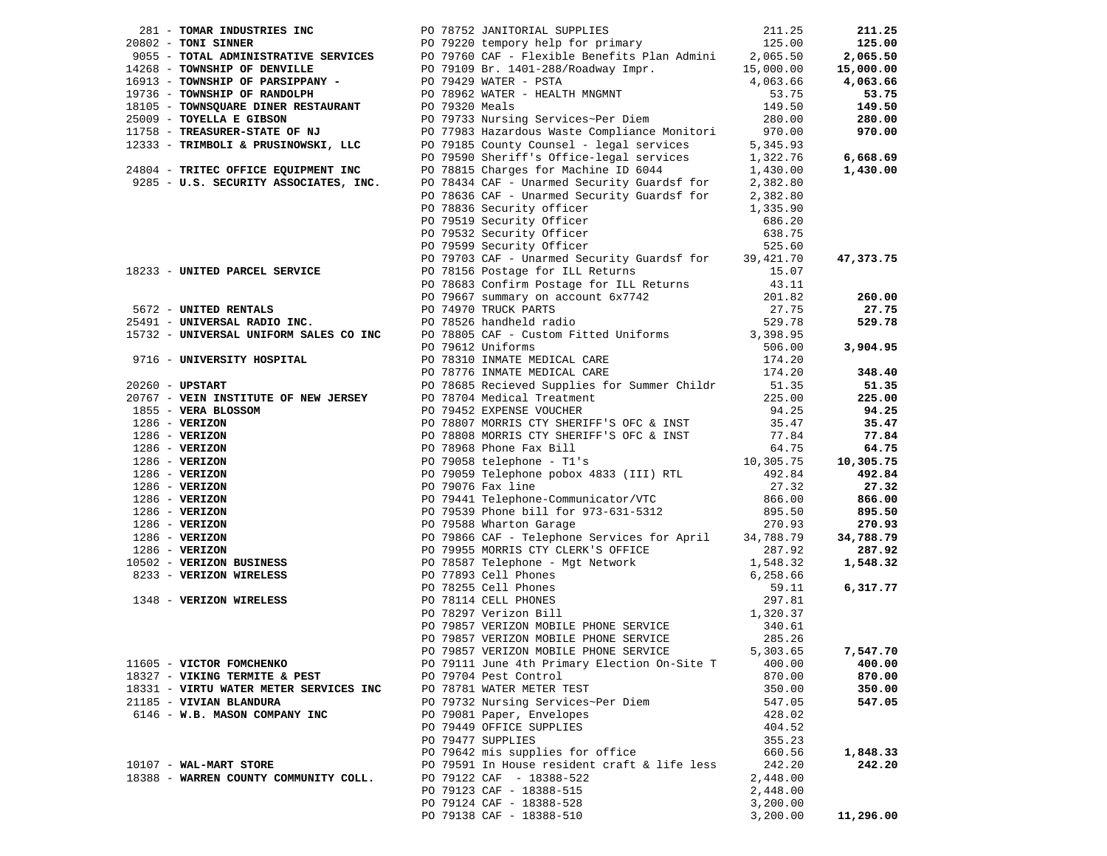|                                                                 | 281 - TOMAR INDUSTRIES INC 2002 12 JANITORIAL SUPPLIES 211.25<br>2002 - TOTAI ADMINISTRATIVE SERVICES 2002 tempory help for primary<br>211.25.00<br>211.25 - TOTAI ADMINISTRATIVE SERVICES 2002 tempory help for primary<br>14268 - T         |          | 211.25            |
|-----------------------------------------------------------------|-----------------------------------------------------------------------------------------------------------------------------------------------------------------------------------------------------------------------------------------------|----------|-------------------|
|                                                                 |                                                                                                                                                                                                                                               |          | 125.00            |
|                                                                 |                                                                                                                                                                                                                                               |          | 2,065.50          |
|                                                                 |                                                                                                                                                                                                                                               |          | 15,000.00         |
|                                                                 |                                                                                                                                                                                                                                               |          | 4,063.66          |
|                                                                 |                                                                                                                                                                                                                                               |          | 53.75             |
|                                                                 |                                                                                                                                                                                                                                               |          | 149.50            |
|                                                                 |                                                                                                                                                                                                                                               |          | 280.00            |
|                                                                 |                                                                                                                                                                                                                                               |          | 970.00            |
|                                                                 |                                                                                                                                                                                                                                               |          |                   |
|                                                                 |                                                                                                                                                                                                                                               |          | 6,668.69          |
|                                                                 |                                                                                                                                                                                                                                               |          | 1,430.00          |
|                                                                 |                                                                                                                                                                                                                                               |          |                   |
|                                                                 |                                                                                                                                                                                                                                               |          |                   |
|                                                                 |                                                                                                                                                                                                                                               |          |                   |
|                                                                 |                                                                                                                                                                                                                                               |          |                   |
|                                                                 |                                                                                                                                                                                                                                               |          |                   |
|                                                                 | PO 78836 Security officer<br>PO 78836 Security officer<br>PO 79519 Security Officer<br>PO 79532 Security Officer<br>PO 79703 CAF - Unarmed Security Guardsf for 525.60<br>PO 79703 CAF - Unarmed Security Guardsf for 39,421.70<br>PO 7970    |          |                   |
|                                                                 |                                                                                                                                                                                                                                               |          | 47,373.75         |
|                                                                 |                                                                                                                                                                                                                                               |          |                   |
|                                                                 |                                                                                                                                                                                                                                               |          |                   |
|                                                                 |                                                                                                                                                                                                                                               |          | 260.00            |
|                                                                 |                                                                                                                                                                                                                                               |          | 27.75             |
|                                                                 |                                                                                                                                                                                                                                               |          | 529.78            |
|                                                                 |                                                                                                                                                                                                                                               |          |                   |
|                                                                 |                                                                                                                                                                                                                                               |          | 3,904.95          |
|                                                                 | 18233 - UNITED PARCEL SERVICE<br>PO 79703 CAF - Unarmed Security Guardsf for 39,421.70<br>PO 78683 Confirm Postage for ILL Returns<br>PO 78683 Confirm postage for ILL Returns<br>PO 79667 summary on account 6x7742<br>PO 79667 summary      |          |                   |
|                                                                 |                                                                                                                                                                                                                                               |          | 348.40            |
|                                                                 | PO 78685 Recieved Supplies for Summer Childr 51.35<br>PO 78704 Medical Treatment 225.00<br>PO 79452 EXPENSE VOUCHER 94.25                                                                                                                     |          | 51.35             |
| 20767 - VEIN INSTITUTE OF NEW JERSEY PO 78704 Medical Treatment | 2026 - UPSTARY (1997)<br>2026 - UPSTAR BLOSSOM (1997)<br>2026 - UPSTAR BLOSSOM (1997)<br>2026 - UPSTAR BLOSSOM (1997)<br>2026 - VERTZON (1997)<br>2026 - VERTZON (1997)<br>2026 - VERTZON (1997)<br>2026 - VERTZON (1997)<br>2026 - VERTZON ( |          | 225.00            |
|                                                                 |                                                                                                                                                                                                                                               |          | 94.25             |
|                                                                 |                                                                                                                                                                                                                                               |          | 35.47             |
|                                                                 |                                                                                                                                                                                                                                               |          | 77.84             |
|                                                                 |                                                                                                                                                                                                                                               |          | 64.75             |
|                                                                 |                                                                                                                                                                                                                                               |          | 10,305.75         |
|                                                                 |                                                                                                                                                                                                                                               |          | 492.84            |
|                                                                 |                                                                                                                                                                                                                                               |          | 27.32             |
|                                                                 |                                                                                                                                                                                                                                               |          | 866.00            |
|                                                                 |                                                                                                                                                                                                                                               |          | 895.50            |
|                                                                 |                                                                                                                                                                                                                                               |          | 270.93            |
|                                                                 |                                                                                                                                                                                                                                               |          | 34,788.79         |
|                                                                 |                                                                                                                                                                                                                                               |          | 287.92            |
|                                                                 |                                                                                                                                                                                                                                               |          | 1,548.32          |
|                                                                 |                                                                                                                                                                                                                                               |          |                   |
|                                                                 |                                                                                                                                                                                                                                               |          | 6,317.77          |
|                                                                 |                                                                                                                                                                                                                                               |          |                   |
|                                                                 |                                                                                                                                                                                                                                               |          |                   |
|                                                                 |                                                                                                                                                                                                                                               |          |                   |
|                                                                 |                                                                                                                                                                                                                                               |          |                   |
|                                                                 | PO 79857 VERIZON MOBILE PHONE SERVICE                                                                                                                                                                                                         |          | 5,303.65 7,547.70 |
| 11605 - VICTOR FOMCHENKO                                        | PO 79111 June 4th Primary Election On-Site T                                                                                                                                                                                                  | 400.00   | 400.00            |
| 18327 - VIKING TERMITE & PEST                                   | PO 79704 Pest Control                                                                                                                                                                                                                         | 870.00   | 870.00            |
| 18331 - VIRTU WATER METER SERVICES INC                          | PO 78781 WATER METER TEST                                                                                                                                                                                                                     | 350.00   | 350.00            |
| 21185 - VIVIAN BLANDURA                                         | PO 79732 Nursing Services~Per Diem                                                                                                                                                                                                            | 547.05   | 547.05            |
| 6146 - W.B. MASON COMPANY INC                                   | PO 79081 Paper, Envelopes                                                                                                                                                                                                                     | 428.02   |                   |
|                                                                 | PO 79449 OFFICE SUPPLIES                                                                                                                                                                                                                      | 404.52   |                   |
|                                                                 | PO 79477 SUPPLIES                                                                                                                                                                                                                             | 355.23   |                   |
|                                                                 | PO 79642 mis supplies for office                                                                                                                                                                                                              | 660.56   | 1,848.33          |
| 10107 - WAL-MART STORE                                          | PO 79591 In House resident craft & life less                                                                                                                                                                                                  | 242.20   | 242.20            |
| 18388 - WARREN COUNTY COMMUNITY COLL.                           | PO 79122 CAF - 18388-522                                                                                                                                                                                                                      | 2,448.00 |                   |
|                                                                 | PO 79123 CAF - 18388-515                                                                                                                                                                                                                      | 2,448.00 |                   |
|                                                                 | PO 79124 CAF - 18388-528                                                                                                                                                                                                                      | 3,200.00 |                   |
|                                                                 | PO 79138 CAF - 18388-510                                                                                                                                                                                                                      | 3,200.00 | 11,296.00         |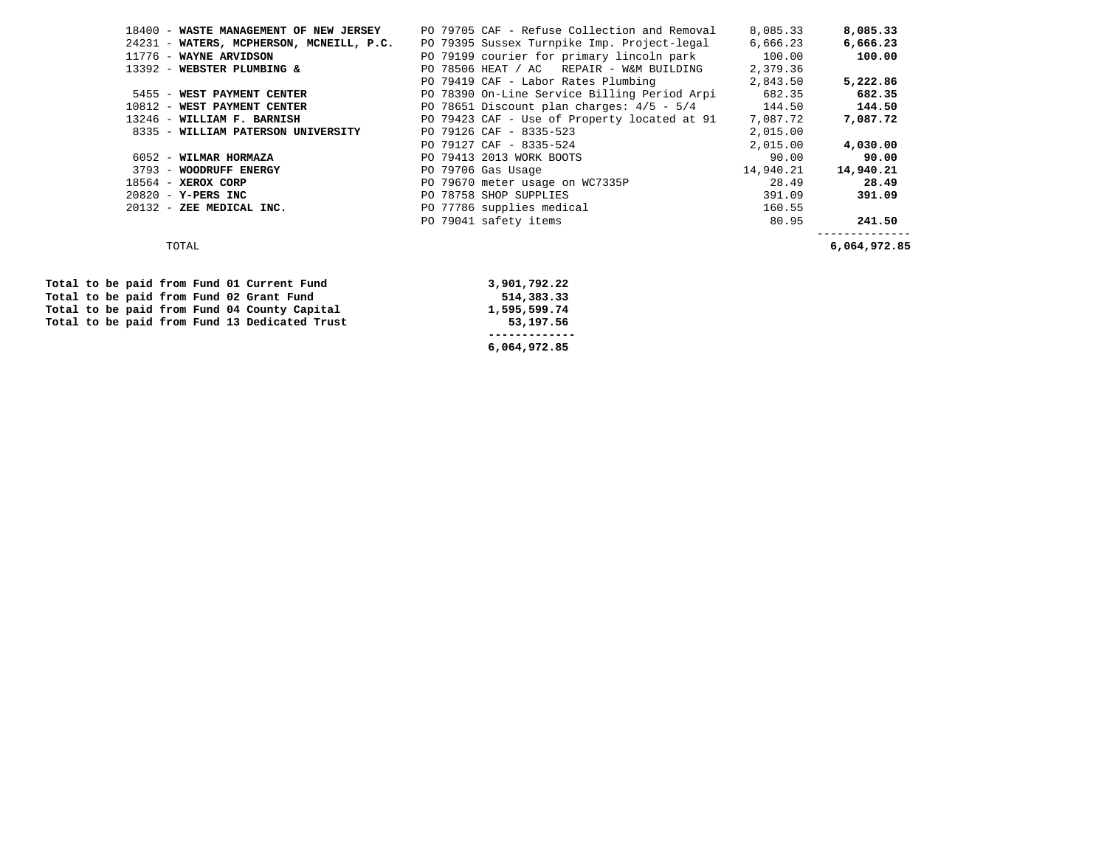| 18400 - WASTE MANAGEMENT OF NEW JERSEY   | PO 79705 CAF - Refuse Collection and Removal | 8,085.33  | 8,085.33  |
|------------------------------------------|----------------------------------------------|-----------|-----------|
| 24231 - WATERS, MCPHERSON, MCNEILL, P.C. | PO 79395 Sussex Turnpike Imp. Project-legal  | 6,666.23  | 6,666.23  |
| 11776 - WAYNE ARVIDSON                   | PO 79199 courier for primary lincoln park    | 100.00    | 100.00    |
| 13392 - WEBSTER PLUMBING &               | PO 78506 HEAT / AC REPAIR - W&M BUILDING     | 2,379.36  |           |
|                                          | PO 79419 CAF - Labor Rates Plumbing          | 2,843.50  | 5,222.86  |
| 5455 - WEST PAYMENT CENTER               | PO 78390 On-Line Service Billing Period Arpi | 682.35    | 682.35    |
| 10812 - WEST PAYMENT CENTER              | PO 78651 Discount plan charges: $4/5 - 5/4$  | 144.50    | 144.50    |
| 13246 - WILLIAM F. BARNISH               | PO 79423 CAF - Use of Property located at 91 | 7,087.72  | 7,087.72  |
| 8335 - WILLIAM PATERSON UNIVERSITY       | PO 79126 CAF - 8335-523                      | 2,015.00  |           |
|                                          | PO 79127 CAF - 8335-524                      | 2,015.00  | 4,030.00  |
| 6052 - WILMAR HORMAZA                    | PO 79413 2013 WORK BOOTS                     | 90.00     | 90.00     |
| 3793 - WOODRUFF ENERGY                   | PO 79706 Gas Usage                           | 14,940.21 | 14,940.21 |
| $18564$ - XEROX CORP                     | PO 79670 meter usage on WC7335P              | 28.49     | 28.49     |
| $20820 - Y - PERS$ INC                   | PO 78758 SHOP SUPPLIES                       | 391.09    | 391.09    |
| 20132 - ZEE MEDICAL INC.                 | PO 77786 supplies medical                    | 160.55    |           |
|                                          | PO 79041 safety items                        | 80.95     | 241.50    |
|                                          |                                              |           |           |

6,064,972.85 TOTAL **6,064,972.85** 

|  |  |  |  | Total to be paid from Fund 01 Current Fund    | 3,901,792.22 |
|--|--|--|--|-----------------------------------------------|--------------|
|  |  |  |  | Total to be paid from Fund 02 Grant Fund      | 514,383.33   |
|  |  |  |  | Total to be paid from Fund 04 County Capital  | 1,595,599.74 |
|  |  |  |  | Total to be paid from Fund 13 Dedicated Trust | 53,197.56    |
|  |  |  |  |                                               |              |
|  |  |  |  |                                               | 6,064,972.85 |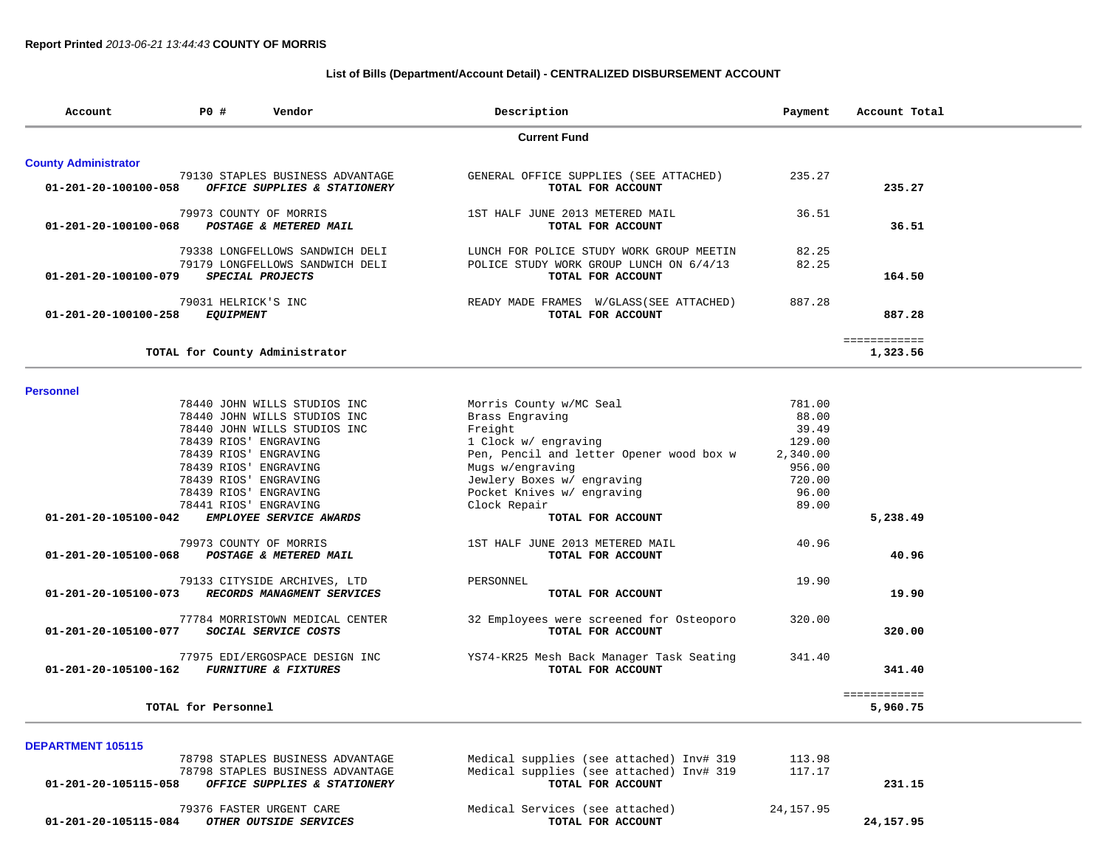## **List of Bills (Department/Account Detail) - CENTRALIZED DISBURSEMENT ACCOUNT**

| Account                     | P0 #                                           | Vendor                                                            | Description                                                      | Payment            | Account Total            |
|-----------------------------|------------------------------------------------|-------------------------------------------------------------------|------------------------------------------------------------------|--------------------|--------------------------|
|                             |                                                |                                                                   | <b>Current Fund</b>                                              |                    |                          |
| <b>County Administrator</b> |                                                |                                                                   |                                                                  |                    |                          |
| 01-201-20-100100-058        |                                                | 79130 STAPLES BUSINESS ADVANTAGE<br>OFFICE SUPPLIES & STATIONERY  | GENERAL OFFICE SUPPLIES (SEE ATTACHED)<br>TOTAL FOR ACCOUNT      | 235.27             | 235.27                   |
| 01-201-20-100100-068        |                                                | 79973 COUNTY OF MORRIS<br>POSTAGE & METERED MAIL                  | 1ST HALF JUNE 2013 METERED MAIL<br>TOTAL FOR ACCOUNT             | 36.51              | 36.51                    |
|                             |                                                | 79338 LONGFELLOWS SANDWICH DELI                                   | LUNCH FOR POLICE STUDY WORK GROUP MEETIN                         | 82.25              |                          |
| 01-201-20-100100-079        |                                                | 79179 LONGFELLOWS SANDWICH DELI<br>SPECIAL PROJECTS               | POLICE STUDY WORK GROUP LUNCH ON 6/4/13<br>TOTAL FOR ACCOUNT     | 82.25              | 164.50                   |
| 01-201-20-100100-258        | 79031 HELRICK'S INC<br><b>EQUIPMENT</b>        |                                                                   | READY MADE FRAMES W/GLASS (SEE ATTACHED)<br>TOTAL FOR ACCOUNT    | 887.28             | 887.28                   |
|                             |                                                | TOTAL for County Administrator                                    |                                                                  |                    | ============<br>1,323.56 |
| <b>Personnel</b>            |                                                |                                                                   |                                                                  |                    |                          |
|                             |                                                | 78440 JOHN WILLS STUDIOS INC                                      | Morris County w/MC Seal                                          | 781.00             |                          |
|                             |                                                | 78440 JOHN WILLS STUDIOS INC                                      | Brass Engraving                                                  | 88.00              |                          |
|                             |                                                | 78440 JOHN WILLS STUDIOS INC                                      | Freight                                                          | 39.49              |                          |
|                             | 78439 RIOS' ENGRAVING<br>78439 RIOS' ENGRAVING |                                                                   | 1 Clock w/ engraving<br>Pen, Pencil and letter Opener wood box w | 129.00<br>2,340.00 |                          |
|                             | 78439 RIOS' ENGRAVING                          |                                                                   | Mugs w/engraving                                                 | 956.00             |                          |
|                             | 78439 RIOS' ENGRAVING                          |                                                                   | Jewlery Boxes w/ engraving                                       | 720.00             |                          |
|                             | 78439 RIOS' ENGRAVING                          |                                                                   | Pocket Knives w/ engraving                                       | 96.00              |                          |
|                             | 78441 RIOS' ENGRAVING                          |                                                                   | Clock Repair                                                     | 89.00              |                          |
| 01-201-20-105100-042        |                                                | EMPLOYEE SERVICE AWARDS                                           | TOTAL FOR ACCOUNT                                                |                    | 5,238.49                 |
|                             |                                                | 79973 COUNTY OF MORRIS                                            | 1ST HALF JUNE 2013 METERED MAIL                                  | 40.96              |                          |
| 01-201-20-105100-068        |                                                | POSTAGE & METERED MAIL                                            | TOTAL FOR ACCOUNT                                                |                    | 40.96                    |
|                             |                                                | 79133 CITYSIDE ARCHIVES, LTD                                      | PERSONNEL                                                        | 19.90              |                          |
| 01-201-20-105100-073        |                                                | RECORDS MANAGMENT SERVICES                                        | TOTAL FOR ACCOUNT                                                |                    | 19.90                    |
|                             |                                                | 77784 MORRISTOWN MEDICAL CENTER                                   | 32 Employees were screened for Osteoporo                         | 320.00             |                          |
| 01-201-20-105100-077        |                                                | SOCIAL SERVICE COSTS                                              | TOTAL FOR ACCOUNT                                                |                    | 320.00                   |
| 01-201-20-105100-162        |                                                | 77975 EDI/ERGOSPACE DESIGN INC<br><b>FURNITURE &amp; FIXTURES</b> | YS74-KR25 Mesh Back Manager Task Seating<br>TOTAL FOR ACCOUNT    | 341.40             | 341.40                   |
|                             | TOTAL for Personnel                            |                                                                   |                                                                  |                    | ============<br>5,960.75 |

**DE** 

| <b>DEPARTMENT 105115</b>                                        |                                          |        |
|-----------------------------------------------------------------|------------------------------------------|--------|
| 78798 STAPLES BUSINESS ADVANTAGE                                | Medical supplies (see attached) Inv# 319 | 113.98 |
| 78798 STAPLES BUSINESS ADVANTAGE                                | Medical supplies (see attached) Inv# 319 | 117.17 |
| 01-201-20-105115-058<br><i>OFFICE SUPPLIES &amp; STATIONERY</i> | TOTAL FOR ACCOUNT                        | 231.15 |
|                                                                 |                                          |        |

 79376 FASTER URGENT CARE Medical Services (see attached) 24,157.95  **01-201-20-105115-084** *OTHER OUTSIDE SERVICES* **TOTAL FOR ACCOUNT 24,157.95**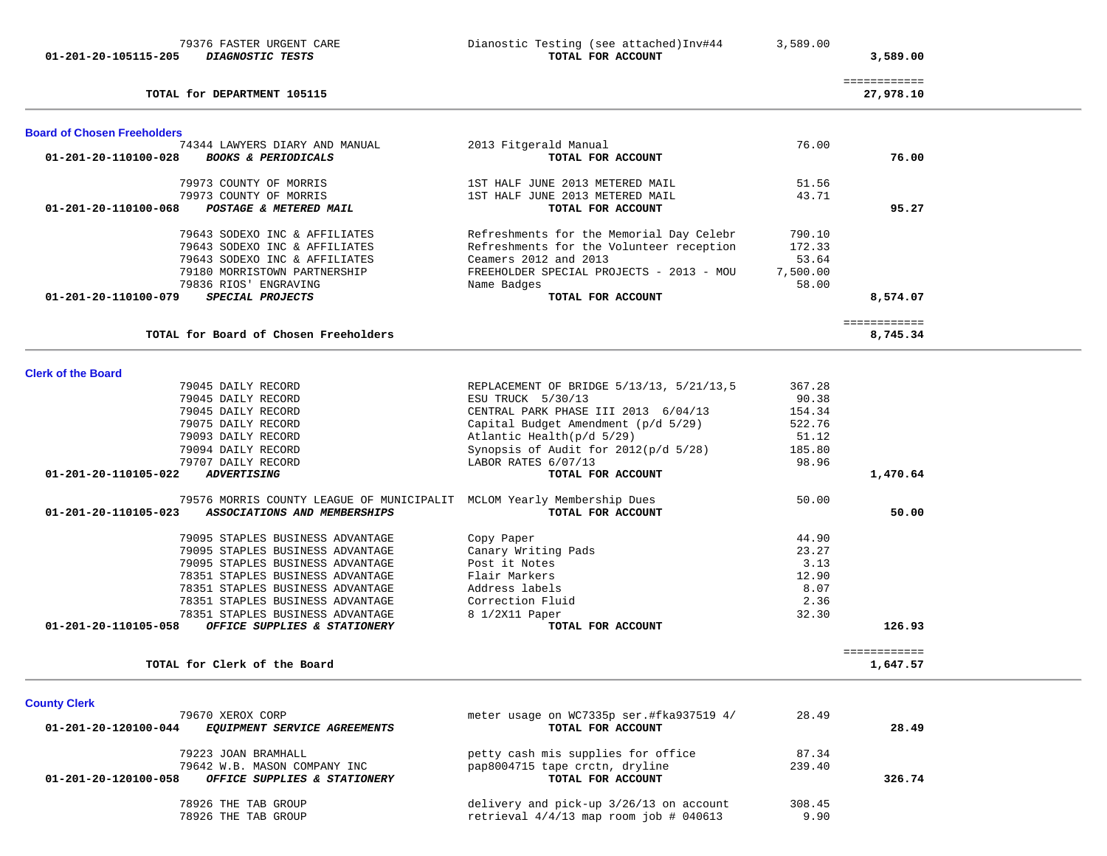| 01-201-20-105115-205               | <b>DIAGNOSTIC TESTS</b>                                                | TOTAL FOR ACCOUNT                        |          | 3,589.00                  |  |
|------------------------------------|------------------------------------------------------------------------|------------------------------------------|----------|---------------------------|--|
|                                    | TOTAL for DEPARTMENT 105115                                            |                                          |          | ============<br>27,978.10 |  |
|                                    |                                                                        |                                          |          |                           |  |
| <b>Board of Chosen Freeholders</b> |                                                                        |                                          |          |                           |  |
|                                    | 74344 LAWYERS DIARY AND MANUAL                                         | 2013 Fitgerald Manual                    | 76.00    |                           |  |
| 01-201-20-110100-028               | <b>BOOKS &amp; PERIODICALS</b>                                         | TOTAL FOR ACCOUNT                        |          | 76.00                     |  |
|                                    | 79973 COUNTY OF MORRIS                                                 | 1ST HALF JUNE 2013 METERED MAIL          | 51.56    |                           |  |
|                                    | 79973 COUNTY OF MORRIS                                                 | 1ST HALF JUNE 2013 METERED MAIL          | 43.71    |                           |  |
| $01 - 201 - 20 - 110100 - 068$     | POSTAGE & METERED MAIL                                                 | TOTAL FOR ACCOUNT                        |          | 95.27                     |  |
|                                    | 79643 SODEXO INC & AFFILIATES                                          | Refreshments for the Memorial Day Celebr | 790.10   |                           |  |
|                                    | 79643 SODEXO INC & AFFILIATES                                          | Refreshments for the Volunteer reception | 172.33   |                           |  |
|                                    | 79643 SODEXO INC & AFFILIATES                                          | Ceamers 2012 and 2013                    | 53.64    |                           |  |
|                                    | 79180 MORRISTOWN PARTNERSHIP                                           | FREEHOLDER SPECIAL PROJECTS - 2013 - MOU | 7,500.00 |                           |  |
|                                    | 79836 RIOS' ENGRAVING                                                  | Name Badges                              | 58.00    |                           |  |
| 01-201-20-110100-079               | SPECIAL PROJECTS                                                       | TOTAL FOR ACCOUNT                        |          | 8,574.07                  |  |
|                                    | TOTAL for Board of Chosen Freeholders                                  |                                          |          | ============<br>8,745.34  |  |
|                                    |                                                                        |                                          |          |                           |  |
| <b>Clerk of the Board</b>          |                                                                        |                                          |          |                           |  |
|                                    | 79045 DAILY RECORD                                                     | REPLACEMENT OF BRIDGE 5/13/13, 5/21/13,5 | 367.28   |                           |  |
|                                    | 79045 DAILY RECORD                                                     | ESU TRUCK 5/30/13                        | 90.38    |                           |  |
|                                    | 79045 DAILY RECORD                                                     | CENTRAL PARK PHASE III 2013 6/04/13      | 154.34   |                           |  |
|                                    | 79075 DAILY RECORD                                                     | Capital Budget Amendment (p/d 5/29)      | 522.76   |                           |  |
|                                    | 79093 DAILY RECORD                                                     | Atlantic Health(p/d 5/29)                | 51.12    |                           |  |
|                                    | 79094 DAILY RECORD                                                     | Synopsis of Audit for 2012(p/d 5/28)     | 185.80   |                           |  |
|                                    | 79707 DAILY RECORD                                                     | LABOR RATES 6/07/13                      | 98.96    |                           |  |
| 01-201-20-110105-022               | <b>ADVERTISING</b>                                                     | TOTAL FOR ACCOUNT                        |          | 1,470.64                  |  |
|                                    | 79576 MORRIS COUNTY LEAGUE OF MUNICIPALIT MCLOM Yearly Membership Dues |                                          | 50.00    |                           |  |
| 01-201-20-110105-023               | ASSOCIATIONS AND MEMBERSHIPS                                           | TOTAL FOR ACCOUNT                        |          | 50.00                     |  |
|                                    | 79095 STAPLES BUSINESS ADVANTAGE                                       | Copy Paper                               | 44.90    |                           |  |
|                                    | 79095 STAPLES BUSINESS ADVANTAGE                                       | Canary Writing Pads                      | 23.27    |                           |  |
|                                    | 79095 STAPLES BUSINESS ADVANTAGE                                       | Post it Notes                            | 3.13     |                           |  |
|                                    | 78351 STAPLES BUSINESS ADVANTAGE                                       | Flair Markers                            | 12.90    |                           |  |
|                                    | 78351 STAPLES BUSINESS ADVANTAGE                                       | Address labels                           | 8.07     |                           |  |
|                                    | 78351 STAPLES BUSINESS ADVANTAGE                                       | Correction Fluid                         | 2.36     |                           |  |
|                                    | 78351 STAPLES BUSINESS ADVANTAGE                                       | 8 1/2X11 Paper                           | 32.30    |                           |  |
| 01-201-20-110105-058               | OFFICE SUPPLIES & STATIONERY                                           | TOTAL FOR ACCOUNT                        |          | 126.93                    |  |
|                                    |                                                                        |                                          |          | ============              |  |
|                                    | TOTAL for Clerk of the Board                                           |                                          |          | 1,647.57                  |  |
| <b>County Clerk</b>                |                                                                        |                                          |          |                           |  |
|                                    | 79670 XEROX CORP                                                       | meter usage on WC7335p ser.#fka937519 4/ | 28.49    |                           |  |
| 01-201-20-120100-044               | EQUIPMENT SERVICE AGREEMENTS                                           | TOTAL FOR ACCOUNT                        |          | 28.49                     |  |
|                                    | 79223 JOAN BRAMHALL                                                    | petty cash mis supplies for office       | 87.34    |                           |  |
|                                    | 79642 W.B. MASON COMPANY INC                                           | pap8004715 tape crctn, dryline           | 239.40   |                           |  |
| 01-201-20-120100-058               | OFFICE SUPPLIES & STATIONERY                                           | TOTAL FOR ACCOUNT                        |          | 326.74                    |  |
|                                    | 78926 THE TAB GROUP                                                    | delivery and pick-up 3/26/13 on account  | 308.45   |                           |  |
|                                    | 78926 THE TAB GROUP                                                    | retrieval $4/4/13$ map room job # 040613 | 9.90     |                           |  |

79376 FASTER URGENT CARE Dianostic Testing (see attached)Inv#44 3,589.00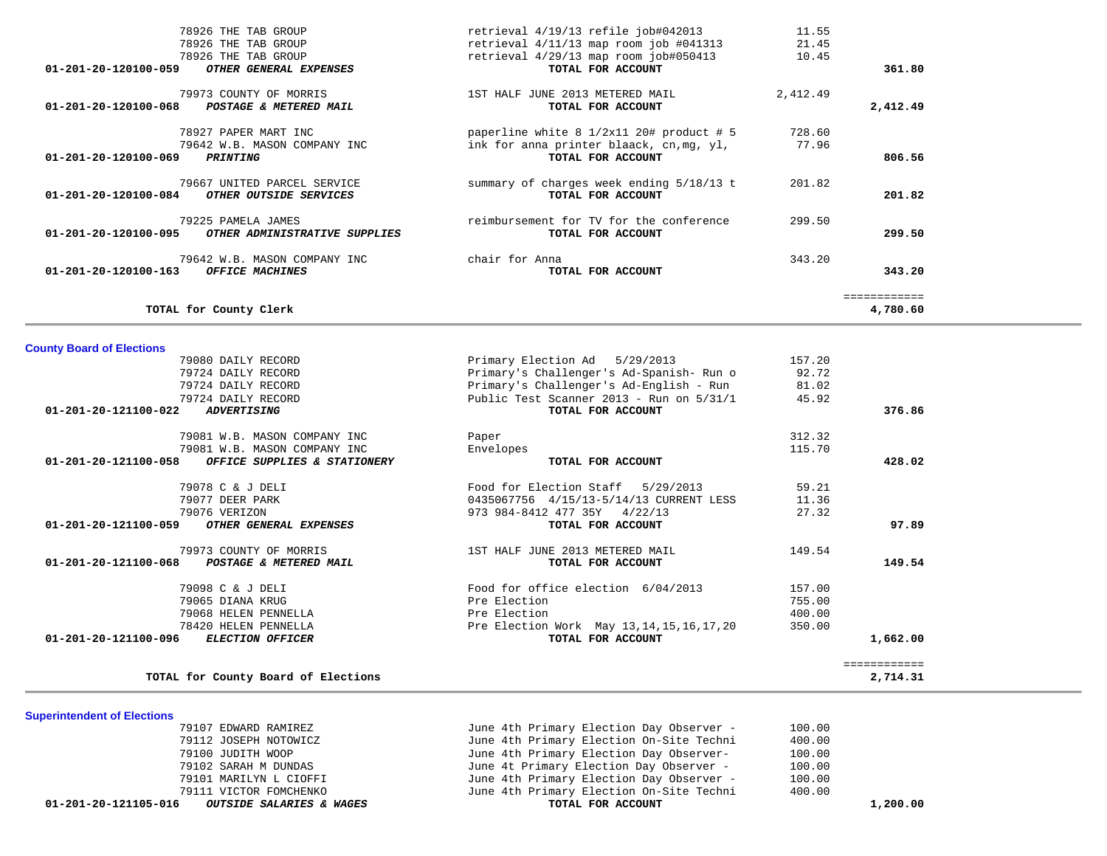| 78926 THE TAB GROUP                                                            | retrieval 4/19/13 refile job#042013                           | 11.55    |                          |
|--------------------------------------------------------------------------------|---------------------------------------------------------------|----------|--------------------------|
| 78926 THE TAB GROUP                                                            | retrieval $4/11/13$ map room job #041313                      | 21.45    |                          |
| 78926 THE TAB GROUP                                                            | retrieval 4/29/13 map room job#050413                         | 10.45    |                          |
| 01-201-20-120100-059<br>OTHER GENERAL EXPENSES                                 | TOTAL FOR ACCOUNT                                             |          | 361.80                   |
| 79973 COUNTY OF MORRIS                                                         | 1ST HALF JUNE 2013 METERED MAIL                               | 2,412.49 |                          |
| 01-201-20-120100-068<br>POSTAGE & METERED MAIL                                 | TOTAL FOR ACCOUNT                                             |          | 2,412.49                 |
| 78927 PAPER MART INC                                                           | paperline white $8 \frac{1}{2}x11 \frac{20#}{1}$ product # 5  | 728.60   |                          |
| 79642 W.B. MASON COMPANY INC<br>01-201-20-120100-069<br><i><b>PRINTING</b></i> | ink for anna printer blaack, cn, mg, yl,<br>TOTAL FOR ACCOUNT | 77.96    | 806.56                   |
| 79667 UNITED PARCEL SERVICE<br>01-201-20-120100-084<br>OTHER OUTSIDE SERVICES  | summary of charges week ending 5/18/13 t<br>TOTAL FOR ACCOUNT | 201.82   | 201.82                   |
| 79225 PAMELA JAMES<br>01-201-20-120100-095<br>OTHER ADMINISTRATIVE SUPPLIES    | reimbursement for TV for the conference<br>TOTAL FOR ACCOUNT  | 299.50   | 299.50                   |
| 79642 W.B. MASON COMPANY INC<br>01-201-20-120100-163<br><b>OFFICE MACHINES</b> | chair for Anna<br>TOTAL FOR ACCOUNT                           | 343.20   | 343.20                   |
| TOTAL for County Clerk                                                         |                                                               |          | ============<br>4,780.60 |

**County Board of Elections**

| <b>COUNTY DOATU OF EIGGHONS</b>                      |                                              |        |              |
|------------------------------------------------------|----------------------------------------------|--------|--------------|
| 79080 DAILY RECORD                                   | Primary Election Ad 5/29/2013                | 157.20 |              |
| 79724 DAILY RECORD                                   | Primary's Challenger's Ad-Spanish- Run o     | 92.72  |              |
| 79724 DAILY RECORD                                   | Primary's Challenger's Ad-English - Run      | 81.02  |              |
| 79724 DAILY RECORD                                   | Public Test Scanner 2013 - Run on 5/31/1     | 45.92  |              |
| 01-201-20-121100-022<br><b>ADVERTISING</b>           | TOTAL FOR ACCOUNT                            |        | 376.86       |
| 79081 W.B. MASON COMPANY INC                         | Paper                                        | 312.32 |              |
| 79081 W.B. MASON COMPANY INC                         | Envelopes                                    | 115.70 |              |
| 01-201-20-121100-058<br>OFFICE SUPPLIES & STATIONERY | TOTAL FOR ACCOUNT                            |        | 428.02       |
| 79078 C & J DELI                                     | Food for Election Staff 5/29/2013            | 59.21  |              |
| 79077 DEER PARK                                      | 0435067756 4/15/13-5/14/13 CURRENT LESS      | 11.36  |              |
| 79076 VERIZON                                        | 973 984-8412 477 35Y 4/22/13                 | 27.32  |              |
| 01-201-20-121100-059<br>OTHER GENERAL EXPENSES       | TOTAL FOR ACCOUNT                            |        | 97.89        |
| 79973 COUNTY OF MORRIS                               | 1ST HALF JUNE 2013 METERED MAIL              | 149.54 |              |
| 01-201-20-121100-068<br>POSTAGE & METERED MAIL       | TOTAL FOR ACCOUNT                            |        | 149.54       |
| 79098 C & J DELI                                     | Food for office election 6/04/2013           | 157.00 |              |
| 79065 DIANA KRUG                                     | Pre Election                                 | 755.00 |              |
| 79068 HELEN PENNELLA                                 | Pre Election                                 | 400.00 |              |
| 78420 HELEN PENNELLA                                 | Pre Election Work May 13, 14, 15, 16, 17, 20 | 350.00 |              |
| 01-201-20-121100-096<br><b>ELECTION OFFICER</b>      | TOTAL FOR ACCOUNT                            |        | 1,662.00     |
|                                                      |                                              |        | ============ |
| TOTAL for County Board of Elections                  |                                              |        | 2,714.31     |

## **Superintendent of Elections**

| 01-201-20-121105-016<br><i><b>OUTSIDE SALARIES &amp; WAGES</b></i> | TOTAL FOR ACCOUNT                        | 1,200.00 |
|--------------------------------------------------------------------|------------------------------------------|----------|
| 79111 VICTOR FOMCHENKO                                             | June 4th Primary Election On-Site Techni | 400.00   |
| 79101 MARILYN L CIOFFI                                             | June 4th Primary Election Day Observer - | 100.00   |
| 79102 SARAH M DUNDAS                                               | June 4t Primary Election Day Observer -  | 100.00   |
| 79100 JUDITH WOOP                                                  | June 4th Primary Election Day Observer-  | 100.00   |
| 79112 JOSEPH NOTOWICZ                                              | June 4th Primary Election On-Site Techni | 400.00   |
| 79107 EDWARD RAMIREZ                                               | June 4th Primary Election Day Observer - | 100.00   |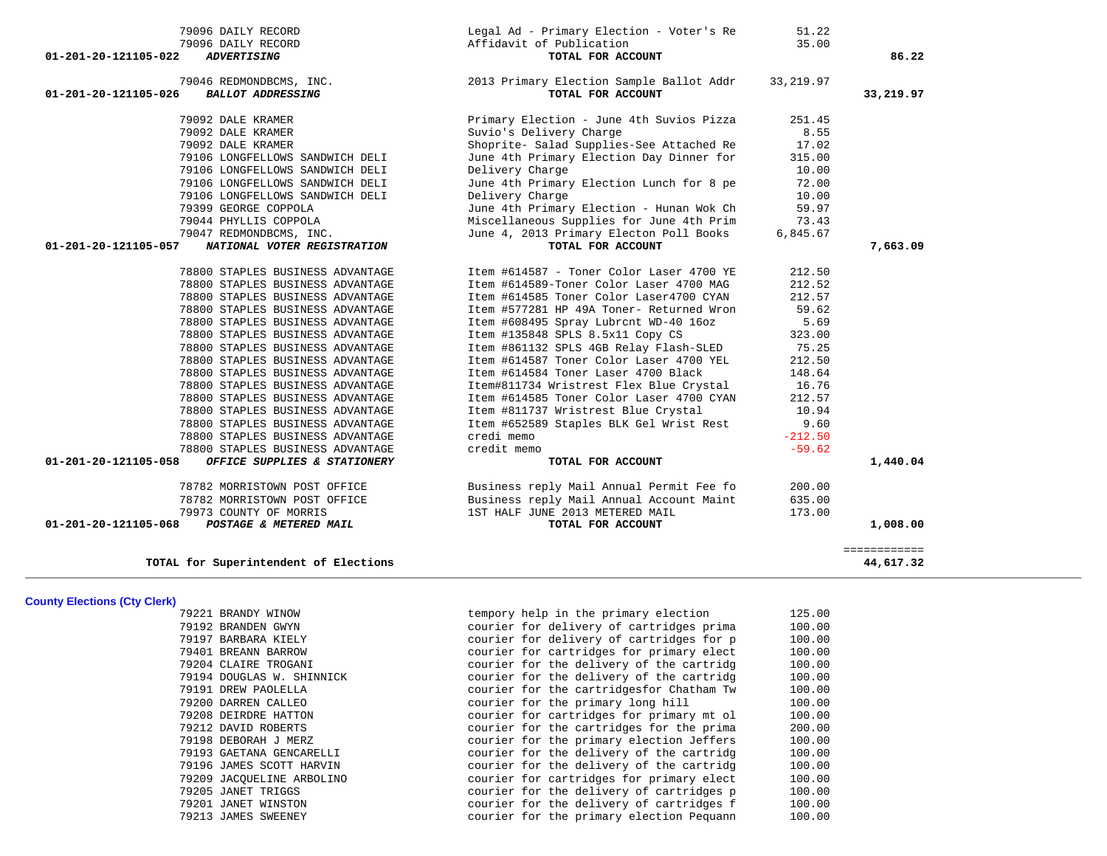| 79096 DAILY RECORD                                   | Legal Ad - Primary Election - Voter's Re | 51.22      |              |
|------------------------------------------------------|------------------------------------------|------------|--------------|
| 79096 DAILY RECORD                                   | Affidavit of Publication                 | 35.00      |              |
| 01-201-20-121105-022<br><b>ADVERTISING</b>           | TOTAL FOR ACCOUNT                        |            | 86.22        |
| 79046 REDMONDBCMS, INC.                              | 2013 Primary Election Sample Ballot Addr | 33, 219.97 |              |
| 01-201-20-121105-026<br><b>BALLOT ADDRESSING</b>     | TOTAL FOR ACCOUNT                        |            | 33,219.97    |
| 79092 DALE KRAMER                                    | Primary Election - June 4th Suvios Pizza | 251.45     |              |
| 79092 DALE KRAMER                                    | Suvio's Delivery Charge                  | 8.55       |              |
| 79092 DALE KRAMER                                    | Shoprite- Salad Supplies-See Attached Re | 17.02      |              |
| 79106 LONGFELLOWS SANDWICH DELI                      | June 4th Primary Election Day Dinner for | 315.00     |              |
| 79106 LONGFELLOWS SANDWICH DELI                      | Delivery Charge                          | 10.00      |              |
| 79106 LONGFELLOWS SANDWICH DELI                      | June 4th Primary Election Lunch for 8 pe | 72.00      |              |
| 79106 LONGFELLOWS SANDWICH DELI                      | Delivery Charge                          | 10.00      |              |
| 79399 GEORGE COPPOLA                                 | June 4th Primary Election - Hunan Wok Ch | 59.97      |              |
| 79044 PHYLLIS COPPOLA                                | Miscellaneous Supplies for June 4th Prim | 73.43      |              |
| 79047 REDMONDBCMS, INC.                              | June 4, 2013 Primary Electon Poll Books  | 6,845.67   |              |
| 01-201-20-121105-057<br>NATIONAL VOTER REGISTRATION  | TOTAL FOR ACCOUNT                        |            | 7,663.09     |
| 78800 STAPLES BUSINESS ADVANTAGE                     | Item #614587 - Toner Color Laser 4700 YE | 212.50     |              |
| 78800 STAPLES BUSINESS ADVANTAGE                     | Item #614589-Toner Color Laser 4700 MAG  | 212.52     |              |
| 78800 STAPLES BUSINESS ADVANTAGE                     | Item #614585 Toner Color Laser4700 CYAN  | 212.57     |              |
| 78800 STAPLES BUSINESS ADVANTAGE                     | Item #577281 HP 49A Toner- Returned Wron | 59.62      |              |
| 78800 STAPLES BUSINESS ADVANTAGE                     | Item #608495 Spray Lubrcnt WD-40 16oz    | 5.69       |              |
| 78800 STAPLES BUSINESS ADVANTAGE                     | Item #135848 SPLS 8.5x11 Copy CS         | 323.00     |              |
| 78800 STAPLES BUSINESS ADVANTAGE                     | Item #861132 SPLS 4GB Relay Flash-SLED   | 75.25      |              |
| 78800 STAPLES BUSINESS ADVANTAGE                     | Item #614587 Toner Color Laser 4700 YEL  | 212.50     |              |
| 78800 STAPLES BUSINESS ADVANTAGE                     | Item #614584 Toner Laser 4700 Black      | 148.64     |              |
| 78800 STAPLES BUSINESS ADVANTAGE                     | Item#811734 Wristrest Flex Blue Crystal  | 16.76      |              |
| 78800 STAPLES BUSINESS ADVANTAGE                     | Item #614585 Toner Color Laser 4700 CYAN | 212.57     |              |
| 78800 STAPLES BUSINESS ADVANTAGE                     | Item #811737 Wristrest Blue Crystal      | 10.94      |              |
| 78800 STAPLES BUSINESS ADVANTAGE                     | Item #652589 Staples BLK Gel Wrist Rest  | 9.60       |              |
| 78800 STAPLES BUSINESS ADVANTAGE                     | credi memo                               | $-212.50$  |              |
| 78800 STAPLES BUSINESS ADVANTAGE                     | credit memo                              | $-59.62$   |              |
| 01-201-20-121105-058<br>OFFICE SUPPLIES & STATIONERY | TOTAL FOR ACCOUNT                        |            | 1,440.04     |
| 78782 MORRISTOWN POST OFFICE                         | Business reply Mail Annual Permit Fee fo | 200.00     |              |
| 78782 MORRISTOWN POST OFFICE                         | Business reply Mail Annual Account Maint | 635.00     |              |
| 79973 COUNTY OF MORRIS                               | 1ST HALF JUNE 2013 METERED MAIL          | 173.00     |              |
| 01-201-20-121105-068<br>POSTAGE & METERED MAIL       | TOTAL FOR ACCOUNT                        |            | 1,008.00     |
|                                                      |                                          |            | ============ |
| TOTAL for Superintendent of Elections                |                                          |            | 44,617.32    |

**County Elections (Cty Clerk)**

79221 BRANDY WINOW tempory help in the primary election 125.00

 79192 BRANDEN GWYN courier for delivery of cartridges prima 100.00 79197 BARBARA KIELY courier for delivery of cartridges for p 100.00 courier for cartridges for primary elect 79204 CLAIRE TROGANI courier for the delivery of the cartridg 100.00 79194 DOUGLAS W. SHINNICK courier for the delivery of the cartridg 100.00 79191 DREW PAOLELLA courier for the cartridgesfor Chatham Tw 100.00 79200 DARREN CALLEO courier for the primary long hill 100.00 79208 DEIRDRE HATTON courier for cartridges for primary mt ol 100.00 79212 DAVID ROBERTS courier for the cartridges for the prima 200.00 79198 DEBORAH J MERZ courier for the primary election Jeffers 100.00 79193 GAETANA GENCARELLI courier for the delivery of the cartridg 100.00 79196 JAMES SCOTT HARVIN courier for the delivery of the cartridg 100.00 79209 JACQUELINE ARBOLINO courier for cartridges for primary elect 100.00 79205 JANET TRIGGS courier for the delivery of cartridges p 100.00 79201 JANET WINSTON courier for the delivery of cartridges f 100.00 79213 JAMES SWEENEY courier for the primary election Pequann 100.00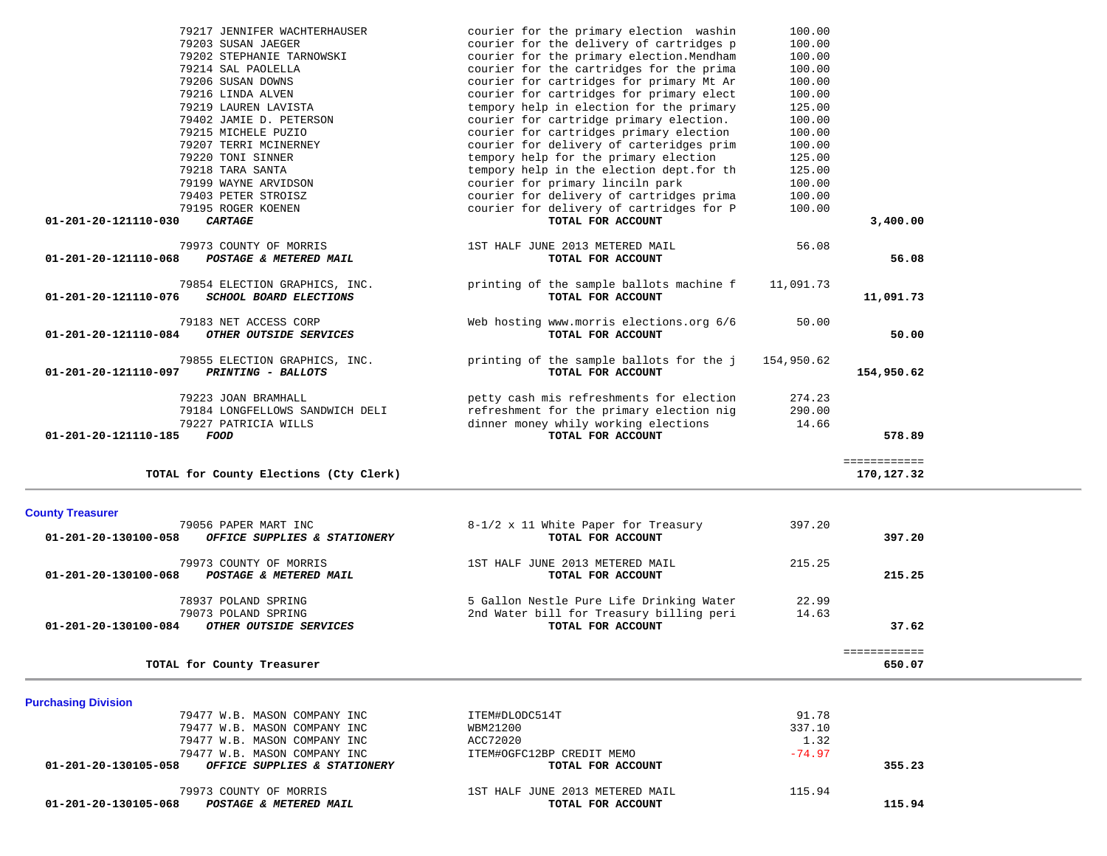|                            | 79203 SUSAN JAEGER                     | courier for the delivery of cartridges p  | 100.00     |              |  |
|----------------------------|----------------------------------------|-------------------------------------------|------------|--------------|--|
|                            | 79202 STEPHANIE TARNOWSKI              | courier for the primary election. Mendham | 100.00     |              |  |
|                            | 79214 SAL PAOLELLA                     | courier for the cartridges for the prima  | 100.00     |              |  |
|                            | 79206 SUSAN DOWNS                      | courier for cartridges for primary Mt Ar  | 100.00     |              |  |
|                            | 79216 LINDA ALVEN                      | courier for cartridges for primary elect  | 100.00     |              |  |
|                            | 79219 LAUREN LAVISTA                   | tempory help in election for the primary  | 125.00     |              |  |
|                            | 79402 JAMIE D. PETERSON                | courier for cartridge primary election.   | 100.00     |              |  |
|                            | 79215 MICHELE PUZIO                    | courier for cartridges primary election   | 100.00     |              |  |
|                            | 79207 TERRI MCINERNEY                  | courier for delivery of carteridges prim  | 100.00     |              |  |
|                            |                                        |                                           |            |              |  |
|                            | 79220 TONI SINNER                      | tempory help for the primary election     | 125.00     |              |  |
|                            | 79218 TARA SANTA                       | tempory help in the election dept.for th  | 125.00     |              |  |
|                            | 79199 WAYNE ARVIDSON                   | courier for primary linciln park          | 100.00     |              |  |
|                            | 79403 PETER STROISZ                    | courier for delivery of cartridges prima  | 100.00     |              |  |
|                            | 79195 ROGER KOENEN                     | courier for delivery of cartridges for P  | 100.00     |              |  |
| 01-201-20-121110-030       | <b>CARTAGE</b>                         | TOTAL FOR ACCOUNT                         |            | 3,400.00     |  |
|                            | 79973 COUNTY OF MORRIS                 | 1ST HALF JUNE 2013 METERED MAIL           | 56.08      |              |  |
|                            |                                        | TOTAL FOR ACCOUNT                         |            |              |  |
| 01-201-20-121110-068       | POSTAGE & METERED MAIL                 |                                           |            | 56.08        |  |
|                            | 79854 ELECTION GRAPHICS, INC.          | printing of the sample ballots machine f  | 11,091.73  |              |  |
| 01-201-20-121110-076       | SCHOOL BOARD ELECTIONS                 | TOTAL FOR ACCOUNT                         |            | 11,091.73    |  |
|                            | 79183 NET ACCESS CORP                  | Web hosting www.morris elections.org 6/6  | 50.00      |              |  |
| 01-201-20-121110-084       | OTHER OUTSIDE SERVICES                 | TOTAL FOR ACCOUNT                         |            | 50.00        |  |
|                            |                                        |                                           |            |              |  |
|                            | 79855 ELECTION GRAPHICS, INC.          | printing of the sample ballots for the j  | 154,950.62 |              |  |
| 01-201-20-121110-097       | PRINTING - BALLOTS                     | TOTAL FOR ACCOUNT                         |            | 154,950.62   |  |
|                            |                                        |                                           |            |              |  |
|                            | 79223 JOAN BRAMHALL                    | petty cash mis refreshments for election  | 274.23     |              |  |
|                            | 79184 LONGFELLOWS SANDWICH DELI        | refreshment for the primary election nig  | 290.00     |              |  |
|                            | 79227 PATRICIA WILLS                   | dinner money whily working elections      | 14.66      |              |  |
| 01-201-20-121110-185       | FOOD                                   | TOTAL FOR ACCOUNT                         |            | 578.89       |  |
|                            |                                        |                                           |            | ============ |  |
|                            | TOTAL for County Elections (Cty Clerk) |                                           |            | 170,127.32   |  |
|                            |                                        |                                           |            |              |  |
| <b>County Treasurer</b>    |                                        |                                           |            |              |  |
|                            | 79056 PAPER MART INC                   | 8-1/2 x 11 White Paper for Treasury       | 397.20     |              |  |
| 01-201-20-130100-058       | OFFICE SUPPLIES & STATIONERY           | TOTAL FOR ACCOUNT                         |            | 397.20       |  |
|                            | 79973 COUNTY OF MORRIS                 | 1ST HALF JUNE 2013 METERED MAIL           | 215.25     |              |  |
| 01-201-20-130100-068       | POSTAGE & METERED MAIL                 | TOTAL FOR ACCOUNT                         |            | 215.25       |  |
|                            |                                        |                                           |            |              |  |
|                            | 78937 POLAND SPRING                    | 5 Gallon Nestle Pure Life Drinking Water  | 22.99      |              |  |
|                            | 79073 POLAND SPRING                    | 2nd Water bill for Treasury billing peri  | 14.63      |              |  |
| 01-201-20-130100-084       | OTHER OUTSIDE SERVICES                 | TOTAL FOR ACCOUNT                         |            | 37.62        |  |
|                            |                                        |                                           |            |              |  |
|                            |                                        |                                           |            | ============ |  |
|                            | TOTAL for County Treasurer             |                                           |            | 650.07       |  |
|                            |                                        |                                           |            |              |  |
| <b>Purchasing Division</b> | 79477 W.B. MASON COMPANY INC           |                                           | 91.78      |              |  |
|                            |                                        | ITEM#DLODC514T                            |            |              |  |
|                            | 79477 W.B. MASON COMPANY INC           | WBM21200                                  | 337.10     |              |  |
|                            | 79477 W.B. MASON COMPANY INC           | ACC72020                                  | 1.32       |              |  |

 $-74.97$ 

79217 JENNIFER WACHTERHAUSER courier for the primary election washin 100.00

| 01-201-20-130105-058 | <i>OFFICE SUPPLIES &amp; STATIONERY</i> | TOTAL FOR ACCOUNT               | 355.23 |
|----------------------|-----------------------------------------|---------------------------------|--------|
|                      | 79973 COUNTY OF MORRIS                  | 1ST HALF JUNE 2013 METERED MAIL | 115.94 |
| 01-201-20-130105-068 | POSTAGE & METERED MAIL                  | TOTAL FOR ACCOUNT               | 115.94 |

79477 W.B. MASON COMPANY INC **ITEM#OGFC12BP CREDIT MEMO**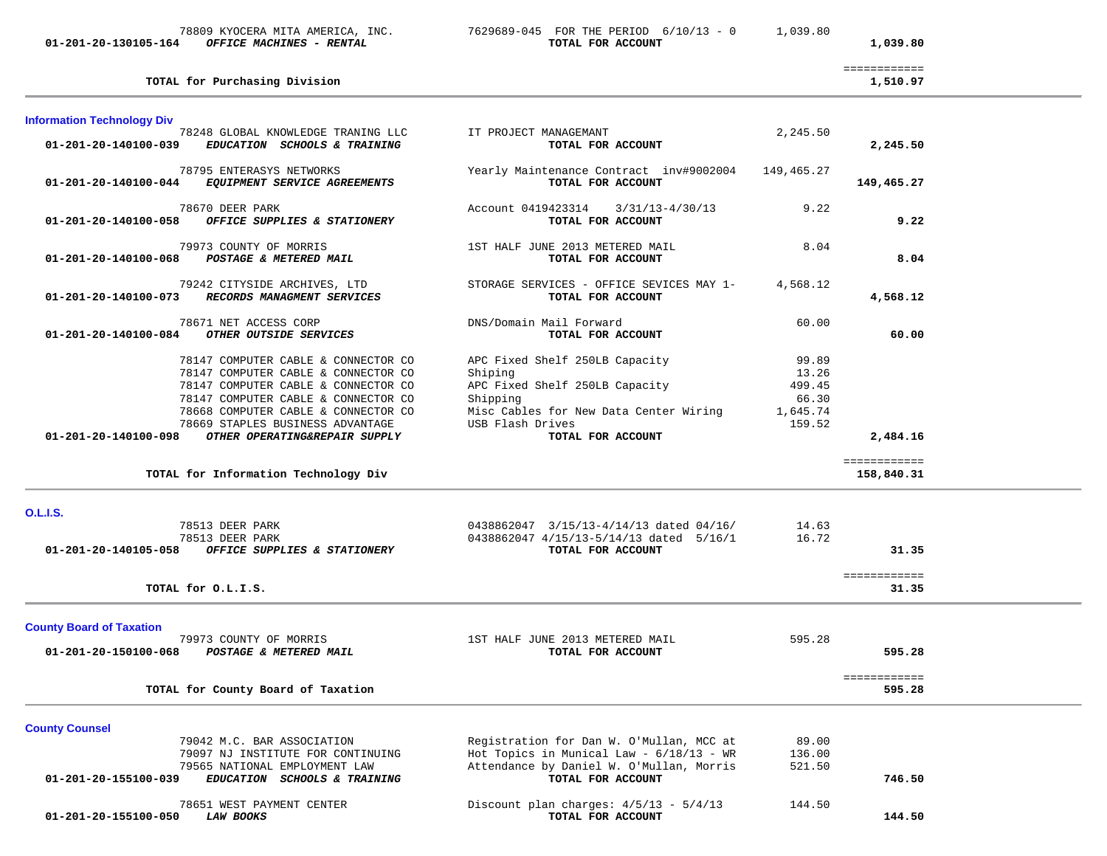**TOTAL for Purchasing Division 1,510.97**

## 78809 KYOCERA MITA AMERICA, INC. 7629689-045 FOR THE PERIOD 6/10/13 - 0 1,039.80<br>**7629689-045 FOR ACCOUNT 70TAL FOR ACCOUNT 017AL FOR ACCOUNT** 1,039.80

| 5-164 | OFFICE MACHINES - RENTAL |  |
|-------|--------------------------|--|

============

1,510.97

| <b>Information Technology Div</b>                                                                                                                                                                                                                                                            |                                                                                                                                                                            |                                                         |                            |  |
|----------------------------------------------------------------------------------------------------------------------------------------------------------------------------------------------------------------------------------------------------------------------------------------------|----------------------------------------------------------------------------------------------------------------------------------------------------------------------------|---------------------------------------------------------|----------------------------|--|
| 78248 GLOBAL KNOWLEDGE TRANING LLC<br>01-201-20-140100-039<br>EDUCATION SCHOOLS & TRAINING                                                                                                                                                                                                   | IT PROJECT MANAGEMANT<br>TOTAL FOR ACCOUNT                                                                                                                                 | 2,245.50                                                | 2,245.50                   |  |
| 78795 ENTERASYS NETWORKS<br>EQUIPMENT SERVICE AGREEMENTS<br>01-201-20-140100-044                                                                                                                                                                                                             | Yearly Maintenance Contract inv#9002004<br>TOTAL FOR ACCOUNT                                                                                                               | 149,465.27                                              | 149,465.27                 |  |
| 78670 DEER PARK<br>OFFICE SUPPLIES & STATIONERY<br>01-201-20-140100-058                                                                                                                                                                                                                      | Account 0419423314<br>3/31/13-4/30/13<br>TOTAL FOR ACCOUNT                                                                                                                 | 9.22                                                    | 9.22                       |  |
| 79973 COUNTY OF MORRIS<br>POSTAGE & METERED MAIL<br>01-201-20-140100-068                                                                                                                                                                                                                     | 1ST HALF JUNE 2013 METERED MAIL<br>TOTAL FOR ACCOUNT                                                                                                                       | 8.04                                                    | 8.04                       |  |
| 79242 CITYSIDE ARCHIVES, LTD<br>01-201-20-140100-073<br>RECORDS MANAGMENT SERVICES                                                                                                                                                                                                           | STORAGE SERVICES - OFFICE SEVICES MAY 1-<br>TOTAL FOR ACCOUNT                                                                                                              | 4,568.12                                                | 4,568.12                   |  |
| 78671 NET ACCESS CORP<br>01-201-20-140100-084<br>OTHER OUTSIDE SERVICES                                                                                                                                                                                                                      | DNS/Domain Mail Forward<br>TOTAL FOR ACCOUNT                                                                                                                               | 60.00                                                   | 60.00                      |  |
| 78147 COMPUTER CABLE & CONNECTOR CO<br>78147 COMPUTER CABLE & CONNECTOR CO<br>78147 COMPUTER CABLE & CONNECTOR CO<br>78147 COMPUTER CABLE & CONNECTOR CO<br>78668 COMPUTER CABLE & CONNECTOR CO<br>78669 STAPLES BUSINESS ADVANTAGE<br>01-201-20-140100-098<br>OTHER OPERATING&REPAIR SUPPLY | APC Fixed Shelf 250LB Capacity<br>Shiping<br>APC Fixed Shelf 250LB Capacity<br>Shipping<br>Misc Cables for New Data Center Wiring<br>USB Flash Drives<br>TOTAL FOR ACCOUNT | 99.89<br>13.26<br>499.45<br>66.30<br>1,645.74<br>159.52 | 2,484.16                   |  |
| TOTAL for Information Technology Div                                                                                                                                                                                                                                                         |                                                                                                                                                                            |                                                         | ============<br>158,840.31 |  |
| <b>O.L.I.S.</b><br>78513 DEER PARK<br>78513 DEER PARK<br>01-201-20-140105-058<br>OFFICE SUPPLIES & STATIONERY                                                                                                                                                                                | 0438862047 3/15/13-4/14/13 dated 04/16/<br>0438862047 4/15/13-5/14/13 dated 5/16/1<br>TOTAL FOR ACCOUNT                                                                    | 14.63<br>16.72                                          | 31.35                      |  |
| TOTAL for O.L.I.S.                                                                                                                                                                                                                                                                           |                                                                                                                                                                            |                                                         | ============<br>31.35      |  |
| <b>County Board of Taxation</b><br>79973 COUNTY OF MORRIS<br>01-201-20-150100-068<br>POSTAGE & METERED MAIL                                                                                                                                                                                  | 1ST HALF JUNE 2013 METERED MAIL<br>TOTAL FOR ACCOUNT                                                                                                                       | 595.28                                                  | 595.28                     |  |
| TOTAL for County Board of Taxation                                                                                                                                                                                                                                                           |                                                                                                                                                                            |                                                         | ============<br>595.28     |  |
| <b>County Counsel</b><br>79042 M.C. BAR ASSOCIATION<br>79097 NJ INSTITUTE FOR CONTINUING<br>79565 NATIONAL EMPLOYMENT LAW<br>EDUCATION SCHOOLS & TRAINING<br>01-201-20-155100-039                                                                                                            | Registration for Dan W. O'Mullan, MCC at<br>Hot Topics in Munical Law - 6/18/13 - WR<br>Attendance by Daniel W. O'Mullan, Morris<br>TOTAL FOR ACCOUNT                      | 89.00<br>136.00<br>521.50                               | 746.50                     |  |
| 78651 WEST PAYMENT CENTER<br>01-201-20-155100-050<br><b>LAW BOOKS</b>                                                                                                                                                                                                                        | Discount plan charges: $4/5/13 - 5/4/13$<br>TOTAL FOR ACCOUNT                                                                                                              | 144.50                                                  | 144.50                     |  |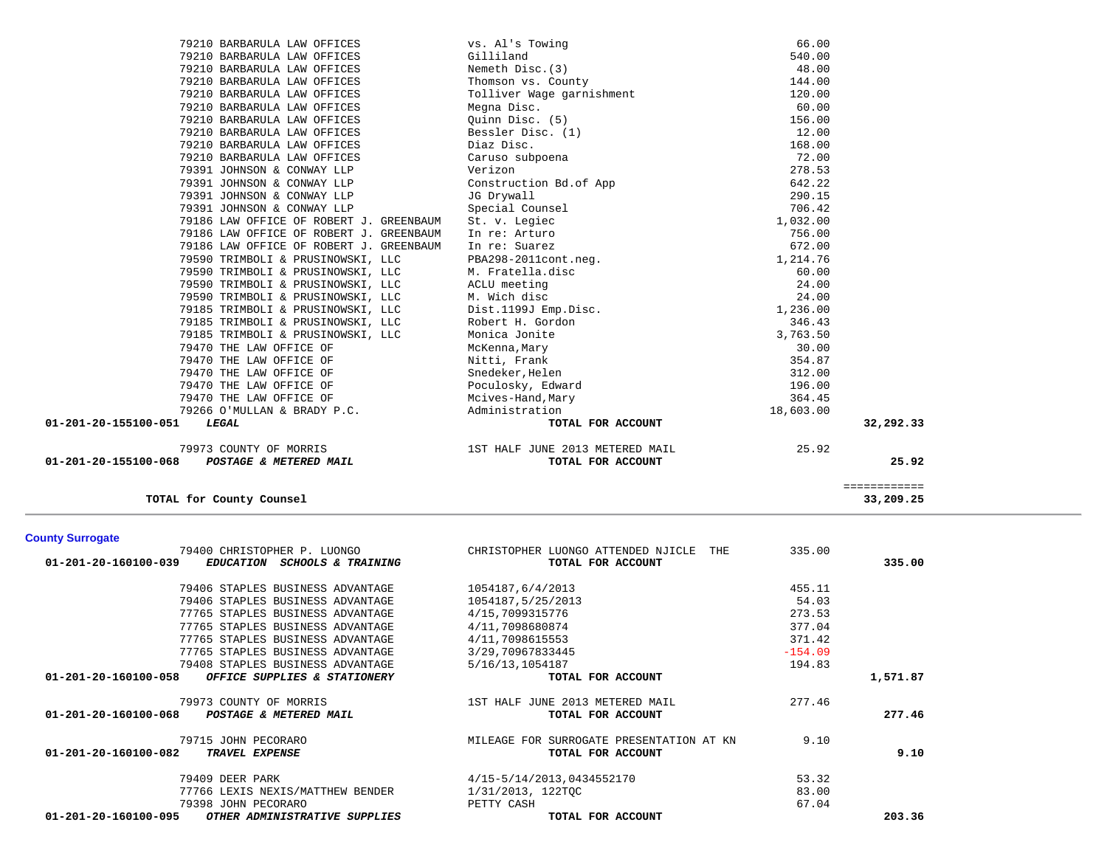| TOTAL for County Counsel                              |                                           |           | 33,209.25 |
|-------------------------------------------------------|-------------------------------------------|-----------|-----------|
| <b>County Surrogate</b>                               |                                           |           |           |
| 79400 CHRISTOPHER P. LUONGO                           | CHRISTOPHER LUONGO ATTENDED NJICLE<br>THE | 335.00    |           |
| 01-201-20-160100-039<br>EDUCATION SCHOOLS & TRAINING  | TOTAL FOR ACCOUNT                         |           | 335.00    |
| 79406 STAPLES BUSINESS ADVANTAGE                      | 1054187,6/4/2013                          | 455.11    |           |
| 79406 STAPLES BUSINESS ADVANTAGE                      | 1054187,5/25/2013                         | 54.03     |           |
| 77765 STAPLES BUSINESS ADVANTAGE                      | 4/15,7099315776                           | 273.53    |           |
| 77765 STAPLES BUSINESS ADVANTAGE                      | 4/11,7098680874                           | 377.04    |           |
| 77765 STAPLES BUSINESS ADVANTAGE                      | 4/11,7098615553                           | 371.42    |           |
| 77765 STAPLES BUSINESS ADVANTAGE                      | 3/29,70967833445                          | $-154.09$ |           |
| 79408 STAPLES BUSINESS ADVANTAGE                      | 5/16/13,1054187                           | 194.83    |           |
| 01-201-20-160100-058<br>OFFICE SUPPLIES & STATIONERY  | TOTAL FOR ACCOUNT                         |           | 1,571.87  |
| 79973 COUNTY OF MORRIS                                | 1ST HALF JUNE 2013 METERED MAIL           | 277.46    |           |
| 01-201-20-160100-068<br>POSTAGE & METERED MAIL        | TOTAL FOR ACCOUNT                         |           | 277.46    |
| 79715 JOHN PECORARO                                   | MILEAGE FOR SURROGATE PRESENTATION AT KN  | 9.10      |           |
| $01 - 201 - 20 - 160100 - 082$<br>TRAVEL EXPENSE      | TOTAL FOR ACCOUNT                         |           | 9.10      |
| 79409 DEER PARK                                       | 4/15-5/14/2013,0434552170                 | 53.32     |           |
| 77766 LEXIS NEXIS/MATTHEW BENDER                      | 1/31/2013, 122TQC                         | 83.00     |           |
| 79398 JOHN PECORARO                                   | PETTY CASH                                | 67.04     |           |
| 01-201-20-160100-095<br>OTHER ADMINISTRATIVE SUPPLIES | TOTAL FOR ACCOUNT                         |           | 203.36    |

============

| 79210 BARBARULA LAW OFFICES                              | vs. Al's Towing                 | 66.00     |           |
|----------------------------------------------------------|---------------------------------|-----------|-----------|
| 79210 BARBARULA LAW OFFICES                              | Gilliland                       | 540.00    |           |
| 79210 BARBARULA LAW OFFICES                              | Nemeth Disc. (3)                | 48.00     |           |
| 79210 BARBARULA LAW OFFICES                              | Thomson vs. County              | 144.00    |           |
| 79210 BARBARULA LAW OFFICES                              | Tolliver Wage garnishment       | 120.00    |           |
| 79210 BARBARULA LAW OFFICES                              | Megna Disc.                     | 60.00     |           |
| 79210 BARBARULA LAW OFFICES                              | Quinn Disc. (5)                 | 156.00    |           |
| 79210 BARBARULA LAW OFFICES                              | Bessler Disc. (1)               | 12.00     |           |
| 79210 BARBARULA LAW OFFICES                              | Diaz Disc.                      | 168.00    |           |
| 79210 BARBARULA LAW OFFICES                              | Caruso subpoena                 | 72.00     |           |
| 79391 JOHNSON & CONWAY LLP                               | Verizon                         | 278.53    |           |
| 79391 JOHNSON & CONWAY LLP                               | Construction Bd.of App          | 642.22    |           |
| 79391 JOHNSON & CONWAY LLP                               | JG Drywall                      | 290.15    |           |
| 79391 JOHNSON & CONWAY LLP                               | Special Counsel                 | 706.42    |           |
| 79186 LAW OFFICE OF ROBERT J. GREENBAUM                  | St. v. Legiec                   | 1,032.00  |           |
| 79186 LAW OFFICE OF ROBERT J. GREENBAUM                  | In re: Arturo                   | 756.00    |           |
| 79186 LAW OFFICE OF ROBERT J. GREENBAUM                  | In re: Suarez                   | 672.00    |           |
| 79590 TRIMBOLI & PRUSINOWSKI, LLC                        | PBA298-2011cont.neg.            | 1,214.76  |           |
| 79590 TRIMBOLI & PRUSINOWSKI, LLC                        | M. Fratella.disc                | 60.00     |           |
| 79590 TRIMBOLI & PRUSINOWSKI, LLC                        | ACLU meeting                    | 24.00     |           |
| 79590 TRIMBOLI & PRUSINOWSKI, LLC                        | M. Wich disc                    | 24.00     |           |
| 79185 TRIMBOLI & PRUSINOWSKI, LLC                        | Dist.1199J Emp.Disc.            | 1,236.00  |           |
| 79185 TRIMBOLI & PRUSINOWSKI, LLC                        | Robert H. Gordon                | 346.43    |           |
| 79185 TRIMBOLI & PRUSINOWSKI, LLC                        | Monica Jonite                   | 3,763.50  |           |
| 79470 THE LAW OFFICE OF                                  | McKenna, Mary                   | 30.00     |           |
| 79470 THE LAW OFFICE OF                                  | Nitti, Frank                    | 354.87    |           |
| 79470 THE LAW OFFICE OF                                  | Snedeker, Helen                 | 312.00    |           |
| 79470 THE LAW OFFICE OF                                  | Poculosky, Edward               | 196.00    |           |
| 79470 THE LAW OFFICE OF                                  | Mcives-Hand, Mary               | 364.45    |           |
| 79266 O'MULLAN & BRADY P.C.                              | Administration                  | 18,603.00 |           |
| 01-201-20-155100-051<br>LEGAL                            | TOTAL FOR ACCOUNT               |           | 32,292.33 |
| 79973 COUNTY OF MORRIS                                   | 1ST HALF JUNE 2013 METERED MAIL | 25.92     |           |
| $01 - 201 - 20 - 155100 - 068$<br>POSTAGE & METERED MAIL | TOTAL FOR ACCOUNT               |           | 25.92     |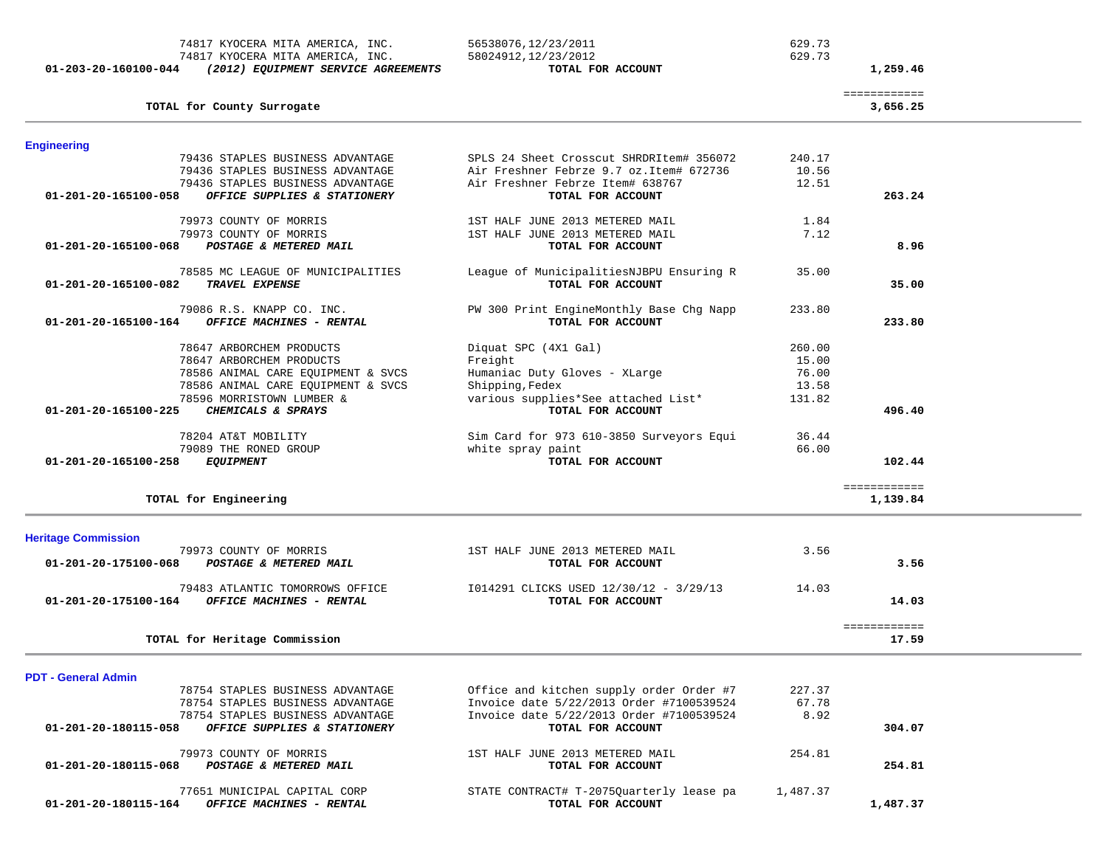74817 KYOCERA MITA AMERICA, INC. 56538076,12/23/2011 629.73

 **017AL FOR ACCOUNT SERVICE AGREEMENT SERVICE AGREEMENT SERVICE AGREEMENT SERVICE AGREEMENT SERVICE AGREEMENT SERVICE AGREEMENT SERVICE AGREEMENT SERVICE AGREEMENT SERVICE AGREEMENT SERVICE AGREEMENT SERVICE AGREEMENT SERV** 

|                            | ____________<br>____________ |
|----------------------------|------------------------------|
| TOTAL for County Surrogate | 0.656.25                     |
|                            |                              |

| $\frac{1}{101}$ , KIOCERA MIIIA AMERICA, INC.<br>74817 KYOCERA MITA AMERICA, INC. | 30330010, 1212012011<br>58024912,12/23/2012 | ,,,,,,<br>629.73 |
|-----------------------------------------------------------------------------------|---------------------------------------------|------------------|
| 01-203-20-160100-044<br>(2012) EQUIPMENT SERVICE AGREEMENTS                       | TOTAL FOR ACCOUNT                           |                  |
|                                                                                   |                                             |                  |

**TOTAL for Engineering 1,139.84**

**Engineering** 

| 79436 STAPLES BUSINESS ADVANTAGE<br>01-201-20-165100-058<br>OFFICE SUPPLIES & STATIONERY | Air Freshner Febrze Item# 638767<br>TOTAL FOR ACCOUNT         | 12.51  | 263.24 |
|------------------------------------------------------------------------------------------|---------------------------------------------------------------|--------|--------|
| 79973 COUNTY OF MORRIS                                                                   | 1ST HALF JUNE 2013 METERED MAIL                               | 1.84   |        |
| 79973 COUNTY OF MORRIS                                                                   | 1ST HALF JUNE 2013 METERED MAIL                               | 7.12   |        |
| 01-201-20-165100-068<br>POSTAGE & METERED MAIL                                           | TOTAL FOR ACCOUNT                                             |        | 8.96   |
| 78585 MC LEAGUE OF MUNICIPALITIES<br>01-201-20-165100-082<br><b>TRAVEL EXPENSE</b>       | League of MunicipalitiesNJBPU Ensuring R<br>TOTAL FOR ACCOUNT | 35.00  | 35.00  |
| 79086 R.S. KNAPP CO. INC.<br>01-201-20-165100-164<br><b>OFFICE MACHINES - RENTAL</b>     | PW 300 Print EngineMonthly Base Chq Napp<br>TOTAL FOR ACCOUNT | 233.80 | 233.80 |
| 78647 ARBORCHEM PRODUCTS                                                                 | Diquat SPC (4X1 Gal)                                          | 260.00 |        |
| 78647 ARBORCHEM PRODUCTS                                                                 | Freight                                                       | 15.00  |        |
|                                                                                          |                                                               |        |        |

| 01-201-20-165100-258<br><i>EOUIPMENT</i>             | TOTAL FOR ACCOUNT                        |        | 102.44 |
|------------------------------------------------------|------------------------------------------|--------|--------|
| 79089 THE RONED GROUP                                | white spray paint                        | 66.00  |        |
| 78204 AT&T MOBILITY                                  | Sim Card for 973 610-3850 Surveyors Equi | 36.44  |        |
| $01 - 201 - 20 - 165100 - 225$<br>CHEMICALS & SPRAYS | TOTAL FOR ACCOUNT                        |        | 496.40 |
| 78596 MORRISTOWN LUMBER &                            | various supplies*See attached List*      | 131.82 |        |
| 78586 ANIMAL CARE EQUIPMENT & SVCS                   | Shipping, Fedex                          | 13.58  |        |
| 78586 ANIMAL CARE EQUIPMENT & SVCS                   | Humaniac Duty Gloves - XLarge            | 76.00  |        |
| 78647 ARBORCHEM PRODUCTS                             | Freight                                  | 15.00  |        |
| 78647 ARBORCHEM PRODUCTS                             | Diquat SPC (4X1 Gal)                     | 260.00 |        |

 79436 STAPLES BUSINESS ADVANTAGE SPLS 24 Sheet Crosscut SHRDRItem# 356072 240.17 79436 STAPLES BUSINESS ADVANTAGE Air Freshner Febrze 9.7 oz.Item# 672736 10.56

| ---------------<br>______________ |                       |
|-----------------------------------|-----------------------|
| L,139.84                          | TOTAL for Engineering |

35.00

233.80

| <b>Heritage Commission</b><br>79973 COUNTY OF MORRIS<br>01-201-20-175100-068<br>POSTAGE & METERED MAIL | 1ST HALF JUNE 2013 METERED MAIL<br>TOTAL FOR ACCOUNT        | 3.56  | 3.56      |
|--------------------------------------------------------------------------------------------------------|-------------------------------------------------------------|-------|-----------|
| 79483 ATLANTIC TOMORROWS OFFICE<br>01-201-20-175100-164<br>OFFICE MACHINES - RENTAL                    | I014291 CLICKS USED 12/30/12 - 3/29/13<br>TOTAL FOR ACCOUNT | 14.03 | 14.03     |
| ______ _ _ _ _ _ _                                                                                     |                                                             |       | $- - - -$ |

|                               | ____________<br>____________ |  |
|-------------------------------|------------------------------|--|
| TOTAL for Heritage Commission | 15<br>50<br>$    -$          |  |
|                               |                              |  |

| STATE CONTRACT# T-2075Quarterly lease pa<br>TOTAL FOR ACCOUNT | 1,487.37 |        |
|---------------------------------------------------------------|----------|--------|
| 1ST HALF JUNE 2013 METERED MAIL<br>TOTAL FOR ACCOUNT          | 254.81   | 254.81 |
| TOTAL FOR ACCOUNT                                             |          | 304.07 |
| Invoice date 5/22/2013 Order #7100539524                      | 8.92     |        |
| Invoice date 5/22/2013 Order #7100539524                      | 67.78    |        |
| Office and kitchen supply order Order #7                      | 227.37   |        |
|                                                               |          |        |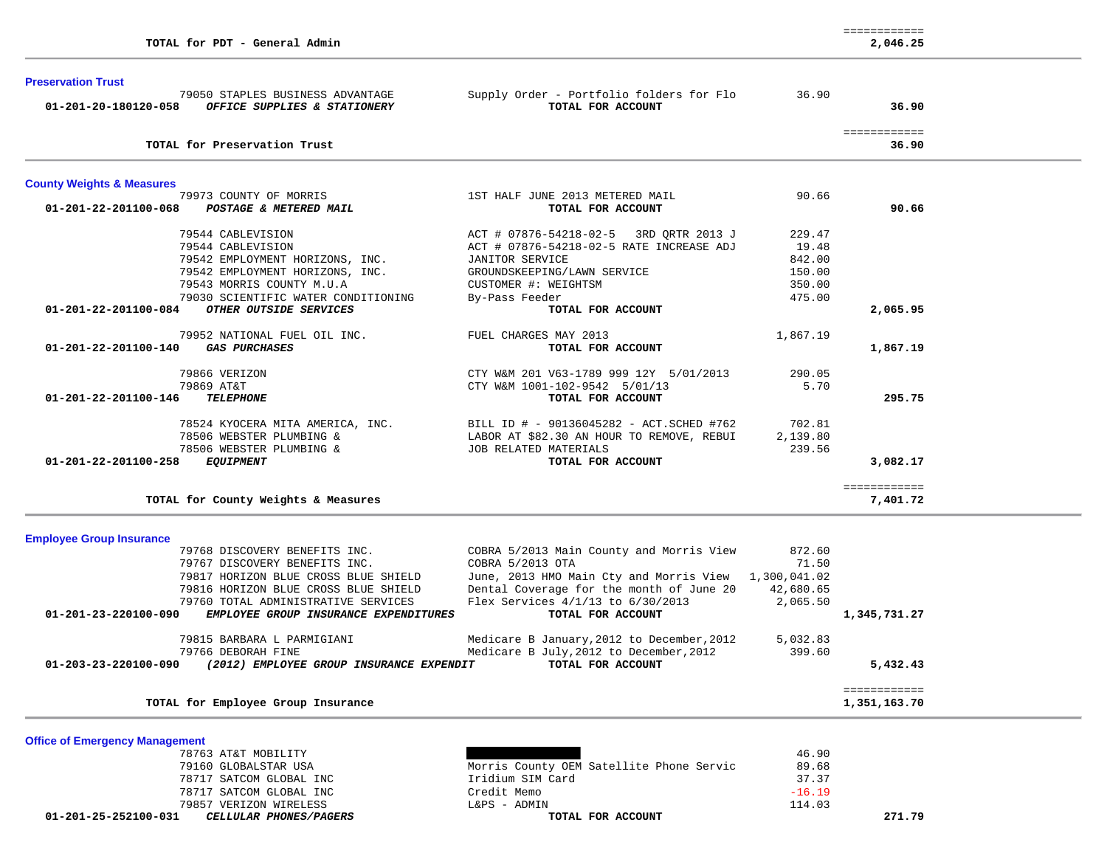36.90

 79050 STAPLES BUSINESS ADVANTAGE Supply Order - Portfolio folders for Flo 36.90  **01-201-20-180120-058** *OFFICE SUPPLIES & STATIONERY* **TOTAL FOR ACCOUNT 36.90** ============ **TOTAL for Preservation Trust 36.90County Weights & Measures** 79973 COUNTY OF MORRIS 1ST HALF JUNE 2013 METERED MAIL 90.66  **01-201-22-201100-068** *POSTAGE & METERED MAIL* **TOTAL FOR ACCOUNT 90.66** 79544 CABLEVISION ACT # 07876-54218-02-5 3RD QRTR 2013 J 229.47 79544 CABLEVISION ACT # 07876-54218-02-5 RATE INCREASE ADJ 19.48 79542 EMPLOYMENT HORIZONS, INC. JANITOR SERVICE 842.00 79542 EMPLOYMENT HORIZONS, INC. GROUNDSKEEPING/LAWN SERVICE 150.00 79543 MORRIS COUNTY M.U.A CUSTOMER #: WEIGHTSM 350.00 79030 SCIENTIFIC WATER CONDITIONING By-Pass Feeder 475.00  **01-201-22-201100-084** *OTHER OUTSIDE SERVICES* **TOTAL FOR ACCOUNT 2,065.95** 79952 NATIONAL FUEL OIL INC. FUEL CHARGES MAY 2013 1,867.19  **01-201-22-201100-140** *GAS PURCHASES* **TOTAL FOR ACCOUNT 1,867.19**

> 79866 VERIZON CTY W&M 201 V63-1789 999 12Y 5/01/2013 290.05 79869 AT&T CTY W&M 1001-102-9542 5/01/13 5.70

 **01-201-22-201100-146** *TELEPHONE* **TOTAL FOR ACCOUNT 295.75** 78524 KYOCERA MITA AMERICA, INC. BILL ID # - 90136045282 - ACT.SCHED #762 702.81 78506 WEBSTER PLUMBING & LABOR AT \$82.30 AN HOUR TO REMOVE, REBUI 2,139.80 78506 WEBSTER PLUMBING & JOB RELATED MATERIALS 239.56  **01-201-22-201100-258** *EQUIPMENT* **TOTAL FOR ACCOUNT 3,082.17**

============

TOTAL for County Weights & Measures

7,401.72

## **Employee Group Insurance**

**Preservation Trust** 

| 71.50<br>COBRA 5/2013 OTA<br>79767 DISCOVERY BENEFITS INC.<br>June, 2013 HMO Main Cty and Morris View<br>1,300,041.02<br>79817 HORIZON BLUE CROSS BLUE SHIELD<br>Dental Coverage for the month of June 20<br>42,680.65<br>79816 HORIZON BLUE CROSS BLUE SHIELD<br>Flex Services $4/1/13$ to $6/30/2013$<br>2,065.50<br>79760 TOTAL ADMINISTRATIVE SERVICES<br>01-201-23-220100-090<br>EMPLOYEE GROUP INSURANCE EXPENDITURES<br>TOTAL FOR ACCOUNT<br>Medicare B January, 2012 to December, 2012<br>5,032.83<br>79815 BARBARA L PARMIGIANI<br>Medicare B July, 2012 to December, 2012<br>399.60<br>79766 DEBORAH FINE | 79768 DISCOVERY BENEFITS INC.      | COBRA 5/2013 Main County and Morris View | 872.60 |              |
|---------------------------------------------------------------------------------------------------------------------------------------------------------------------------------------------------------------------------------------------------------------------------------------------------------------------------------------------------------------------------------------------------------------------------------------------------------------------------------------------------------------------------------------------------------------------------------------------------------------------|------------------------------------|------------------------------------------|--------|--------------|
|                                                                                                                                                                                                                                                                                                                                                                                                                                                                                                                                                                                                                     |                                    |                                          |        |              |
|                                                                                                                                                                                                                                                                                                                                                                                                                                                                                                                                                                                                                     |                                    |                                          |        |              |
|                                                                                                                                                                                                                                                                                                                                                                                                                                                                                                                                                                                                                     |                                    |                                          |        |              |
|                                                                                                                                                                                                                                                                                                                                                                                                                                                                                                                                                                                                                     |                                    |                                          |        |              |
|                                                                                                                                                                                                                                                                                                                                                                                                                                                                                                                                                                                                                     |                                    |                                          |        | 1,345,731.27 |
|                                                                                                                                                                                                                                                                                                                                                                                                                                                                                                                                                                                                                     |                                    |                                          |        |              |
|                                                                                                                                                                                                                                                                                                                                                                                                                                                                                                                                                                                                                     |                                    |                                          |        |              |
| 01-203-23-220100-090<br>(2012) EMPLOYEE GROUP INSURANCE EXPENDIT<br>TOTAL FOR ACCOUNT                                                                                                                                                                                                                                                                                                                                                                                                                                                                                                                               |                                    |                                          |        | 5,432.43     |
|                                                                                                                                                                                                                                                                                                                                                                                                                                                                                                                                                                                                                     |                                    |                                          |        | ===========  |
|                                                                                                                                                                                                                                                                                                                                                                                                                                                                                                                                                                                                                     | TOTAL for Employee Group Insurance |                                          |        | 1,351,163.70 |

|  | Office of Emergency Management |  |
|--|--------------------------------|--|
|  |                                |  |

| 01-201-25-252100-031 | <i>CELLULAR PHONES/PAGERS</i> | TOTAL FOR ACCOUNT                        |          | 271.79 |
|----------------------|-------------------------------|------------------------------------------|----------|--------|
|                      | 79857 VERIZON WIRELESS        | L&PS - ADMIN                             | 114.03   |        |
|                      |                               |                                          |          |        |
|                      | 78717 SATCOM GLOBAL INC       | Credit Memo                              | $-16.19$ |        |
|                      | 78717 SATCOM GLOBAL INC       | Iridium SIM Card                         | 37.37    |        |
|                      | 79160 GLOBALSTAR USA          | Morris County OEM Satellite Phone Servic | 89.68    |        |
|                      | 78763 AT&T MOBILITY           |                                          | 46.90    |        |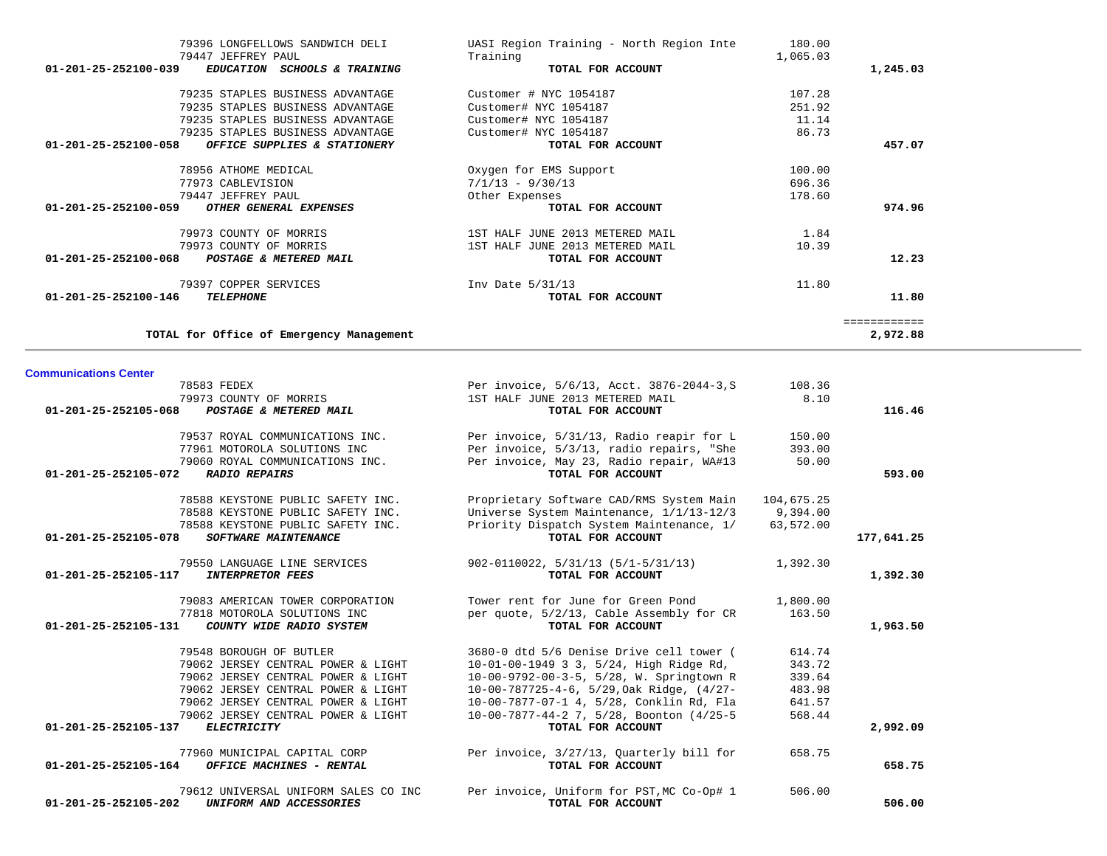| 01-201-25-252100-146<br><b>TELEPHONE</b>         | TOTAL FOR ACCOUNT                                      |            | 11.80                    |
|--------------------------------------------------|--------------------------------------------------------|------------|--------------------------|
| TOTAL for Office of Emergency Management         |                                                        |            | ============<br>2,972.88 |
| <b>Communications Center</b>                     |                                                        |            |                          |
| 78583 FEDEX                                      | Per invoice, 5/6/13, Acct. 3876-2044-3, S              | 108.36     |                          |
| 79973 COUNTY OF MORRIS                           | 1ST HALF JUNE 2013 METERED MAIL                        | 8.10       |                          |
| 01-201-25-252105-068<br>POSTAGE & METERED MAIL   | TOTAL FOR ACCOUNT                                      |            | 116.46                   |
| 79537 ROYAL COMMUNICATIONS INC.                  | Per invoice, 5/31/13, Radio reapir for L               | 150.00     |                          |
| 77961 MOTOROLA SOLUTIONS INC                     | Per invoice, 5/3/13, radio repairs, "She               | 393.00     |                          |
| 79060 ROYAL COMMUNICATIONS INC.                  | Per invoice, May 23, Radio repair, WA#13               | 50.00      |                          |
| 01-201-25-252105-072<br><b>RADIO REPAIRS</b>     | TOTAL FOR ACCOUNT                                      |            | 593.00                   |
| 78588 KEYSTONE PUBLIC SAFETY INC.                | Proprietary Software CAD/RMS System Main               | 104,675.25 |                          |
| 78588 KEYSTONE PUBLIC SAFETY INC.                | Universe System Maintenance, 1/1/13-12/3               | 9,394.00   |                          |
| 78588 KEYSTONE PUBLIC SAFETY INC.                | Priority Dispatch System Maintenance, 1/               | 63,572.00  |                          |
| 01-201-25-252105-078<br>SOFTWARE MAINTENANCE     | TOTAL FOR ACCOUNT                                      |            | 177,641.25               |
| 79550 LANGUAGE LINE SERVICES                     | $902 - 0110022$ , $5/31/13$ $(5/1 - 5/31/13)$ 1,392.30 |            |                          |
| 01-201-25-252105-117<br><b>INTERPRETOR FEES</b>  | TOTAL FOR ACCOUNT                                      |            | 1,392.30                 |
| 79083 AMERICAN TOWER CORPORATION                 | Tower rent for June for Green Pond                     | 1,800.00   |                          |
| 77818 MOTOROLA SOLUTIONS INC                     | per quote, 5/2/13, Cable Assembly for CR               | 163.50     |                          |
| 01-201-25-252105-131<br>COUNTY WIDE RADIO SYSTEM | TOTAL FOR ACCOUNT                                      |            | 1,963.50                 |
| 79548 BOROUGH OF BUTLER                          | 3680-0 dtd 5/6 Denise Drive cell tower (               | 614.74     |                          |
| 79062 JERSEY CENTRAL POWER & LIGHT               | 10-01-00-1949 3 3, 5/24, High Ridge Rd,                | 343.72     |                          |
| 79062 JERSEY CENTRAL POWER & LIGHT               | 10-00-9792-00-3-5, 5/28, W. Springtown R               | 339.64     |                          |
| 79062 JERSEY CENTRAL POWER & LIGHT               | 10-00-787725-4-6, 5/29, Oak Ridge, (4/27-              | 483.98     |                          |
| 79062 JERSEY CENTRAL POWER & LIGHT               | 10-00-7877-07-1 4, 5/28, Conklin Rd, Fla               | 641.57     |                          |
| 79062 JERSEY CENTRAL POWER & LIGHT               | 10-00-7877-44-2 7, 5/28, Boonton (4/25-5)              | 568.44     |                          |
| 01-201-25-252105-137<br><b>ELECTRICITY</b>       | TOTAL FOR ACCOUNT                                      |            | 2,992.09                 |
| 77960 MUNICIPAL CAPITAL CORP                     | Per invoice, 3/27/13, Quarterly bill for               | 658.75     |                          |
| 01-201-25-252105-164<br>OFFICE MACHINES - RENTAL | TOTAL FOR ACCOUNT                                      |            | 658.75                   |
| 79612 UNIVERSAL UNIFORM SALES CO INC             | Per invoice, Uniform for PST, MC Co-Op# 1              | 506.00     |                          |
| 01-201-25-252105-202<br>UNIFORM AND ACCESSORIES  | TOTAL FOR ACCOUNT                                      |            | 506.00                   |

|          | 180.00<br>1,065.03 | UASI Region Training - North Region Inte<br>Training | 79396 LONGFELLOWS SANDWICH DELI<br>79447 JEFFREY PAUL |                                |
|----------|--------------------|------------------------------------------------------|-------------------------------------------------------|--------------------------------|
| 1,245.03 |                    | TOTAL FOR ACCOUNT                                    | <i>EDUCATION</i><br><b>SCHOOLS &amp; TRAINING</b>     | 01-201-25-252100-039           |
|          | 107.28             | Customer # NYC 1054187                               | 79235 STAPLES BUSINESS ADVANTAGE                      |                                |
|          | 251.92             | Customer# NYC 1054187                                | 79235 STAPLES BUSINESS ADVANTAGE                      |                                |
|          | 11.14              | Customer# NYC 1054187                                | 79235 STAPLES BUSINESS ADVANTAGE                      |                                |
|          | 86.73              | Customer# NYC 1054187                                | 79235 STAPLES BUSINESS ADVANTAGE                      |                                |
| 457.07   |                    | TOTAL FOR ACCOUNT                                    | OFFICE SUPPLIES & STATIONERY                          | 01-201-25-252100-058           |
|          | 100.00             | Oxygen for EMS Support                               | 78956 ATHOME MEDICAL                                  |                                |
|          | 696.36             | $7/1/13 - 9/30/13$                                   | 77973 CABLEVISION                                     |                                |
|          | 178.60             | Other Expenses                                       | 79447 JEFFREY PAUL                                    |                                |
| 974.96   |                    | TOTAL FOR ACCOUNT                                    | OTHER GENERAL EXPENSES                                | $01 - 201 - 25 - 252100 - 059$ |
|          | 1.84               | 1ST HALF JUNE 2013 METERED MAIL                      | 79973 COUNTY OF MORRIS                                |                                |
|          | 10.39              | 1ST HALF JUNE 2013 METERED MAIL                      | 79973 COUNTY OF MORRIS                                |                                |
| 12.23    |                    | TOTAL FOR ACCOUNT                                    | POSTAGE & METERED MAIL                                | 01-201-25-252100-068           |
|          | 11.80              | Inv Date 5/31/13                                     | 79397 COPPER SERVICES                                 |                                |
|          |                    | TOTAL FOR ACCOUNT                                    | <b>TELEPHONE</b>                                      | 01-201-25-252100-146           |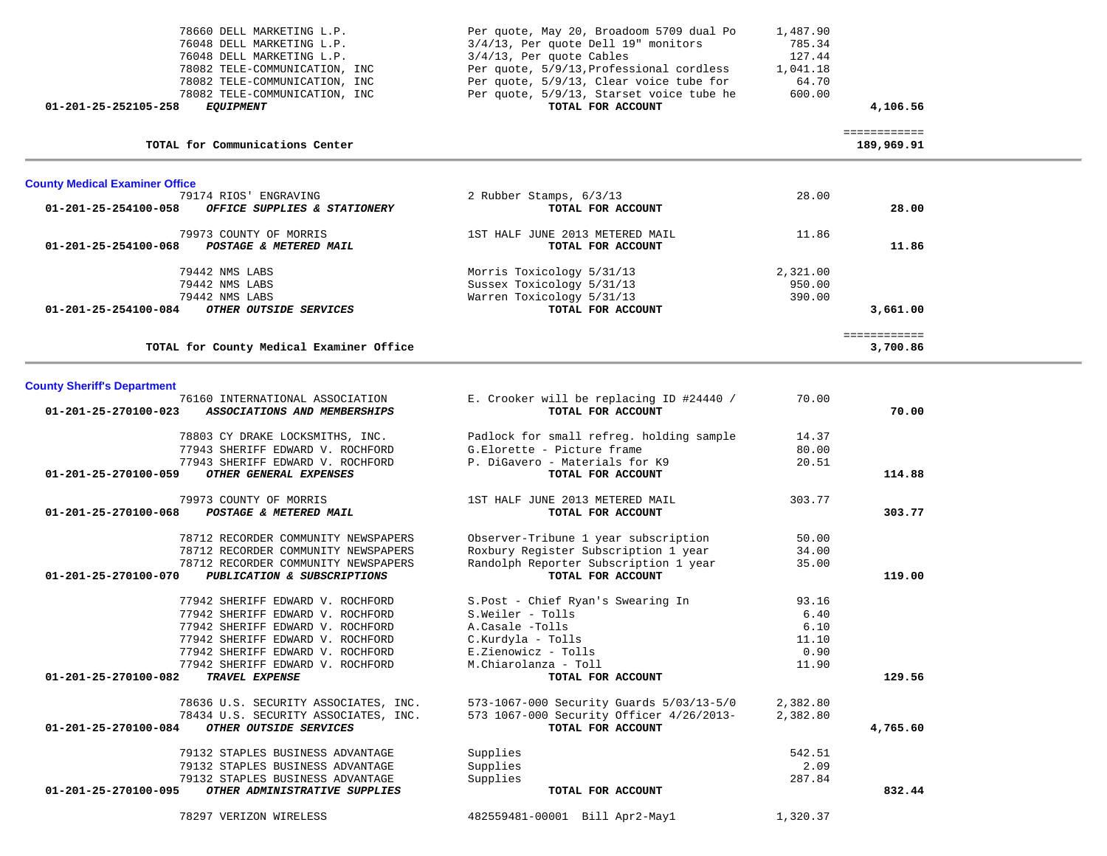| 01-201-25-252105-258                  | 78660 DELL MARKETING L.P.<br>76048 DELL MARKETING L.P.<br>76048 DELL MARKETING L.P.<br>78082 TELE-COMMUNICATION, INC<br>78082 TELE-COMMUNICATION, INC<br>78082 TELE-COMMUNICATION, INC<br><i>EQUIPMENT</i> | Per quote, May 20, Broadoom 5709 dual Po<br>$3/4/13$ , Per quote Dell 19" monitors<br>$3/4/13$ , Per quote Cables<br>Per quote, 5/9/13, Professional cordless<br>Per quote, 5/9/13, Clear voice tube for<br>Per quote, 5/9/13, Starset voice tube he<br>TOTAL FOR ACCOUNT | 1,487.90<br>785.34<br>127.44<br>1,041.18<br>64.70<br>600.00 | 4,106.56                   |  |
|---------------------------------------|------------------------------------------------------------------------------------------------------------------------------------------------------------------------------------------------------------|---------------------------------------------------------------------------------------------------------------------------------------------------------------------------------------------------------------------------------------------------------------------------|-------------------------------------------------------------|----------------------------|--|
|                                       | TOTAL for Communications Center                                                                                                                                                                            |                                                                                                                                                                                                                                                                           |                                                             | ============<br>189,969.91 |  |
| <b>County Medical Examiner Office</b> |                                                                                                                                                                                                            |                                                                                                                                                                                                                                                                           |                                                             |                            |  |
|                                       | 79174 RIOS' ENGRAVING                                                                                                                                                                                      | 2 Rubber Stamps, 6/3/13                                                                                                                                                                                                                                                   | 28.00                                                       |                            |  |
| 01-201-25-254100-058                  | OFFICE SUPPLIES & STATIONERY                                                                                                                                                                               | TOTAL FOR ACCOUNT                                                                                                                                                                                                                                                         |                                                             | 28.00                      |  |
|                                       | 79973 COUNTY OF MORRIS                                                                                                                                                                                     | 1ST HALF JUNE 2013 METERED MAIL                                                                                                                                                                                                                                           | 11.86                                                       |                            |  |
| 01-201-25-254100-068                  | POSTAGE & METERED MAIL                                                                                                                                                                                     | TOTAL FOR ACCOUNT                                                                                                                                                                                                                                                         |                                                             | 11.86                      |  |
|                                       | 79442 NMS LABS                                                                                                                                                                                             | Morris Toxicology 5/31/13                                                                                                                                                                                                                                                 | 2,321.00                                                    |                            |  |
|                                       | 79442 NMS LABS<br>79442 NMS LABS                                                                                                                                                                           | Sussex Toxicology 5/31/13<br>Warren Toxicology 5/31/13                                                                                                                                                                                                                    | 950.00<br>390.00                                            |                            |  |
| 01-201-25-254100-084                  | OTHER OUTSIDE SERVICES                                                                                                                                                                                     | TOTAL FOR ACCOUNT                                                                                                                                                                                                                                                         |                                                             | 3,661.00                   |  |
|                                       |                                                                                                                                                                                                            |                                                                                                                                                                                                                                                                           |                                                             |                            |  |
|                                       | TOTAL for County Medical Examiner Office                                                                                                                                                                   |                                                                                                                                                                                                                                                                           |                                                             | ============<br>3,700.86   |  |
|                                       |                                                                                                                                                                                                            |                                                                                                                                                                                                                                                                           |                                                             |                            |  |
| <b>County Sheriff's Department</b>    |                                                                                                                                                                                                            |                                                                                                                                                                                                                                                                           |                                                             |                            |  |
|                                       | 76160 INTERNATIONAL ASSOCIATION                                                                                                                                                                            | E. Crooker will be replacing ID #24440 /                                                                                                                                                                                                                                  | 70.00                                                       |                            |  |
| 01-201-25-270100-023                  | ASSOCIATIONS AND MEMBERSHIPS                                                                                                                                                                               | TOTAL FOR ACCOUNT                                                                                                                                                                                                                                                         |                                                             | 70.00                      |  |
|                                       | 78803 CY DRAKE LOCKSMITHS, INC.                                                                                                                                                                            | Padlock for small refreg. holding sample                                                                                                                                                                                                                                  | 14.37                                                       |                            |  |
|                                       | 77943 SHERIFF EDWARD V. ROCHFORD                                                                                                                                                                           | G.Elorette - Picture frame                                                                                                                                                                                                                                                | 80.00                                                       |                            |  |
| 01-201-25-270100-059                  | 77943 SHERIFF EDWARD V. ROCHFORD<br>OTHER GENERAL EXPENSES                                                                                                                                                 | P. DiGavero - Materials for K9<br>TOTAL FOR ACCOUNT                                                                                                                                                                                                                       | 20.51                                                       | 114.88                     |  |
|                                       |                                                                                                                                                                                                            |                                                                                                                                                                                                                                                                           |                                                             |                            |  |
|                                       | 79973 COUNTY OF MORRIS                                                                                                                                                                                     | 1ST HALF JUNE 2013 METERED MAIL                                                                                                                                                                                                                                           | 303.77                                                      |                            |  |
| 01-201-25-270100-068                  | POSTAGE & METERED MAIL                                                                                                                                                                                     | TOTAL FOR ACCOUNT                                                                                                                                                                                                                                                         |                                                             | 303.77                     |  |
|                                       | 78712 RECORDER COMMUNITY NEWSPAPERS                                                                                                                                                                        | Observer-Tribune 1 year subscription                                                                                                                                                                                                                                      | 50.00                                                       |                            |  |
|                                       | 78712 RECORDER COMMUNITY NEWSPAPERS                                                                                                                                                                        | Roxbury Register Subscription 1 year                                                                                                                                                                                                                                      | 34.00                                                       |                            |  |
| 01-201-25-270100-070                  | 78712 RECORDER COMMUNITY NEWSPAPERS<br>PUBLICATION & SUBSCRIPTIONS                                                                                                                                         | Randolph Reporter Subscription 1 year<br>TOTAL FOR ACCOUNT                                                                                                                                                                                                                | 35.00                                                       | 119.00                     |  |
|                                       |                                                                                                                                                                                                            |                                                                                                                                                                                                                                                                           |                                                             |                            |  |
|                                       | 77942 SHERIFF EDWARD V. ROCHFORD                                                                                                                                                                           | S.Post - Chief Ryan's Swearing In                                                                                                                                                                                                                                         | 93.16                                                       |                            |  |
|                                       | 77942 SHERIFF EDWARD V. ROCHFORD<br>77942 SHERIFF EDWARD V. ROCHFORD                                                                                                                                       | S.Weiler - Tolls<br>A.Casale -Tolls                                                                                                                                                                                                                                       | 6.40<br>6.10                                                |                            |  |
|                                       | 77942 SHERIFF EDWARD V. ROCHFORD                                                                                                                                                                           | C.Kurdyla - Tolls                                                                                                                                                                                                                                                         | 11.10                                                       |                            |  |
|                                       | 77942 SHERIFF EDWARD V. ROCHFORD                                                                                                                                                                           | E.Zienowicz - Tolls                                                                                                                                                                                                                                                       | 0.90                                                        |                            |  |
|                                       | 77942 SHERIFF EDWARD V. ROCHFORD                                                                                                                                                                           | M.Chiarolanza - Toll                                                                                                                                                                                                                                                      | 11.90                                                       |                            |  |
| 01-201-25-270100-082                  | TRAVEL EXPENSE                                                                                                                                                                                             | TOTAL FOR ACCOUNT                                                                                                                                                                                                                                                         |                                                             | 129.56                     |  |
|                                       | 78636 U.S. SECURITY ASSOCIATES, INC.                                                                                                                                                                       | 573-1067-000 Security Guards 5/03/13-5/0                                                                                                                                                                                                                                  | 2,382.80                                                    |                            |  |
|                                       | 78434 U.S. SECURITY ASSOCIATES, INC.                                                                                                                                                                       | 573 1067-000 Security Officer 4/26/2013-                                                                                                                                                                                                                                  | 2,382.80                                                    |                            |  |
| 01-201-25-270100-084                  | OTHER OUTSIDE SERVICES                                                                                                                                                                                     | TOTAL FOR ACCOUNT                                                                                                                                                                                                                                                         |                                                             | 4,765.60                   |  |
|                                       | 79132 STAPLES BUSINESS ADVANTAGE                                                                                                                                                                           | Supplies                                                                                                                                                                                                                                                                  | 542.51                                                      |                            |  |
|                                       | 79132 STAPLES BUSINESS ADVANTAGE                                                                                                                                                                           | Supplies                                                                                                                                                                                                                                                                  | 2.09                                                        |                            |  |
|                                       | 79132 STAPLES BUSINESS ADVANTAGE                                                                                                                                                                           | Supplies                                                                                                                                                                                                                                                                  | 287.84                                                      |                            |  |
| 01-201-25-270100-095                  | OTHER ADMINISTRATIVE SUPPLIES                                                                                                                                                                              | TOTAL FOR ACCOUNT                                                                                                                                                                                                                                                         |                                                             | 832.44                     |  |
|                                       | 78297 VERIZON WIRELESS                                                                                                                                                                                     | 482559481-00001 Bill Apr2-May1                                                                                                                                                                                                                                            | 1,320.37                                                    |                            |  |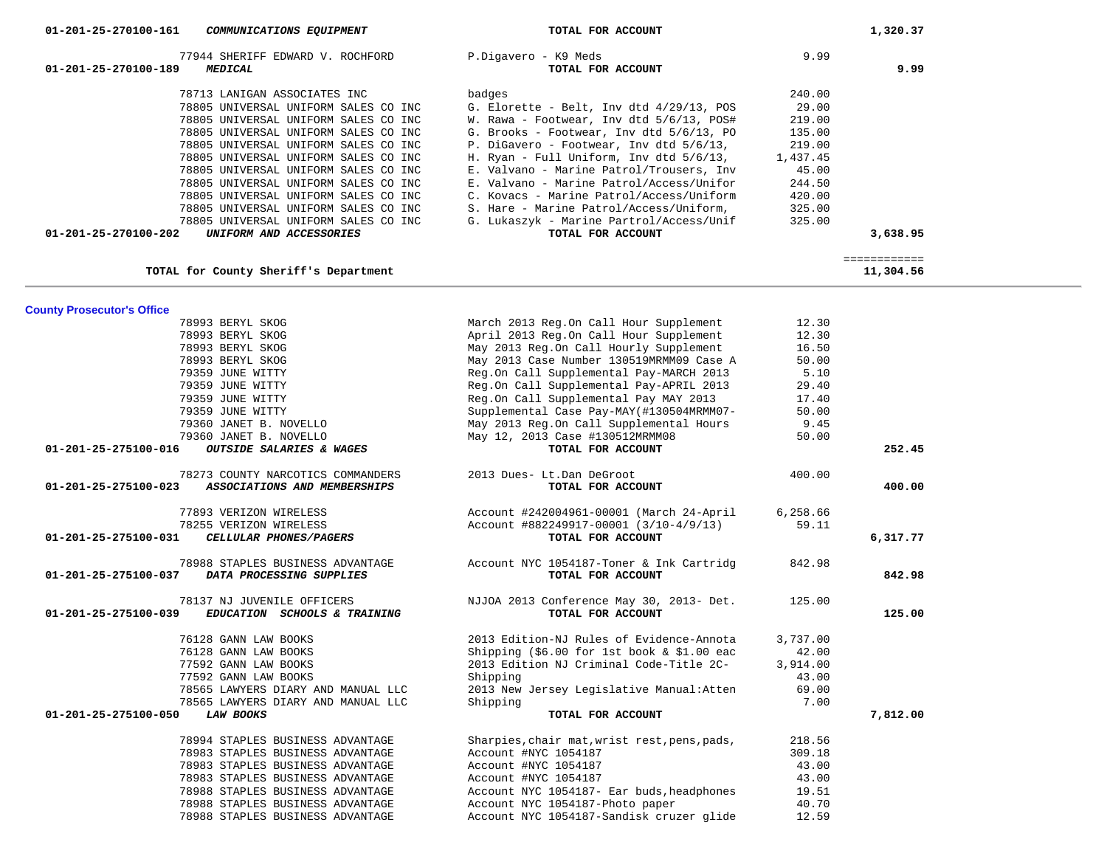| 01-201-25-270100-161<br>COMMUNICATIONS EQUIPMENT     | TOTAL FOR ACCOUNT                                                                  |          | 1,320.37     |
|------------------------------------------------------|------------------------------------------------------------------------------------|----------|--------------|
| 77944 SHERIFF EDWARD V. ROCHFORD                     | P.Digavero - K9 Meds                                                               | 9.99     |              |
| 01-201-25-270100-189<br><b>MEDICAL</b>               | TOTAL FOR ACCOUNT                                                                  |          | 9.99         |
|                                                      |                                                                                    |          |              |
| 78713 LANIGAN ASSOCIATES INC                         | badges                                                                             | 240.00   |              |
| 78805 UNIVERSAL UNIFORM SALES CO INC                 | G. Elorette - Belt, Inv dtd 4/29/13, POS                                           | 29.00    |              |
| 78805 UNIVERSAL UNIFORM SALES CO INC                 | W. Rawa - Footwear, Inv dtd 5/6/13, POS#                                           | 219.00   |              |
| 78805 UNIVERSAL UNIFORM SALES CO INC                 | G. Brooks - Footwear, Inv dtd 5/6/13, PO                                           | 135.00   |              |
| 78805 UNIVERSAL UNIFORM SALES CO INC                 | P. DiGavero - Footwear, Inv dtd 5/6/13,                                            | 219.00   |              |
| 78805 UNIVERSAL UNIFORM SALES CO INC                 | H. Ryan - Full Uniform, Inv dtd 5/6/13,                                            | 1,437.45 |              |
| 78805 UNIVERSAL UNIFORM SALES CO INC                 | E. Valvano - Marine Patrol/Trousers, Inv                                           | 45.00    |              |
| 78805 UNIVERSAL UNIFORM SALES CO INC                 | E. Valvano - Marine Patrol/Access/Unifor                                           | 244.50   |              |
| 78805 UNIVERSAL UNIFORM SALES CO INC                 | C. Kovacs - Marine Patrol/Access/Uniform                                           | 420.00   |              |
| 78805 UNIVERSAL UNIFORM SALES CO INC                 | S. Hare - Marine Patrol/Access/Uniform,                                            | 325.00   |              |
| 78805 UNIVERSAL UNIFORM SALES CO INC                 | G. Lukaszyk - Marine Partrol/Access/Unif                                           | 325.00   |              |
| 01-201-25-270100-202<br>UNIFORM AND ACCESSORIES      | TOTAL FOR ACCOUNT                                                                  |          | 3,638.95     |
|                                                      |                                                                                    |          | ============ |
| TOTAL for County Sheriff's Department                |                                                                                    |          | 11,304.56    |
|                                                      |                                                                                    |          |              |
| <b>County Prosecutor's Office</b>                    |                                                                                    |          |              |
| 78993 BERYL SKOG                                     | March 2013 Reg.On Call Hour Supplement                                             | 12.30    |              |
| 78993 BERYL SKOG                                     | April 2013 Reg.On Call Hour Supplement                                             | 12.30    |              |
| 78993 BERYL SKOG                                     | May 2013 Reg.On Call Hourly Supplement                                             | 16.50    |              |
| 78993 BERYL SKOG                                     | May 2013 Case Number 130519MRMM09 Case A                                           | 50.00    |              |
| 79359 JUNE WITTY                                     | Reg.On Call Supplemental Pay-MARCH 2013                                            | 5.10     |              |
| 79359 JUNE WITTY                                     | Reg.On Call Supplemental Pay-APRIL 2013                                            | 29.40    |              |
| 79359 JUNE WITTY                                     | Reg.On Call Supplemental Pay MAY 2013                                              | 17.40    |              |
| 79359 JUNE WITTY                                     | Supplemental Case Pay-MAY(#130504MRMM07-                                           | 50.00    |              |
| 79360 JANET B. NOVELLO                               | May 2013 Reg.On Call Supplemental Hours                                            | 9.45     |              |
| 79360 JANET B. NOVELLO                               | May 12, 2013 Case #130512MRMM08                                                    | 50.00    |              |
| 01-201-25-275100-016<br>OUTSIDE SALARIES & WAGES     | TOTAL FOR ACCOUNT                                                                  |          | 252.45       |
| 78273 COUNTY NARCOTICS COMMANDERS                    | 2013 Dues- Lt.Dan DeGroot                                                          | 400.00   |              |
| ASSOCIATIONS AND MEMBERSHIPS<br>01-201-25-275100-023 | TOTAL FOR ACCOUNT                                                                  |          | 400.00       |
| 77893 VERIZON WIRELESS                               |                                                                                    | 6,258.66 |              |
| 78255 VERIZON WIRELESS                               | Account #242004961-00001 (March 24-April<br>Account #882249917-00001 (3/10-4/9/13) | 59.11    |              |
| 01-201-25-275100-031<br>CELLULAR PHONES/PAGERS       | TOTAL FOR ACCOUNT                                                                  |          | 6,317.77     |
|                                                      |                                                                                    |          |              |
| 78988 STAPLES BUSINESS ADVANTAGE                     | Account NYC 1054187-Toner & Ink Cartridg                                           | 842.98   |              |
| DATA PROCESSING SUPPLIES<br>01-201-25-275100-037     | TOTAL FOR ACCOUNT                                                                  |          | 842.98       |
| 78137 NJ JUVENILE OFFICERS                           | NJJOA 2013 Conference May 30, 2013- Det.                                           | 125.00   |              |
| 01-201-25-275100-039<br>EDUCATION SCHOOLS & TRAINING | TOTAL FOR ACCOUNT                                                                  |          | 125.00       |
|                                                      |                                                                                    |          |              |
| 76128 GANN LAW BOOKS                                 | 2013 Edition-NJ Rules of Evidence-Annota                                           | 3,737.00 |              |
| 76128 GANN LAW BOOKS                                 | Shipping $(56.00$ for 1st book & \$1.00 eac                                        | 42.00    |              |
| 77592 GANN LAW BOOKS                                 | 2013 Edition NJ Criminal Code-Title 2C-                                            | 3,914.00 |              |
| 77592 GANN LAW BOOKS                                 | Shipping                                                                           | 43.00    |              |
| 78565 LAWYERS DIARY AND MANUAL LLC                   | 2013 New Jersey Legislative Manual: Atten                                          | 69.00    |              |
| 78565 LAWYERS DIARY AND MANUAL LLC                   | Shipping                                                                           | 7.00     |              |
| 01-201-25-275100-050<br><i><b>LAW BOOKS</b></i>      | TOTAL FOR ACCOUNT                                                                  |          | 7,812.00     |
| 78994 STAPLES BUSINESS ADVANTAGE                     | Sharpies, chair mat, wrist rest, pens, pads,                                       | 218.56   |              |
| 78983 STAPLES BUSINESS ADVANTAGE                     | Account #NYC 1054187                                                               | 309.18   |              |
| 78983 STAPLES BUSINESS ADVANTAGE                     | Account #NYC 1054187                                                               | 43.00    |              |
| 78983 STAPLES BUSINESS ADVANTAGE                     | Account #NYC 1054187                                                               | 43.00    |              |
| 78988 STAPLES BUSINESS ADVANTAGE                     | Account NYC 1054187- Ear buds, headphones                                          | 19.51    |              |
| 78988 STAPLES BUSINESS ADVANTAGE                     | Account NYC 1054187-Photo paper                                                    | 40.70    |              |
| 78988 STAPLES BUSINESS ADVANTAGE                     | Account NYC 1054187-Sandisk cruzer glide                                           | 12.59    |              |

 $\sim$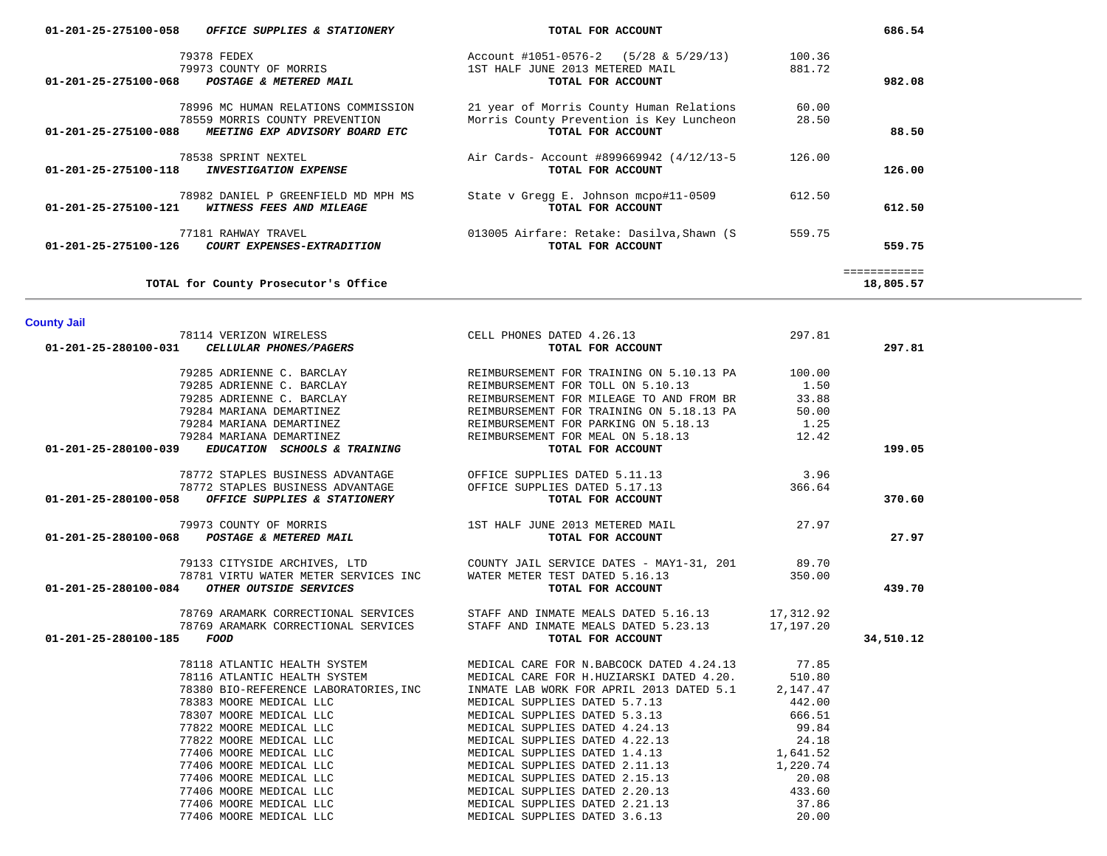| 79378 FEDEX<br>79378 FEDEX<br>79973 COUNTY OF MORRIS<br>01-201-25-275100-068<br><b>POSTAGE &amp; METERED MAIL</b>               | Account $\text{\#1051-0576-2}$ (5/28 & 5/29/13)<br>1ST HALF JUNE 2013 METERED MAIL<br>TOTAL FOR ACCOUNT         | 100.36<br>881.72 | 982.08                    |  |
|---------------------------------------------------------------------------------------------------------------------------------|-----------------------------------------------------------------------------------------------------------------|------------------|---------------------------|--|
| 78996 MC HUMAN RELATIONS COMMISSION<br>78559 MORRIS COUNTY PREVENTION<br>MEETING EXP ADVISORY BOARD ETC<br>01-201-25-275100-088 | 21 year of Morris County Human Relations 60.00<br>Morris County Prevention is Key Luncheon<br>TOTAL FOR ACCOUNT | 28.50            | 88.50                     |  |
| 78538 SPRINT NEXTEL<br>01-201-25-275100-118 INVESTIGATION EXPENSE                                                               | Air Cards- Account #899669942 (4/12/13-5<br>TOTAL FOR ACCOUNT                                                   | 126.00           | 126.00                    |  |
| 78982 DANIEL P GREENFIELD MD MPH MS<br>WITNESS FEES AND MILEAGE<br>01-201-25-275100-121                                         | State v Gregg E. Johnson mcpo#11-0509<br>TOTAL FOR ACCOUNT                                                      | 612.50           | 612.50                    |  |
| 77181 RAHWAY TRAVEL                                                                                                             | 013005 Airfare: Retake: Dasilva, Shawn (S<br>TOTAL FOR ACCOUNT                                                  | 559.75           | 559.75                    |  |
| TOTAL for County Prosecutor's Office                                                                                            |                                                                                                                 |                  | ============<br>18,805.57 |  |
| <b>County Jail</b>                                                                                                              |                                                                                                                 |                  |                           |  |
| 78114 VERIZON WIRELESS<br>$01-201-25-280100-031$ CELLULAR PHONES/PAGERS                                                         | CELL PHONES DATED 4.26.13<br>TOTAL FOR ACCOUNT                                                                  | 297.81           | 297.81                    |  |
| 79285 ADRIENNE C. BARCLAY                                                                                                       | REIMBURSEMENT FOR TRAINING ON 5.10.13 PA                                                                        | 100.00           |                           |  |
| 79285 ADRIENNE C. BARCLAY<br>79285 ADRIENNE C. BARCLAY                                                                          | REIMBURSEMENT FOR TOLL ON 5.10.13<br>REIMBURSEMENT FOR MILEAGE TO AND FROM BR                                   | 1.50<br>33.88    |                           |  |
| 79284 MARIANA DEMARTINEZ                                                                                                        | REIMBURSEMENT FOR TRAINING ON 5.18.13 PA                                                                        | 50.00            |                           |  |
| 79284 MARIANA DEMARTINEZ                                                                                                        | REIMBURSEMENT FOR PARKING ON 5.18.13                                                                            | 1.25             |                           |  |
| 79284 MARIANA DEMARTINEZ                                                                                                        | REIMBURSEMENT FOR MEAL ON 5.18.13                                                                               | 12.42            |                           |  |
| EDUCATION SCHOOLS & TRAINING<br>01-201-25-280100-039                                                                            | TOTAL FOR ACCOUNT                                                                                               |                  | 199.05                    |  |
| 78772 STAPLES BUSINESS ADVANTAGE                                                                                                |                                                                                                                 | 3.96             |                           |  |
| 78772 STAPLES BUSINESS ADVANTAGE                                                                                                | OFFICE SUPPLIES DATED 5.11.13<br>OFFICE SUPPLIES DATED 5.17.13                                                  | 366.64           |                           |  |
| 01-201-25-280100-058<br>OFFICE SUPPLIES & STATIONERY                                                                            | TOTAL FOR ACCOUNT                                                                                               |                  | 370.60                    |  |
| 79973 COUNTY OF MORRIS                                                                                                          | 1ST HALF JUNE 2013 METERED MAIL                                                                                 | 27.97            |                           |  |
| 01-201-25-280100-068 POSTAGE & METERED MAIL                                                                                     | TOTAL FOR ACCOUNT                                                                                               |                  | 27.97                     |  |
| 79133 CITYSIDE ARCHIVES, LTD                                                                                                    | COUNTY JAIL SERVICE DATES - MAY1-31, 201                                                                        | 89.70            |                           |  |
| 78781 VIRTU WATER METER SERVICES INC                                                                                            | WATER METER TEST DATED 5.16.13                                                                                  | 350.00           |                           |  |
| OTHER OUTSIDE SERVICES<br>01-201-25-280100-084                                                                                  | TOTAL FOR ACCOUNT                                                                                               |                  | 439.70                    |  |
| 78769 ARAMARK CORRECTIONAL SERVICES                                                                                             | STAFF AND INMATE MEALS DATED 5.16.13                                                                            | 17,312.92        |                           |  |
| 78769 ARAMARK CORRECTIONAL SERVICES                                                                                             | STAFF AND INMATE MEALS DATED 5.23.13 17,197.20                                                                  |                  |                           |  |
| 01-201-25-280100-185<br>FOOD                                                                                                    | TOTAL FOR ACCOUNT                                                                                               |                  | 34,510.12                 |  |
| 78118 ATLANTIC HEALTH SYSTEM                                                                                                    | MEDICAL CARE FOR N.BABCOCK DATED 4.24.13                                                                        | 77.85            |                           |  |
| 78116 ATLANTIC HEALTH SYSTEM                                                                                                    | MEDICAL CARE FOR H.HUZIARSKI DATED 4.20.                                                                        | 510.80           |                           |  |
| 78380 BIO-REFERENCE LABORATORIES, INC                                                                                           | INMATE LAB WORK FOR APRIL 2013 DATED 5.1                                                                        | 2,147.47         |                           |  |
| 78383 MOORE MEDICAL LLC                                                                                                         | MEDICAL SUPPLIES DATED 5.7.13                                                                                   | 442.00           |                           |  |
| 78307 MOORE MEDICAL LLC<br>77822 MOORE MEDICAL LLC                                                                              | MEDICAL SUPPLIES DATED 5.3.13<br>MEDICAL SUPPLIES DATED 4.24.13                                                 | 666.51<br>99.84  |                           |  |
| 77822 MOORE MEDICAL LLC                                                                                                         | MEDICAL SUPPLIES DATED 4.22.13                                                                                  | 24.18            |                           |  |
| 77406 MOORE MEDICAL LLC                                                                                                         | MEDICAL SUPPLIES DATED 1.4.13                                                                                   | 1,641.52         |                           |  |
| 77406 MOORE MEDICAL LLC                                                                                                         | MEDICAL SUPPLIES DATED 2.11.13                                                                                  | 1,220.74         |                           |  |
| 77406 MOORE MEDICAL LLC                                                                                                         | MEDICAL SUPPLIES DATED 2.15.13                                                                                  | 20.08            |                           |  |
| 77406 MOORE MEDICAL LLC<br>77406 MOORE MEDICAL LLC                                                                              | MEDICAL SUPPLIES DATED 2.20.13<br>MEDICAL SUPPLIES DATED 2.21.13                                                | 433.60<br>37.86  |                           |  |
| 77406 MOORE MEDICAL LLC                                                                                                         | MEDICAL SUPPLIES DATED 3.6.13                                                                                   | 20.00            |                           |  |
|                                                                                                                                 |                                                                                                                 |                  |                           |  |

686.54

 **01-201-25-275100-058** *OFFICE SUPPLIES & STATIONERY TOTAL FOR ACCOUNT*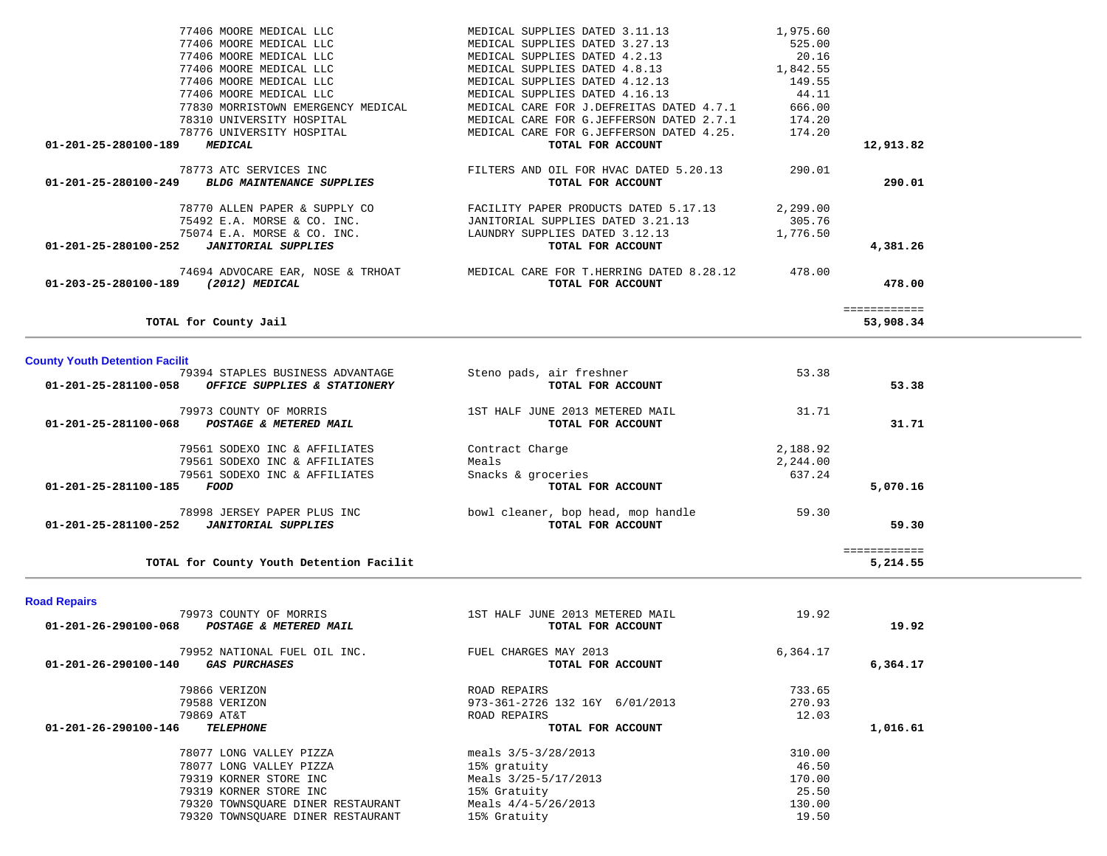| 77406 MOORE MEDICAL LLC                                                   | MEDICAL SUPPLIES DATED 3.11.13           | 1,975.60 |              |  |
|---------------------------------------------------------------------------|------------------------------------------|----------|--------------|--|
| 77406 MOORE MEDICAL LLC                                                   | MEDICAL SUPPLIES DATED 3.27.13           | 525.00   |              |  |
| 77406 MOORE MEDICAL LLC                                                   | MEDICAL SUPPLIES DATED 4.2.13            | 20.16    |              |  |
| 77406 MOORE MEDICAL LLC                                                   | MEDICAL SUPPLIES DATED 4.8.13            | 1,842.55 |              |  |
| 77406 MOORE MEDICAL LLC                                                   | MEDICAL SUPPLIES DATED 4.12.13           | 149.55   |              |  |
| 77406 MOORE MEDICAL LLC                                                   | MEDICAL SUPPLIES DATED 4.16.13           | 44.11    |              |  |
| 77830 MORRISTOWN EMERGENCY MEDICAL                                        | MEDICAL CARE FOR J.DEFREITAS DATED 4.7.1 | 666.00   |              |  |
| 78310 UNIVERSITY HOSPITAL                                                 | MEDICAL CARE FOR G.JEFFERSON DATED 2.7.1 | 174.20   |              |  |
| 78776 UNIVERSITY HOSPITAL                                                 | MEDICAL CARE FOR G.JEFFERSON DATED 4.25. | 174.20   |              |  |
| 01-201-25-280100-189<br><b>MEDICAL</b>                                    | TOTAL FOR ACCOUNT                        |          | 12,913.82    |  |
|                                                                           |                                          |          |              |  |
| 78773 ATC SERVICES INC                                                    | FILTERS AND OIL FOR HVAC DATED 5.20.13   | 290.01   |              |  |
| 01-201-25-280100-249<br><b>BLDG MAINTENANCE SUPPLIES</b>                  | TOTAL FOR ACCOUNT                        |          | 290.01       |  |
|                                                                           |                                          |          |              |  |
| 78770 ALLEN PAPER & SUPPLY CO                                             | FACILITY PAPER PRODUCTS DATED 5.17.13    | 2,299.00 |              |  |
| 75492 E.A. MORSE & CO. INC.                                               | JANITORIAL SUPPLIES DATED 3.21.13        | 305.76   |              |  |
| 75074 E.A. MORSE & CO. INC.                                               | LAUNDRY SUPPLIES DATED 3.12.13           | 1,776.50 |              |  |
| <b>JANITORIAL SUPPLIES</b><br>01-201-25-280100-252                        | TOTAL FOR ACCOUNT                        |          | 4,381.26     |  |
|                                                                           |                                          |          |              |  |
| 74694 ADVOCARE EAR, NOSE & TRHOAT                                         | MEDICAL CARE FOR T.HERRING DATED 8.28.12 | 478.00   |              |  |
| <i>(2012) MEDICAL</i><br>01-203-25-280100-189                             | TOTAL FOR ACCOUNT                        |          | 478.00       |  |
|                                                                           |                                          |          |              |  |
|                                                                           |                                          |          | ============ |  |
| TOTAL for County Jail                                                     |                                          |          | 53,908.34    |  |
| <b>County Youth Detention Facilit</b><br>79394 STAPLES BUSINESS ADVANTAGE | Steno pads, air freshner                 | 53.38    |              |  |
| 01-201-25-281100-058<br>OFFICE SUPPLIES & STATIONERY                      | TOTAL FOR ACCOUNT                        |          | 53.38        |  |
| 79973 COUNTY OF MORRIS                                                    | 1ST HALF JUNE 2013 METERED MAIL          | 31.71    |              |  |
| 01-201-25-281100-068<br>POSTAGE & METERED MAIL                            | TOTAL FOR ACCOUNT                        |          | 31.71        |  |
|                                                                           |                                          |          |              |  |
| 79561 SODEXO INC & AFFILIATES                                             | Contract Charge                          | 2,188.92 |              |  |
| 79561 SODEXO INC & AFFILIATES                                             | Meals                                    | 2,244.00 |              |  |
| 79561 SODEXO INC & AFFILIATES                                             | Snacks & groceries                       | 637.24   |              |  |
| 01-201-25-281100-185<br>FOOD                                              | TOTAL FOR ACCOUNT                        |          | 5,070.16     |  |
|                                                                           |                                          |          |              |  |
| 78998 JERSEY PAPER PLUS INC                                               | bowl cleaner, bop head, mop handle       | 59.30    |              |  |
|                                                                           | TOTAL FOR ACCOUNT                        |          | 59.30        |  |
|                                                                           |                                          |          |              |  |
|                                                                           |                                          |          | ============ |  |
| TOTAL for County Youth Detention Facilit                                  |                                          |          | 5,214.55     |  |
|                                                                           |                                          |          |              |  |
| <b>Road Repairs</b>                                                       |                                          | 19.92    |              |  |
| 79973 COUNTY OF MORRIS<br>01-201-26-290100-068<br>POSTAGE & METERED MAIL  | 1ST HALF JUNE 2013 METERED MAIL          |          | 19.92        |  |
|                                                                           | TOTAL FOR ACCOUNT                        |          |              |  |

| <u> 501 AU AJUIUU UUU</u><br>rvoince a neighbor naid                                | 10189 108 200011                           |          | .        |
|-------------------------------------------------------------------------------------|--------------------------------------------|----------|----------|
| 79952 NATIONAL FUEL OIL INC.<br>01-201-26-290100-140<br><i><b>GAS PURCHASES</b></i> | FUEL CHARGES MAY 2013<br>TOTAL FOR ACCOUNT | 6,364.17 | 6,364.17 |
| 79866 VERIZON                                                                       | ROAD REPAIRS                               | 733.65   |          |
| 79588 VERIZON                                                                       | 973-361-2726 132 16Y 6/01/2013             | 270.93   |          |
| 79869 AT&T                                                                          | ROAD REPAIRS                               | 12.03    |          |
| 01-201-26-290100-146<br><b>TELEPHONE</b>                                            | TOTAL FOR ACCOUNT                          |          | 1,016.61 |
| 78077 LONG VALLEY PIZZA                                                             | meals $3/5 - 3/28/2013$                    | 310.00   |          |
| 78077 LONG VALLEY PIZZA                                                             | 15% gratuity                               | 46.50    |          |
| 79319 KORNER STORE INC                                                              | Meals $3/25 - 5/17/2013$                   | 170.00   |          |
| 79319 KORNER STORE INC                                                              | 15% Gratuity                               | 25.50    |          |
| 79320 TOWNSOUARE DINER RESTAURANT                                                   | Meals $4/4 - 5/26/2013$                    | 130.00   |          |
| 79320 TOWNSOUARE DINER RESTAURANT                                                   | 15% Gratuity                               | 19.50    |          |
|                                                                                     |                                            |          |          |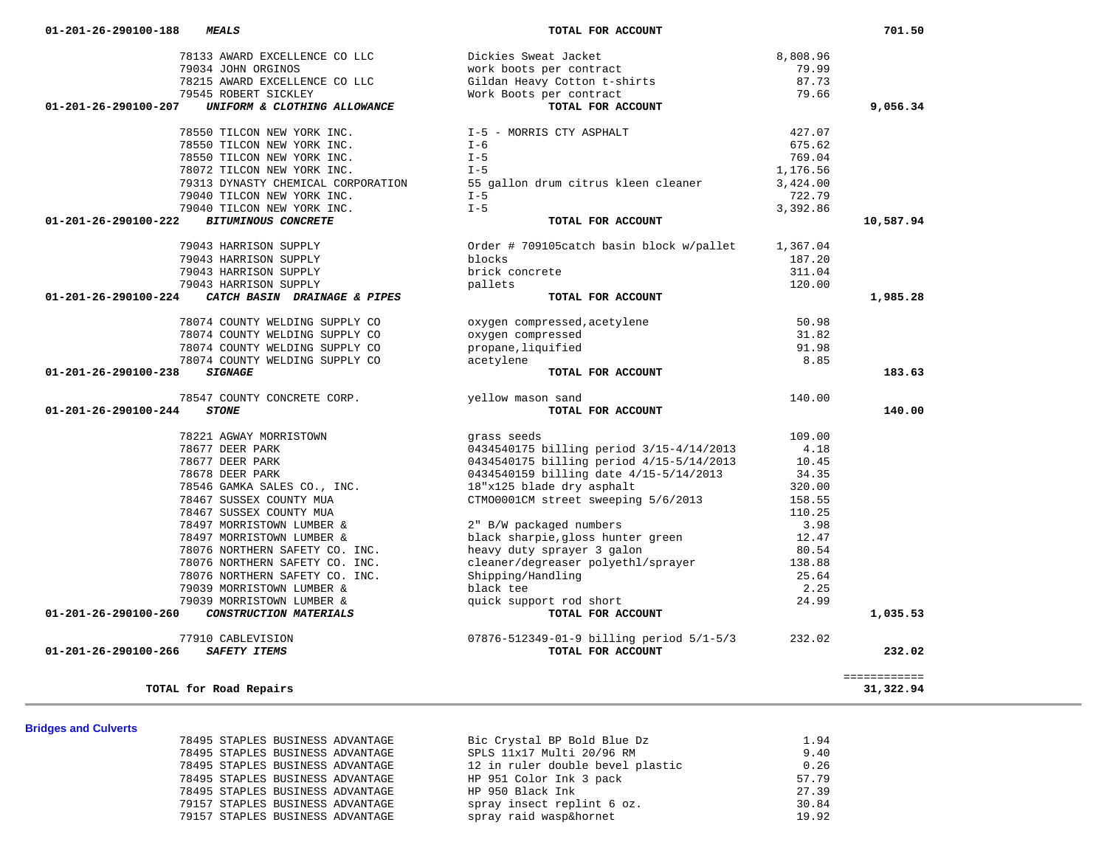| 78221 AGWAY MORRISTOWN                         | grass seeds                              | 109.00 |                           |
|------------------------------------------------|------------------------------------------|--------|---------------------------|
| 78677 DEER PARK                                | 0434540175 billing period 3/15-4/14/2013 | 4.18   |                           |
| 78677 DEER PARK                                | 0434540175 billing period 4/15-5/14/2013 | 10.45  |                           |
| 78678 DEER PARK                                | 0434540159 billing date 4/15-5/14/2013   | 34.35  |                           |
| 78546 GAMKA SALES CO., INC.                    | 18"x125 blade dry asphalt                | 320.00 |                           |
| 78467 SUSSEX COUNTY MUA                        | CTM00001CM street sweeping 5/6/2013      | 158.55 |                           |
| 78467 SUSSEX COUNTY MUA                        |                                          | 110.25 |                           |
| 78497 MORRISTOWN LUMBER &                      | 2" B/W packaged numbers                  | 3.98   |                           |
| 78497 MORRISTOWN LUMBER &                      | black sharpie, gloss hunter green        | 12.47  |                           |
| 78076 NORTHERN SAFETY CO. INC.                 | heavy duty sprayer 3 galon               | 80.54  |                           |
| 78076 NORTHERN SAFETY CO. INC.                 | cleaner/degreaser polyethl/sprayer       | 138.88 |                           |
| 78076 NORTHERN SAFETY CO. INC.                 | Shipping/Handling                        | 25.64  |                           |
| 79039 MORRISTOWN LUMBER &                      | black tee                                | 2.25   |                           |
| 79039 MORRISTOWN LUMBER &                      | quick support rod short                  | 24.99  |                           |
| 01-201-26-290100-260<br>CONSTRUCTION MATERIALS | TOTAL FOR ACCOUNT                        |        | 1,035.53                  |
| 77910 CABLEVISION                              | 07876-512349-01-9 billing period 5/1-5/3 | 232.02 |                           |
| 01-201-26-290100-266<br><b>SAFETY ITEMS</b>    | TOTAL FOR ACCOUNT                        |        | 232.02                    |
| TOTAL for Road Repairs                         |                                          |        | ============<br>31,322.94 |
| <b>Bridges and Culverts</b>                    |                                          |        |                           |
| 78495 STAPLES BUSINESS ADVANTAGE               | Bic Crystal BP Bold Blue Dz              | 1.94   |                           |
| 78495 STAPLES BUSINESS ADVANTAGE               | SPLS 11x17 Multi 20/96 RM                | 9.40   |                           |
| 78495 STAPLES BUSINESS ADVANTAGE               | 12 in ruler double bevel plastic         | 0.26   |                           |
| 78495 STAPLES BUSINESS ADVANTAGE               | HP 951 Color Ink 3 pack                  | 57.79  |                           |
| 78495 STAPLES BUSINESS ADVANTAGE               | HP 950 Black Ink                         | 27.39  |                           |
| 79157 STAPLES BUSINESS ADVANTAGE               | spray insect replint 6 oz.               | 30.84  |                           |
| 79157 STAPLES BUSINESS ADVANTAGE               | spray raid wasp&hornet                   | 19.92  |                           |

|                                      | 79040 TILCON NEW YORK INC. |  |  |
|--------------------------------------|----------------------------|--|--|
| 01-26-290100-222 BITUMINOUS CONCRETE |                            |  |  |
|                                      |                            |  |  |
|                                      | 79043 HARRISON SUPPLY      |  |  |
|                                      | 79043 HARRISON SUPPLY      |  |  |

| 78133 AWARD EXCELLENCE CO LLC                     |
|---------------------------------------------------|
| 79034 JOHN ORGINOS                                |
| 78215 AWARD EXCELLENCE CO LLC                     |
| 79545 ROBERT SICKLEY                              |
| 01-201-26-290100-207 UNIFORM & CLOTHING ALLOWANCE |
|                                                   |
| 78550 TILCON NEW YORK INC.                        |
| 78550 TILCON NEW YORK INC.                        |
| 78550 TILCON NEW YORK INC.                        |
| 78072 TILCON NEW YORK INC.                        |
| 79313 DYNASTY CHEMICAL CORPORATIO                 |
| 79040 TILCON NEW YORK INC.                        |
| $70010$ mit don nuu vonv tha                      |

| 78133 AWARD EXCELLENCE CO LLC<br>79034 JOHN ORGINOS                          | Dickies Sweat Jacket<br>work boots per contract | 8,808.96<br>79.99 |           |
|------------------------------------------------------------------------------|-------------------------------------------------|-------------------|-----------|
| 78215 AWARD EXCELLENCE CO LLC                                                | Gildan Heavy Cotton t-shirts                    | 87.73             |           |
| 79545 ROBERT SICKLEY<br>UNIFORM & CLOTHING ALLOWANCE<br>01-201-26-290100-207 | Work Boots per contract<br>TOTAL FOR ACCOUNT    | 79.66             | 9,056.34  |
|                                                                              |                                                 |                   |           |
| 78550 TILCON NEW YORK INC.                                                   | I-5 - MORRIS CTY ASPHALT                        | 427.07            |           |
| 78550 TILCON NEW YORK INC.                                                   | $I - 6$                                         | 675.62            |           |
| 78550 TILCON NEW YORK INC.                                                   | $I - 5$                                         | 769.04            |           |
| 78072 TILCON NEW YORK INC.                                                   | $I - 5$                                         | 1,176.56          |           |
| 79313 DYNASTY CHEMICAL CORPORATION                                           | 55 gallon drum citrus kleen cleaner             | 3,424.00          |           |
| 79040 TILCON NEW YORK INC.                                                   | $I - 5$                                         | 722.79            |           |
| 79040 TILCON NEW YORK INC.                                                   | $I - 5$                                         | 3,392.86          |           |
| 01-201-26-290100-222<br><b>BITUMINOUS CONCRETE</b>                           | TOTAL FOR ACCOUNT                               |                   | 10,587.94 |
| 79043 HARRISON SUPPLY                                                        | Order # 709105catch basin block w/pallet        | 1,367.04          |           |
| 79043 HARRISON SUPPLY                                                        | blocks                                          | 187.20            |           |
| 79043 HARRISON SUPPLY                                                        | brick concrete                                  | 311.04            |           |
| 79043 HARRISON SUPPLY                                                        | pallets                                         | 120.00            |           |
| 01-201-26-290100-224<br>CATCH BASIN DRAINAGE & PIPES                         | TOTAL FOR ACCOUNT                               |                   | 1,985.28  |
| 78074 COUNTY WELDING SUPPLY CO                                               | oxygen compressed, acetylene                    | 50.98             |           |
| 78074 COUNTY WELDING SUPPLY CO                                               | oxygen compressed                               | 31.82             |           |
| 78074 COUNTY WELDING SUPPLY CO                                               | propane, liquified                              | 91.98             |           |
| 78074 COUNTY WELDING SUPPLY CO                                               | acetylene                                       | 8.85              |           |
| 01-201-26-290100-238<br><b>SIGNAGE</b>                                       | TOTAL FOR ACCOUNT                               |                   | 183.63    |
| 78547 COUNTY CONCRETE CORP.                                                  | yellow mason sand                               | 140.00            |           |
| 01-201-26-290100-244<br><b>STONE</b>                                         | TOTAL FOR ACCOUNT                               |                   | 140.00    |
| 78221 AGWAY MORRISTOWN                                                       | qrass seeds                                     | 109.00            |           |
| 78677 DEER PARK                                                              | 0434540175 billing period 3/15-4/14/2013        | 4.18              |           |
| 78677 DEER PARK                                                              | 0434540175 billing period 4/15-5/14/2013        | 10.45             |           |
| 78678 DEER PARK                                                              | 0434540159 billing date 4/15-5/14/2013          | 34.35             |           |
| 78546 GAMKA SALES CO., INC.                                                  | 18"x125 blade dry asphalt                       | 320.00            |           |
| 78467 SUSSEX COUNTY MUA                                                      | CTM00001CM street sweeping 5/6/2013             | 158.55            |           |
| 78467 SUSSEX COUNTY MUA                                                      |                                                 | 110.25            |           |
| 78497 MORRISTOWN LUMBER &                                                    | 2" B/W packaged numbers                         | 3.98              |           |
| 78497 MORRISTOWN LUMBER &                                                    | black sharpie, gloss hunter green               | 12.47             |           |
| 78076 NORTHERN SAFETY CO. INC.                                               | heavy duty sprayer 3 galon                      | 80.54             |           |
| 78076 NORTHERN SAFETY CO. INC.                                               | cleaner/degreaser polyethl/sprayer              | 138.88            |           |
| 78076 NORTHERN SAFETY CO. INC.                                               | Shipping/Handling                               | 25.64             |           |
| 79039 MORRISTOWN LUMBER &                                                    | black tee                                       | 2.25              |           |
| 79039 MORRISTOWN LUMBER &                                                    | quick support rod short                         | 24.99             |           |
| 01-201-26-290100-260<br>CONSTRUCTION MATERIALS                               | TOTAL FOR ACCOUNT                               |                   | 1,035.53  |
| 77910 CABLEVISION                                                            | 07876-512349-01-9 billing period 5/1-5/3        | 232.02            |           |
| 01-201-26-290100-266<br>SAFETY ITEMS                                         | TOTAL FOR ACCOUNT                               |                   | 232.02    |
|                                                                              |                                                 |                   |           |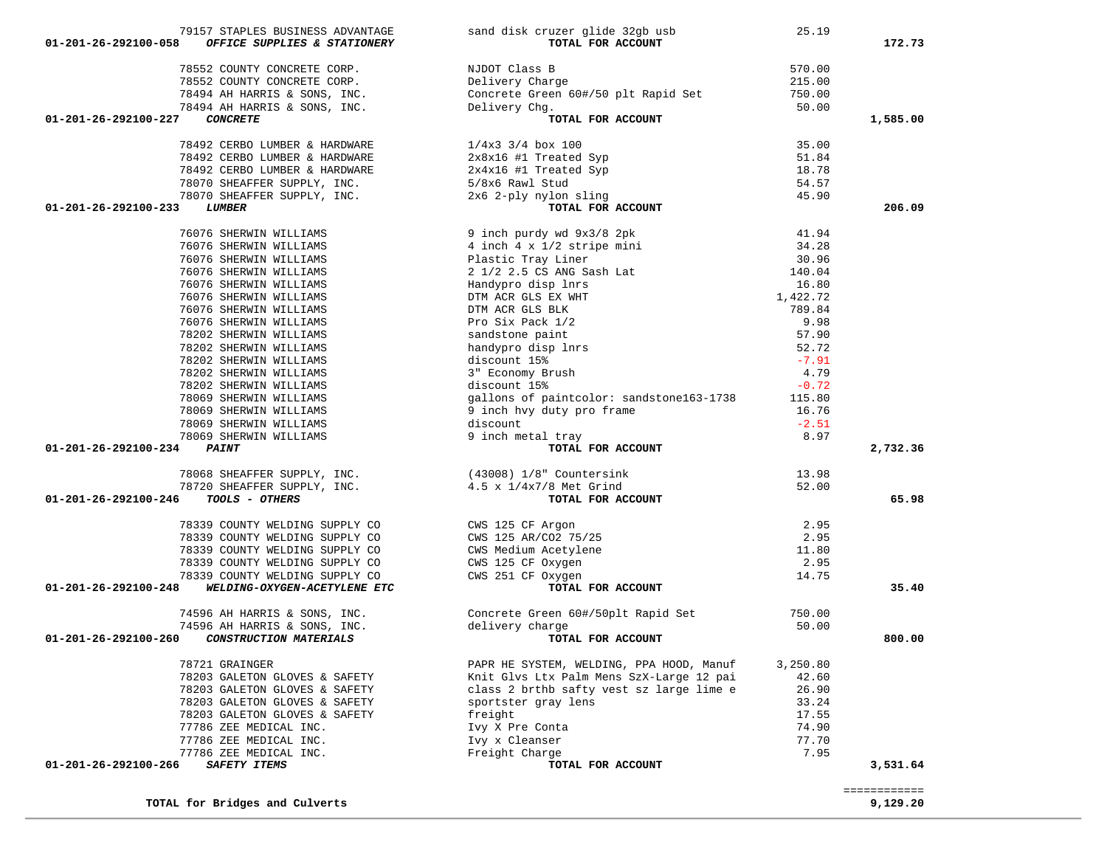| $01 - 201 - 26 - 292100 - 058$ | 79157 STAPLES BUSINESS ADVANTAGE<br>OFFICE SUPPLIES & STATIONERY  | sand disk cruzer glide 32gb usb<br>TOTAL FOR ACCOUNT                                                                                                                                                                                                                                                                                                                                                                              | 25.19    | 172.73       |
|--------------------------------|-------------------------------------------------------------------|-----------------------------------------------------------------------------------------------------------------------------------------------------------------------------------------------------------------------------------------------------------------------------------------------------------------------------------------------------------------------------------------------------------------------------------|----------|--------------|
|                                | 78552 COUNTY CONCRETE CORP.                                       | NJDOT Class B                                                                                                                                                                                                                                                                                                                                                                                                                     | 570.00   |              |
|                                | 78552 COUNTY CONCRETE CORP.                                       | Delivery Charge<br>Concrete Green 60#/50 plt Rapid Set<br>Delivery Charge                                                                                                                                                                                                                                                                                                                                                         | 215.00   |              |
|                                | 78494 AH HARRIS & SONS, INC.                                      |                                                                                                                                                                                                                                                                                                                                                                                                                                   | 750.00   |              |
|                                | 78494 AH HARRIS & SONS, INC.                                      | Delivery Chg.                                                                                                                                                                                                                                                                                                                                                                                                                     | 50.00    |              |
| 01-201-26-292100-227           | <b>CONCRETE</b>                                                   | TOTAL FOR ACCOUNT                                                                                                                                                                                                                                                                                                                                                                                                                 |          | 1,585.00     |
|                                | 78492 CERBO LUMBER & HARDWARE                                     |                                                                                                                                                                                                                                                                                                                                                                                                                                   | 35.00    |              |
|                                | 78492 CERBO LUMBER & HARDWARE                                     |                                                                                                                                                                                                                                                                                                                                                                                                                                   | 51.84    |              |
|                                | 78492 CERBO LUMBER & HARDWARE                                     |                                                                                                                                                                                                                                                                                                                                                                                                                                   | 18.78    |              |
|                                | 78070 SHEAFFER SUPPLY, INC.                                       |                                                                                                                                                                                                                                                                                                                                                                                                                                   | 54.57    |              |
|                                | 78070 SHEAFFER SUPPLY, INC.                                       |                                                                                                                                                                                                                                                                                                                                                                                                                                   | 45.90    |              |
| 01-201-26-292100-233           | <b>LUMBER</b>                                                     | $\begin{array}{c} 20 \text{ A} \\ -10 \text{ A} \\ 2 \text{ A} \text{ A} \\ 1 \text{ A} \\ 2 \text{ B} \\ 2 \text{ B} \\ 2 \text{ C} \\ 2 \text{ C} \\ 2 \text{ D} \\ 1 \text{ C} \\ 3 \text{ D} \\ 4 \text{ D} \\ 5 \text{ D} \\ 6 \text{ D} \\ 7 \text{ D} \\ 8 \text{ D} \\ 1 \text{ D} \\ 1 \text{ D} \\ 1 \text{ D} \\ 1 \text{ D} \\ 1 \text{ D} \\ 1 \text{ D} \\ 1 \text{ D} \\ 1 \text{ D} \\ 1 \text{ D} \\ 1 \text{ D$ |          | 206.09       |
|                                | 76076 SHERWIN WILLIAMS                                            |                                                                                                                                                                                                                                                                                                                                                                                                                                   | 41.94    |              |
|                                | 76076 SHERWIN WILLIAMS                                            | 4 inch 4 x 1/2 stripe mini                                                                                                                                                                                                                                                                                                                                                                                                        | 34.28    |              |
|                                | 76076 SHERWIN WILLIAMS                                            | Plastic Tray Liner                                                                                                                                                                                                                                                                                                                                                                                                                | 30.96    |              |
|                                | 76076 SHERWIN WILLIAMS                                            | 2 1/2 2.5 CS ANG Sash Lat                                                                                                                                                                                                                                                                                                                                                                                                         | 140.04   |              |
|                                | 76076 SHERWIN WILLIAMS                                            | Handypro disp lnrs                                                                                                                                                                                                                                                                                                                                                                                                                | 16.80    |              |
|                                | 76076 SHERWIN WILLIAMS                                            | DTM ACR GLS EX WHT                                                                                                                                                                                                                                                                                                                                                                                                                | 1,422.72 |              |
|                                | 76076 SHERWIN WILLIAMS                                            | DTM ACR GLS BLK                                                                                                                                                                                                                                                                                                                                                                                                                   | 789.84   |              |
|                                | 76076 SHERWIN WILLIAMS                                            | Pro Six Pack 1/2                                                                                                                                                                                                                                                                                                                                                                                                                  | 9.98     |              |
|                                | 78202 SHERWIN WILLIAMS                                            | sandstone paint                                                                                                                                                                                                                                                                                                                                                                                                                   | 57.90    |              |
|                                | 78202 SHERWIN WILLIAMS                                            | handypro disp lnrs                                                                                                                                                                                                                                                                                                                                                                                                                | 52.72    |              |
|                                | 78202 SHERWIN WILLIAMS                                            | discount 15%                                                                                                                                                                                                                                                                                                                                                                                                                      | $-7.91$  |              |
|                                | 78202 SHERWIN WILLIAMS                                            | 3" Economy Brush                                                                                                                                                                                                                                                                                                                                                                                                                  | 4.79     |              |
|                                | 78202 SHERWIN WILLIAMS                                            | discount 15%                                                                                                                                                                                                                                                                                                                                                                                                                      | $-0.72$  |              |
|                                | 78069 SHERWIN WILLIAMS                                            | gallons of paintcolor: sandstone163-1738                                                                                                                                                                                                                                                                                                                                                                                          | 115.80   |              |
|                                | 78069 SHERWIN WILLIAMS                                            | 9 inch hvy duty pro frame<br>discount                                                                                                                                                                                                                                                                                                                                                                                             | 16.76    |              |
|                                | 78069 SHERWIN WILLIAMS                                            |                                                                                                                                                                                                                                                                                                                                                                                                                                   | $-2.51$  |              |
|                                | 78069 SHERWIN WILLIAMS                                            | 9 inch metal tray                                                                                                                                                                                                                                                                                                                                                                                                                 | 8.97     |              |
| 01-201-26-292100-234           | <b>PAINT</b>                                                      | TOTAL FOR ACCOUNT                                                                                                                                                                                                                                                                                                                                                                                                                 |          | 2,732.36     |
|                                | 78068 SHEAFFER SUPPLY, INC. (43008) 1/8" Countersink              |                                                                                                                                                                                                                                                                                                                                                                                                                                   | 13.98    |              |
|                                | 78720 SHEAFFER SUPPLY, INC. $4.5 \times 1/4 \times 7/8$ Met Grind |                                                                                                                                                                                                                                                                                                                                                                                                                                   | 52.00    |              |
| 01-201-26-292100-246           | TOOLS - OTHERS                                                    | TOTAL FOR ACCOUNT                                                                                                                                                                                                                                                                                                                                                                                                                 |          | 65.98        |
|                                | 78339 COUNTY WELDING SUPPLY CO                                    | CWS 125 CF Argon                                                                                                                                                                                                                                                                                                                                                                                                                  | 2.95     |              |
|                                | 78339 COUNTY WELDING SUPPLY CO                                    | CWS 125 AR/CO2 75/25                                                                                                                                                                                                                                                                                                                                                                                                              | 2.95     |              |
|                                | 78339 COUNTY WELDING SUPPLY CO                                    | CWS Medium Acetylene                                                                                                                                                                                                                                                                                                                                                                                                              | 11.80    |              |
|                                | 78339 COUNTY WELDING SUPPLY CO                                    | CWS 125 CF Oxygen                                                                                                                                                                                                                                                                                                                                                                                                                 | 2.95     |              |
|                                | 78339 COUNTY WELDING SUPPLY CO                                    | CWS 251 CF Oxygen                                                                                                                                                                                                                                                                                                                                                                                                                 | 14.75    |              |
| 01-201-26-292100-248           | WELDING-OXYGEN-ACETYLENE ETC                                      | TOTAL FOR ACCOUNT                                                                                                                                                                                                                                                                                                                                                                                                                 |          | 35.40        |
|                                | 74596 AH HARRIS & SONS, INC.                                      | Concrete Green 60#/50plt Rapid Set                                                                                                                                                                                                                                                                                                                                                                                                | 750.00   |              |
|                                | 74596 AH HARRIS & SONS, INC.                                      | delivery charge                                                                                                                                                                                                                                                                                                                                                                                                                   | 50.00    |              |
| 01-201-26-292100-260           | CONSTRUCTION MATERIALS                                            | TOTAL FOR ACCOUNT                                                                                                                                                                                                                                                                                                                                                                                                                 |          | 800.00       |
|                                | 78721 GRAINGER                                                    | PAPR HE SYSTEM, WELDING, PPA HOOD, Manuf                                                                                                                                                                                                                                                                                                                                                                                          | 3,250.80 |              |
|                                | 78203 GALETON GLOVES & SAFETY                                     | Knit Glvs Ltx Palm Mens SzX-Large 12 pai                                                                                                                                                                                                                                                                                                                                                                                          | 42.60    |              |
|                                | 78203 GALETON GLOVES & SAFETY                                     | class 2 brthb safty vest sz large lime e                                                                                                                                                                                                                                                                                                                                                                                          | 26.90    |              |
|                                | 78203 GALETON GLOVES & SAFETY                                     | sportster gray lens                                                                                                                                                                                                                                                                                                                                                                                                               | 33.24    |              |
|                                | 78203 GALETON GLOVES & SAFETY                                     | freight                                                                                                                                                                                                                                                                                                                                                                                                                           | 17.55    |              |
|                                | 77786 ZEE MEDICAL INC.                                            | Ivy X Pre Conta                                                                                                                                                                                                                                                                                                                                                                                                                   | 74.90    |              |
|                                | 77786 ZEE MEDICAL INC.                                            | Ivy x Cleanser                                                                                                                                                                                                                                                                                                                                                                                                                    | 77.70    |              |
|                                | 77786 ZEE MEDICAL INC.                                            | Freight Charge                                                                                                                                                                                                                                                                                                                                                                                                                    | 7.95     |              |
| 01-201-26-292100-266           | <b>SAFETY ITEMS</b>                                               | TOTAL FOR ACCOUNT                                                                                                                                                                                                                                                                                                                                                                                                                 |          | 3,531.64     |
|                                |                                                                   |                                                                                                                                                                                                                                                                                                                                                                                                                                   |          | ============ |
|                                | TOTAL for Bridges and Culverts                                    |                                                                                                                                                                                                                                                                                                                                                                                                                                   |          | 9,129.20     |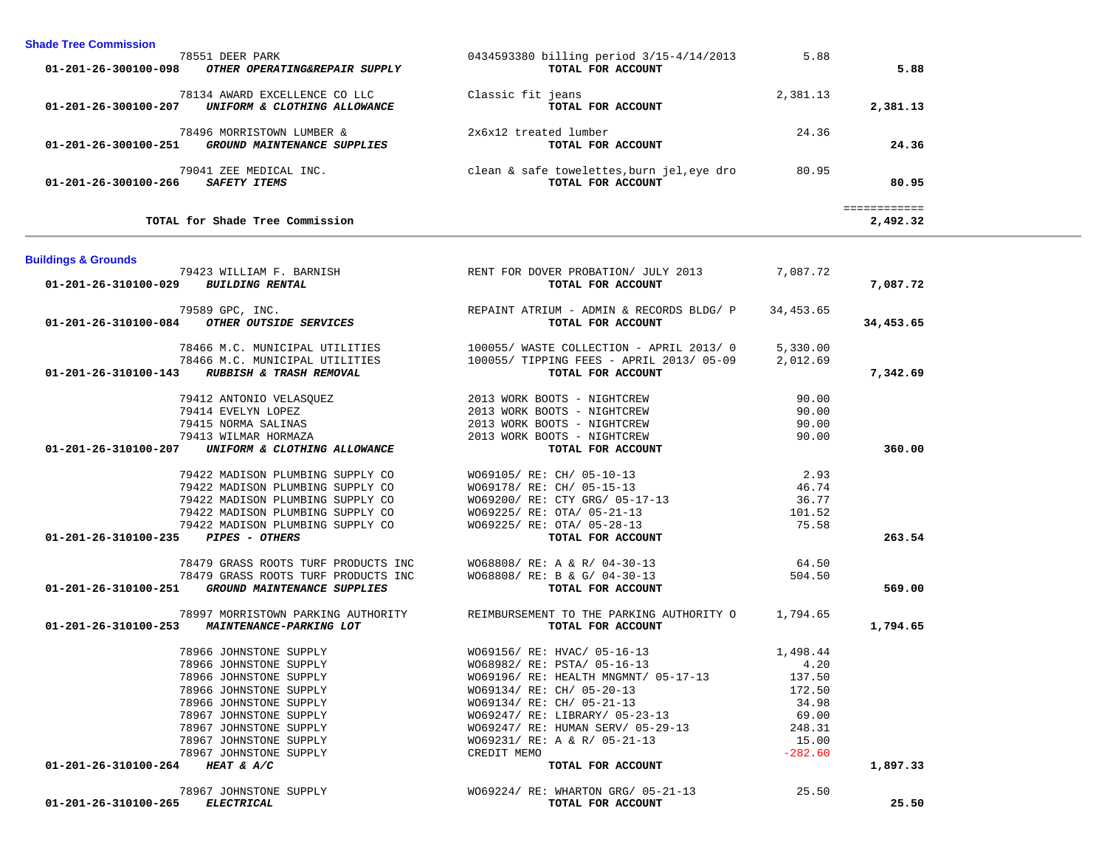| 01-201-26-300100-207<br>UNIFORM & CLOTHING ALLOWANCE                                                                                                                             | TOTAL FOR ACCOUNT                                                                                                                                                            |           | 2,381.13                 |  |
|----------------------------------------------------------------------------------------------------------------------------------------------------------------------------------|------------------------------------------------------------------------------------------------------------------------------------------------------------------------------|-----------|--------------------------|--|
| 78496 MORRISTOWN LUMBER &<br>GROUND MAINTENANCE SUPPLIES<br>01-201-26-300100-251                                                                                                 | 2x6x12 treated lumber<br>TOTAL FOR ACCOUNT                                                                                                                                   | 24.36     | 24.36                    |  |
| 01-201-26-300100-266 SAFETY ITEMS                                                                                                                                                |                                                                                                                                                                              |           | 80.95                    |  |
| TOTAL for Shade Tree Commission                                                                                                                                                  |                                                                                                                                                                              |           | ============<br>2,492.32 |  |
| <b>Buildings &amp; Grounds</b>                                                                                                                                                   |                                                                                                                                                                              |           |                          |  |
|                                                                                                                                                                                  | 79423 WILLIAM F. BARNISH TO RENT FOR DOVER PROBATION/ JULY 2013                                                                                                              | 7,087.72  |                          |  |
| 01-201-26-310100-029 BUILDING RENTAL                                                                                                                                             | TOTAL FOR ACCOUNT                                                                                                                                                            |           | 7,087.72                 |  |
| $79589\text{ GPC}\text{, INC.}\\ 01-201-26-310100-084\text{ OTHER OUTSIDE SERVICES}$                                                                                             | REPAINT ATRIUM - ADMIN & RECORDS BLDG/ P<br>TOTAL FOR ACCOUNT                                                                                                                | 34,453.65 | 34,453.65                |  |
|                                                                                                                                                                                  |                                                                                                                                                                              | 5,330,00  |                          |  |
|                                                                                                                                                                                  | 78466 M.C. MUNICIPAL UTILITIES (100055/WASTE COLLECTION - APRIL 2013/0<br>78466 M.C. MUNICIPAL UTILITIES (100055/TIPPING FEES - APRIL 2013/05-09                             | 2,012.69  |                          |  |
| 78466 M.C. MUNICIPAL UTILITIES<br>01-201-26-310100-143 RUBBISH & TRASH REMOVAL                                                                                                   | TOTAL FOR ACCOUNT<br>2013 WORK BOOTS - NIGHTCREW<br>2013 WORK BOOTS - NIGHTCREW<br>2013 WORK BOOTS - NIGHTCREW<br>2013 WORK BOOTS - NIGHTCREW<br>2013 WORK BOOTS - NIGHTCREW |           | 7,342.69                 |  |
| 79412 ANTONIO VELASQUEZ                                                                                                                                                          |                                                                                                                                                                              | 90.00     |                          |  |
| 79414 EVELYN LOPEZ                                                                                                                                                               |                                                                                                                                                                              | 90.00     |                          |  |
| 79415 NORMA SALINAS                                                                                                                                                              |                                                                                                                                                                              | 90.00     |                          |  |
| 79413 WILMAR HORMAZA                                                                                                                                                             |                                                                                                                                                                              | 90.00     |                          |  |
| 01-201-26-310100-207 UNIFORM & CLOTHING ALLOWANCE                                                                                                                                | TOTAL FOR ACCOUNT                                                                                                                                                            |           | 360.00                   |  |
| 79422 MADISON PLUMBING SUPPLY CO<br>79422 MADISON PLUMBING SUPPLY CO<br>79422 MADISON PLUMBING SUPPLY CO<br>79422 MADISON PLUMBING SUPPLY CO<br>79422 MADISON PLUMBING SUPPLY CO | W069105/ RE: CH/ 05-10-13                                                                                                                                                    | 2.93      |                          |  |
|                                                                                                                                                                                  | WO69178/ RE: CH/ 05-15-13                                                                                                                                                    | 46.74     |                          |  |
|                                                                                                                                                                                  | WO69200/ RE: CTY GRG/ 05-17-13                                                                                                                                               | 36.77     |                          |  |
|                                                                                                                                                                                  | WO69225/ RE: OTA/ 05-21-13                                                                                                                                                   | 101.52    |                          |  |
|                                                                                                                                                                                  | W069225/ RE: OTA/ 05-28-13                                                                                                                                                   | 75.58     |                          |  |
| 01-201-26-310100-235 PIPES - OTHERS                                                                                                                                              | TOTAL FOR ACCOUNT                                                                                                                                                            |           | 263.54                   |  |
| 78479 GRASS ROOTS TURF PRODUCTS INC                                                                                                                                              | W068808/ RE: A & R/ 04-30-13<br>W068808/ RE: B & G/ 04-30-13<br>------ POP ACCOUNT                                                                                           | 64.50     |                          |  |
| 78479 GRASS ROOTS TURF PRODUCTS INC                                                                                                                                              |                                                                                                                                                                              | 504.50    |                          |  |
| 01-201-26-310100-251<br>GROUND MAINTENANCE SUPPLIES                                                                                                                              |                                                                                                                                                                              |           | 569.00                   |  |
| 78997 MORRISTOWN PARKING AUTHORITY                                                                                                                                               | REIMBURSEMENT TO THE PARKING AUTHORITY 0 1,794.65                                                                                                                            |           |                          |  |
| 01-201-26-310100-253<br>MAINTENANCE-PARKING LOT                                                                                                                                  | TOTAL FOR ACCOUNT                                                                                                                                                            |           | 1,794.65                 |  |
| 78966 JOHNSTONE SUPPLY                                                                                                                                                           |                                                                                                                                                                              | 1,498.44  |                          |  |
| 78966 JOHNSTONE SUPPLY                                                                                                                                                           | WO69156/ RE: HVAC/ 05-16-13<br>WO68982/ RE: PSTA/ 05-16-13                                                                                                                   | 4.20      |                          |  |
| 78966 JOHNSTONE SUPPLY                                                                                                                                                           | WO69196/RE: HEALTH MNGMNT/ 05-17-13                                                                                                                                          | 137.50    |                          |  |
| 78966 JOHNSTONE SUPPLY                                                                                                                                                           | WO69134/ RE: CH/ 05-20-13                                                                                                                                                    | 172.50    |                          |  |
| 78966 JOHNSTONE SUPPLY                                                                                                                                                           | WO69134/ RE: CH/ 05-21-13                                                                                                                                                    | 34.98     |                          |  |
| 78967 JOHNSTONE SUPPLY                                                                                                                                                           |                                                                                                                                                                              | 69.00     |                          |  |
| 78967 JOHNSTONE SUPPLY                                                                                                                                                           | WO69247/ RE: HUMAN SERV/ 05-29-13                                                                                                                                            | 248.31    |                          |  |
| 78967 JOHNSTONE SUPPLY                                                                                                                                                           | W069231/ RE: A & R/ 05-21-13                                                                                                                                                 | 15.00     |                          |  |
| 78967 JOHNSTONE SUPPLY                                                                                                                                                           | CREDIT MEMO                                                                                                                                                                  | $-282.60$ |                          |  |
| 01-201-26-310100-264 HEAT & A/C                                                                                                                                                  | TOTAL FOR ACCOUNT                                                                                                                                                            |           | 1,897.33                 |  |
| 78967 JOHNSTONE SUPPLY                                                                                                                                                           | W069224/ RE: WHARTON GRG/ 05-21-13                                                                                                                                           | 25.50     |                          |  |
| 01-201-26-310100-265 ELECTRICAL                                                                                                                                                  | TOTAL FOR ACCOUNT                                                                                                                                                            |           | 25.50                    |  |
|                                                                                                                                                                                  |                                                                                                                                                                              |           |                          |  |

78551 DEER PARK 0434593380 billing period 3/15-4/14/2013 5.88  **01-201-26-300100-098** *OTHER OPERATING&REPAIR SUPPLY* **TOTAL FOR ACCOUNT 5.88**

78134 AWARD EXCELLENCE CO LLC Classic fit jeans 2,381.13

**Shade Tree Commission**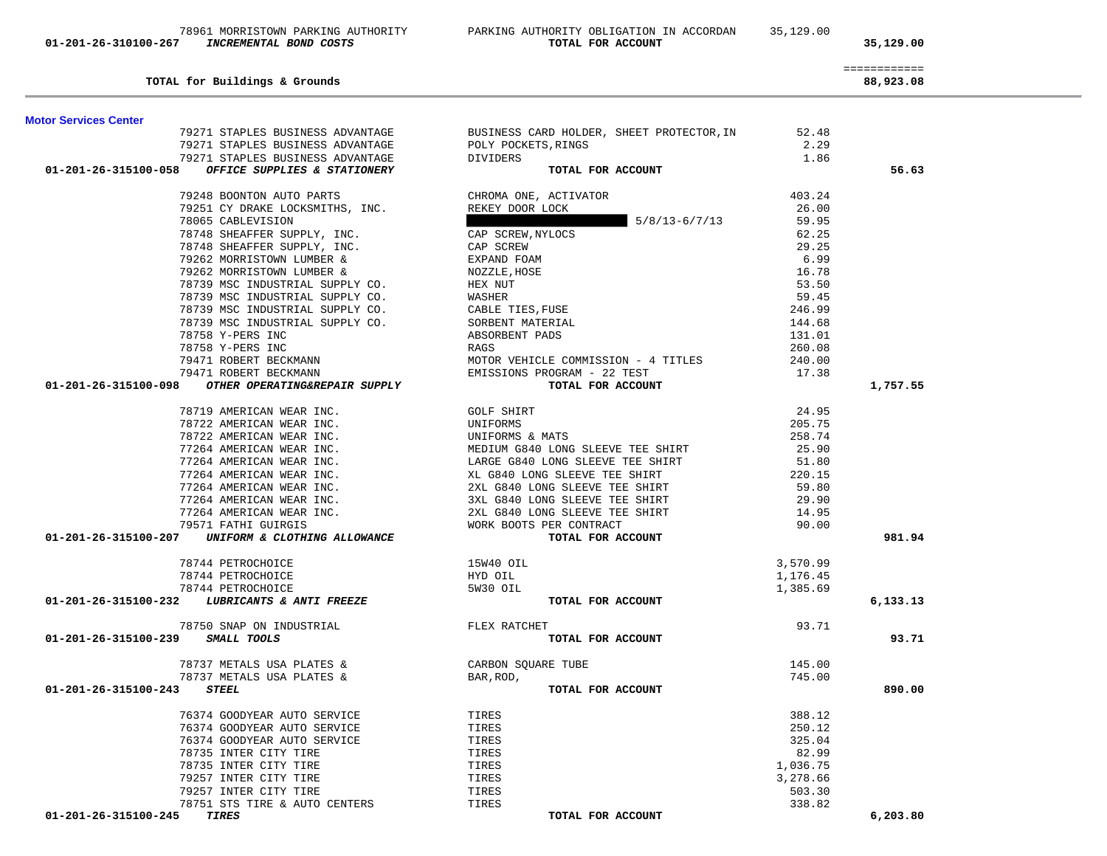| TOTAL for Buildings & Grounds                                                            |                                                                                                                                                                |          | ============<br>88,923.08 |
|------------------------------------------------------------------------------------------|----------------------------------------------------------------------------------------------------------------------------------------------------------------|----------|---------------------------|
|                                                                                          |                                                                                                                                                                |          |                           |
| <b>Motor Services Center</b>                                                             |                                                                                                                                                                |          |                           |
| 79271 STAPLES BUSINESS ADVANTAGE                                                         | BUSINESS CARD HOLDER, SHEET PROTECTOR, IN                                                                                                                      | 52.48    |                           |
| 79271 STAPLES BUSINESS ADVANTAGE                                                         | POLY POCKETS, RINGS                                                                                                                                            | 2.29     |                           |
| 79271 STAPLES BUSINESS ADVANTAGE<br>01-201-26-315100-058<br>OFFICE SUPPLIES & STATIONERY | DIVIDERS<br>TOTAL FOR ACCOUNT                                                                                                                                  | 1.86     | 56.63                     |
|                                                                                          |                                                                                                                                                                |          |                           |
| 79248 BOONTON AUTO PARTS                                                                 | CHROMA ONE, ACTIVATOR                                                                                                                                          | 403.24   |                           |
| 79251 CY DRAKE LOCKSMITHS, INC.                                                          | REKEY DOOR LOCK                                                                                                                                                | 26.00    |                           |
| 78065 CABLEVISION                                                                        | $5/8/13 - 6/7/13$<br><b>The Second Second</b>                                                                                                                  | 59.95    |                           |
| 78748 SHEAFFER SUPPLY, INC.                                                              | CAP SCREW, NYLOCS                                                                                                                                              | 62.25    |                           |
| 78748 SHEAFFER SUPPLY, INC.                                                              | CAP SCREW                                                                                                                                                      | 29.25    |                           |
| 79262 MORRISTOWN LUMBER &                                                                | EXPAND FOAM                                                                                                                                                    | 6.99     |                           |
| 79262 MORRISTOWN LUMBER &                                                                | NOZZLE, HOSE                                                                                                                                                   | 16.78    |                           |
| 78739 MSC INDUSTRIAL SUPPLY CO.                                                          | HEX NUT                                                                                                                                                        | 53.50    |                           |
| 78739 MSC INDUSTRIAL SUPPLY CO.                                                          | WASHER                                                                                                                                                         | 59.45    |                           |
| 78739 MSC INDUSTRIAL SUPPLY CO.                                                          | CABLE TIES, FUSE                                                                                                                                               | 246.99   |                           |
| 78739 MSC INDUSTRIAL SUPPLY CO.                                                          | SORBENT MATERIAL                                                                                                                                               | 144.68   |                           |
| 78758 Y-PERS INC                                                                         | ABSORBENT PADS                                                                                                                                                 | 131.01   |                           |
| 78758 Y-PERS INC                                                                         | RAGS                                                                                                                                                           | 260.08   |                           |
| 79471 ROBERT BECKMANN                                                                    | MOTOR VEHICLE COMMISSION - 4 TITLES                                                                                                                            | 240.00   |                           |
| 79471 ROBERT BECKMANN                                                                    | EMISSIONS PROGRAM - 22 TEST                                                                                                                                    | 17.38    |                           |
| 01-201-26-315100-098<br>OTHER OPERATING&REPAIR SUPPLY                                    | TOTAL FOR ACCOUNT                                                                                                                                              |          | 1,757.55                  |
| 78719 AMERICAN WEAR INC.                                                                 | GOLF SHIRT                                                                                                                                                     | 24.95    |                           |
| 78722 AMERICAN WEAR INC.                                                                 | UNIFORMS                                                                                                                                                       | 205.75   |                           |
| 78722 AMERICAN WEAR INC.                                                                 |                                                                                                                                                                | 258.74   |                           |
| 77264 AMERICAN WEAR INC.                                                                 | UNIFORMS & MATS<br>MEDIUM G840 LONG SLEEVE TEE SHIRT<br>LARGE G840 LONG SLEEVE TEE SHIRT<br>XL G840 LONG SLEEVE TEE SHIRT<br>MEDIUM G840 LONG SLEEVE TEE SHIRT | 25.90    |                           |
| 77264 AMERICAN WEAR INC.                                                                 |                                                                                                                                                                | 51.80    |                           |
| 77264 AMERICAN WEAR INC.                                                                 |                                                                                                                                                                | 220.15   |                           |
| 77264 AMERICAN WEAR INC.                                                                 | 2XL G840 LONG SLEEVE TEE SHIRT<br>3XL G840 LONG SLEEVE TEE SHIRT                                                                                               | 59.80    |                           |
| 77264 AMERICAN WEAR INC.                                                                 |                                                                                                                                                                | 29.90    |                           |
| 77264 AMERICAN WEAR INC.                                                                 | 2XL G840 LONG SLEEVE TEE SHIRT                                                                                                                                 | 14.95    |                           |
| 79571 FATHI GUIRGIS                                                                      | WORK BOOTS PER CONTRACT                                                                                                                                        | 90.00    |                           |
| UNIFORM & CLOTHING ALLOWANCE<br>01-201-26-315100-207                                     | TOTAL FOR ACCOUNT                                                                                                                                              |          | 981.94                    |
| 78744 PETROCHOICE                                                                        | 15W40 OIL                                                                                                                                                      | 3,570.99 |                           |
| 78744 PETROCHOICE                                                                        | HYD OIL                                                                                                                                                        | 1,176.45 |                           |
| 78744 PETROCHOICE                                                                        | 5W30 OIL                                                                                                                                                       | 1,385.69 |                           |
| LUBRICANTS & ANTI FREEZE<br>01-201-26-315100-232                                         | TOTAL FOR ACCOUNT                                                                                                                                              |          | 6,133.13                  |
|                                                                                          |                                                                                                                                                                |          |                           |
| 78750 SNAP ON INDUSTRIAL<br>01-201-26-315100-239                                         | FLEX RATCHET                                                                                                                                                   | 93.71    | 93.71                     |
| SMALL TOOLS                                                                              | TOTAL FOR ACCOUNT                                                                                                                                              |          |                           |
| 78737 METALS USA PLATES &                                                                | CARBON SQUARE TUBE                                                                                                                                             | 145.00   |                           |
| 78737 METALS USA PLATES &                                                                | BAR, ROD,                                                                                                                                                      | 745.00   |                           |
| 01-201-26-315100-243<br><i><b>STEEL</b></i>                                              | TOTAL FOR ACCOUNT                                                                                                                                              |          | 890.00                    |
|                                                                                          |                                                                                                                                                                | 388.12   |                           |
| 76374 GOODYEAR AUTO SERVICE<br>76374 GOODYEAR AUTO SERVICE                               | TIRES<br>TIRES                                                                                                                                                 | 250.12   |                           |
| 76374 GOODYEAR AUTO SERVICE                                                              | TIRES                                                                                                                                                          | 325.04   |                           |
| 78735 INTER CITY TIRE                                                                    | TIRES                                                                                                                                                          | 82.99    |                           |
| 78735 INTER CITY TIRE                                                                    | TIRES                                                                                                                                                          | 1,036.75 |                           |
| 79257 INTER CITY TIRE                                                                    | TIRES                                                                                                                                                          | 3,278.66 |                           |
| 79257 INTER CITY TIRE                                                                    | TIRES                                                                                                                                                          | 503.30   |                           |
| 78751 STS TIRE & AUTO CENTERS                                                            | TIRES                                                                                                                                                          | 338.82   |                           |
| 01-201-26-315100-245<br>TIRES                                                            | TOTAL FOR ACCOUNT                                                                                                                                              |          | 6,203.80                  |
|                                                                                          |                                                                                                                                                                |          |                           |

## **01-201-26-310100-267** *INCREMENTAL BOND COSTS* **TOTAL FOR ACCOUNT 35,129.00**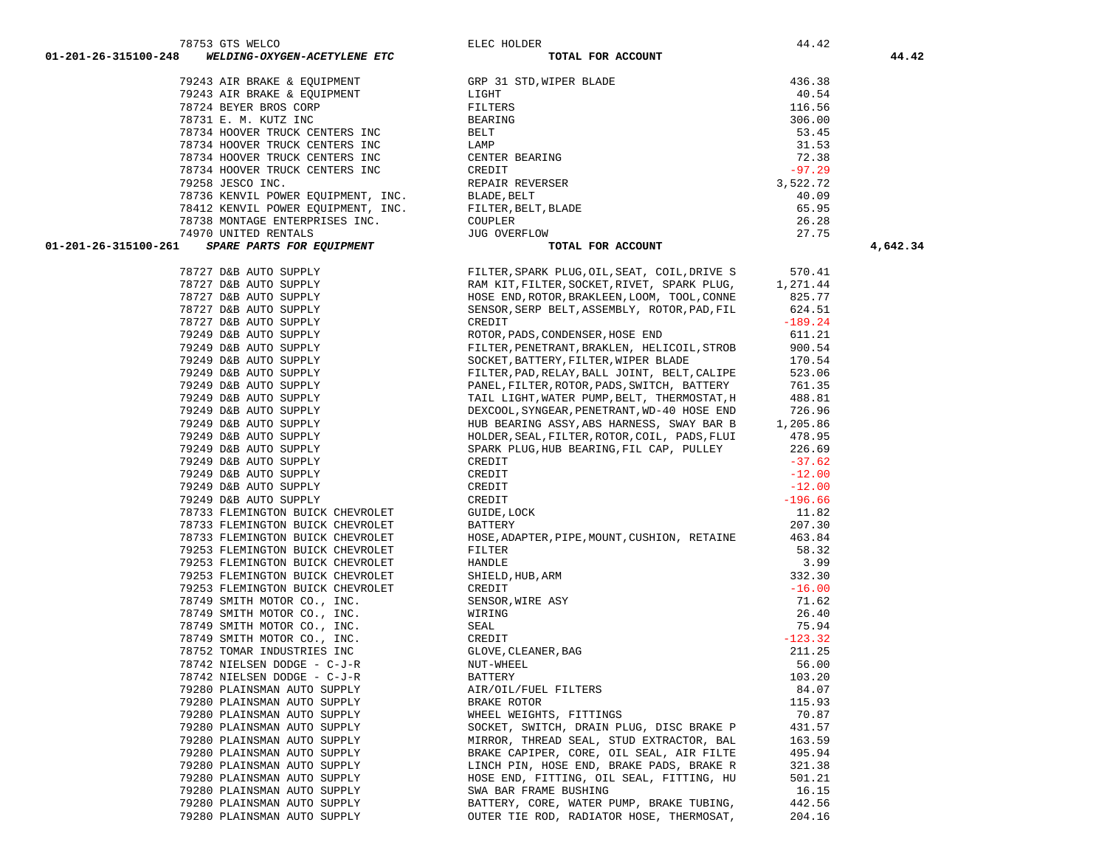|    | 78734 HOOVER TRUCK CENTERS INC        | Li             |
|----|---------------------------------------|----------------|
|    | 78734 HOOVER TRUCK CENTERS INC        | C1             |
|    | 78734 HOOVER TRUCK CENTERS INC        | C1             |
|    | 79258 JESCO INC.                      | R)             |
|    | 78736 KENVIL POWER EQUIPMENT,<br>INC. | B)             |
|    | 78412 KENVIL POWER EQUIPMENT, INC.    | F.             |
|    | 78738 MONTAGE ENTERPRISES INC.        | C(             |
|    | 74970 UNITED RENTALS                  | J١             |
| 51 | SPARE PARTS FOR EQUIPMENT             |                |
|    |                                       |                |
|    | 78727 D&B AUTO SUPPLY                 | F              |
|    | 78727 D&B AUTO SUPPLY                 | R.             |
|    | 78727 D&B AUTO SUPPLY                 | H(             |
|    | 78727 D&B AUTO SUPPLY                 | SI             |
|    | 78727 D&B AUTO SUPPLY                 | CI             |
|    | 79249 D&B AUTO SUPPLY                 | R(             |
|    | 79249 D&B AUTO SUPPLY                 | ${\bf F}$      |
|    | 79249 D&B AUTO SUPPLY                 | S(             |
|    | 79249 D&B AUTO SUPPLY                 | ${\bf F}$      |
|    | 79249 D&B AUTO SUPPLY                 | Pi             |
|    | 79249 D&B AUTO SUPPLY                 | T              |
|    | 79249 D&B AUTO SUPPLY                 | D)             |
|    | 79249 D&B AUTO SUPPLY                 | H              |
|    | 79249 D&B AUTO SUPPLY                 | H              |
|    | 79249 D&B AUTO SUPPLY                 | S)             |
|    | 79249 D&B AUTO SUPPLY                 | C)             |
|    | 79249 D&B AUTO SUPPLY                 | C1             |
|    | 79249 D&B AUTO SUPPLY                 | C1             |
|    | 79249 D&B AUTO SUPPLY                 | CI             |
|    | 78733 FLEMINGTON BUICK CHEVROLET      | G              |
|    | 78733 FLEMINGTON BUICK CHEVROLET      | Bi             |
|    | 78733 FLEMINGTON BUICK CHEVROLET      | H              |
|    | 79253 FLEMINGTON BUICK CHEVROLET      | F.             |
|    | 79253 FLEMINGTON BUICK CHEVROLET      | H              |
|    | 79253 FLEMINGTON BUICK CHEVROLET      | SI             |
|    | 79253 FLEMINGTON BUICK CHEVROLET      | C1             |
|    | 78749 SMITH MOTOR CO., INC.           | S)             |
|    | 78749 SMITH MOTOR CO., INC.           | W.             |
|    | 78749 SMITH MOTOR CO., INC.           | S <sub>1</sub> |
|    | 78749 SMITH MOTOR CO., INC.           | C1             |
|    | 78752 TOMAR INDUSTRIES INC            | G]             |
|    | 78742 NIELSEN DODGE - C-J-R           | Ν              |
|    | 78742 NIELSEN DODGE - C-J-R           | Bi             |
|    | 79280 PLAINSMAN AUTO SUPPLY           | Α.             |
|    | 79280 PLAINSMAN AUTO SUPPLY           | BI             |
|    | 79280 PLAINSMAN AUTO SUPPLY           | W              |
|    | 79280 PLAINSMAN AUTO SUPPLY           | S              |
|    | 79280 PLAINSMAN AUTO SUPPLY           | M.             |
|    | 79280 PLAINSMAN AUTO SUPPLY           | B <sub>1</sub> |
|    | 79280 PLAINSMAN AUTO SUPPLY           | L.             |
|    | 79280 PLAINSMAN AUTO SUPPLY           | H              |
|    | 79280 PLAINSMAN AUTO SUPPLY           | SI             |
|    | 79280 PLAINSMAN AUTO SUPPLY           | B              |
|    | 79280 PLAINSMAN AUTO SUPPLY           | Оl             |

|                                                                                                                                                                                                                                             |                                                                                                                                                                                                                                                                      | 40.09            |          |
|---------------------------------------------------------------------------------------------------------------------------------------------------------------------------------------------------------------------------------------------|----------------------------------------------------------------------------------------------------------------------------------------------------------------------------------------------------------------------------------------------------------------------|------------------|----------|
|                                                                                                                                                                                                                                             |                                                                                                                                                                                                                                                                      | 65.95            |          |
|                                                                                                                                                                                                                                             |                                                                                                                                                                                                                                                                      | 26.28            |          |
|                                                                                                                                                                                                                                             |                                                                                                                                                                                                                                                                      | 27.75            |          |
| 01-201-26-315100-261                                                                                                                                                                                                                        | 78736 KENVIL POWER EQUIPMENT, INC. BLADE, BELT<br>78412 KENVIL POWER EQUIPMENT, INC. FILTER, BELT, BLADE<br>78738 MONTAGE ENTERPRISES INC. COUPLER<br>74970 UNITED RENTALS JUG OVERFLOW TOTAL FOR ACCOUNT                                                            |                  | 4,642.34 |
|                                                                                                                                                                                                                                             |                                                                                                                                                                                                                                                                      | 570.41           |          |
|                                                                                                                                                                                                                                             | FILTER, SPARK PLUG, OIL, SEAT, COIL, DRIVE S<br>RAM KIT, FILTER, SOCKET, RIVET, SPARK PLUG, 1,                                                                                                                                                                       | 1,271.44         |          |
|                                                                                                                                                                                                                                             | HOSE END, ROTOR, BRAKLEEN, LOOM, TOOL, CONNE                                                                                                                                                                                                                         | 825.77           |          |
|                                                                                                                                                                                                                                             | SENSOR, SERP BELT, ASSEMBLY, ROTOR, PAD, FIL                                                                                                                                                                                                                         | 624.51           |          |
|                                                                                                                                                                                                                                             |                                                                                                                                                                                                                                                                      | $-189.24$        |          |
|                                                                                                                                                                                                                                             | CREDIT<br>ROTOR, PADS, CONDENSER, HOSE END                                                                                                                                                                                                                           |                  |          |
|                                                                                                                                                                                                                                             | FILTER, PENETRANT, BRAKLEN, HELICOIL, STROB                                                                                                                                                                                                                          | 611.21<br>900.54 |          |
|                                                                                                                                                                                                                                             | SOCKET, BATTERY, FILTER, WIPER BLADE 170.54<br>FILTER, PAD, RELAY, BALL JOINT, BELT, CALIPE 523.06                                                                                                                                                                   |                  |          |
|                                                                                                                                                                                                                                             |                                                                                                                                                                                                                                                                      |                  |          |
|                                                                                                                                                                                                                                             |                                                                                                                                                                                                                                                                      |                  |          |
|                                                                                                                                                                                                                                             | PANEL, FILTER, ROTOR, PADS, SWITCH, BATTERY 761.35<br>TAIL LIGHT, WATER PUMP, BELT, THERMOSTAT, H 488.81                                                                                                                                                             |                  |          |
|                                                                                                                                                                                                                                             | DEXCOOL, SYNGEAR, PENETRANT, WD-40 HOSE END 726.96<br>HUB BEARING ASSY, ABS HARNESS, SWAY BAR B 1, 205.86                                                                                                                                                            |                  |          |
|                                                                                                                                                                                                                                             |                                                                                                                                                                                                                                                                      |                  |          |
|                                                                                                                                                                                                                                             |                                                                                                                                                                                                                                                                      |                  |          |
|                                                                                                                                                                                                                                             | $\texttt{HOLDER}, \texttt{SEAL}, \texttt{FILTER}, \texttt{ROTOR}, \texttt{COLI}, \texttt{PADS}, \texttt{FLUI} \hspace{1.5cm} 478.95 \\ \texttt{SPARK} \texttt{PLUG}, \texttt{HUB} \texttt{BERING}, \texttt{FIL} \texttt{CAP}, \texttt{PULLEX} \hspace{1.5cm} 226.69$ |                  |          |
|                                                                                                                                                                                                                                             | CREDIT                                                                                                                                                                                                                                                               | $-37.62$         |          |
|                                                                                                                                                                                                                                             | CREDIT                                                                                                                                                                                                                                                               | $-12.00$         |          |
|                                                                                                                                                                                                                                             | CREDIT                                                                                                                                                                                                                                                               | $-12.00$         |          |
|                                                                                                                                                                                                                                             | CREDIT                                                                                                                                                                                                                                                               | $-196.66$        |          |
| 78733 FLEMINGTON BUICK CHEVROLET                                                                                                                                                                                                            | GUIDE, LOCK                                                                                                                                                                                                                                                          | 11.82            |          |
| 78733 FLEMINGTON BUICK CHEVROLET                                                                                                                                                                                                            | BATTERY                                                                                                                                                                                                                                                              | 207.30           |          |
| 78733 FLEMINGTON BUICK CHEVROLET                                                                                                                                                                                                            | HOSE, ADAPTER, PIPE, MOUNT, CUSHION, RETAINE 463.84                                                                                                                                                                                                                  |                  |          |
| 79253 FLEMINGTON BUICK CHEVROLET                                                                                                                                                                                                            |                                                                                                                                                                                                                                                                      | 58.32            |          |
| 79253 FLEMINGTON BUICK CHEVROLET                                                                                                                                                                                                            |                                                                                                                                                                                                                                                                      | 3.99             |          |
| 79253 FLEMINGTON BUICK CHEVROLET                                                                                                                                                                                                            |                                                                                                                                                                                                                                                                      | 332.30           |          |
|                                                                                                                                                                                                                                             |                                                                                                                                                                                                                                                                      | $-16.00$         |          |
|                                                                                                                                                                                                                                             |                                                                                                                                                                                                                                                                      | 71.62            |          |
|                                                                                                                                                                                                                                             |                                                                                                                                                                                                                                                                      | 26.40            |          |
|                                                                                                                                                                                                                                             |                                                                                                                                                                                                                                                                      | 75.94            |          |
|                                                                                                                                                                                                                                             |                                                                                                                                                                                                                                                                      | $-123.32$        |          |
|                                                                                                                                                                                                                                             |                                                                                                                                                                                                                                                                      | 211.25           |          |
|                                                                                                                                                                                                                                             |                                                                                                                                                                                                                                                                      | 56.00            |          |
|                                                                                                                                                                                                                                             |                                                                                                                                                                                                                                                                      | 103.20           |          |
|                                                                                                                                                                                                                                             |                                                                                                                                                                                                                                                                      | 84.07            |          |
|                                                                                                                                                                                                                                             |                                                                                                                                                                                                                                                                      | 115.93           |          |
|                                                                                                                                                                                                                                             |                                                                                                                                                                                                                                                                      | 70.87            |          |
|                                                                                                                                                                                                                                             | SOCKET, SWITCH, DRAIN PLUG, DISC BRAKE P                                                                                                                                                                                                                             | 431.57           |          |
| 79253 FLEMINGTON BUICK CHEVROLET<br>79253 FLEMINGTON BUICK CHEVROLET<br>79253 FLEMINGTON BUICK CHEVROLET<br>78749 SMITH MOTOR CO., INC.<br>78749 SMITH MOTOR CO., INC.<br>78749 SMITH MOTOR CO., INC.<br>78749 SMITH MOTOR CO., INC.<br>787 | MIRROR, THREAD SEAL, STUD EXTRACTOR, BAL<br>BRAKE CAPIPER, CORE, OIL SEAL, AIR FILTE                                                                                                                                                                                 | 163.59           |          |
|                                                                                                                                                                                                                                             | BRAKE CAPIPER, CORE, OIL SEAL, AIR FILTE<br>BRAKE CAPIPER, CURE, VID DELL,<br>LINCH PIN, HOSE END, BRAKE PADS, BRAKE R<br>CHIPTING, HU                                                                                                                               | 495.94           |          |
|                                                                                                                                                                                                                                             |                                                                                                                                                                                                                                                                      | 321.38           |          |
|                                                                                                                                                                                                                                             |                                                                                                                                                                                                                                                                      | 501.21           |          |
|                                                                                                                                                                                                                                             | SWA BAR FRAME BUSHING                                                                                                                                                                                                                                                | 16.15            |          |
|                                                                                                                                                                                                                                             | BATTERY, CORE, WATER PUMP, BRAKE TUBING,                                                                                                                                                                                                                             | 442.56           |          |
|                                                                                                                                                                                                                                             | OUTER TIE ROD, RADIATOR HOSE, THERMOSAT,                                                                                                                                                                                                                             | 204.16           |          |

44.42

| 79243 AIR BRAKE & EQUIPMENT        | GRP 31 STD, WIPER BLADE | 436.38   |
|------------------------------------|-------------------------|----------|
| 79243 AIR BRAKE & EOUIPMENT        | LIGHT                   | 40.54    |
| 78724 BEYER BROS CORP              | FILTERS                 | 116.56   |
| 78731 E. M. KUTZ INC               | BEARING                 | 306.00   |
| 78734 HOOVER TRUCK CENTERS INC     | BELT                    | 53.45    |
| 78734 HOOVER TRUCK CENTERS INC     | LAMP                    | 31.53    |
| 78734 HOOVER TRUCK CENTERS INC     | CENTER BEARING          | 72.38    |
| 78734 HOOVER TRUCK CENTERS INC     | CREDIT                  | $-97.29$ |
| 79258 JESCO INC.                   | REPAIR REVERSER         | 3,522.72 |
| 78736 KENVIL POWER EOUIPMENT, INC. | BLADE, BELT             | 40.09    |
| 78412 KENVIL POWER EOUIPMENT, INC. | FILTER, BELT, BLADE     | 65.95    |
| 78738 MONTAGE ENTERPRISES INC.     | COUPLER                 | 26.28    |
| 74970 UNITED RENTALS               | JUG OVERFLOW            | 27.75    |
|                                    |                         |          |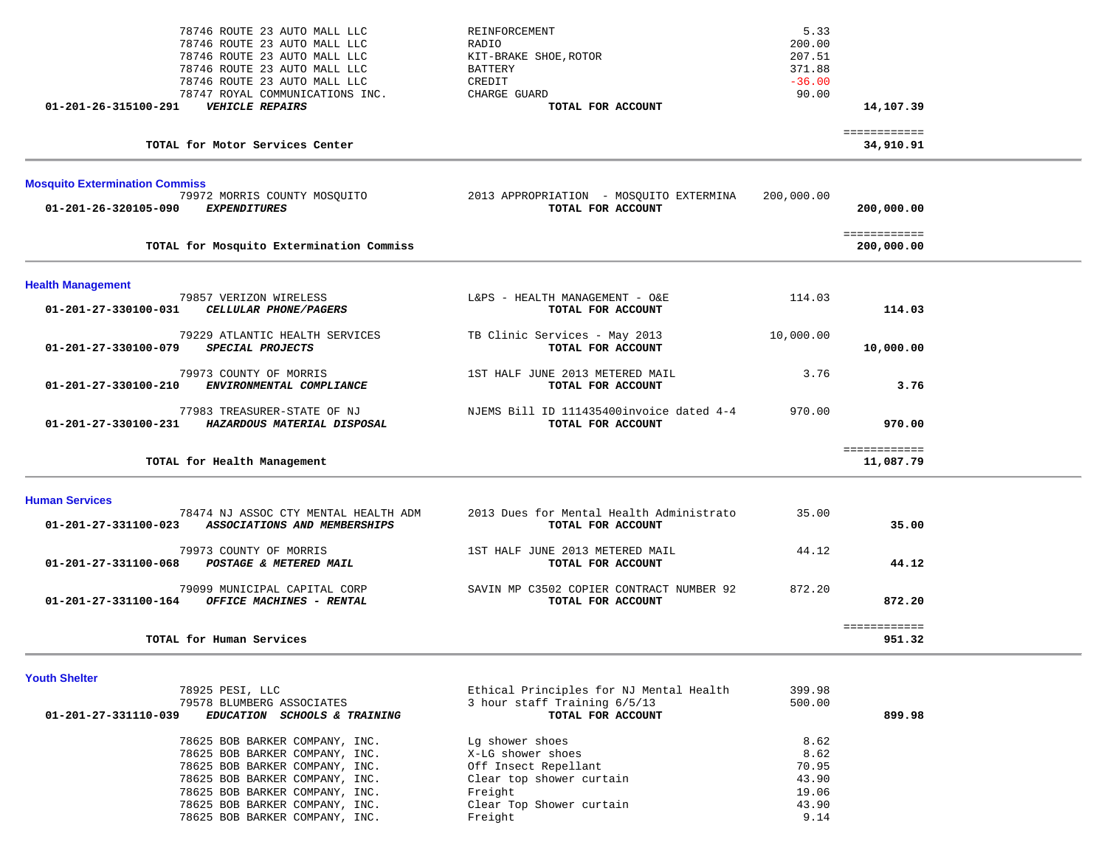| 78746 ROUTE 23 AUTO MALL LLC                                                                 | REINFORCEMENT                                                 | 5.33       |                        |  |
|----------------------------------------------------------------------------------------------|---------------------------------------------------------------|------------|------------------------|--|
| 78746 ROUTE 23 AUTO MALL LLC                                                                 | RADIO                                                         | 200.00     |                        |  |
| 78746 ROUTE 23 AUTO MALL LLC                                                                 | KIT-BRAKE SHOE, ROTOR                                         | 207.51     |                        |  |
| 78746 ROUTE 23 AUTO MALL LLC                                                                 | <b>BATTERY</b>                                                | 371.88     |                        |  |
| 78746 ROUTE 23 AUTO MALL LLC                                                                 | CREDIT                                                        | $-36.00$   |                        |  |
| 78747 ROYAL COMMUNICATIONS INC.                                                              | CHARGE GUARD                                                  | 90.00      |                        |  |
| 01-201-26-315100-291<br><b>VEHICLE REPAIRS</b>                                               | TOTAL FOR ACCOUNT                                             |            | 14,107.39              |  |
|                                                                                              |                                                               |            | <b>EEEEEEEEEEE</b>     |  |
| TOTAL for Motor Services Center                                                              |                                                               |            | 34,910.91              |  |
| <b>Mosquito Extermination Commiss</b>                                                        |                                                               |            |                        |  |
| 79972 MORRIS COUNTY MOSQUITO                                                                 | 2013 APPROPRIATION - MOSQUITO EXTERMINA                       | 200,000.00 |                        |  |
| 01-201-26-320105-090<br><i>EXPENDITURES</i>                                                  | TOTAL FOR ACCOUNT                                             |            | 200,000.00             |  |
|                                                                                              |                                                               |            | ============           |  |
| TOTAL for Mosquito Extermination Commiss                                                     |                                                               |            | 200,000.00             |  |
| <b>Health Management</b>                                                                     |                                                               |            |                        |  |
| 79857 VERIZON WIRELESS                                                                       | L&PS - HEALTH MANAGEMENT - O&E                                | 114.03     |                        |  |
| 01-201-27-330100-031<br>CELLULAR PHONE/PAGERS                                                | TOTAL FOR ACCOUNT                                             |            | 114.03                 |  |
| 79229 ATLANTIC HEALTH SERVICES                                                               | TB Clinic Services - May 2013                                 | 10,000.00  |                        |  |
| 01-201-27-330100-079<br>SPECIAL PROJECTS                                                     | TOTAL FOR ACCOUNT                                             |            | 10,000.00              |  |
| 79973 COUNTY OF MORRIS                                                                       | 1ST HALF JUNE 2013 METERED MAIL                               | 3.76       |                        |  |
| 01-201-27-330100-210<br>ENVIRONMENTAL COMPLIANCE                                             | TOTAL FOR ACCOUNT                                             |            | 3.76                   |  |
| 77983 TREASURER-STATE OF NJ                                                                  | NJEMS Bill ID 111435400invoice dated 4-4                      | 970.00     |                        |  |
| 01-201-27-330100-231<br>HAZARDOUS MATERIAL DISPOSAL                                          | TOTAL FOR ACCOUNT                                             |            | 970.00                 |  |
|                                                                                              |                                                               |            | ============           |  |
| TOTAL for Health Management                                                                  |                                                               |            | 11,087.79              |  |
| <b>Human Services</b>                                                                        |                                                               |            |                        |  |
| 78474 NJ ASSOC CTY MENTAL HEALTH ADM<br>01-201-27-331100-023<br>ASSOCIATIONS AND MEMBERSHIPS | 2013 Dues for Mental Health Administrato<br>TOTAL FOR ACCOUNT | 35.00      | 35.00                  |  |
| 79973 COUNTY OF MORRIS                                                                       | 1ST HALF JUNE 2013 METERED MAIL                               | 44.12      |                        |  |
| 01-201-27-331100-068<br>POSTAGE & METERED MAIL                                               | TOTAL FOR ACCOUNT                                             |            | 44.12                  |  |
| 79099 MUNICIPAL CAPITAL CORP                                                                 | SAVIN MP C3502 COPIER CONTRACT NUMBER 92                      | 872.20     |                        |  |
| 01-201-27-331100-164<br>OFFICE MACHINES - RENTAL                                             | TOTAL FOR ACCOUNT                                             |            | 872.20                 |  |
| TOTAL for Human Services                                                                     |                                                               |            | ============<br>951.32 |  |
|                                                                                              |                                                               |            |                        |  |

| 78925 PESI, LLC                                                 | Ethical Principles for NJ Mental Health | 399.98 |        |
|-----------------------------------------------------------------|-----------------------------------------|--------|--------|
| 79578 BLUMBERG ASSOCIATES                                       | 3 hour staff Training 6/5/13            | 500.00 |        |
| 01-201-27-331110-039<br><b>EDUCATION SCHOOLS &amp; TRAINING</b> | TOTAL FOR ACCOUNT                       |        | 899.98 |
| 78625 BOB BARKER COMPANY, INC.                                  | Lg shower shoes                         | 8.62   |        |
| 78625 BOB BARKER COMPANY, INC.                                  | X-LG shower shoes                       | 8.62   |        |
| 78625 BOB BARKER COMPANY, INC.                                  | Off Insect Repellant                    | 70.95  |        |
| 78625 BOB BARKER COMPANY, INC.                                  | Clear top shower curtain                | 43.90  |        |
| 78625 BOB BARKER COMPANY, INC.                                  | Freight                                 | 19.06  |        |
| 78625 BOB BARKER COMPANY, INC.                                  | Clear Top Shower curtain                | 43.90  |        |
| 78625 BOB BARKER COMPANY, INC.                                  | Freight                                 | 9.14   |        |

**Youth Shelter**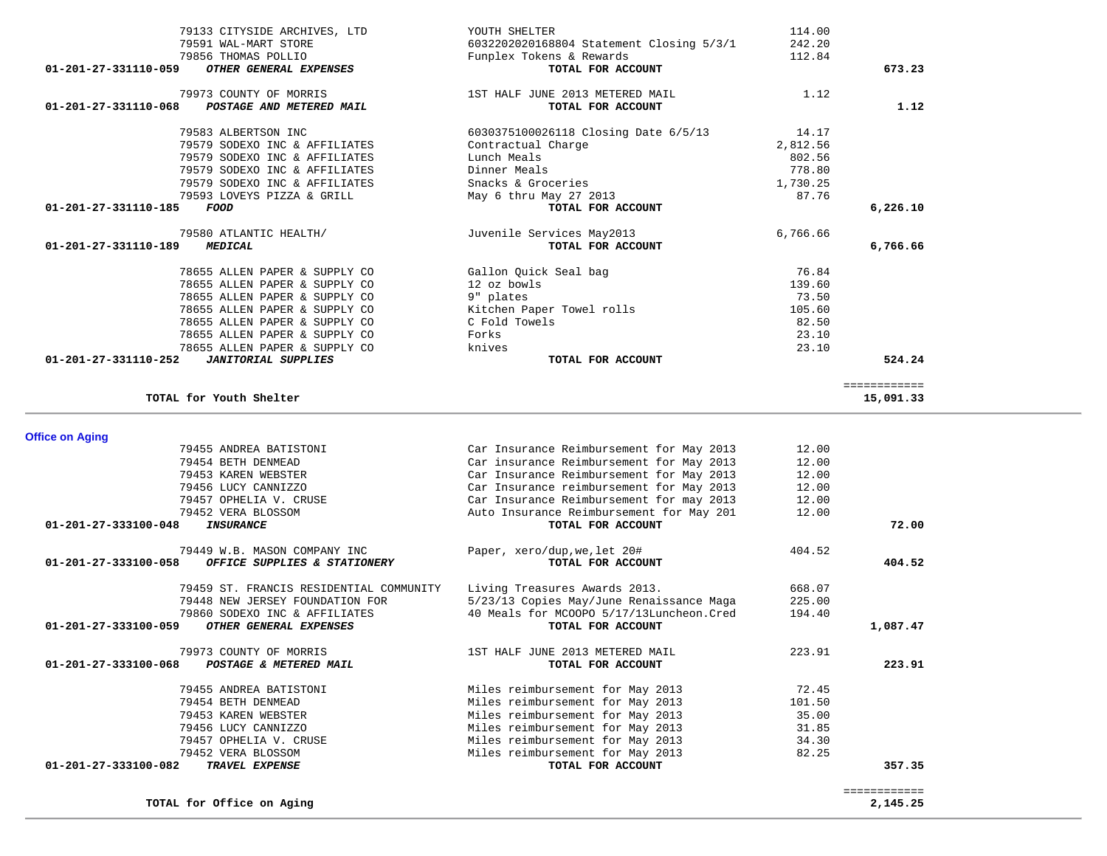| 79973 COUNTY OF MORRIS                               | 1ST HALF JUNE 2013 METERED MAIL          | 1.12     |                           |  |
|------------------------------------------------------|------------------------------------------|----------|---------------------------|--|
| POSTAGE AND METERED MAIL<br>01-201-27-331110-068     | TOTAL FOR ACCOUNT                        |          | 1.12                      |  |
|                                                      |                                          |          |                           |  |
| 79583 ALBERTSON INC                                  | 6030375100026118 Closing Date 6/5/13     | 14.17    |                           |  |
| 79579 SODEXO INC & AFFILIATES                        | Contractual Charge                       | 2,812.56 |                           |  |
| 79579 SODEXO INC & AFFILIATES                        | Lunch Meals                              | 802.56   |                           |  |
| 79579 SODEXO INC & AFFILIATES                        | Dinner Meals                             | 778.80   |                           |  |
|                                                      |                                          |          |                           |  |
| 79579 SODEXO INC & AFFILIATES                        | Snacks & Groceries                       | 1,730.25 |                           |  |
| 79593 LOVEYS PIZZA & GRILL                           | May 6 thru May 27 2013                   | 87.76    |                           |  |
| 01-201-27-331110-185<br>FOOD                         | TOTAL FOR ACCOUNT                        |          | 6,226.10                  |  |
| 79580 ATLANTIC HEALTH/                               | Juvenile Services May2013                | 6,766.66 |                           |  |
| <b>MEDICAL</b><br>01-201-27-331110-189               | TOTAL FOR ACCOUNT                        |          | 6,766.66                  |  |
|                                                      |                                          |          |                           |  |
| 78655 ALLEN PAPER & SUPPLY CO                        | Gallon Quick Seal bag                    | 76.84    |                           |  |
| 78655 ALLEN PAPER & SUPPLY CO                        | 12 oz bowls                              | 139.60   |                           |  |
| 78655 ALLEN PAPER & SUPPLY CO                        | 9" plates                                | 73.50    |                           |  |
| 78655 ALLEN PAPER & SUPPLY CO                        | Kitchen Paper Towel rolls                | 105.60   |                           |  |
| 78655 ALLEN PAPER & SUPPLY CO                        | C Fold Towels                            | 82.50    |                           |  |
| 78655 ALLEN PAPER & SUPPLY CO                        | Forks                                    | 23.10    |                           |  |
| 78655 ALLEN PAPER & SUPPLY CO                        | knives                                   | 23.10    |                           |  |
| <b>JANITORIAL SUPPLIES</b><br>01-201-27-331110-252   | TOTAL FOR ACCOUNT                        |          | 524.24                    |  |
|                                                      |                                          |          |                           |  |
| TOTAL for Youth Shelter                              |                                          |          | ============<br>15,091.33 |  |
|                                                      |                                          |          |                           |  |
|                                                      |                                          |          |                           |  |
| <b>Office on Aging</b>                               |                                          |          |                           |  |
| 79455 ANDREA BATISTONI                               | Car Insurance Reimbursement for May 2013 | 12.00    |                           |  |
| 79454 BETH DENMEAD                                   | Car insurance Reimbursement for May 2013 | 12.00    |                           |  |
| 79453 KAREN WEBSTER                                  | Car Insurance Reimbursement for May 2013 | 12.00    |                           |  |
| 79456 LUCY CANNIZZO                                  | Car Insurance reimbursement for May 2013 | 12.00    |                           |  |
| 79457 OPHELIA V. CRUSE                               | Car Insurance Reimbursement for may 2013 | 12.00    |                           |  |
| 79452 VERA BLOSSOM                                   | Auto Insurance Reimbursement for May 201 | 12.00    |                           |  |
| 01-201-27-333100-048<br><b>INSURANCE</b>             | TOTAL FOR ACCOUNT                        |          | 72.00                     |  |
| 79449 W.B. MASON COMPANY INC                         | Paper, xero/dup, we, let 20#             | 404.52   |                           |  |
| 01-201-27-333100-058<br>OFFICE SUPPLIES & STATIONERY | TOTAL FOR ACCOUNT                        |          | 404.52                    |  |
|                                                      |                                          |          |                           |  |
| 79459 ST. FRANCIS RESIDENTIAL COMMUNITY              | Living Treasures Awards 2013.            | 668.07   |                           |  |
| 79448 NEW JERSEY FOUNDATION FOR                      | 5/23/13 Copies May/June Renaissance Maga | 225.00   |                           |  |
| 79860 SODEXO INC & AFFILIATES                        | 40 Meals for MCOOPO 5/17/13Luncheon.Cred | 194.40   |                           |  |
| OTHER GENERAL EXPENSES<br>01-201-27-333100-059       | TOTAL FOR ACCOUNT                        |          | 1,087.47                  |  |
| 79973 COUNTY OF MORRIS                               | 1ST HALF JUNE 2013 METERED MAIL          | 223.91   |                           |  |
| 01-201-27-333100-068<br>POSTAGE & METERED MAIL       | TOTAL FOR ACCOUNT                        |          | 223.91                    |  |
|                                                      |                                          |          |                           |  |
| 79455 ANDREA BATISTONI                               | Miles reimbursement for May 2013         | 72.45    |                           |  |
| 79454 BETH DENMEAD                                   | Miles reimbursement for May 2013         | 101.50   |                           |  |
| 79453 KAREN WEBSTER                                  | Miles reimbursement for May 2013         | 35.00    |                           |  |
| 79456 LUCY CANNIZZO                                  | Miles reimbursement for May 2013         | 31.85    |                           |  |
| 79457 OPHELIA V. CRUSE                               | Miles reimbursement for May 2013         | 34.30    |                           |  |
| 79452 VERA BLOSSOM                                   | Miles reimbursement for May 2013         | 82.25    |                           |  |
| TRAVEL EXPENSE<br>01-201-27-333100-082               | TOTAL FOR ACCOUNT                        |          | 357.35                    |  |
|                                                      |                                          |          |                           |  |
| TOTAL for Office on Aging                            |                                          |          | ============<br>2,145.25  |  |
|                                                      |                                          |          |                           |  |

79133 CITYSIDE ARCHIVES, LTD YOUTH SHELTER 114.00 79591 WAL-MART STORE 6032202020168804 Statement Closing 5/3/1 242.20

 **01-201-27-331110-059** *OTHER GENERAL EXPENSES* **TOTAL FOR ACCOUNT 673.23**

Funplex Tokens & Rewards<br>TOTAL FOR ACCOUNT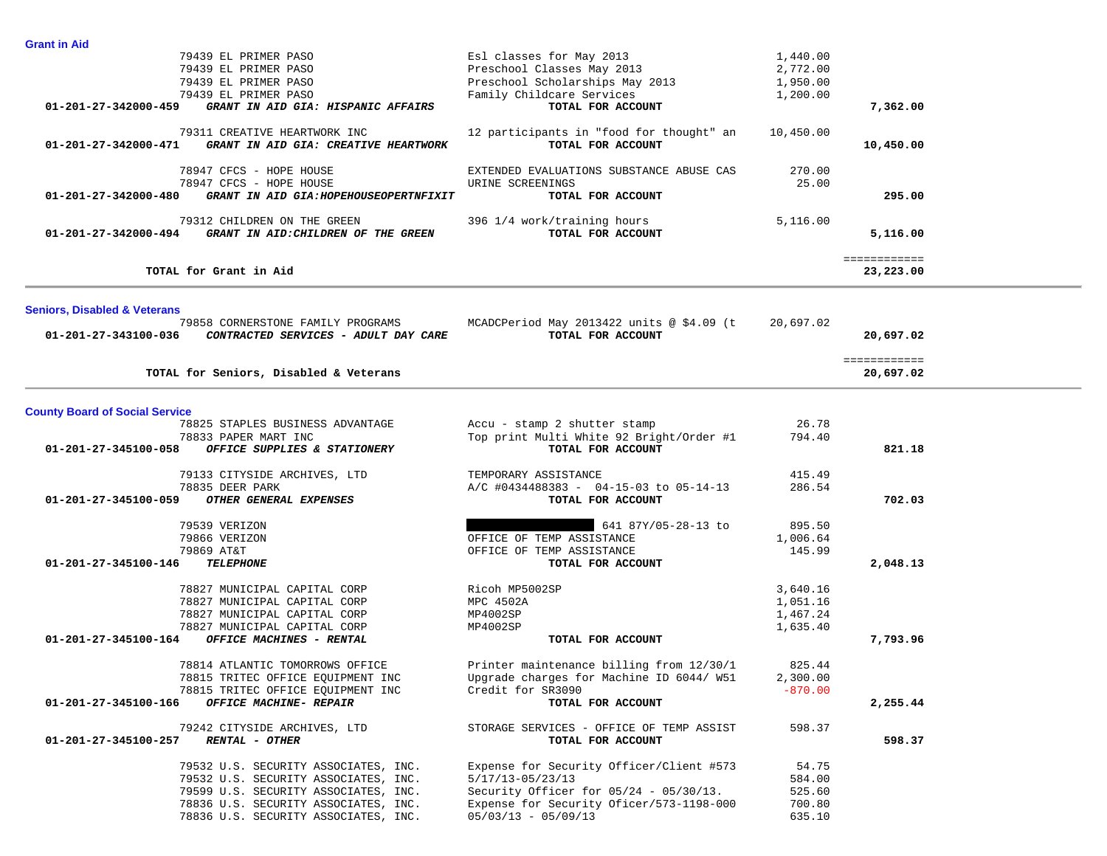| <b>Grant in Aid</b>                     |                                                            |                                                  |           |              |  |
|-----------------------------------------|------------------------------------------------------------|--------------------------------------------------|-----------|--------------|--|
|                                         | 79439 EL PRIMER PASO                                       | Esl classes for May 2013                         | 1,440.00  |              |  |
|                                         | 79439 EL PRIMER PASO                                       | Preschool Classes May 2013                       | 2,772.00  |              |  |
|                                         | 79439 EL PRIMER PASO                                       | Preschool Scholarships May 2013                  | 1,950.00  |              |  |
|                                         | 79439 EL PRIMER PASO                                       | Family Childcare Services                        | 1,200.00  |              |  |
| 01-201-27-342000-459                    | GRANT IN AID GIA: HISPANIC AFFAIRS                         | TOTAL FOR ACCOUNT                                |           | 7,362.00     |  |
|                                         | 79311 CREATIVE HEARTWORK INC                               | 12 participants in "food for thought" an         | 10,450.00 |              |  |
| 01-201-27-342000-471                    | GRANT IN AID GIA: CREATIVE HEARTWORK                       | TOTAL FOR ACCOUNT                                |           | 10,450.00    |  |
|                                         |                                                            |                                                  |           |              |  |
|                                         | 78947 CFCS - HOPE HOUSE                                    | EXTENDED EVALUATIONS SUBSTANCE ABUSE CAS         | 270.00    |              |  |
|                                         | 78947 CFCS - HOPE HOUSE                                    | URINE SCREENINGS                                 | 25.00     |              |  |
| 01-201-27-342000-480                    | GRANT IN AID GIA: HOPEHOUSEOPERTNFIXIT                     | TOTAL FOR ACCOUNT                                |           | 295.00       |  |
|                                         | 79312 CHILDREN ON THE GREEN                                | 396 1/4 work/training hours                      | 5,116.00  |              |  |
|                                         | 01-201-27-342000-494 GRANT IN AID: CHILDREN OF THE GREEN   | TOTAL FOR ACCOUNT                                |           | 5,116.00     |  |
|                                         |                                                            |                                                  |           | ============ |  |
|                                         | TOTAL for Grant in Aid                                     |                                                  |           | 23,223.00    |  |
|                                         |                                                            |                                                  |           |              |  |
| <b>Seniors, Disabled &amp; Veterans</b> |                                                            |                                                  |           |              |  |
|                                         | 79858 CORNERSTONE FAMILY PROGRAMS                          | MCADCPeriod May 2013422 units @ \$4.09 (t        | 20,697.02 |              |  |
|                                         | 01-201-27-343100-036  CONTRACTED SERVICES - ADULT DAY CARE | TOTAL FOR ACCOUNT                                |           | 20,697.02    |  |
|                                         |                                                            |                                                  |           |              |  |
|                                         |                                                            |                                                  |           | ============ |  |
|                                         | TOTAL for Seniors, Disabled & Veterans                     |                                                  |           | 20,697.02    |  |
|                                         |                                                            |                                                  |           |              |  |
| <b>County Board of Social Service</b>   |                                                            |                                                  |           |              |  |
|                                         | 78825 STAPLES BUSINESS ADVANTAGE                           | Accu - stamp 2 shutter stamp                     | 26.78     |              |  |
|                                         | 78833 PAPER MART INC                                       | Top print Multi White 92 Bright/Order #1         | 794.40    |              |  |
|                                         | 01-201-27-345100-058 OFFICE SUPPLIES & STATIONERY          | TOTAL FOR ACCOUNT                                |           | 821.18       |  |
|                                         | 79133 CITYSIDE ARCHIVES, LTD                               | TEMPORARY ASSISTANCE                             | 415.49    |              |  |
|                                         | 78835 DEER PARK                                            | A/C #0434488383 - 04-15-03 to 05-14-13           | 286.54    |              |  |
| 01-201-27-345100-059                    | <i>OTHER GENERAL EXPENSES</i>                              | TOTAL FOR ACCOUNT                                |           | 702.03       |  |
|                                         |                                                            |                                                  | 895.50    |              |  |
|                                         | 79539 VERIZON<br>79866 VERIZON                             | 641 87Y/05-28-13 to<br>OFFICE OF TEMP ASSISTANCE | 1,006.64  |              |  |
|                                         |                                                            |                                                  | 145.99    |              |  |
|                                         | 79869 AT&T                                                 | OFFICE OF TEMP ASSISTANCE                        |           |              |  |
| 01-201-27-345100-146                    | <b>TELEPHONE</b>                                           | TOTAL FOR ACCOUNT                                |           | 2,048.13     |  |
|                                         | 78827 MUNICIPAL CAPITAL CORP                               | Ricoh MP5002SP                                   | 3,640.16  |              |  |
|                                         | 78827 MUNICIPAL CAPITAL CORP                               | MPC 4502A                                        | 1,051.16  |              |  |
|                                         | 78827 MUNICIPAL CAPITAL CORP                               | MP4002SP                                         | 1,467.24  |              |  |
|                                         | 78827 MUNICIPAL CAPITAL CORP                               | MP4002SP                                         | 1,635.40  |              |  |
| 01-201-27-345100-164                    | <b>OFFICE MACHINES - RENTAL</b>                            | TOTAL FOR ACCOUNT                                |           | 7,793.96     |  |
|                                         | 78814 ATLANTIC TOMORROWS OFFICE                            | Printer maintenance billing from 12/30/1         | 825.44    |              |  |
|                                         | 78815 TRITEC OFFICE EQUIPMENT INC                          | Upgrade charges for Machine ID 6044/ W51         | 2,300.00  |              |  |
|                                         | 78815 TRITEC OFFICE EQUIPMENT INC                          | Credit for SR3090                                | $-870.00$ |              |  |
| 01-201-27-345100-166                    | OFFICE MACHINE- REPAIR                                     | TOTAL FOR ACCOUNT                                |           | 2,255.44     |  |
|                                         |                                                            |                                                  |           |              |  |
|                                         | 79242 CITYSIDE ARCHIVES, LTD                               | STORAGE SERVICES - OFFICE OF TEMP ASSIST         | 598.37    |              |  |
| 01-201-27-345100-257                    | <b>RENTAL - OTHER</b>                                      | TOTAL FOR ACCOUNT                                |           | 598.37       |  |
|                                         | 79532 U.S. SECURITY ASSOCIATES, INC.                       | Expense for Security Officer/Client #573         | 54.75     |              |  |
|                                         | 79532 U.S. SECURITY ASSOCIATES, INC.                       | $5/17/13 - 05/23/13$                             | 584.00    |              |  |
|                                         | 79599 U.S. SECURITY ASSOCIATES, INC.                       | Security Officer for $05/24 - 05/30/13$ .        | 525.60    |              |  |
|                                         | 78836 U.S. SECURITY ASSOCIATES, INC.                       | Expense for Security Oficer/573-1198-000         | 700.80    |              |  |
|                                         | 78836 U.S. SECURITY ASSOCIATES, INC.                       | $05/03/13 - 05/09/13$                            | 635.10    |              |  |
|                                         |                                                            |                                                  |           |              |  |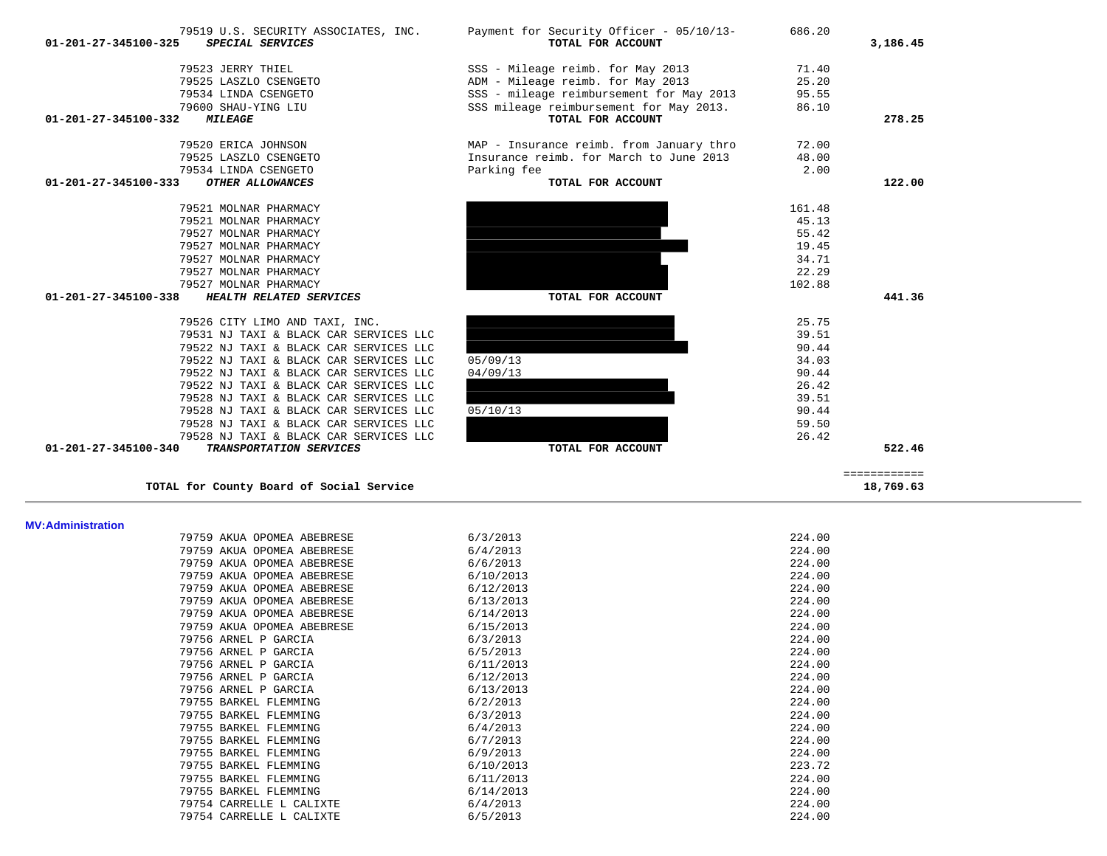| 01-201-27-345100-332     | <i><b>MILEAGE</b></i>                    | TOTAL FOR ACCOUNT                        |        | 278.25       |
|--------------------------|------------------------------------------|------------------------------------------|--------|--------------|
|                          | 79520 ERICA JOHNSON                      | MAP - Insurance reimb. from January thro | 72.00  |              |
|                          | 79525 LASZLO CSENGETO                    | Insurance reimb. for March to June 2013  | 48.00  |              |
|                          | 79534 LINDA CSENGETO                     | Parking fee                              | 2.00   |              |
| 01-201-27-345100-333     | OTHER ALLOWANCES                         | TOTAL FOR ACCOUNT                        |        | 122.00       |
|                          |                                          |                                          |        |              |
|                          | 79521 MOLNAR PHARMACY                    |                                          | 161.48 |              |
|                          | 79521 MOLNAR PHARMACY                    |                                          | 45.13  |              |
|                          | 79527 MOLNAR PHARMACY                    |                                          | 55.42  |              |
|                          | 79527 MOLNAR PHARMACY                    |                                          | 19.45  |              |
|                          | 79527 MOLNAR PHARMACY                    |                                          | 34.71  |              |
|                          | 79527 MOLNAR PHARMACY                    |                                          | 22.29  |              |
|                          | 79527 MOLNAR PHARMACY                    |                                          | 102.88 |              |
| 01-201-27-345100-338     | HEALTH RELATED SERVICES                  | TOTAL FOR ACCOUNT                        |        | 441.36       |
|                          | 79526 CITY LIMO AND TAXI, INC.           |                                          | 25.75  |              |
|                          | 79531 NJ TAXI & BLACK CAR SERVICES LLC   |                                          | 39.51  |              |
|                          | 79522 NJ TAXI & BLACK CAR SERVICES LLC   |                                          | 90.44  |              |
|                          | 79522 NJ TAXI & BLACK CAR SERVICES LLC   | 05/09/13                                 | 34.03  |              |
|                          | 79522 NJ TAXI & BLACK CAR SERVICES LLC   | 04/09/13                                 | 90.44  |              |
|                          | 79522 NJ TAXI & BLACK CAR SERVICES LLC   |                                          | 26.42  |              |
|                          | 79528 NJ TAXI & BLACK CAR SERVICES LLC   |                                          | 39.51  |              |
|                          | 79528 NJ TAXI & BLACK CAR SERVICES LLC   | 05/10/13                                 | 90.44  |              |
|                          | 79528 NJ TAXI & BLACK CAR SERVICES LLC   |                                          | 59.50  |              |
|                          | 79528 NJ TAXI & BLACK CAR SERVICES LLC   |                                          | 26.42  |              |
| 01-201-27-345100-340     | TRANSPORTATION SERVICES                  | TOTAL FOR ACCOUNT                        |        | 522.46       |
|                          |                                          |                                          |        |              |
|                          |                                          |                                          |        | ============ |
|                          | TOTAL for County Board of Social Service |                                          |        | 18,769.63    |
|                          |                                          |                                          |        |              |
| <b>MV:Administration</b> |                                          |                                          |        |              |
|                          | 79759 AKUA OPOMEA ABEBRESE               | 6/3/2013                                 | 224.00 |              |
|                          | 79759 AKUA OPOMEA ABEBRESE               | 6/4/2013                                 | 224.00 |              |
|                          | 79759 AKUA OPOMEA ABEBRESE               | 6/6/2013                                 | 224.00 |              |
|                          | 79759 AKUA OPOMEA ABEBRESE               | 6/10/2013                                | 224.00 |              |
|                          | 79759 AKUA OPOMEA ABEBRESE               | 6/12/2013                                | 224.00 |              |
|                          | 79759 AKUA OPOMEA ABEBRESE               | 6/13/2013                                | 224.00 |              |
|                          | 79759 AKUA OPOMEA ABEBRESE               | 6/14/2013                                | 224.00 |              |
|                          | 79759 AKUA OPOMEA ABEBRESE               | 6/15/2013                                | 224.00 |              |
|                          | 79756 ARNEL P GARCIA                     | 6/3/2013                                 | 224.00 |              |
|                          | 79756 ARNEL P GARCIA                     | 6/5/2013                                 | 224.00 |              |
|                          | 79756 ARNEL P GARCIA                     | 6/11/2013                                | 224.00 |              |
|                          | 79756 ARNEL P GARCIA                     | 6/12/2013                                | 224.00 |              |
|                          | 79756 ARNEL P GARCIA                     | 6/13/2013                                | 224.00 |              |
|                          | 79755 BARKEL FLEMMING                    | 6/2/2013                                 | 224.00 |              |
|                          | 79755 BARKEL FLEMMING                    | 6/3/2013                                 | 224.00 |              |
|                          | 79755 BARKEL FLEMMING                    | 6/4/2013                                 | 224.00 |              |
|                          | 79755 BARKEL FLEMMING                    | 6/7/2013                                 | 224.00 |              |
|                          | 79755 BARKEL FLEMMING                    | 6/9/2013                                 | 224.00 |              |
|                          | 79755 BARKEL FLEMMING                    | 6/10/2013                                | 223.72 |              |
|                          | 79755 BARKEL FLEMMING                    | 6/11/2013                                | 224.00 |              |
|                          | 79755 BARKEL FLEMMING                    | 6/14/2013                                | 224.00 |              |
|                          | 79754 CARRELLE L CALIXTE                 | 6/4/2013                                 | 224.00 |              |
|                          | 79754 CARRELLE L CALIXTE                 | 6/5/2013                                 | 224.00 |              |
|                          |                                          |                                          |        |              |
|                          |                                          |                                          |        |              |

 79519 U.S. SECURITY ASSOCIATES, INC. Payment for Security Officer - 05/10/13- 686.20  **01-201-27-345100-325** *SPECIAL SERVICES* **TOTAL FOR ACCOUNT 3,186.45**

79523 JERRY THIEL SSS - Mileage reimb. for May 2013 71.40

79534 LINDA CSENGETO SSS - mileage reimbursement for May 2013 95.55

79525 LASZLO CSENGETO **ADM** - Mileage reimb. for May 2013

79600 SHAU-YING LIU SSS mileage reimbursement for May 2013. 86.10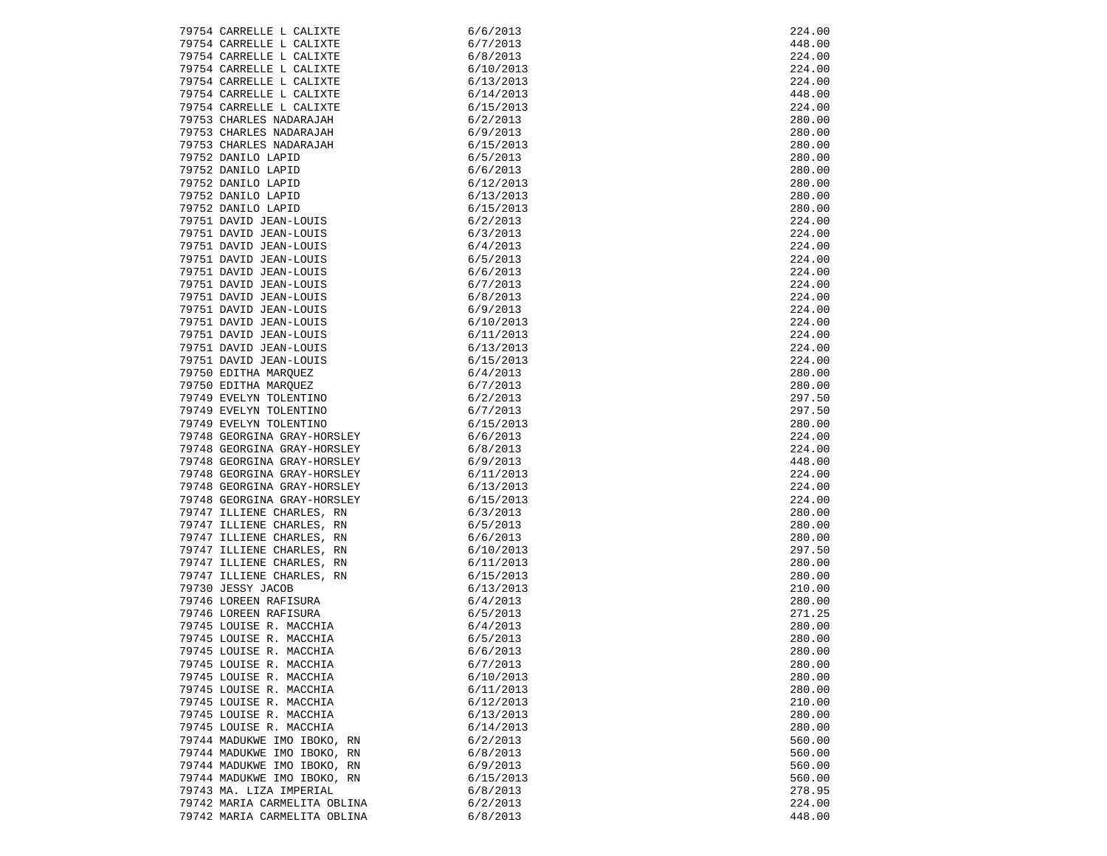| 79754 CARRELLE L CALIXTE                                                                                                 | 6/6/2013  | 224.00 |
|--------------------------------------------------------------------------------------------------------------------------|-----------|--------|
|                                                                                                                          |           | 448.00 |
|                                                                                                                          |           | 224.00 |
| 79754 CARRELLE L<br>CALIXTE 6/6/2013<br>79754 CARRELLE L<br>CALIXTE 6/7/2013<br>79754 CARRELLE L<br>CALIXTE 6/7/2013<br> |           | 224.00 |
|                                                                                                                          |           | 224.00 |
|                                                                                                                          |           | 448.00 |
|                                                                                                                          |           | 224.00 |
|                                                                                                                          |           | 280.00 |
|                                                                                                                          |           | 280.00 |
|                                                                                                                          |           | 280.00 |
|                                                                                                                          |           | 280.00 |
|                                                                                                                          |           | 280.00 |
|                                                                                                                          |           | 280.00 |
|                                                                                                                          |           |        |
|                                                                                                                          |           | 280.00 |
|                                                                                                                          |           | 280.00 |
|                                                                                                                          |           | 224.00 |
|                                                                                                                          |           | 224.00 |
|                                                                                                                          |           | 224.00 |
|                                                                                                                          |           | 224.00 |
|                                                                                                                          |           | 224.00 |
|                                                                                                                          |           | 224.00 |
|                                                                                                                          |           | 224.00 |
|                                                                                                                          |           | 224.00 |
|                                                                                                                          |           | 224.00 |
|                                                                                                                          |           | 224.00 |
|                                                                                                                          |           | 224.00 |
|                                                                                                                          |           | 224.00 |
|                                                                                                                          |           | 280.00 |
|                                                                                                                          |           | 280.00 |
|                                                                                                                          |           | 297.50 |
|                                                                                                                          |           | 297.50 |
|                                                                                                                          |           | 280.00 |
|                                                                                                                          |           | 224.00 |
|                                                                                                                          |           | 224.00 |
|                                                                                                                          |           | 448.00 |
|                                                                                                                          |           | 224.00 |
|                                                                                                                          |           | 224.00 |
|                                                                                                                          |           | 224.00 |
|                                                                                                                          |           |        |
|                                                                                                                          |           | 280.00 |
|                                                                                                                          |           | 280.00 |
|                                                                                                                          |           | 280.00 |
|                                                                                                                          |           | 297.50 |
|                                                                                                                          |           | 280.00 |
|                                                                                                                          |           | 280.00 |
|                                                                                                                          |           | 210.00 |
|                                                                                                                          |           | 280.00 |
|                                                                                                                          |           | 271.25 |
|                                                                                                                          |           | 280.00 |
|                                                                                                                          |           | 280.00 |
| 79745 LOUISE R. MACCHIA                                                                                                  | 6/6/2013  | 280.00 |
| 79745 LOUISE R. MACCHIA                                                                                                  | 6/7/2013  | 280.00 |
| 79745 LOUISE R. MACCHIA                                                                                                  | 6/10/2013 | 280.00 |
| 79745 LOUISE R. MACCHIA                                                                                                  | 6/11/2013 | 280.00 |
| 79745 LOUISE R. MACCHIA                                                                                                  | 6/12/2013 | 210.00 |
| 79745 LOUISE R. MACCHIA                                                                                                  | 6/13/2013 | 280.00 |
| 79745 LOUISE R. MACCHIA                                                                                                  | 6/14/2013 | 280.00 |
| 79744 MADUKWE IMO IBOKO, RN                                                                                              | 6/2/2013  | 560.00 |
| 79744 MADUKWE IMO IBOKO, RN                                                                                              | 6/8/2013  | 560.00 |
| 79744 MADUKWE IMO IBOKO, RN                                                                                              | 6/9/2013  | 560.00 |
| 79744 MADUKWE IMO IBOKO, RN                                                                                              | 6/15/2013 | 560.00 |
| 79743 MA. LIZA IMPERIAL                                                                                                  | 6/8/2013  | 278.95 |
| 79742 MARIA CARMELITA OBLINA                                                                                             | 6/2/2013  | 224.00 |
| 79742 MARIA CARMELITA OBLINA                                                                                             | 6/8/2013  | 448.00 |
|                                                                                                                          |           |        |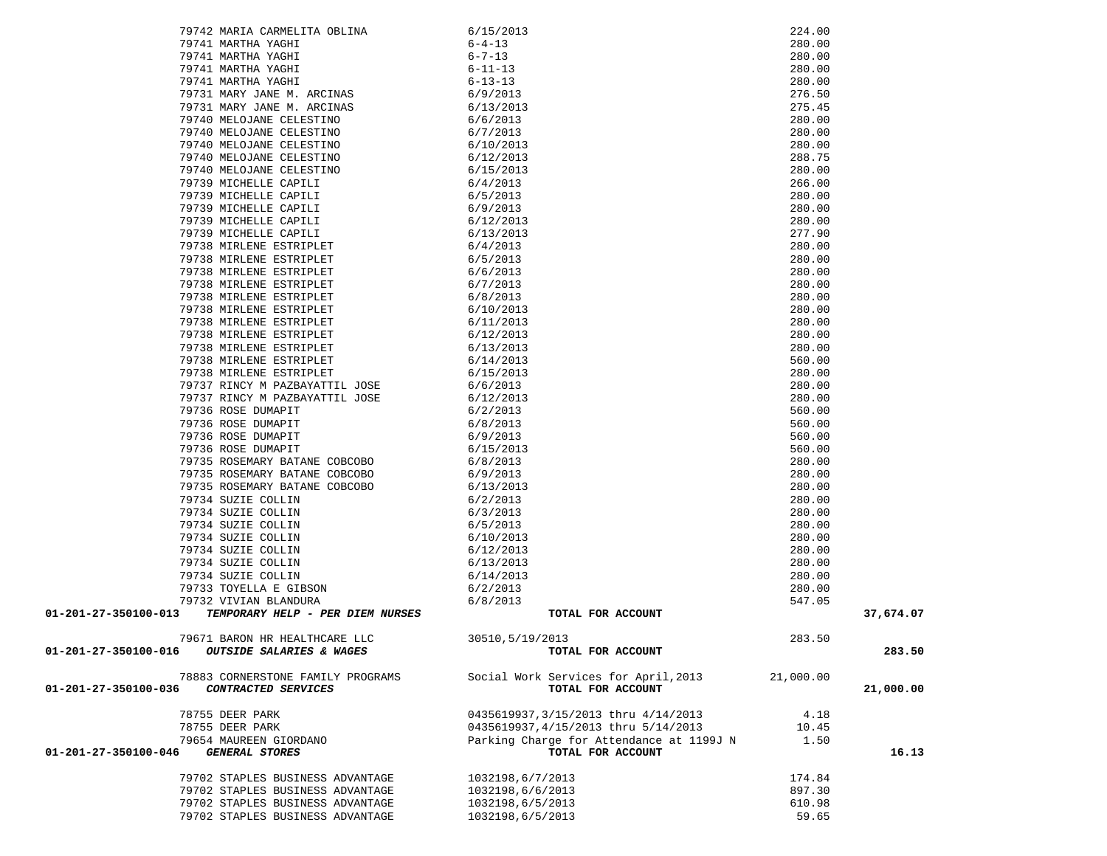|                      |                                     |                                          | 224.00    |           |
|----------------------|-------------------------------------|------------------------------------------|-----------|-----------|
|                      |                                     |                                          | 280.00    |           |
|                      |                                     |                                          | 280.00    |           |
|                      |                                     |                                          | 280.00    |           |
|                      |                                     |                                          | 280.00    |           |
|                      |                                     |                                          | 276.50    |           |
|                      |                                     |                                          | 275.45    |           |
|                      |                                     |                                          | 280.00    |           |
|                      |                                     |                                          | 280.00    |           |
|                      |                                     |                                          | 280.00    |           |
|                      |                                     |                                          | 288.75    |           |
|                      |                                     |                                          | 280.00    |           |
|                      |                                     |                                          | 266.00    |           |
|                      |                                     |                                          | 280.00    |           |
|                      |                                     |                                          | 280.00    |           |
|                      |                                     |                                          | 280.00    |           |
|                      |                                     |                                          | 277.90    |           |
|                      |                                     |                                          | 280.00    |           |
|                      |                                     |                                          | 280.00    |           |
|                      |                                     |                                          | 280.00    |           |
|                      |                                     |                                          |           |           |
|                      |                                     |                                          | 280.00    |           |
|                      |                                     |                                          | 280.00    |           |
|                      |                                     |                                          | 280.00    |           |
|                      |                                     |                                          | 280.00    |           |
|                      |                                     |                                          | 280.00    |           |
|                      |                                     |                                          | 280.00    |           |
|                      |                                     |                                          | 560.00    |           |
|                      |                                     |                                          | 280.00    |           |
|                      |                                     |                                          | 280.00    |           |
|                      |                                     |                                          | 280.00    |           |
|                      |                                     |                                          | 560.00    |           |
|                      |                                     |                                          | 560.00    |           |
|                      |                                     |                                          | 560.00    |           |
|                      |                                     |                                          | 560.00    |           |
|                      |                                     |                                          | 280.00    |           |
|                      |                                     |                                          | 280.00    |           |
|                      |                                     |                                          | 280.00    |           |
|                      |                                     |                                          | 280.00    |           |
|                      |                                     |                                          | 280.00    |           |
|                      |                                     |                                          | 280.00    |           |
|                      |                                     |                                          | 280.00    |           |
|                      |                                     |                                          | 280.00    |           |
|                      |                                     |                                          | 280.00    |           |
|                      |                                     |                                          | 280.00    |           |
|                      |                                     |                                          | 280.00    |           |
|                      |                                     |                                          | 547.05    |           |
| 01-201-27-350100-013 |                                     | TOTAL FOR ACCOUNT                        |           | 37,674.07 |
|                      |                                     |                                          |           |           |
|                      | 79671 BARON HR HEALTHCARE LLC       | 30510, 5/19/2013                         | 283.50    |           |
| 01-201-27-350100-016 | <i>OUTSIDE SALARIES &amp; WAGES</i> | TOTAL FOR ACCOUNT                        |           | 283.50    |
|                      | 78883 CORNERSTONE FAMILY PROGRAMS   | Social Work Services for April, 2013     | 21,000.00 |           |
| 01-201-27-350100-036 | CONTRACTED SERVICES                 | TOTAL FOR ACCOUNT                        |           | 21,000.00 |
|                      |                                     |                                          |           |           |
|                      | 78755 DEER PARK                     | 0435619937,3/15/2013 thru 4/14/2013      | 4.18      |           |
|                      | 78755 DEER PARK                     | 0435619937, 4/15/2013 thru 5/14/2013     | 10.45     |           |
|                      | 79654 MAUREEN GIORDANO              | Parking Charge for Attendance at 1199J N | 1.50      |           |
| 01-201-27-350100-046 | <b>GENERAL STORES</b>               | TOTAL FOR ACCOUNT                        |           | 16.13     |
|                      |                                     |                                          |           |           |
|                      | 79702 STAPLES BUSINESS ADVANTAGE    | 1032198,6/7/2013                         | 174.84    |           |
|                      | 79702 STAPLES BUSINESS ADVANTAGE    | 1032198,6/6/2013                         | 897.30    |           |
|                      | 79702 STAPLES BUSINESS ADVANTAGE    | 1032198,6/5/2013                         | 610.98    |           |

79702 STAPLES BUSINESS ADVANTAGE 1032198,6/5/2013 59.65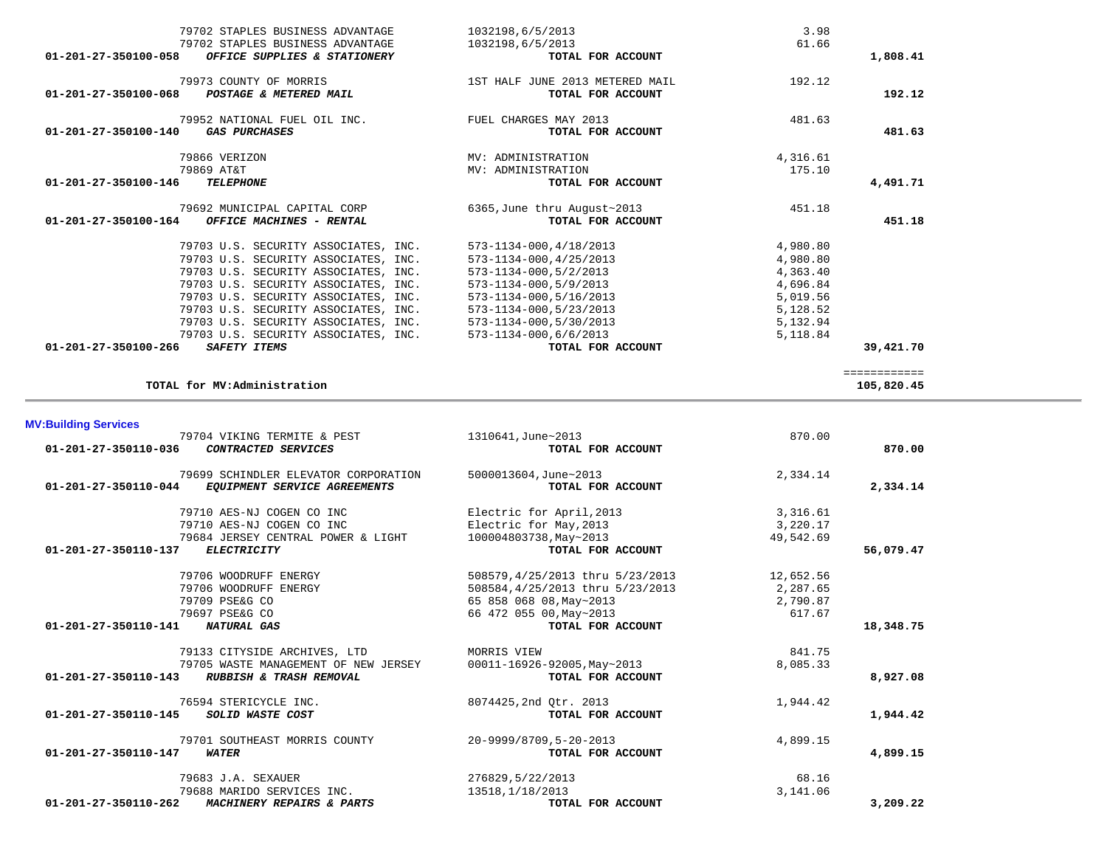| 79952 NATIONAL FUEL OIL INC.                         | FUEL CHARGES MAY 2013              | 481.63       |  |
|------------------------------------------------------|------------------------------------|--------------|--|
| <b>GAS PURCHASES</b><br>01-201-27-350100-140         | TOTAL FOR ACCOUNT                  | 481.63       |  |
|                                                      |                                    |              |  |
| 79866 VERIZON                                        | MV: ADMINISTRATION                 | 4,316.61     |  |
| 79869 AT&T                                           | MV: ADMINISTRATION                 | 175.10       |  |
| <b>TELEPHONE</b><br>01-201-27-350100-146             | TOTAL FOR ACCOUNT                  | 4,491.71     |  |
|                                                      |                                    |              |  |
| 79692 MUNICIPAL CAPITAL CORP                         | 6365, June thru August~2013        | 451.18       |  |
| OFFICE MACHINES - RENTAL<br>01-201-27-350100-164     | TOTAL FOR ACCOUNT                  | 451.18       |  |
|                                                      |                                    |              |  |
| 79703 U.S. SECURITY ASSOCIATES, INC.                 | 573-1134-000, 4/18/2013            | 4,980.80     |  |
| 79703 U.S. SECURITY ASSOCIATES, INC.                 | 573-1134-000, 4/25/2013            | 4,980.80     |  |
|                                                      |                                    |              |  |
| 79703 U.S. SECURITY ASSOCIATES, INC.                 | 573-1134-000, 5/2/2013             | 4,363.40     |  |
| 79703 U.S. SECURITY ASSOCIATES, INC.                 | 573-1134-000,5/9/2013              | 4,696.84     |  |
| 79703 U.S. SECURITY ASSOCIATES, INC.                 | 573-1134-000, 5/16/2013            | 5,019.56     |  |
| 79703 U.S. SECURITY ASSOCIATES, INC.                 | 573-1134-000, 5/23/2013            | 5,128.52     |  |
| 79703 U.S. SECURITY ASSOCIATES, INC.                 | 573-1134-000, 5/30/2013            | 5,132.94     |  |
| 79703 U.S. SECURITY ASSOCIATES, INC.                 | 573-1134-000,6/6/2013              | 5,118.84     |  |
| SAFETY ITEMS<br>01-201-27-350100-266                 | TOTAL FOR ACCOUNT                  | 39,421.70    |  |
|                                                      |                                    |              |  |
|                                                      |                                    | ============ |  |
| TOTAL for MV:Administration                          |                                    | 105,820.45   |  |
|                                                      |                                    |              |  |
|                                                      |                                    |              |  |
| <b>MV:Building Services</b>                          |                                    |              |  |
| 79704 VIKING TERMITE & PEST                          | 1310641, June~2013                 | 870.00       |  |
| 01-201-27-350110-036<br>CONTRACTED SERVICES          | TOTAL FOR ACCOUNT                  | 870.00       |  |
|                                                      |                                    |              |  |
| 79699 SCHINDLER ELEVATOR CORPORATION                 | 5000013604, June~2013              | 2,334.14     |  |
| EQUIPMENT SERVICE AGREEMENTS<br>01-201-27-350110-044 | TOTAL FOR ACCOUNT                  | 2,334.14     |  |
|                                                      |                                    |              |  |
| 79710 AES-NJ COGEN CO INC                            | Electric for April, 2013           | 3,316.61     |  |
| 79710 AES-NJ COGEN CO INC                            | Electric for May, 2013             | 3,220.17     |  |
| 79684 JERSEY CENTRAL POWER & LIGHT                   | 100004803738, May~2013             | 49,542.69    |  |
| <b>ELECTRICITY</b><br>01-201-27-350110-137           | TOTAL FOR ACCOUNT                  | 56,079.47    |  |
|                                                      |                                    |              |  |
|                                                      |                                    |              |  |
|                                                      |                                    |              |  |
| 79706 WOODRUFF ENERGY                                | 508579,4/25/2013 thru 5/23/2013    | 12,652.56    |  |
| 79706 WOODRUFF ENERGY                                | 508584,4/25/2013 thru 5/23/2013    | 2,287.65     |  |
| 79709 PSE&G CO                                       | 65 858 068 08, May~2013            | 2,790.87     |  |
| 79697 PSE&G CO                                       | 66 472 055 00, May~2013            | 617.67       |  |
| NATURAL GAS<br>01-201-27-350110-141                  | TOTAL FOR ACCOUNT                  | 18,348.75    |  |
|                                                      |                                    |              |  |
| 79133 CITYSIDE ARCHIVES, LTD                         | MORRIS VIEW                        | 841.75       |  |
| 79705 WASTE MANAGEMENT OF NEW JERSEY                 | $00011 - 16926 - 92005$ , May~2013 | 8,085.33     |  |
| 01-201-27-350110-143<br>RUBBISH & TRASH REMOVAL      | TOTAL FOR ACCOUNT                  | 8,927.08     |  |
|                                                      |                                    |              |  |
| 76594 STERICYCLE INC.                                | 8074425, 2nd Otr. 2013             | 1,944.42     |  |
| 01-201-27-350110-145<br>SOLID WASTE COST             | TOTAL FOR ACCOUNT                  | 1,944.42     |  |
|                                                      |                                    |              |  |
| 79701 SOUTHEAST MORRIS COUNTY                        | 20-9999/8709,5-20-2013             | 4,899.15     |  |
| <b>WATER</b><br>01-201-27-350110-147                 | TOTAL FOR ACCOUNT                  | 4,899.15     |  |
|                                                      |                                    |              |  |
| 79683 J.A. SEXAUER                                   | 276829, 5/22/2013                  | 68.16        |  |
| 79688 MARIDO SERVICES INC.                           | 13518, 1/18/2013                   | 3,141.06     |  |
| 01-201-27-350110-262<br>MACHINERY REPAIRS & PARTS    | TOTAL FOR ACCOUNT                  | 3,209.22     |  |

 79702 STAPLES BUSINESS ADVANTAGE 1032198,6/5/2013 3.98 79702 STAPLES BUSINESS ADVANTAGE 1032198,6/5/2013 61.66  **01-201-27-350100-058** *OFFICE SUPPLIES & STATIONERY* **TOTAL FOR ACCOUNT 1,808.41**

 **01-201-27-350100-068** *POSTAGE & METERED MAIL* **TOTAL FOR ACCOUNT 192.12**

192.12

79973 COUNTY OF MORRIS 1ST HALF JUNE 2013 METERED MAIL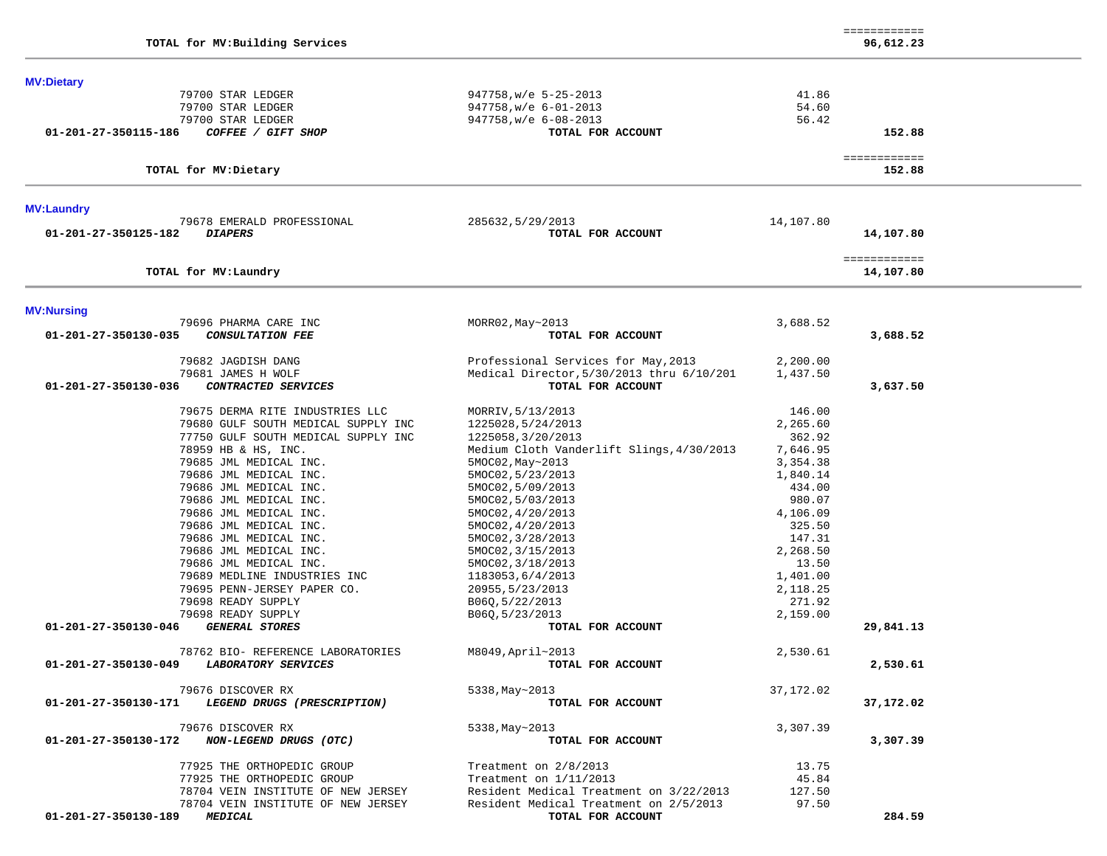| <b>MV:Dietary</b>                                          |                                           |                  |                        |  |
|------------------------------------------------------------|-------------------------------------------|------------------|------------------------|--|
| 79700 STAR LEDGER                                          | 947758, w/e 5-25-2013                     | 41.86            |                        |  |
| 79700 STAR LEDGER                                          | $947758$ , w/e $6-01-2013$                | 54.60            |                        |  |
| 79700 STAR LEDGER                                          | $947758$ , w/e $6-08-2013$                | 56.42            |                        |  |
| 01-201-27-350115-186<br>COFFEE / GIFT SHOP                 | TOTAL FOR ACCOUNT                         |                  | 152.88                 |  |
| TOTAL for MV: Dietary                                      |                                           |                  | ============<br>152.88 |  |
|                                                            |                                           |                  |                        |  |
| <b>MV:Laundry</b>                                          |                                           |                  |                        |  |
| 79678 EMERALD PROFESSIONAL                                 | 285632,5/29/2013                          | 14,107.80        |                        |  |
| <b>DIAPERS</b><br>01-201-27-350125-182                     | TOTAL FOR ACCOUNT                         |                  | 14,107.80              |  |
|                                                            |                                           |                  | ============           |  |
| TOTAL for MV: Laundry                                      |                                           |                  | 14,107.80              |  |
| <b>MV:Nursing</b>                                          |                                           |                  |                        |  |
| 79696 PHARMA CARE INC                                      | MORR02, May~2013                          | 3,688.52         |                        |  |
| CONSULTATION FEE<br>01-201-27-350130-035                   | TOTAL FOR ACCOUNT                         |                  | 3,688.52               |  |
| 79682 JAGDISH DANG                                         | Professional Services for May, 2013       | 2,200.00         |                        |  |
| 79681 JAMES H WOLF                                         | Medical Director, 5/30/2013 thru 6/10/201 | 1,437.50         |                        |  |
| 01-201-27-350130-036<br>CONTRACTED SERVICES                | TOTAL FOR ACCOUNT                         |                  | 3,637.50               |  |
| 79675 DERMA RITE INDUSTRIES LLC                            | MORRIV, 5/13/2013                         | 146.00           |                        |  |
| 79680 GULF SOUTH MEDICAL SUPPLY INC                        | 1225028,5/24/2013                         | 2,265.60         |                        |  |
| 77750 GULF SOUTH MEDICAL SUPPLY INC                        | 1225058, 3/20/2013                        | 362.92           |                        |  |
| 78959 HB & HS, INC.                                        | Medium Cloth Vanderlift Slings, 4/30/2013 | 7,646.95         |                        |  |
| 79685 JML MEDICAL INC.                                     | 5MOC02, May~2013                          | 3,354.38         |                        |  |
| 79686 JML MEDICAL INC.                                     | 5MOC02, 5/23/2013                         | 1,840.14         |                        |  |
| 79686 JML MEDICAL INC.                                     | 5MOC02, 5/09/2013                         | 434.00           |                        |  |
| 79686 JML MEDICAL INC.                                     | 5MOC02, 5/03/2013                         | 980.07           |                        |  |
| 79686 JML MEDICAL INC.                                     | 5MOC02, 4/20/2013                         | 4,106.09         |                        |  |
| 79686 JML MEDICAL INC.<br>79686 JML MEDICAL INC.           | 5MOC02, 4/20/2013                         | 325.50<br>147.31 |                        |  |
| 79686 JML MEDICAL INC.                                     | 5MOC02, 3/28/2013<br>5MOC02, 3/15/2013    | 2,268.50         |                        |  |
| 79686 JML MEDICAL INC.                                     | 5MOC02, 3/18/2013                         | 13.50            |                        |  |
| 79689 MEDLINE INDUSTRIES INC                               | 1183053,6/4/2013                          | 1,401.00         |                        |  |
| 79695 PENN-JERSEY PAPER CO.                                | 20955, 5/23/2013                          | 2,118.25         |                        |  |
| 79698 READY SUPPLY                                         | B06Q, 5/22/2013                           | 271.92           |                        |  |
| 79698 READY SUPPLY                                         | B06Q, 5/23/2013                           | 2,159.00         |                        |  |
| <b>GENERAL STORES</b><br>01-201-27-350130-046              | TOTAL FOR ACCOUNT                         |                  | 29,841.13              |  |
| 78762 BIO- REFERENCE LABORATORIES                          | M8049, April~2013                         | 2,530.61         |                        |  |
| LABORATORY SERVICES<br>01-201-27-350130-049                | TOTAL FOR ACCOUNT                         |                  | 2,530.61               |  |
| 79676 DISCOVER RX                                          | 5338, May~2013                            | 37,172.02        |                        |  |
| 01-201-27-350130-171<br><i>LEGEND DRUGS (PRESCRIPTION)</i> | <b>TOTAL FOR ACCOUNT</b>                  |                  | 37,172.02              |  |
| 79676 DISCOVER RX                                          | 5338, May~2013                            | 3,307.39         |                        |  |
| 01-201-27-350130-172<br>NON-LEGEND DRUGS (OTC)             | TOTAL FOR ACCOUNT                         |                  | 3,307.39               |  |
| 77925 THE ORTHOPEDIC GROUP                                 | Treatment on 2/8/2013                     | 13.75            |                        |  |
| 77925 THE ORTHOPEDIC GROUP                                 | Treatment on $1/11/2013$                  | 45.84            |                        |  |
| 78704 VEIN INSTITUTE OF NEW JERSEY                         | Resident Medical Treatment on 3/22/2013   | 127.50           |                        |  |
| 78704 VEIN INSTITUTE OF NEW JERSEY                         | Resident Medical Treatment on 2/5/2013    | 97.50            |                        |  |
| 01-201-27-350130-189 MEDICAL                               | TOTAL FOR ACCOUNT                         |                  | 284.59                 |  |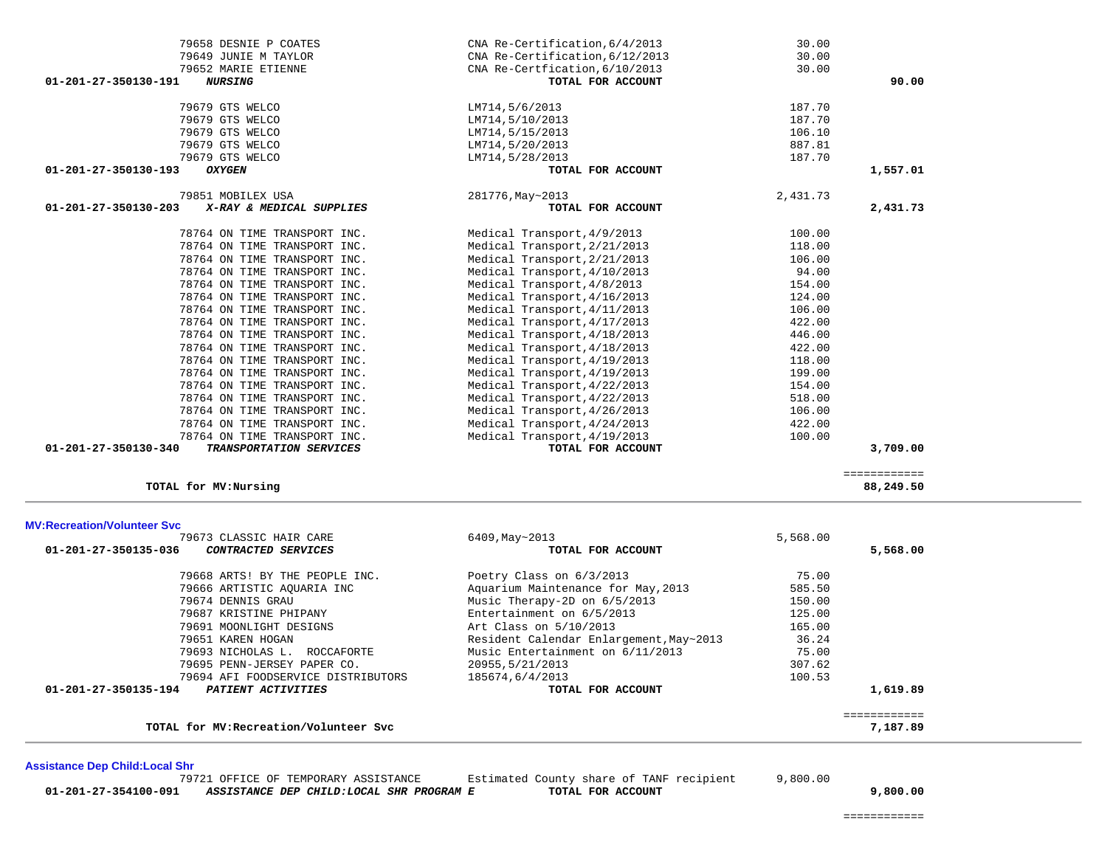|                      | 79721 OFFICE OF TEMPORARY ASSISTANCE     | Estimated County share of TANF recipient | 9,800.00 |          |
|----------------------|------------------------------------------|------------------------------------------|----------|----------|
| 01-201-27-354100-091 | ASSISTANCE DEP CHILD:LOCAL SHR PROGRAM E | TOTAL FOR ACCOUNT                        |          | 9,800.00 |

============

**Assistance Dep Child:Local Shr**

| MV:Recreation/Volunteer Svc                 |                                         |          |          |
|---------------------------------------------|-----------------------------------------|----------|----------|
| 79673 CLASSIC HAIR CARE                     | 6409, May~2013                          | 5,568.00 |          |
| 01-201-27-350135-036<br>CONTRACTED SERVICES | TOTAL FOR ACCOUNT                       |          | 5,568.00 |
| 79668 ARTS! BY THE PEOPLE INC.              | Poetry Class on 6/3/2013                | 75.00    |          |
| 79666 ARTISTIC AOUARIA INC                  | Aquarium Maintenance for May, 2013      | 585.50   |          |
| 79674 DENNIS GRAU                           | Music Therapy-2D on 6/5/2013            | 150.00   |          |
| 79687 KRISTINE PHIPANY                      | Entertainment on 6/5/2013               | 125.00   |          |
| 79691 MOONLIGHT DESIGNS                     | Art Class on 5/10/2013                  | 165.00   |          |
| 79651 KAREN HOGAN                           | Resident Calendar Enlargement, May~2013 | 36.24    |          |
| 79693 NICHOLAS L. ROCCAFORTE                | Music Entertainment on 6/11/2013        | 75.00    |          |
| 79695 PENN-JERSEY PAPER CO.                 | 20955,5/21/2013                         | 307.62   |          |
| 79694 AFI FOODSERVICE DISTRIBUTORS          | 185674,6/4/2013                         | 100.53   |          |
| 01-201-27-350135-194<br>PATIENT ACTIVITIES  | TOTAL FOR ACCOUNT                       |          | 1,619.89 |

**TOTAL for MV:Nursing 88,249.50**

| 3,709.00                     | TOTAL FOR ACCOUNT | <b>TRANSPORTATION SERVICES</b> | 01-201-27-350130-340 |
|------------------------------|-------------------|--------------------------------|----------------------|
|                              |                   |                                |                      |
| ____________<br>____________ |                   |                                |                      |

| 3,709.00 |  |
|----------|--|
|----------|--|

| 79679 GTS WELCO                                  | LM714,5/10/2013              | 187.70   |          |
|--------------------------------------------------|------------------------------|----------|----------|
| 79679 GTS WELCO                                  | LM714,5/15/2013              | 106.10   |          |
| 79679 GTS WELCO                                  | LM714,5/20/2013              | 887.81   |          |
| 79679 GTS WELCO                                  | LM714,5/28/2013              | 187.70   |          |
| 01-201-27-350130-193<br><b>OXYGEN</b>            | TOTAL FOR ACCOUNT            |          | 1,557.01 |
| 79851 MOBILEX USA                                | 281776, May~2013             | 2,431.73 |          |
| 01-201-27-350130-203<br>X-RAY & MEDICAL SUPPLIES | TOTAL FOR ACCOUNT            |          | 2,431.73 |
| 78764 ON TIME TRANSPORT INC.                     | Medical Transport, 4/9/2013  | 100.00   |          |
| 78764 ON TIME TRANSPORT INC.                     | Medical Transport, 2/21/2013 | 118.00   |          |
| 78764 ON TIME TRANSPORT INC.                     | Medical Transport, 2/21/2013 | 106.00   |          |
| 78764 ON TIME TRANSPORT INC.                     | Medical Transport, 4/10/2013 | 94.00    |          |
| 78764 ON TIME TRANSPORT INC.                     | Medical Transport, 4/8/2013  | 154.00   |          |
| 78764 ON TIME TRANSPORT INC.                     | Medical Transport, 4/16/2013 | 124.00   |          |
| 78764 ON TIME TRANSPORT INC.                     | Medical Transport, 4/11/2013 | 106.00   |          |
| 78764 ON TIME TRANSPORT INC.                     | Medical Transport, 4/17/2013 | 422.00   |          |
| 78764 ON TIME TRANSPORT INC.                     | Medical Transport, 4/18/2013 | 446.00   |          |
| 78764 ON TIME TRANSPORT INC.                     | Medical Transport, 4/18/2013 | 422.00   |          |
| 78764 ON TIME TRANSPORT INC.                     | Medical Transport, 4/19/2013 | 118.00   |          |
| 78764 ON TIME TRANSPORT INC.                     | Medical Transport, 4/19/2013 | 199.00   |          |
| 78764 ON TIME TRANSPORT INC.                     | Medical Transport, 4/22/2013 | 154.00   |          |
| 78764 ON TIME TRANSPORT INC.                     | Medical Transport, 4/22/2013 | 518.00   |          |
| 78764 ON TIME TRANSPORT INC.                     | Medical Transport, 4/26/2013 | 106.00   |          |
| 78764 ON TIME TRANSPORT INC.                     | Medical Transport, 4/24/2013 | 422.00   |          |
| 78764 ON TIME TRANSPORT INC.                     | Medical Transport, 4/19/2013 | 100.00   |          |

# 79679 GTS WELCO LM714,5/6/2013 187.70

| 01-201-27-350130-191<br><i>NURSING</i> | TOTAL FOR ACCOUNT              | 90.00 |
|----------------------------------------|--------------------------------|-------|
| 79652 MARIE ETIENNE                    | CNA Re-Certfication, 6/10/2013 | 30.00 |
| 79649 JUNIE M TAYLOR                   | CNA Re-Certification.6/12/2013 | 30.00 |
| 79658 DESNIE P COATES                  | CNA Re-Certification.6/4/2013  | 30.00 |
|                                        |                                |       |

**TOTAL for MV:Recreation/Volunteer Svc 7,187.89**

============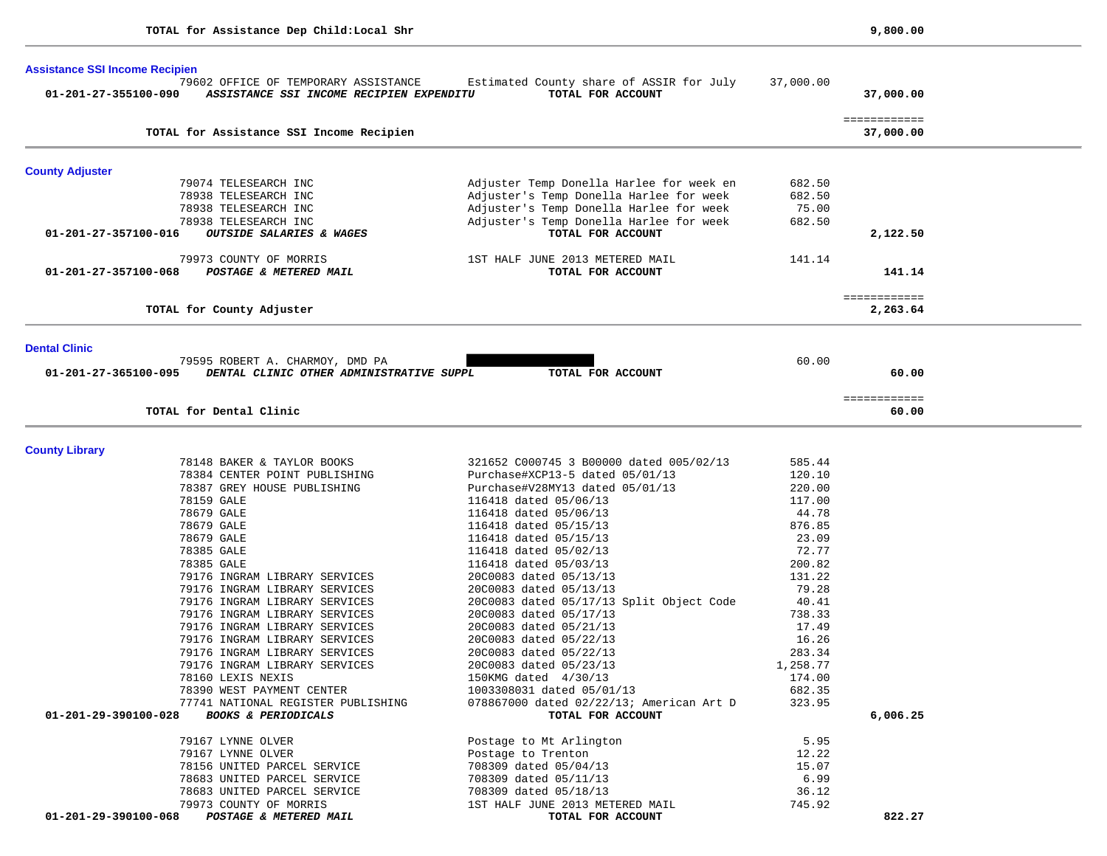| Estimated County share of ASSIR for July<br>79602 OFFICE OF TEMPORARY ASSISTANCE<br>37,000.00<br>TOTAL FOR ACCOUNT<br>37,000.00<br>01-201-27-355100-090<br>ASSISTANCE SSI INCOME RECIPIEN EXPENDITU<br>============<br>TOTAL for Assistance SSI Income Recipien<br>37,000.00<br>Adjuster Temp Donella Harlee for week en<br>682.50<br>79074 TELESEARCH INC<br>78938 TELESEARCH INC<br>Adjuster's Temp Donella Harlee for week<br>682.50<br>78938 TELESEARCH INC<br>Adjuster's Temp Donella Harlee for week<br>75.00<br>78938 TELESEARCH INC<br>Adjuster's Temp Donella Harlee for week<br>682.50<br>TOTAL FOR ACCOUNT<br>2,122.50<br>01-201-27-357100-016<br>OUTSIDE SALARIES & WAGES<br>79973 COUNTY OF MORRIS<br>1ST HALF JUNE 2013 METERED MAIL<br>141.14<br>01-201-27-357100-068<br>141.14<br>POSTAGE & METERED MAIL<br>TOTAL FOR ACCOUNT<br>============<br>TOTAL for County Adjuster<br>2,263.64<br><b>Dental Clinic</b><br>79595 ROBERT A. CHARMOY, DMD PA<br>60.00<br>60.00<br>01-201-27-365100-095<br>DENTAL CLINIC OTHER ADMINISTRATIVE SUPPL<br>TOTAL FOR ACCOUNT<br>============<br>TOTAL for Dental Clinic<br>60.00<br><b>County Library</b><br>321652 C000745 3 B00000 dated 005/02/13<br>585.44<br>78148 BAKER & TAYLOR BOOKS<br>Purchase#XCP13-5 dated 05/01/13<br>78384 CENTER POINT PUBLISHING<br>120.10<br>78387 GREY HOUSE PUBLISHING<br>Purchase#V28MY13 dated 05/01/13<br>220.00<br>117.00<br>78159 GALE<br>116418 dated 05/06/13<br>78679 GALE<br>44.78<br>116418 dated 05/06/13<br>78679 GALE<br>116418 dated 05/15/13<br>876.85<br>116418 dated 05/15/13<br>23.09<br>78679 GALE<br>116418 dated 05/02/13<br>72.77<br>78385 GALE<br>200.82<br>78385 GALE<br>116418 dated 05/03/13<br>20C0083 dated 05/13/13<br>131.22<br>79176 INGRAM LIBRARY SERVICES<br>79176 INGRAM LIBRARY SERVICES<br>79.28<br>20C0083 dated 05/13/13<br>79176 INGRAM LIBRARY SERVICES<br>40.41<br>20C0083 dated 05/17/13 Split Object Code<br>79176 INGRAM LIBRARY SERVICES<br>738.33<br>20C0083 dated 05/17/13<br>79176 INGRAM LIBRARY SERVICES<br>20C0083 dated 05/21/13<br>17.49<br>79176 INGRAM LIBRARY SERVICES<br>20C0083 dated 05/22/13<br>16.26<br>79176 INGRAM LIBRARY SERVICES<br>283.34<br>20C0083 dated 05/22/13<br>79176 INGRAM LIBRARY SERVICES<br>1,258.77<br>20C0083 dated 05/23/13<br>78160 LEXIS NEXIS<br>174.00<br>150KMG dated 4/30/13<br>682.35<br>78390 WEST PAYMENT CENTER<br>1003308031 dated 05/01/13<br>77741 NATIONAL REGISTER PUBLISHING<br>078867000 dated 02/22/13; American Art D<br>323.95<br>01-201-29-390100-028<br><b>BOOKS &amp; PERIODICALS</b><br>TOTAL FOR ACCOUNT<br>6,006.25<br>79167 LYNNE OLVER<br>Postage to Mt Arlington<br>5.95<br>79167 LYNNE OLVER<br>Postage to Trenton<br>12.22<br>78156 UNITED PARCEL SERVICE<br>708309 dated 05/04/13<br>15.07<br>6.99<br>78683 UNITED PARCEL SERVICE<br>708309 dated 05/11/13<br>78683 UNITED PARCEL SERVICE<br>708309 dated 05/18/13<br>36.12<br>79973 COUNTY OF MORRIS<br>1ST HALF JUNE 2013 METERED MAIL<br>745.92 | <b>Assistance SSI Income Recipien</b>          |                   |        |  |
|----------------------------------------------------------------------------------------------------------------------------------------------------------------------------------------------------------------------------------------------------------------------------------------------------------------------------------------------------------------------------------------------------------------------------------------------------------------------------------------------------------------------------------------------------------------------------------------------------------------------------------------------------------------------------------------------------------------------------------------------------------------------------------------------------------------------------------------------------------------------------------------------------------------------------------------------------------------------------------------------------------------------------------------------------------------------------------------------------------------------------------------------------------------------------------------------------------------------------------------------------------------------------------------------------------------------------------------------------------------------------------------------------------------------------------------------------------------------------------------------------------------------------------------------------------------------------------------------------------------------------------------------------------------------------------------------------------------------------------------------------------------------------------------------------------------------------------------------------------------------------------------------------------------------------------------------------------------------------------------------------------------------------------------------------------------------------------------------------------------------------------------------------------------------------------------------------------------------------------------------------------------------------------------------------------------------------------------------------------------------------------------------------------------------------------------------------------------------------------------------------------------------------------------------------------------------------------------------------------------------------------------------------------------------------------------------------------------------------------------------------------------------------------------------------------------------------------------------------------------------------------------------------------------------------------------------------------------------------------------------------------|------------------------------------------------|-------------------|--------|--|
|                                                                                                                                                                                                                                                                                                                                                                                                                                                                                                                                                                                                                                                                                                                                                                                                                                                                                                                                                                                                                                                                                                                                                                                                                                                                                                                                                                                                                                                                                                                                                                                                                                                                                                                                                                                                                                                                                                                                                                                                                                                                                                                                                                                                                                                                                                                                                                                                                                                                                                                                                                                                                                                                                                                                                                                                                                                                                                                                                                                                          |                                                |                   |        |  |
|                                                                                                                                                                                                                                                                                                                                                                                                                                                                                                                                                                                                                                                                                                                                                                                                                                                                                                                                                                                                                                                                                                                                                                                                                                                                                                                                                                                                                                                                                                                                                                                                                                                                                                                                                                                                                                                                                                                                                                                                                                                                                                                                                                                                                                                                                                                                                                                                                                                                                                                                                                                                                                                                                                                                                                                                                                                                                                                                                                                                          |                                                |                   |        |  |
|                                                                                                                                                                                                                                                                                                                                                                                                                                                                                                                                                                                                                                                                                                                                                                                                                                                                                                                                                                                                                                                                                                                                                                                                                                                                                                                                                                                                                                                                                                                                                                                                                                                                                                                                                                                                                                                                                                                                                                                                                                                                                                                                                                                                                                                                                                                                                                                                                                                                                                                                                                                                                                                                                                                                                                                                                                                                                                                                                                                                          |                                                |                   |        |  |
|                                                                                                                                                                                                                                                                                                                                                                                                                                                                                                                                                                                                                                                                                                                                                                                                                                                                                                                                                                                                                                                                                                                                                                                                                                                                                                                                                                                                                                                                                                                                                                                                                                                                                                                                                                                                                                                                                                                                                                                                                                                                                                                                                                                                                                                                                                                                                                                                                                                                                                                                                                                                                                                                                                                                                                                                                                                                                                                                                                                                          |                                                |                   |        |  |
|                                                                                                                                                                                                                                                                                                                                                                                                                                                                                                                                                                                                                                                                                                                                                                                                                                                                                                                                                                                                                                                                                                                                                                                                                                                                                                                                                                                                                                                                                                                                                                                                                                                                                                                                                                                                                                                                                                                                                                                                                                                                                                                                                                                                                                                                                                                                                                                                                                                                                                                                                                                                                                                                                                                                                                                                                                                                                                                                                                                                          | <b>County Adjuster</b>                         |                   |        |  |
|                                                                                                                                                                                                                                                                                                                                                                                                                                                                                                                                                                                                                                                                                                                                                                                                                                                                                                                                                                                                                                                                                                                                                                                                                                                                                                                                                                                                                                                                                                                                                                                                                                                                                                                                                                                                                                                                                                                                                                                                                                                                                                                                                                                                                                                                                                                                                                                                                                                                                                                                                                                                                                                                                                                                                                                                                                                                                                                                                                                                          |                                                |                   |        |  |
|                                                                                                                                                                                                                                                                                                                                                                                                                                                                                                                                                                                                                                                                                                                                                                                                                                                                                                                                                                                                                                                                                                                                                                                                                                                                                                                                                                                                                                                                                                                                                                                                                                                                                                                                                                                                                                                                                                                                                                                                                                                                                                                                                                                                                                                                                                                                                                                                                                                                                                                                                                                                                                                                                                                                                                                                                                                                                                                                                                                                          |                                                |                   |        |  |
|                                                                                                                                                                                                                                                                                                                                                                                                                                                                                                                                                                                                                                                                                                                                                                                                                                                                                                                                                                                                                                                                                                                                                                                                                                                                                                                                                                                                                                                                                                                                                                                                                                                                                                                                                                                                                                                                                                                                                                                                                                                                                                                                                                                                                                                                                                                                                                                                                                                                                                                                                                                                                                                                                                                                                                                                                                                                                                                                                                                                          |                                                |                   |        |  |
|                                                                                                                                                                                                                                                                                                                                                                                                                                                                                                                                                                                                                                                                                                                                                                                                                                                                                                                                                                                                                                                                                                                                                                                                                                                                                                                                                                                                                                                                                                                                                                                                                                                                                                                                                                                                                                                                                                                                                                                                                                                                                                                                                                                                                                                                                                                                                                                                                                                                                                                                                                                                                                                                                                                                                                                                                                                                                                                                                                                                          |                                                |                   |        |  |
|                                                                                                                                                                                                                                                                                                                                                                                                                                                                                                                                                                                                                                                                                                                                                                                                                                                                                                                                                                                                                                                                                                                                                                                                                                                                                                                                                                                                                                                                                                                                                                                                                                                                                                                                                                                                                                                                                                                                                                                                                                                                                                                                                                                                                                                                                                                                                                                                                                                                                                                                                                                                                                                                                                                                                                                                                                                                                                                                                                                                          |                                                |                   |        |  |
|                                                                                                                                                                                                                                                                                                                                                                                                                                                                                                                                                                                                                                                                                                                                                                                                                                                                                                                                                                                                                                                                                                                                                                                                                                                                                                                                                                                                                                                                                                                                                                                                                                                                                                                                                                                                                                                                                                                                                                                                                                                                                                                                                                                                                                                                                                                                                                                                                                                                                                                                                                                                                                                                                                                                                                                                                                                                                                                                                                                                          |                                                |                   |        |  |
|                                                                                                                                                                                                                                                                                                                                                                                                                                                                                                                                                                                                                                                                                                                                                                                                                                                                                                                                                                                                                                                                                                                                                                                                                                                                                                                                                                                                                                                                                                                                                                                                                                                                                                                                                                                                                                                                                                                                                                                                                                                                                                                                                                                                                                                                                                                                                                                                                                                                                                                                                                                                                                                                                                                                                                                                                                                                                                                                                                                                          |                                                |                   |        |  |
|                                                                                                                                                                                                                                                                                                                                                                                                                                                                                                                                                                                                                                                                                                                                                                                                                                                                                                                                                                                                                                                                                                                                                                                                                                                                                                                                                                                                                                                                                                                                                                                                                                                                                                                                                                                                                                                                                                                                                                                                                                                                                                                                                                                                                                                                                                                                                                                                                                                                                                                                                                                                                                                                                                                                                                                                                                                                                                                                                                                                          |                                                |                   |        |  |
|                                                                                                                                                                                                                                                                                                                                                                                                                                                                                                                                                                                                                                                                                                                                                                                                                                                                                                                                                                                                                                                                                                                                                                                                                                                                                                                                                                                                                                                                                                                                                                                                                                                                                                                                                                                                                                                                                                                                                                                                                                                                                                                                                                                                                                                                                                                                                                                                                                                                                                                                                                                                                                                                                                                                                                                                                                                                                                                                                                                                          |                                                |                   |        |  |
|                                                                                                                                                                                                                                                                                                                                                                                                                                                                                                                                                                                                                                                                                                                                                                                                                                                                                                                                                                                                                                                                                                                                                                                                                                                                                                                                                                                                                                                                                                                                                                                                                                                                                                                                                                                                                                                                                                                                                                                                                                                                                                                                                                                                                                                                                                                                                                                                                                                                                                                                                                                                                                                                                                                                                                                                                                                                                                                                                                                                          |                                                |                   |        |  |
|                                                                                                                                                                                                                                                                                                                                                                                                                                                                                                                                                                                                                                                                                                                                                                                                                                                                                                                                                                                                                                                                                                                                                                                                                                                                                                                                                                                                                                                                                                                                                                                                                                                                                                                                                                                                                                                                                                                                                                                                                                                                                                                                                                                                                                                                                                                                                                                                                                                                                                                                                                                                                                                                                                                                                                                                                                                                                                                                                                                                          |                                                |                   |        |  |
|                                                                                                                                                                                                                                                                                                                                                                                                                                                                                                                                                                                                                                                                                                                                                                                                                                                                                                                                                                                                                                                                                                                                                                                                                                                                                                                                                                                                                                                                                                                                                                                                                                                                                                                                                                                                                                                                                                                                                                                                                                                                                                                                                                                                                                                                                                                                                                                                                                                                                                                                                                                                                                                                                                                                                                                                                                                                                                                                                                                                          |                                                |                   |        |  |
|                                                                                                                                                                                                                                                                                                                                                                                                                                                                                                                                                                                                                                                                                                                                                                                                                                                                                                                                                                                                                                                                                                                                                                                                                                                                                                                                                                                                                                                                                                                                                                                                                                                                                                                                                                                                                                                                                                                                                                                                                                                                                                                                                                                                                                                                                                                                                                                                                                                                                                                                                                                                                                                                                                                                                                                                                                                                                                                                                                                                          |                                                |                   |        |  |
|                                                                                                                                                                                                                                                                                                                                                                                                                                                                                                                                                                                                                                                                                                                                                                                                                                                                                                                                                                                                                                                                                                                                                                                                                                                                                                                                                                                                                                                                                                                                                                                                                                                                                                                                                                                                                                                                                                                                                                                                                                                                                                                                                                                                                                                                                                                                                                                                                                                                                                                                                                                                                                                                                                                                                                                                                                                                                                                                                                                                          |                                                |                   |        |  |
|                                                                                                                                                                                                                                                                                                                                                                                                                                                                                                                                                                                                                                                                                                                                                                                                                                                                                                                                                                                                                                                                                                                                                                                                                                                                                                                                                                                                                                                                                                                                                                                                                                                                                                                                                                                                                                                                                                                                                                                                                                                                                                                                                                                                                                                                                                                                                                                                                                                                                                                                                                                                                                                                                                                                                                                                                                                                                                                                                                                                          |                                                |                   |        |  |
|                                                                                                                                                                                                                                                                                                                                                                                                                                                                                                                                                                                                                                                                                                                                                                                                                                                                                                                                                                                                                                                                                                                                                                                                                                                                                                                                                                                                                                                                                                                                                                                                                                                                                                                                                                                                                                                                                                                                                                                                                                                                                                                                                                                                                                                                                                                                                                                                                                                                                                                                                                                                                                                                                                                                                                                                                                                                                                                                                                                                          |                                                |                   |        |  |
|                                                                                                                                                                                                                                                                                                                                                                                                                                                                                                                                                                                                                                                                                                                                                                                                                                                                                                                                                                                                                                                                                                                                                                                                                                                                                                                                                                                                                                                                                                                                                                                                                                                                                                                                                                                                                                                                                                                                                                                                                                                                                                                                                                                                                                                                                                                                                                                                                                                                                                                                                                                                                                                                                                                                                                                                                                                                                                                                                                                                          |                                                |                   |        |  |
|                                                                                                                                                                                                                                                                                                                                                                                                                                                                                                                                                                                                                                                                                                                                                                                                                                                                                                                                                                                                                                                                                                                                                                                                                                                                                                                                                                                                                                                                                                                                                                                                                                                                                                                                                                                                                                                                                                                                                                                                                                                                                                                                                                                                                                                                                                                                                                                                                                                                                                                                                                                                                                                                                                                                                                                                                                                                                                                                                                                                          |                                                |                   |        |  |
|                                                                                                                                                                                                                                                                                                                                                                                                                                                                                                                                                                                                                                                                                                                                                                                                                                                                                                                                                                                                                                                                                                                                                                                                                                                                                                                                                                                                                                                                                                                                                                                                                                                                                                                                                                                                                                                                                                                                                                                                                                                                                                                                                                                                                                                                                                                                                                                                                                                                                                                                                                                                                                                                                                                                                                                                                                                                                                                                                                                                          |                                                |                   |        |  |
|                                                                                                                                                                                                                                                                                                                                                                                                                                                                                                                                                                                                                                                                                                                                                                                                                                                                                                                                                                                                                                                                                                                                                                                                                                                                                                                                                                                                                                                                                                                                                                                                                                                                                                                                                                                                                                                                                                                                                                                                                                                                                                                                                                                                                                                                                                                                                                                                                                                                                                                                                                                                                                                                                                                                                                                                                                                                                                                                                                                                          |                                                |                   |        |  |
|                                                                                                                                                                                                                                                                                                                                                                                                                                                                                                                                                                                                                                                                                                                                                                                                                                                                                                                                                                                                                                                                                                                                                                                                                                                                                                                                                                                                                                                                                                                                                                                                                                                                                                                                                                                                                                                                                                                                                                                                                                                                                                                                                                                                                                                                                                                                                                                                                                                                                                                                                                                                                                                                                                                                                                                                                                                                                                                                                                                                          |                                                |                   |        |  |
|                                                                                                                                                                                                                                                                                                                                                                                                                                                                                                                                                                                                                                                                                                                                                                                                                                                                                                                                                                                                                                                                                                                                                                                                                                                                                                                                                                                                                                                                                                                                                                                                                                                                                                                                                                                                                                                                                                                                                                                                                                                                                                                                                                                                                                                                                                                                                                                                                                                                                                                                                                                                                                                                                                                                                                                                                                                                                                                                                                                                          |                                                |                   |        |  |
|                                                                                                                                                                                                                                                                                                                                                                                                                                                                                                                                                                                                                                                                                                                                                                                                                                                                                                                                                                                                                                                                                                                                                                                                                                                                                                                                                                                                                                                                                                                                                                                                                                                                                                                                                                                                                                                                                                                                                                                                                                                                                                                                                                                                                                                                                                                                                                                                                                                                                                                                                                                                                                                                                                                                                                                                                                                                                                                                                                                                          |                                                |                   |        |  |
|                                                                                                                                                                                                                                                                                                                                                                                                                                                                                                                                                                                                                                                                                                                                                                                                                                                                                                                                                                                                                                                                                                                                                                                                                                                                                                                                                                                                                                                                                                                                                                                                                                                                                                                                                                                                                                                                                                                                                                                                                                                                                                                                                                                                                                                                                                                                                                                                                                                                                                                                                                                                                                                                                                                                                                                                                                                                                                                                                                                                          |                                                |                   |        |  |
|                                                                                                                                                                                                                                                                                                                                                                                                                                                                                                                                                                                                                                                                                                                                                                                                                                                                                                                                                                                                                                                                                                                                                                                                                                                                                                                                                                                                                                                                                                                                                                                                                                                                                                                                                                                                                                                                                                                                                                                                                                                                                                                                                                                                                                                                                                                                                                                                                                                                                                                                                                                                                                                                                                                                                                                                                                                                                                                                                                                                          |                                                |                   |        |  |
|                                                                                                                                                                                                                                                                                                                                                                                                                                                                                                                                                                                                                                                                                                                                                                                                                                                                                                                                                                                                                                                                                                                                                                                                                                                                                                                                                                                                                                                                                                                                                                                                                                                                                                                                                                                                                                                                                                                                                                                                                                                                                                                                                                                                                                                                                                                                                                                                                                                                                                                                                                                                                                                                                                                                                                                                                                                                                                                                                                                                          |                                                |                   |        |  |
|                                                                                                                                                                                                                                                                                                                                                                                                                                                                                                                                                                                                                                                                                                                                                                                                                                                                                                                                                                                                                                                                                                                                                                                                                                                                                                                                                                                                                                                                                                                                                                                                                                                                                                                                                                                                                                                                                                                                                                                                                                                                                                                                                                                                                                                                                                                                                                                                                                                                                                                                                                                                                                                                                                                                                                                                                                                                                                                                                                                                          |                                                |                   |        |  |
|                                                                                                                                                                                                                                                                                                                                                                                                                                                                                                                                                                                                                                                                                                                                                                                                                                                                                                                                                                                                                                                                                                                                                                                                                                                                                                                                                                                                                                                                                                                                                                                                                                                                                                                                                                                                                                                                                                                                                                                                                                                                                                                                                                                                                                                                                                                                                                                                                                                                                                                                                                                                                                                                                                                                                                                                                                                                                                                                                                                                          |                                                |                   |        |  |
|                                                                                                                                                                                                                                                                                                                                                                                                                                                                                                                                                                                                                                                                                                                                                                                                                                                                                                                                                                                                                                                                                                                                                                                                                                                                                                                                                                                                                                                                                                                                                                                                                                                                                                                                                                                                                                                                                                                                                                                                                                                                                                                                                                                                                                                                                                                                                                                                                                                                                                                                                                                                                                                                                                                                                                                                                                                                                                                                                                                                          |                                                |                   |        |  |
|                                                                                                                                                                                                                                                                                                                                                                                                                                                                                                                                                                                                                                                                                                                                                                                                                                                                                                                                                                                                                                                                                                                                                                                                                                                                                                                                                                                                                                                                                                                                                                                                                                                                                                                                                                                                                                                                                                                                                                                                                                                                                                                                                                                                                                                                                                                                                                                                                                                                                                                                                                                                                                                                                                                                                                                                                                                                                                                                                                                                          |                                                |                   |        |  |
|                                                                                                                                                                                                                                                                                                                                                                                                                                                                                                                                                                                                                                                                                                                                                                                                                                                                                                                                                                                                                                                                                                                                                                                                                                                                                                                                                                                                                                                                                                                                                                                                                                                                                                                                                                                                                                                                                                                                                                                                                                                                                                                                                                                                                                                                                                                                                                                                                                                                                                                                                                                                                                                                                                                                                                                                                                                                                                                                                                                                          |                                                |                   |        |  |
|                                                                                                                                                                                                                                                                                                                                                                                                                                                                                                                                                                                                                                                                                                                                                                                                                                                                                                                                                                                                                                                                                                                                                                                                                                                                                                                                                                                                                                                                                                                                                                                                                                                                                                                                                                                                                                                                                                                                                                                                                                                                                                                                                                                                                                                                                                                                                                                                                                                                                                                                                                                                                                                                                                                                                                                                                                                                                                                                                                                                          |                                                |                   |        |  |
|                                                                                                                                                                                                                                                                                                                                                                                                                                                                                                                                                                                                                                                                                                                                                                                                                                                                                                                                                                                                                                                                                                                                                                                                                                                                                                                                                                                                                                                                                                                                                                                                                                                                                                                                                                                                                                                                                                                                                                                                                                                                                                                                                                                                                                                                                                                                                                                                                                                                                                                                                                                                                                                                                                                                                                                                                                                                                                                                                                                                          |                                                |                   |        |  |
|                                                                                                                                                                                                                                                                                                                                                                                                                                                                                                                                                                                                                                                                                                                                                                                                                                                                                                                                                                                                                                                                                                                                                                                                                                                                                                                                                                                                                                                                                                                                                                                                                                                                                                                                                                                                                                                                                                                                                                                                                                                                                                                                                                                                                                                                                                                                                                                                                                                                                                                                                                                                                                                                                                                                                                                                                                                                                                                                                                                                          |                                                |                   |        |  |
|                                                                                                                                                                                                                                                                                                                                                                                                                                                                                                                                                                                                                                                                                                                                                                                                                                                                                                                                                                                                                                                                                                                                                                                                                                                                                                                                                                                                                                                                                                                                                                                                                                                                                                                                                                                                                                                                                                                                                                                                                                                                                                                                                                                                                                                                                                                                                                                                                                                                                                                                                                                                                                                                                                                                                                                                                                                                                                                                                                                                          |                                                |                   |        |  |
|                                                                                                                                                                                                                                                                                                                                                                                                                                                                                                                                                                                                                                                                                                                                                                                                                                                                                                                                                                                                                                                                                                                                                                                                                                                                                                                                                                                                                                                                                                                                                                                                                                                                                                                                                                                                                                                                                                                                                                                                                                                                                                                                                                                                                                                                                                                                                                                                                                                                                                                                                                                                                                                                                                                                                                                                                                                                                                                                                                                                          |                                                |                   |        |  |
|                                                                                                                                                                                                                                                                                                                                                                                                                                                                                                                                                                                                                                                                                                                                                                                                                                                                                                                                                                                                                                                                                                                                                                                                                                                                                                                                                                                                                                                                                                                                                                                                                                                                                                                                                                                                                                                                                                                                                                                                                                                                                                                                                                                                                                                                                                                                                                                                                                                                                                                                                                                                                                                                                                                                                                                                                                                                                                                                                                                                          |                                                |                   |        |  |
|                                                                                                                                                                                                                                                                                                                                                                                                                                                                                                                                                                                                                                                                                                                                                                                                                                                                                                                                                                                                                                                                                                                                                                                                                                                                                                                                                                                                                                                                                                                                                                                                                                                                                                                                                                                                                                                                                                                                                                                                                                                                                                                                                                                                                                                                                                                                                                                                                                                                                                                                                                                                                                                                                                                                                                                                                                                                                                                                                                                                          |                                                |                   |        |  |
|                                                                                                                                                                                                                                                                                                                                                                                                                                                                                                                                                                                                                                                                                                                                                                                                                                                                                                                                                                                                                                                                                                                                                                                                                                                                                                                                                                                                                                                                                                                                                                                                                                                                                                                                                                                                                                                                                                                                                                                                                                                                                                                                                                                                                                                                                                                                                                                                                                                                                                                                                                                                                                                                                                                                                                                                                                                                                                                                                                                                          |                                                |                   |        |  |
|                                                                                                                                                                                                                                                                                                                                                                                                                                                                                                                                                                                                                                                                                                                                                                                                                                                                                                                                                                                                                                                                                                                                                                                                                                                                                                                                                                                                                                                                                                                                                                                                                                                                                                                                                                                                                                                                                                                                                                                                                                                                                                                                                                                                                                                                                                                                                                                                                                                                                                                                                                                                                                                                                                                                                                                                                                                                                                                                                                                                          |                                                |                   |        |  |
|                                                                                                                                                                                                                                                                                                                                                                                                                                                                                                                                                                                                                                                                                                                                                                                                                                                                                                                                                                                                                                                                                                                                                                                                                                                                                                                                                                                                                                                                                                                                                                                                                                                                                                                                                                                                                                                                                                                                                                                                                                                                                                                                                                                                                                                                                                                                                                                                                                                                                                                                                                                                                                                                                                                                                                                                                                                                                                                                                                                                          |                                                |                   |        |  |
|                                                                                                                                                                                                                                                                                                                                                                                                                                                                                                                                                                                                                                                                                                                                                                                                                                                                                                                                                                                                                                                                                                                                                                                                                                                                                                                                                                                                                                                                                                                                                                                                                                                                                                                                                                                                                                                                                                                                                                                                                                                                                                                                                                                                                                                                                                                                                                                                                                                                                                                                                                                                                                                                                                                                                                                                                                                                                                                                                                                                          |                                                |                   |        |  |
|                                                                                                                                                                                                                                                                                                                                                                                                                                                                                                                                                                                                                                                                                                                                                                                                                                                                                                                                                                                                                                                                                                                                                                                                                                                                                                                                                                                                                                                                                                                                                                                                                                                                                                                                                                                                                                                                                                                                                                                                                                                                                                                                                                                                                                                                                                                                                                                                                                                                                                                                                                                                                                                                                                                                                                                                                                                                                                                                                                                                          |                                                |                   |        |  |
|                                                                                                                                                                                                                                                                                                                                                                                                                                                                                                                                                                                                                                                                                                                                                                                                                                                                                                                                                                                                                                                                                                                                                                                                                                                                                                                                                                                                                                                                                                                                                                                                                                                                                                                                                                                                                                                                                                                                                                                                                                                                                                                                                                                                                                                                                                                                                                                                                                                                                                                                                                                                                                                                                                                                                                                                                                                                                                                                                                                                          | 01-201-29-390100-068<br>POSTAGE & METERED MAIL | TOTAL FOR ACCOUNT | 822.27 |  |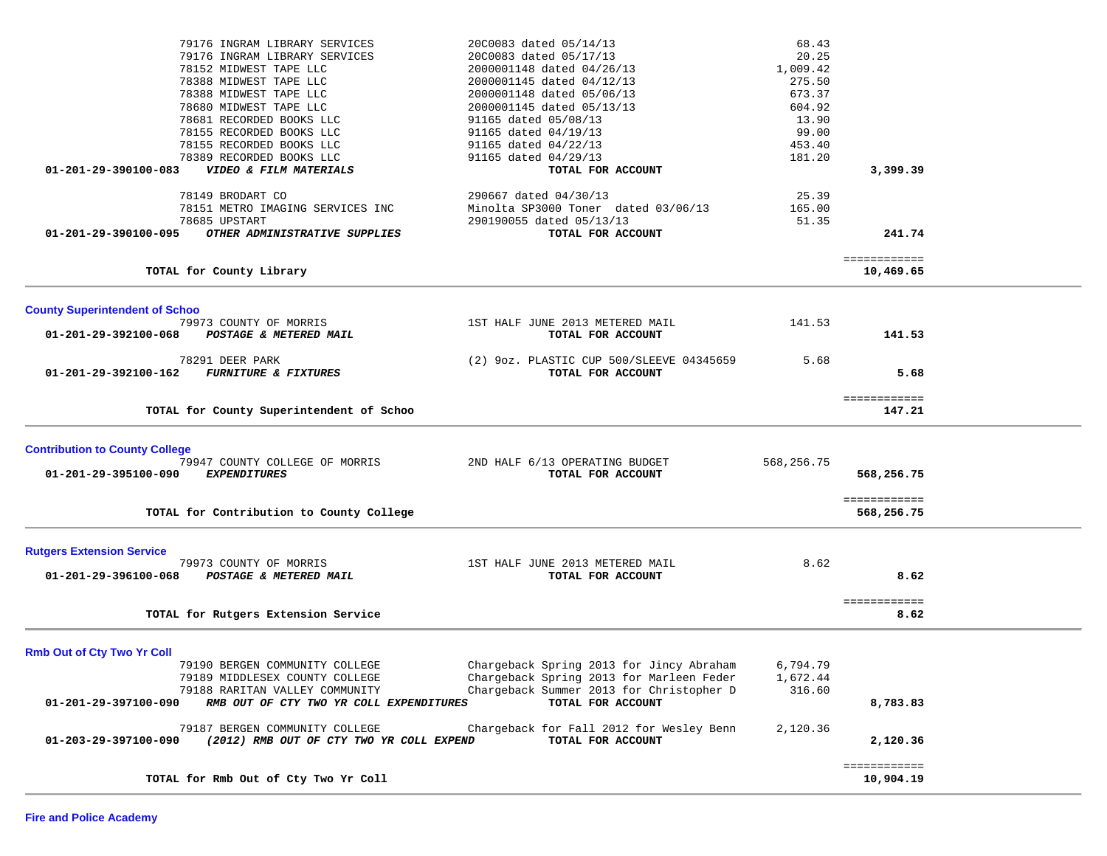| 79176 INGRAM LIBRARY SERVICES<br>79176 INGRAM LIBRARY SERVICES<br>78152 MIDWEST TAPE LLC<br>78388 MIDWEST TAPE LLC<br>78388 MIDWEST TAPE LLC<br>78680 MIDWEST TAPE LLC<br>78681 RECORDED BOOKS LLC<br>78155 RECORDED BOOKS LLC<br>78155 RECORDED BOOKS LLC<br>78389 RECORDED BOOKS LLC<br>01-201-29-390100-083<br>VIDEO & FILM MATERIALS | 20C0083 dated 05/14/13<br>20C0083 dated 05/17/13<br>2000001148 dated 04/26/13<br>2000001145 dated 04/12/13<br>2000001148 dated 05/06/13<br>2000001145 dated 05/13/13<br>91165 dated 05/08/13<br>91165 dated 04/19/13<br>91165 dated 04/22/13<br>91165 dated 04/29/13<br>TOTAL FOR ACCOUNT | 68.43<br>20.25<br>1,009.42<br>275.50<br>673.37<br>604.92<br>13.90<br>99.00<br>453.40<br>181.20 | 3,399.39                     |  |
|------------------------------------------------------------------------------------------------------------------------------------------------------------------------------------------------------------------------------------------------------------------------------------------------------------------------------------------|-------------------------------------------------------------------------------------------------------------------------------------------------------------------------------------------------------------------------------------------------------------------------------------------|------------------------------------------------------------------------------------------------|------------------------------|--|
| 78149 BRODART CO<br>78151 METRO IMAGING SERVICES INC<br>78685 UPSTART<br>OTHER ADMINISTRATIVE SUPPLIES<br>01-201-29-390100-095                                                                                                                                                                                                           | 290667 dated 04/30/13<br>Minolta SP3000 Toner dated 03/06/13<br>290190055 dated 05/13/13<br>TOTAL FOR ACCOUNT                                                                                                                                                                             | 25.39<br>165.00<br>51.35                                                                       | 241.74                       |  |
| TOTAL for County Library                                                                                                                                                                                                                                                                                                                 |                                                                                                                                                                                                                                                                                           |                                                                                                | ============<br>10,469.65    |  |
| <b>County Superintendent of Schoo</b><br>79973 COUNTY OF MORRIS<br>01-201-29-392100-068<br>POSTAGE & METERED MAIL                                                                                                                                                                                                                        | 1ST HALF JUNE 2013 METERED MAIL<br>TOTAL FOR ACCOUNT                                                                                                                                                                                                                                      | 141.53                                                                                         | 141.53                       |  |
| 78291 DEER PARK<br><b>FURNITURE &amp; FIXTURES</b><br>01-201-29-392100-162                                                                                                                                                                                                                                                               | (2) 9oz. PLASTIC CUP 500/SLEEVE 04345659<br>TOTAL FOR ACCOUNT                                                                                                                                                                                                                             | 5.68                                                                                           | 5.68                         |  |
| TOTAL for County Superintendent of Schoo                                                                                                                                                                                                                                                                                                 |                                                                                                                                                                                                                                                                                           |                                                                                                | ============<br>147.21       |  |
| <b>Contribution to County College</b><br>79947 COUNTY COLLEGE OF MORRIS<br>01-201-29-395100-090<br><b>EXPENDITURES</b>                                                                                                                                                                                                                   | 2ND HALF 6/13 OPERATING BUDGET<br>TOTAL FOR ACCOUNT                                                                                                                                                                                                                                       | 568,256.75                                                                                     | 568,256.75<br>============   |  |
| TOTAL for Contribution to County College                                                                                                                                                                                                                                                                                                 |                                                                                                                                                                                                                                                                                           |                                                                                                | 568,256.75                   |  |
| <b>Rutgers Extension Service</b><br>79973 COUNTY OF MORRIS<br>01-201-29-396100-068<br>POSTAGE & METERED MAIL<br>TOTAL for Rutgers Extension Service                                                                                                                                                                                      | 1ST HALF JUNE 2013 METERED MAIL<br>TOTAL FOR ACCOUNT                                                                                                                                                                                                                                      | 8.62                                                                                           | 8.62<br>============<br>8.62 |  |
| <b>Rmb Out of Cty Two Yr Coll</b><br>79190 BERGEN COMMUNITY COLLEGE<br>79189 MIDDLESEX COUNTY COLLEGE<br>79188 RARITAN VALLEY COMMUNITY<br>01-201-29-397100-090<br>RMB OUT OF CTY TWO YR COLL EXPENDITURES                                                                                                                               | Chargeback Spring 2013 for Jincy Abraham<br>Chargeback Spring 2013 for Marleen Feder<br>Chargeback Summer 2013 for Christopher D<br>TOTAL FOR ACCOUNT                                                                                                                                     | 6,794.79<br>1,672.44<br>316.60                                                                 | 8,783.83                     |  |
| 79187 BERGEN COMMUNITY COLLEGE<br>01-203-29-397100-090<br>(2012) RMB OUT OF CTY TWO YR COLL EXPEND                                                                                                                                                                                                                                       | Chargeback for Fall 2012 for Wesley Benn<br>TOTAL FOR ACCOUNT                                                                                                                                                                                                                             | 2,120.36                                                                                       | 2,120.36                     |  |
| TOTAL for Rmb Out of Cty Two Yr Coll                                                                                                                                                                                                                                                                                                     |                                                                                                                                                                                                                                                                                           |                                                                                                | ============<br>10,904.19    |  |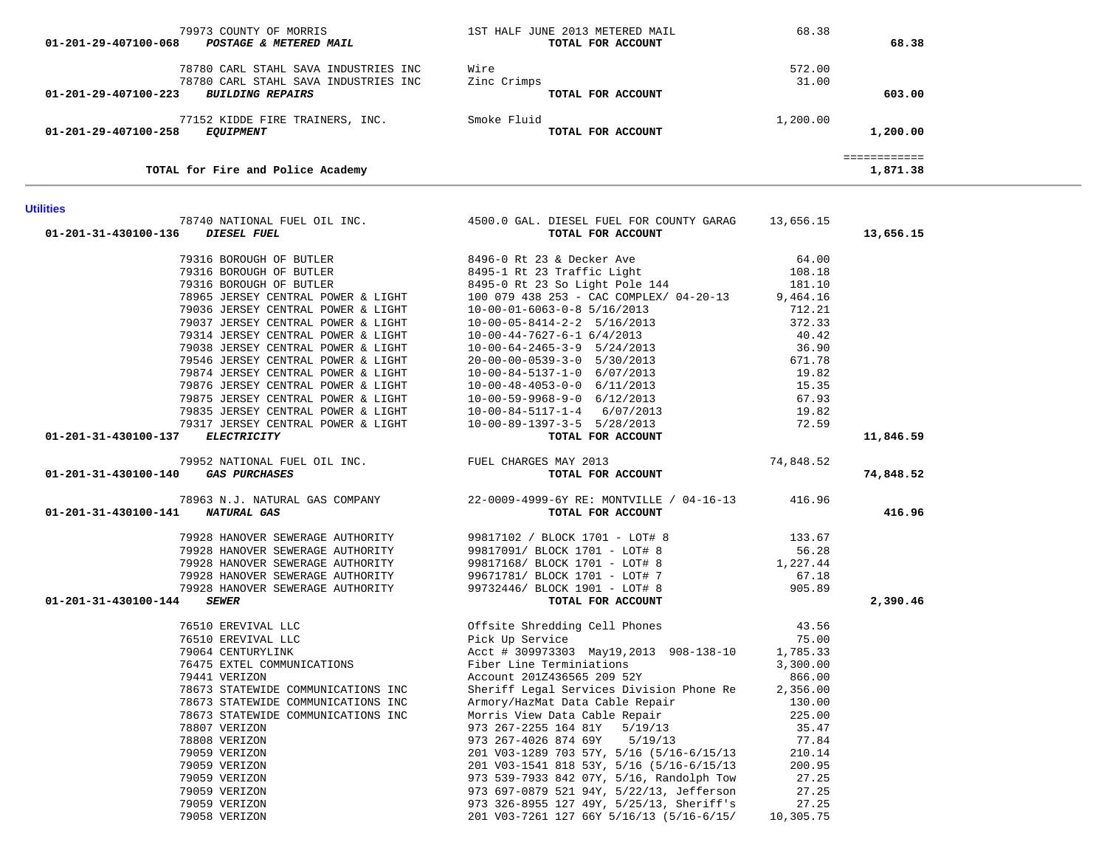| 01-201-29-407100-068               | 79973 COUNTY OF MORRIS<br><b>POSTAGE &amp; METERED MAIL</b>                  | 1ST HALF JUNE 2013 METERED MAIL<br>TOTAL FOR ACCOUNT                                                                     | 68.38           | 68.38                    |  |
|------------------------------------|------------------------------------------------------------------------------|--------------------------------------------------------------------------------------------------------------------------|-----------------|--------------------------|--|
|                                    | 78780 CARL STAHL SAVA INDUSTRIES INC<br>78780 CARL STAHL SAVA INDUSTRIES INC | Wire<br>Zinc Crimps                                                                                                      | 572.00<br>31.00 |                          |  |
| 01-201-29-407100-223               | <b>BUILDING REPAIRS</b>                                                      | TOTAL FOR ACCOUNT                                                                                                        |                 | 603.00                   |  |
|                                    | 77152 KIDDE FIRE TRAINERS, INC. Smoke Fluid                                  |                                                                                                                          | 1,200.00        |                          |  |
| 01-201-29-407100-258               | <i>EQUIPMENT</i>                                                             | TOTAL FOR ACCOUNT                                                                                                        |                 | 1,200.00                 |  |
|                                    | TOTAL for Fire and Police Academy                                            |                                                                                                                          |                 | ============<br>1,871.38 |  |
| <b>Utilities</b>                   |                                                                              |                                                                                                                          |                 |                          |  |
| 01-201-31-430100-136               | DIESEL FUEL                                                                  | 78740 NATIONAL FUEL OIL INC. 4500.0 GAL. DIESEL FUEL FOR COUNTY GARAG<br>TOTAL FOR ACCOUNT                               | 13,656.15       | 13,656.15                |  |
|                                    | 79316 BOROUGH OF BUTLER                                                      | 8496-0 Rt 23 & Decker Ave                                                                                                | 64.00           |                          |  |
|                                    | 79316 BOROUGH OF BUTLER                                                      | 8495-1 Rt 23 Traffic Light<br>8495-1 Rt 23 Traffic Light<br>8495-0 Rt 23 So Light Pole 144<br>8495-1 Rt 23 Traffic Light | 108.18          |                          |  |
|                                    | 79316 BOROUGH OF BUTLER                                                      |                                                                                                                          | 181.10          |                          |  |
|                                    | 78965 JERSEY CENTRAL POWER & LIGHT                                           | 100 079 438 253 - CAC COMPLEX/ 04-20-13                                                                                  | 9,464.16        |                          |  |
|                                    | 79036 JERSEY CENTRAL POWER & LIGHT                                           | $10-00-01-6063-0-8$ 5/16/2013                                                                                            | 712.21          |                          |  |
|                                    | 79037 JERSEY CENTRAL POWER & LIGHT                                           | $10-00-05-8414-2-2$ 5/16/2013                                                                                            | 372.33          |                          |  |
|                                    | 79314 JERSEY CENTRAL POWER & LIGHT                                           | $10-00-44-7627-6-1$ 6/4/2013                                                                                             | 40.42           |                          |  |
|                                    | 79038 JERSEY CENTRAL POWER & LIGHT                                           | $10-00-64-2465-3-9$ 5/24/2013                                                                                            | 36.90           |                          |  |
|                                    | 79546 JERSEY CENTRAL POWER & LIGHT                                           | $20 - 00 - 00 - 0539 - 3 - 0$ 5/30/2013                                                                                  | 671.78          |                          |  |
|                                    | 79874 JERSEY CENTRAL POWER & LIGHT                                           | $10-00-84-5137-1-0$ 6/07/2013                                                                                            | 19.82           |                          |  |
|                                    | 79876 JERSEY CENTRAL POWER & LIGHT                                           | $10-00-48-4053-0-0$ 6/11/2013                                                                                            | 15.35           |                          |  |
|                                    | 79875 JERSEY CENTRAL POWER & LIGHT                                           | $10-00-59-9968-9-0$ 6/12/2013                                                                                            | 67.93           |                          |  |
|                                    | 79835 JERSEY CENTRAL POWER & LIGHT<br>79317 JERSEY CENTRAL POWER & LIGHT     | $10-00-84-5117-1-4$ 6/07/2013                                                                                            | 19.82<br>72.59  |                          |  |
| 01-201-31-430100-137               | <b>ELECTRICITY</b>                                                           | $10-00-89-1397-3-5$ $5/28/2013$<br>TOTAL FOR ACCOUNT                                                                     |                 | 11,846.59                |  |
|                                    |                                                                              |                                                                                                                          |                 |                          |  |
|                                    | 79952 NATIONAL FUEL OIL INC. THE PUEL CHARGES MAY 2013                       |                                                                                                                          | 74,848.52       |                          |  |
| 01-201-31-430100-140 GAS PURCHASES |                                                                              | TOTAL FOR ACCOUNT                                                                                                        |                 | 74,848.52                |  |
| 01-201-31-430100-141 NATURAL GAS   |                                                                              | 78963 N.J. NATURAL GAS COMPANY 22-0009-4999-6Y RE: MONTVILLE / 04-16-13<br>TOTAL FOR ACCOUNT                             | 416.96          | 416.96                   |  |
|                                    | 79928 HANOVER SEWERAGE AUTHORITY                                             | 99817102 / BLOCK 1701 - LOT# 8                                                                                           | 133.67          |                          |  |
|                                    | 79928 HANOVER SEWERAGE AUTHORITY                                             | 99817091/ BLOCK 1701 - LOT# 8                                                                                            | 56.28           |                          |  |
|                                    | 79928 HANOVER SEWERAGE AUTHORITY                                             |                                                                                                                          | 1,227.44        |                          |  |
|                                    | 79928 HANOVER SEWERAGE AUTHORITY                                             |                                                                                                                          | 67.18           |                          |  |
|                                    | 79928 HANOVER SEWERAGE AUTHORITY                                             |                                                                                                                          | 905.89          |                          |  |
| 01-201-31-430100-144               | <i><b>SEWER</b></i>                                                          | TOTAL FOR ACCOUNT                                                                                                        |                 | 2,390.46                 |  |
|                                    | 76510 EREVIVAL LLC                                                           | Offsite Shredding Cell Phones<br>Dight Up Second as                                                                      | 43.56           |                          |  |
|                                    | 76510 EREVIVAL LLC                                                           | Pick Up Service                                                                                                          | 75.00           |                          |  |
|                                    | 79064 CENTURYLINK                                                            | Acct # 309973303 May19,2013 908-138-10                                                                                   | 1,785.33        |                          |  |
|                                    | 76475 EXTEL COMMUNICATIONS                                                   | Fiber Line Terminiations                                                                                                 | 3,300.00        |                          |  |
|                                    | 79441 VERIZON                                                                | Account 201Z436565 209 52Y                                                                                               | 866.00          |                          |  |
|                                    | 78673 STATEWIDE COMMUNICATIONS INC                                           | Sheriff Legal Services Division Phone Re                                                                                 | 2,356.00        |                          |  |
|                                    | 78673 STATEWIDE COMMUNICATIONS INC                                           | Armory/HazMat Data Cable Repair                                                                                          | 130.00          |                          |  |
|                                    | 78673 STATEWIDE COMMUNICATIONS INC                                           | Morris View Data Cable Repair                                                                                            | 225.00          |                          |  |
|                                    | 78807 VERIZON                                                                | 973 267-2255 164 81Y 5/19/13                                                                                             | 35.47           |                          |  |
|                                    | 78808 VERIZON                                                                | 973 267-4026 874 69Y 5/19/13                                                                                             | 77.84           |                          |  |
|                                    | 79059 VERIZON<br>79059 VERIZON                                               | 201 V03-1289 703 57Y, 5/16 (5/16-6/15/13                                                                                 | 210.14          |                          |  |
|                                    |                                                                              | 201 V03-1541 818 53Y, 5/16 (5/16-6/15/13<br>973 539-7933 842 07Y, 5/16, Randolph Tow                                     | 200.95<br>27.25 |                          |  |
|                                    | 79059 VERIZON                                                                | 973 697-0879 521 94Y, 5/22/13, Jefferson                                                                                 | 27.25           |                          |  |
|                                    | 79059 VERIZON                                                                | 973 326-8955 127 49Y, 5/25/13, Sheriff's                                                                                 | 27.25           |                          |  |
|                                    | 79059 VERIZON<br>79058 VERIZON                                               | 201 V03-7261 127 66Y 5/16/13 (5/16-6/15/                                                                                 | 10,305.75       |                          |  |
|                                    |                                                                              |                                                                                                                          |                 |                          |  |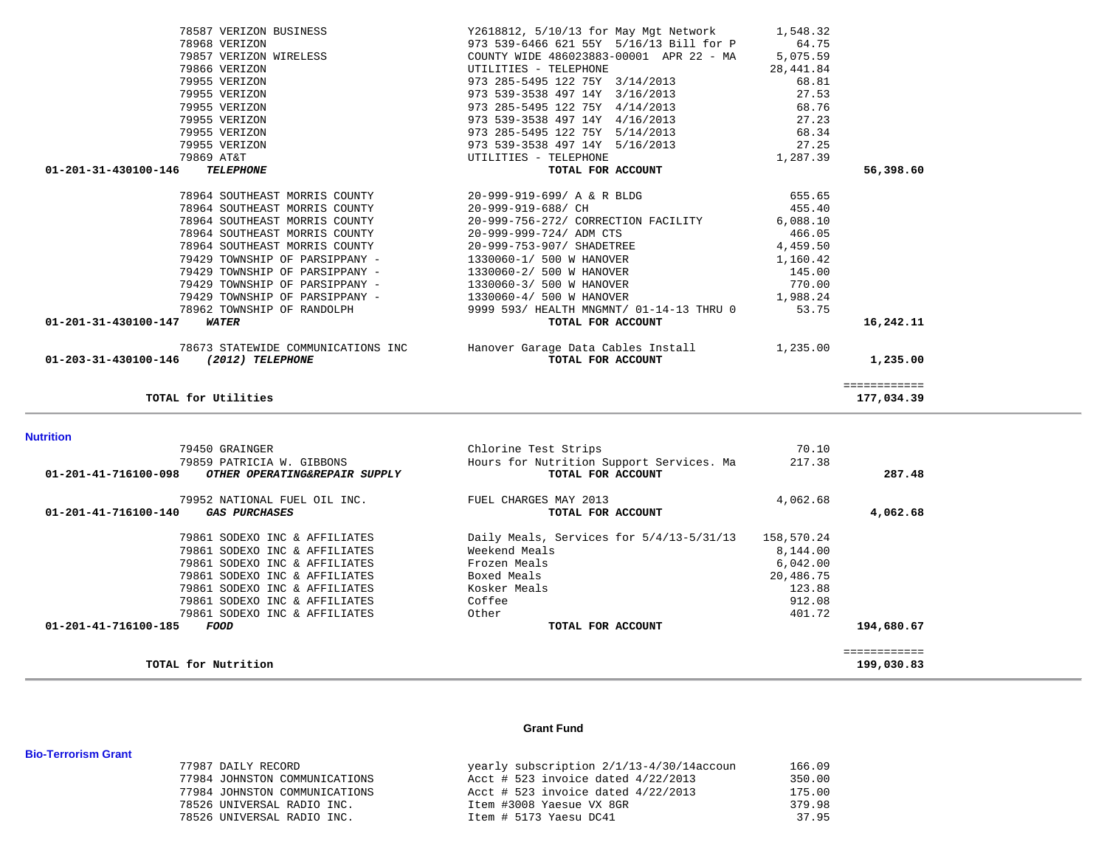| COUNTY WIDE 486023883-00001 APR 22 - MA<br>UTILITIES - TELEPHONE<br>973 285-5495 122 75Y 3/14/2013<br>973 539-3538 497 14Y 3/16/2013<br>973 285-5495 122 75Y 4/14/2013<br>973 539-3538 497 14Y 4/16/2013<br>973 285-5495 122 75Y 5/14/2013<br>973 539-3538 497 14Y 5/16/2013<br>UTILITIES - TELEPHONE<br>TOTAL FOR ACCOUNT<br>20-999-919-699/ A & R BLDG<br>20-999-919-688/ CH<br>20-999-756-272/ CORRECTION FACILITY<br>20-999-999-724/ ADM CTS<br>20-999-753-907/ SHADETREE<br>1330060-1/ 500 W HANOVER<br>1330060-2/ 500 W HANOVER<br>1330060-3/ 500 W HANOVER<br>1330060-4/ 500 W HANOVER 1,988.24<br>9999 593/ HEALTH MNGMNT/ 01-14-13 THRU 0 53.75<br>TOTAL FOR ACCOUNT<br>78673 STATEWIDE COMMUNICATIONS INC          Hanover Garage Data Cables Install<br>TOTAL FOR ACCOUNT | 5,075.59<br>28,441.84<br>68.81<br>27.53<br>68.76<br>27.23<br>68.34<br>27.25<br>1,287.39<br>655.65<br>455.40<br>6,088.10<br>466.05<br>4,459.50<br>1,160.42<br>145.00<br>770.00<br>1,235.00 | 56,398.60<br>16,242.11<br>1,235.00                                                                                                 |
|--------------------------------------------------------------------------------------------------------------------------------------------------------------------------------------------------------------------------------------------------------------------------------------------------------------------------------------------------------------------------------------------------------------------------------------------------------------------------------------------------------------------------------------------------------------------------------------------------------------------------------------------------------------------------------------------------------------------------------------------------------------------------------------|-------------------------------------------------------------------------------------------------------------------------------------------------------------------------------------------|------------------------------------------------------------------------------------------------------------------------------------|
|                                                                                                                                                                                                                                                                                                                                                                                                                                                                                                                                                                                                                                                                                                                                                                                      |                                                                                                                                                                                           |                                                                                                                                    |
|                                                                                                                                                                                                                                                                                                                                                                                                                                                                                                                                                                                                                                                                                                                                                                                      |                                                                                                                                                                                           |                                                                                                                                    |
|                                                                                                                                                                                                                                                                                                                                                                                                                                                                                                                                                                                                                                                                                                                                                                                      |                                                                                                                                                                                           |                                                                                                                                    |
|                                                                                                                                                                                                                                                                                                                                                                                                                                                                                                                                                                                                                                                                                                                                                                                      |                                                                                                                                                                                           |                                                                                                                                    |
|                                                                                                                                                                                                                                                                                                                                                                                                                                                                                                                                                                                                                                                                                                                                                                                      |                                                                                                                                                                                           |                                                                                                                                    |
|                                                                                                                                                                                                                                                                                                                                                                                                                                                                                                                                                                                                                                                                                                                                                                                      |                                                                                                                                                                                           |                                                                                                                                    |
|                                                                                                                                                                                                                                                                                                                                                                                                                                                                                                                                                                                                                                                                                                                                                                                      |                                                                                                                                                                                           |                                                                                                                                    |
|                                                                                                                                                                                                                                                                                                                                                                                                                                                                                                                                                                                                                                                                                                                                                                                      |                                                                                                                                                                                           |                                                                                                                                    |
|                                                                                                                                                                                                                                                                                                                                                                                                                                                                                                                                                                                                                                                                                                                                                                                      |                                                                                                                                                                                           |                                                                                                                                    |
|                                                                                                                                                                                                                                                                                                                                                                                                                                                                                                                                                                                                                                                                                                                                                                                      |                                                                                                                                                                                           |                                                                                                                                    |
|                                                                                                                                                                                                                                                                                                                                                                                                                                                                                                                                                                                                                                                                                                                                                                                      |                                                                                                                                                                                           |                                                                                                                                    |
|                                                                                                                                                                                                                                                                                                                                                                                                                                                                                                                                                                                                                                                                                                                                                                                      |                                                                                                                                                                                           |                                                                                                                                    |
|                                                                                                                                                                                                                                                                                                                                                                                                                                                                                                                                                                                                                                                                                                                                                                                      |                                                                                                                                                                                           |                                                                                                                                    |
|                                                                                                                                                                                                                                                                                                                                                                                                                                                                                                                                                                                                                                                                                                                                                                                      |                                                                                                                                                                                           |                                                                                                                                    |
|                                                                                                                                                                                                                                                                                                                                                                                                                                                                                                                                                                                                                                                                                                                                                                                      |                                                                                                                                                                                           |                                                                                                                                    |
|                                                                                                                                                                                                                                                                                                                                                                                                                                                                                                                                                                                                                                                                                                                                                                                      |                                                                                                                                                                                           |                                                                                                                                    |
|                                                                                                                                                                                                                                                                                                                                                                                                                                                                                                                                                                                                                                                                                                                                                                                      |                                                                                                                                                                                           |                                                                                                                                    |
|                                                                                                                                                                                                                                                                                                                                                                                                                                                                                                                                                                                                                                                                                                                                                                                      |                                                                                                                                                                                           |                                                                                                                                    |
|                                                                                                                                                                                                                                                                                                                                                                                                                                                                                                                                                                                                                                                                                                                                                                                      |                                                                                                                                                                                           |                                                                                                                                    |
|                                                                                                                                                                                                                                                                                                                                                                                                                                                                                                                                                                                                                                                                                                                                                                                      |                                                                                                                                                                                           |                                                                                                                                    |
|                                                                                                                                                                                                                                                                                                                                                                                                                                                                                                                                                                                                                                                                                                                                                                                      |                                                                                                                                                                                           |                                                                                                                                    |
|                                                                                                                                                                                                                                                                                                                                                                                                                                                                                                                                                                                                                                                                                                                                                                                      |                                                                                                                                                                                           |                                                                                                                                    |
|                                                                                                                                                                                                                                                                                                                                                                                                                                                                                                                                                                                                                                                                                                                                                                                      |                                                                                                                                                                                           |                                                                                                                                    |
|                                                                                                                                                                                                                                                                                                                                                                                                                                                                                                                                                                                                                                                                                                                                                                                      |                                                                                                                                                                                           |                                                                                                                                    |
|                                                                                                                                                                                                                                                                                                                                                                                                                                                                                                                                                                                                                                                                                                                                                                                      |                                                                                                                                                                                           | ============                                                                                                                       |
|                                                                                                                                                                                                                                                                                                                                                                                                                                                                                                                                                                                                                                                                                                                                                                                      |                                                                                                                                                                                           | 177,034.39                                                                                                                         |
|                                                                                                                                                                                                                                                                                                                                                                                                                                                                                                                                                                                                                                                                                                                                                                                      |                                                                                                                                                                                           |                                                                                                                                    |
| Chlorine Test Strips                                                                                                                                                                                                                                                                                                                                                                                                                                                                                                                                                                                                                                                                                                                                                                 | 70.10                                                                                                                                                                                     |                                                                                                                                    |
|                                                                                                                                                                                                                                                                                                                                                                                                                                                                                                                                                                                                                                                                                                                                                                                      | 217.38                                                                                                                                                                                    |                                                                                                                                    |
| TOTAL FOR ACCOUNT                                                                                                                                                                                                                                                                                                                                                                                                                                                                                                                                                                                                                                                                                                                                                                    |                                                                                                                                                                                           | 287.48                                                                                                                             |
|                                                                                                                                                                                                                                                                                                                                                                                                                                                                                                                                                                                                                                                                                                                                                                                      |                                                                                                                                                                                           |                                                                                                                                    |
| TOTAL FOR ACCOUNT                                                                                                                                                                                                                                                                                                                                                                                                                                                                                                                                                                                                                                                                                                                                                                    |                                                                                                                                                                                           | 4,062.68                                                                                                                           |
|                                                                                                                                                                                                                                                                                                                                                                                                                                                                                                                                                                                                                                                                                                                                                                                      |                                                                                                                                                                                           |                                                                                                                                    |
|                                                                                                                                                                                                                                                                                                                                                                                                                                                                                                                                                                                                                                                                                                                                                                                      |                                                                                                                                                                                           |                                                                                                                                    |
|                                                                                                                                                                                                                                                                                                                                                                                                                                                                                                                                                                                                                                                                                                                                                                                      |                                                                                                                                                                                           |                                                                                                                                    |
|                                                                                                                                                                                                                                                                                                                                                                                                                                                                                                                                                                                                                                                                                                                                                                                      |                                                                                                                                                                                           |                                                                                                                                    |
|                                                                                                                                                                                                                                                                                                                                                                                                                                                                                                                                                                                                                                                                                                                                                                                      |                                                                                                                                                                                           |                                                                                                                                    |
|                                                                                                                                                                                                                                                                                                                                                                                                                                                                                                                                                                                                                                                                                                                                                                                      |                                                                                                                                                                                           |                                                                                                                                    |
|                                                                                                                                                                                                                                                                                                                                                                                                                                                                                                                                                                                                                                                                                                                                                                                      |                                                                                                                                                                                           |                                                                                                                                    |
| TOTAL FOR ACCOUNT                                                                                                                                                                                                                                                                                                                                                                                                                                                                                                                                                                                                                                                                                                                                                                    |                                                                                                                                                                                           | 194,680.67                                                                                                                         |
|                                                                                                                                                                                                                                                                                                                                                                                                                                                                                                                                                                                                                                                                                                                                                                                      |                                                                                                                                                                                           |                                                                                                                                    |
|                                                                                                                                                                                                                                                                                                                                                                                                                                                                                                                                                                                                                                                                                                                                                                                      |                                                                                                                                                                                           | ============                                                                                                                       |
|                                                                                                                                                                                                                                                                                                                                                                                                                                                                                                                                                                                                                                                                                                                                                                                      | Hours for Nutrition Support Services. Ma<br>FUEL CHARGES MAY 2013<br>Weekend Meals<br>Frozen Meals<br>Boxed Meals<br>Kosker Meals<br>Coffee<br>Other                                      | 4,062.68<br>Daily Meals, Services for 5/4/13-5/31/13 158,570.24<br>8,144.00<br>6,042.00<br>20,486.75<br>123.88<br>912.08<br>401.72 |

78587 VERIZON BUSINESS Y2618812, 5/10/13 for May Mgt Network 1,548.32

## **Grant Fund**

| 77987 DAILY RECORD         |                               |                                      | yearly subscription 2/1/13-4/30/14accoun | 166.09 |
|----------------------------|-------------------------------|--------------------------------------|------------------------------------------|--------|
|                            | 77984 JOHNSTON COMMUNICATIONS | Acct # 523 invoice dated $4/22/2013$ |                                          | 350.00 |
|                            | 77984 JOHNSTON COMMUNICATIONS | Acct # 523 invoice dated $4/22/2013$ |                                          | 175.00 |
| 78526 UNIVERSAL RADIO INC. |                               | Item #3008 Yaesue VX 8GR             |                                          | 379.98 |
| 78526 UNIVERSAL RADIO INC. |                               | Item # 5173 Yaesu DC41               |                                          | 37.95  |

**Bio-Terrorism Grant**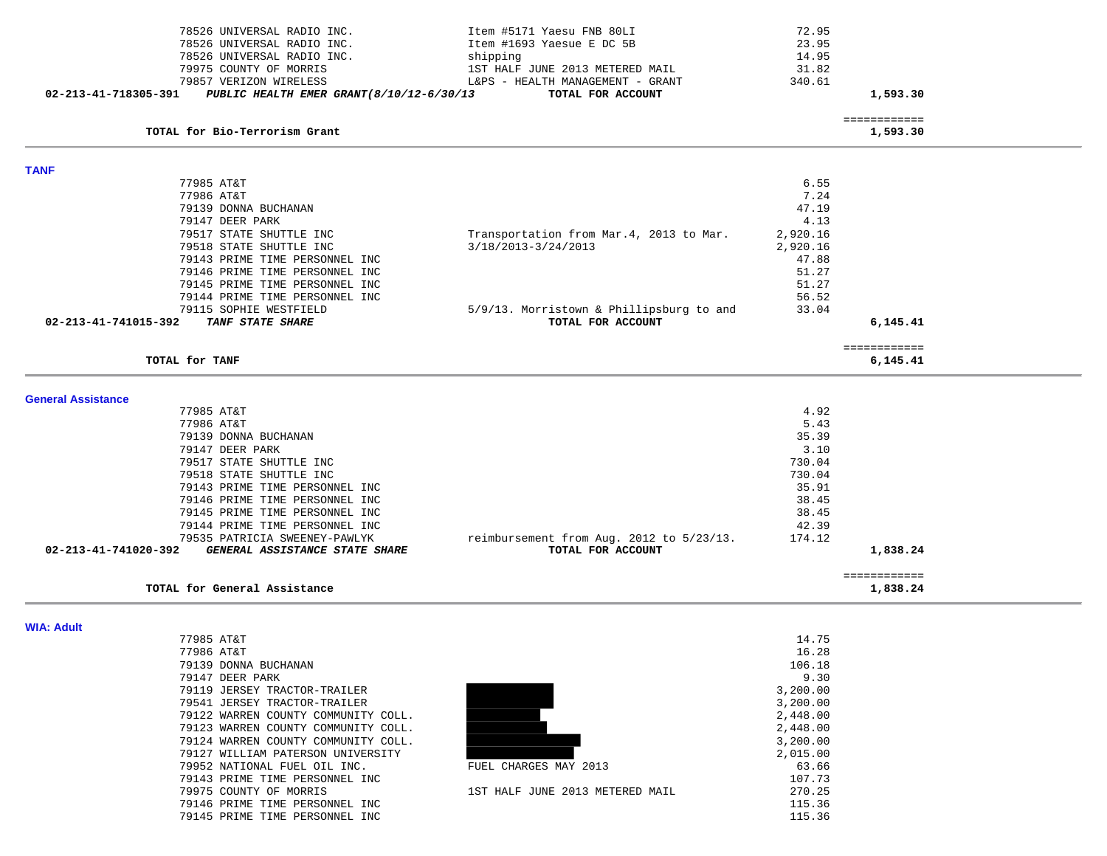|                           | 78526 UNIVERSAL RADIO INC.                                               | Item #5171 Yaesu FNB 80LI                | 72.95                |                          |  |
|---------------------------|--------------------------------------------------------------------------|------------------------------------------|----------------------|--------------------------|--|
|                           | 78526 UNIVERSAL RADIO INC.                                               | Item #1693 Yaesue E DC 5B                | 23.95                |                          |  |
|                           | 78526 UNIVERSAL RADIO INC.                                               | shipping                                 | 14.95                |                          |  |
|                           | 79975 COUNTY OF MORRIS                                                   | 1ST HALF JUNE 2013 METERED MAIL          | 31.82                |                          |  |
|                           | 79857 VERIZON WIRELESS                                                   | L&PS - HEALTH MANAGEMENT - GRANT         | 340.61               |                          |  |
| 02-213-41-718305-391      | PUBLIC HEALTH EMER GRANT (8/10/12-6/30/13                                | TOTAL FOR ACCOUNT                        |                      | 1,593.30                 |  |
|                           |                                                                          |                                          |                      | ============             |  |
|                           | TOTAL for Bio-Terrorism Grant                                            |                                          |                      | 1,593.30                 |  |
| <b>TANF</b>               |                                                                          |                                          |                      |                          |  |
|                           | 77985 AT&T                                                               |                                          | 6.55                 |                          |  |
|                           | 77986 AT&T                                                               |                                          | 7.24                 |                          |  |
|                           | 79139 DONNA BUCHANAN                                                     |                                          | 47.19                |                          |  |
|                           | 79147 DEER PARK                                                          |                                          | 4.13                 |                          |  |
|                           | 79517 STATE SHUTTLE INC                                                  | Transportation from Mar.4, 2013 to Mar.  | 2,920.16             |                          |  |
|                           | 79518 STATE SHUTTLE INC                                                  | 3/18/2013-3/24/2013                      | 2,920.16             |                          |  |
|                           | 79143 PRIME TIME PERSONNEL INC                                           |                                          | 47.88                |                          |  |
|                           | 79146 PRIME TIME PERSONNEL INC                                           |                                          | 51.27                |                          |  |
|                           | 79145 PRIME TIME PERSONNEL INC                                           |                                          | 51.27                |                          |  |
|                           | 79144 PRIME TIME PERSONNEL INC                                           |                                          | 56.52                |                          |  |
|                           | 79115 SOPHIE WESTFIELD                                                   | 5/9/13. Morristown & Phillipsburg to and | 33.04                |                          |  |
| 02-213-41-741015-392      | TANF STATE SHARE                                                         | TOTAL FOR ACCOUNT                        |                      | 6,145.41                 |  |
|                           |                                                                          |                                          |                      | ============             |  |
|                           | TOTAL for TANF                                                           |                                          |                      | 6,145.41                 |  |
| <b>General Assistance</b> |                                                                          |                                          |                      |                          |  |
|                           | 77985 AT&T                                                               |                                          | 4.92                 |                          |  |
|                           | 77986 AT&T                                                               |                                          | 5.43                 |                          |  |
|                           | 79139 DONNA BUCHANAN                                                     |                                          | 35.39                |                          |  |
|                           | 79147 DEER PARK                                                          |                                          | 3.10                 |                          |  |
|                           | 79517 STATE SHUTTLE INC                                                  |                                          | 730.04               |                          |  |
|                           | 79518 STATE SHUTTLE INC                                                  |                                          | 730.04               |                          |  |
|                           | 79143 PRIME TIME PERSONNEL INC                                           |                                          | 35.91                |                          |  |
|                           | 79146 PRIME TIME PERSONNEL INC                                           |                                          | 38.45                |                          |  |
|                           | 79145 PRIME TIME PERSONNEL INC                                           |                                          | 38.45                |                          |  |
|                           | 79144 PRIME TIME PERSONNEL INC                                           |                                          | 42.39                |                          |  |
|                           | 79535 PATRICIA SWEENEY-PAWLYK                                            | reimbursement from Aug. 2012 to 5/23/13. | 174.12               |                          |  |
| 02-213-41-741020-392      | GENERAL ASSISTANCE STATE SHARE                                           | TOTAL FOR ACCOUNT                        |                      | 1,838.24                 |  |
|                           | TOTAL for General Assistance                                             |                                          |                      | ============<br>1,838.24 |  |
|                           |                                                                          |                                          |                      |                          |  |
| <b>WIA: Adult</b>         |                                                                          |                                          |                      |                          |  |
|                           | 77985 AT&T                                                               |                                          | 14.75                |                          |  |
|                           | 77986 AT&T                                                               |                                          | 16.28                |                          |  |
|                           | 79139 DONNA BUCHANAN                                                     |                                          | 106.18               |                          |  |
|                           | 79147 DEER PARK                                                          |                                          | 9.30                 |                          |  |
|                           | 79119 JERSEY TRACTOR-TRAILER                                             |                                          | 3,200.00             |                          |  |
|                           | 79541 JERSEY TRACTOR-TRAILER<br>79122 WARREN COUNTY COMMUNITY COLL.      |                                          | 3,200.00             |                          |  |
|                           |                                                                          |                                          | 2,448.00             |                          |  |
|                           | 79123 WARREN COUNTY COMMUNITY COLL.                                      |                                          | 2,448.00<br>3,200.00 |                          |  |
|                           | 79124 WARREN COUNTY COMMUNITY COLL.<br>79127 WILLIAM PATERSON UNIVERSITY |                                          |                      |                          |  |
|                           | 79952 NATIONAL FUEL OIL INC.                                             | FUEL CHARGES MAY 2013                    | 2,015.00<br>63.66    |                          |  |
|                           | 79143 PRIME TIME PERSONNEL INC                                           |                                          | 107.73               |                          |  |
|                           | 79975 COUNTY OF MORRIS                                                   | 1ST HALF JUNE 2013 METERED MAIL          | 270.25               |                          |  |
|                           |                                                                          |                                          |                      |                          |  |

79146 PRIME TIME PERSONNEL INC 36

79145 PRIME TIME PERSONNEL INC

115.36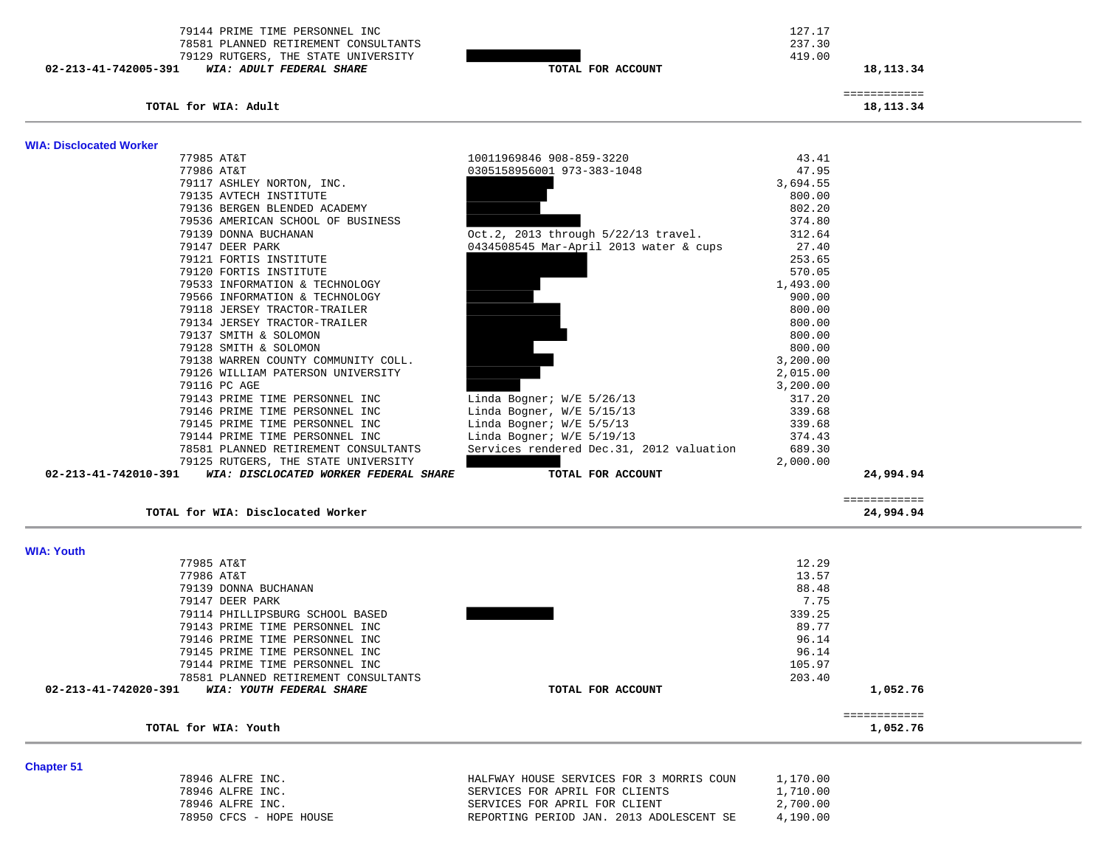| 79144 PRIME TIME PERSONNEL INC<br>78581 PLANNED RETIREMENT CONSULTANTS<br>79129 RUTGERS, THE STATE UNIVERSITY<br>02-213-41-742005-391<br>WIA: ADULT FEDERAL SHARE | TOTAL FOR ACCOUNT                        | 127.17<br>237.30<br>419.00 | 18,113.34                   |  |
|-------------------------------------------------------------------------------------------------------------------------------------------------------------------|------------------------------------------|----------------------------|-----------------------------|--|
| TOTAL for WIA: Adult                                                                                                                                              |                                          |                            | ============<br>18, 113. 34 |  |
| <b>WIA: Disclocated Worker</b>                                                                                                                                    |                                          |                            |                             |  |
| 77985 AT&T                                                                                                                                                        | 10011969846 908-859-3220                 | 43.41                      |                             |  |
| 77986 AT&T                                                                                                                                                        | 0305158956001 973-383-1048               | 47.95                      |                             |  |
| 79117 ASHLEY NORTON, INC.                                                                                                                                         |                                          | 3,694.55                   |                             |  |
| 79135 AVTECH INSTITUTE                                                                                                                                            |                                          | 800.00                     |                             |  |
| 79136 BERGEN BLENDED ACADEMY                                                                                                                                      |                                          | 802.20                     |                             |  |
| 79536 AMERICAN SCHOOL OF BUSINESS                                                                                                                                 |                                          | 374.80                     |                             |  |
| 79139 DONNA BUCHANAN                                                                                                                                              | Oct.2, 2013 through 5/22/13 travel.      | 312.64                     |                             |  |
| 79147 DEER PARK                                                                                                                                                   | 0434508545 Mar-April 2013 water & cups   | 27.40                      |                             |  |
| 79121 FORTIS INSTITUTE                                                                                                                                            |                                          | 253.65                     |                             |  |
| 79120 FORTIS INSTITUTE                                                                                                                                            |                                          | 570.05                     |                             |  |
| 79533 INFORMATION & TECHNOLOGY                                                                                                                                    |                                          | 1,493.00                   |                             |  |
| 79566 INFORMATION & TECHNOLOGY                                                                                                                                    |                                          | 900.00                     |                             |  |
| 79118 JERSEY TRACTOR-TRAILER                                                                                                                                      |                                          | 800.00                     |                             |  |
| 79134 JERSEY TRACTOR-TRAILER                                                                                                                                      |                                          | 800.00                     |                             |  |
| 79137 SMITH & SOLOMON                                                                                                                                             |                                          | 800.00                     |                             |  |
| 79128 SMITH & SOLOMON                                                                                                                                             |                                          | 800.00                     |                             |  |
| 79138 WARREN COUNTY COMMUNITY COLL.                                                                                                                               |                                          | 3,200.00                   |                             |  |
| 79126 WILLIAM PATERSON UNIVERSITY                                                                                                                                 |                                          | 2,015.00                   |                             |  |
| 79116 PC AGE                                                                                                                                                      |                                          | 3,200.00                   |                             |  |
| 79143 PRIME TIME PERSONNEL INC                                                                                                                                    | Linda Bogner; $W/E$ 5/26/13              | 317.20                     |                             |  |
| 79146 PRIME TIME PERSONNEL INC                                                                                                                                    | Linda Bogner, W/E 5/15/13                | 339.68                     |                             |  |
| 79145 PRIME TIME PERSONNEL INC                                                                                                                                    | Linda Bogner; $W/E$ 5/5/13               | 339.68                     |                             |  |
| 79144 PRIME TIME PERSONNEL INC                                                                                                                                    | Linda Bogner; $W/E$ 5/19/13              | 374.43                     |                             |  |
| 78581 PLANNED RETIREMENT CONSULTANTS                                                                                                                              | Services rendered Dec.31, 2012 valuation | 689.30                     |                             |  |
| 79125 RUTGERS, THE STATE UNIVERSITY                                                                                                                               |                                          | 2,000.00                   |                             |  |
| 02-213-41-742010-391<br>WIA: DISCLOCATED WORKER FEDERAL SHARE                                                                                                     | TOTAL FOR ACCOUNT                        |                            | 24,994.94                   |  |
| TOTAL for WIA: Disclocated Worker                                                                                                                                 |                                          |                            | ============<br>24,994.94   |  |
|                                                                                                                                                                   |                                          |                            |                             |  |
| <b>WIA: Youth</b><br>77985 AT&T                                                                                                                                   |                                          | 12.29                      |                             |  |
| 77986 AT&T                                                                                                                                                        |                                          | 13.57                      |                             |  |
| 79139 DONNA BUCHANAN                                                                                                                                              |                                          | 88.48                      |                             |  |
| 79147 DEER PARK                                                                                                                                                   |                                          | 7.75                       |                             |  |
| 79114 PHILLIPSBURG SCHOOL BASED                                                                                                                                   |                                          | 339.25                     |                             |  |

79145 PRIME TIME PERSONNEL INC 96.14

 **02-213-41-742020-391** *WIA: YOUTH FEDERAL SHARE* **TOTAL FOR ACCOUNT 1,052.76**

============

**Chapter 51**  78946 ALFRE INC. HALFWAY HOUSE SERVICES FOR 3 MORRIS COUN 1,170.00 78946 ALFRE INC. SERVICES FOR APRIL FOR CLIENTS 1,710.00 78946 ALFRE INC. SERVICES FOR APRIL FOR CLIENT 2,700.00 78950 CFCS - HOPE HOUSE REPORTING PERIOD JAN. 2013 ADOLESCENT SE 4,190.00

79143 PRIME TIME PERSONNEL INC 79146 PRIME TIME PERSONNEL INC

79144 PRIME TIME PERSONNEL INC

TOTAL for WIA: Youth

78581 PLANNED RETIREMENT CONSULTANTS

|  | 1,1/0.00 |  |
|--|----------|--|
|  | 1,710.00 |  |
|  | 2,700.00 |  |
|  | 4 190 00 |  |

96.14

105.97

203.40

1,052.76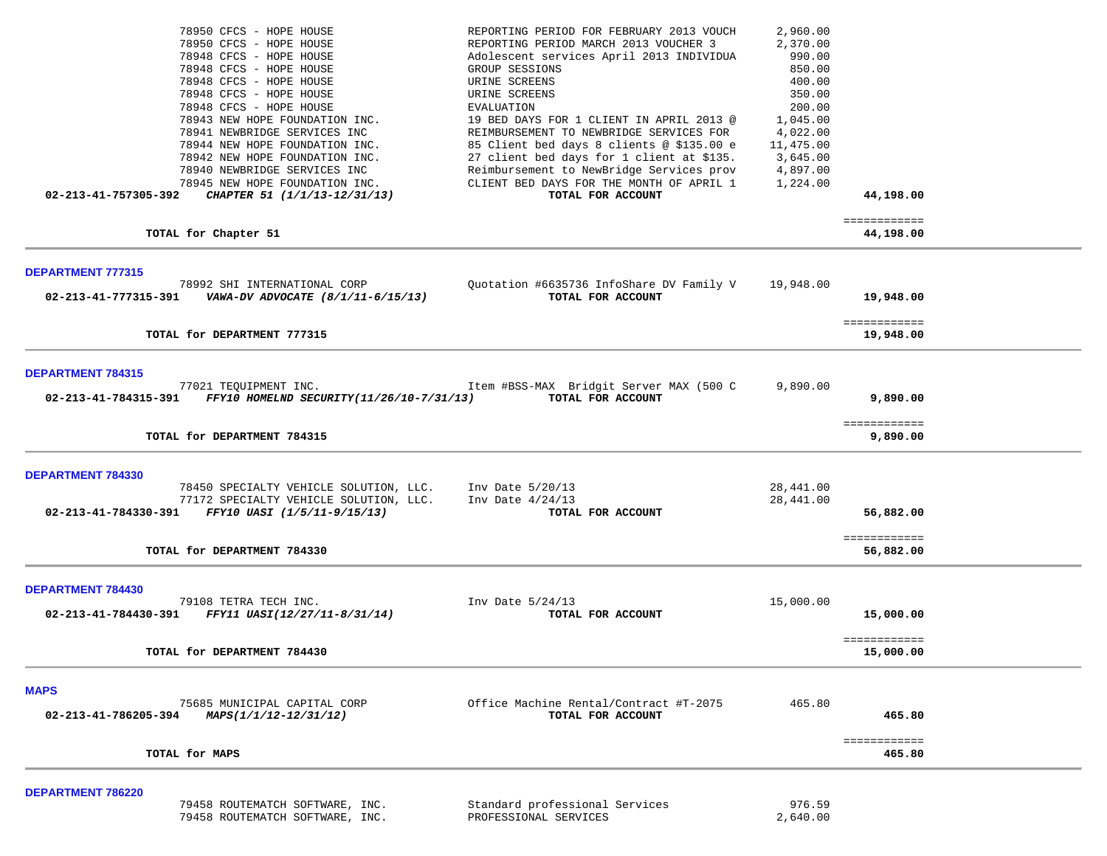| 02-213-41-757305-392                | 78950 CFCS - HOPE HOUSE<br>78950 CFCS - HOPE HOUSE<br>78948 CFCS - HOPE HOUSE<br>78948 CFCS - HOPE HOUSE<br>78948 CFCS - HOPE HOUSE<br>78948 CFCS - HOPE HOUSE<br>78948 CFCS - HOPE HOUSE<br>78943 NEW HOPE FOUNDATION INC.<br>78941 NEWBRIDGE SERVICES INC<br>78944 NEW HOPE FOUNDATION INC.<br>78942 NEW HOPE FOUNDATION INC.<br>78940 NEWBRIDGE SERVICES INC<br>78945 NEW HOPE FOUNDATION INC.<br>CHAPTER 51 (1/1/13-12/31/13) | REPORTING PERIOD FOR FEBRUARY 2013 VOUCH<br>REPORTING PERIOD MARCH 2013 VOUCHER 3<br>Adolescent services April 2013 INDIVIDUA<br>GROUP SESSIONS<br>URINE SCREENS<br>URINE SCREENS<br>EVALUATION<br>19 BED DAYS FOR 1 CLIENT IN APRIL 2013 @<br>REIMBURSEMENT TO NEWBRIDGE SERVICES FOR<br>85 Client bed days 8 clients @ \$135.00 e<br>27 client bed days for 1 client at \$135.<br>Reimbursement to NewBridge Services prov<br>CLIENT BED DAYS FOR THE MONTH OF APRIL 1<br>TOTAL FOR ACCOUNT | 2,960.00<br>2,370.00<br>990.00<br>850.00<br>400.00<br>350.00<br>200.00<br>1,045.00<br>4,022.00<br>11,475.00<br>3,645.00<br>4,897.00<br>1,224.00 | 44,198.00                              |  |
|-------------------------------------|-----------------------------------------------------------------------------------------------------------------------------------------------------------------------------------------------------------------------------------------------------------------------------------------------------------------------------------------------------------------------------------------------------------------------------------|-----------------------------------------------------------------------------------------------------------------------------------------------------------------------------------------------------------------------------------------------------------------------------------------------------------------------------------------------------------------------------------------------------------------------------------------------------------------------------------------------|-------------------------------------------------------------------------------------------------------------------------------------------------|----------------------------------------|--|
|                                     | TOTAL for Chapter 51                                                                                                                                                                                                                                                                                                                                                                                                              |                                                                                                                                                                                                                                                                                                                                                                                                                                                                                               |                                                                                                                                                 | ============<br>44,198.00              |  |
| <b>DEPARTMENT 777315</b>            | 78992 SHI INTERNATIONAL CORP<br>TOTAL for DEPARTMENT 777315                                                                                                                                                                                                                                                                                                                                                                       | Quotation #6635736 InfoShare DV Family V<br>TOTAL FOR ACCOUNT                                                                                                                                                                                                                                                                                                                                                                                                                                 | 19,948.00                                                                                                                                       | 19,948.00<br>============<br>19,948.00 |  |
| <b>DEPARTMENT 784315</b>            | 77021 TEOUIPMENT INC.<br>02-213-41-784315-391 FFY10 HOMELND SECURITY(11/26/10-7/31/13)                                                                                                                                                                                                                                                                                                                                            | Item #BSS-MAX Bridgit Server MAX (500 C<br>TOTAL FOR ACCOUNT                                                                                                                                                                                                                                                                                                                                                                                                                                  | 9,890.00                                                                                                                                        | 9,890.00<br>============               |  |
|                                     | TOTAL for DEPARTMENT 784315                                                                                                                                                                                                                                                                                                                                                                                                       |                                                                                                                                                                                                                                                                                                                                                                                                                                                                                               |                                                                                                                                                 | 9,890.00                               |  |
| DEPARTMENT 784330                   | 78450 SPECIALTY VEHICLE SOLUTION, LLC. Inv Date 5/20/13<br>77172 SPECIALTY VEHICLE SOLUTION, LLC.<br>02-213-41-784330-391 FFY10 UASI (1/5/11-9/15/13)<br>TOTAL for DEPARTMENT 784330                                                                                                                                                                                                                                              | Inv Date $4/24/13$<br>TOTAL FOR ACCOUNT                                                                                                                                                                                                                                                                                                                                                                                                                                                       | 28,441.00<br>28,441.00                                                                                                                          | 56,882.00<br>============<br>56,882.00 |  |
| <b>DEPARTMENT 784430</b>            |                                                                                                                                                                                                                                                                                                                                                                                                                                   |                                                                                                                                                                                                                                                                                                                                                                                                                                                                                               |                                                                                                                                                 |                                        |  |
|                                     | 79108 TETRA TECH INC.<br>02-213-41-784430-391 FFY11 UASI(12/27/11-8/31/14)                                                                                                                                                                                                                                                                                                                                                        | Inv Date $5/24/13$<br>TOTAL FOR ACCOUNT                                                                                                                                                                                                                                                                                                                                                                                                                                                       | 15,000.00                                                                                                                                       | 15,000.00                              |  |
|                                     | TOTAL for DEPARTMENT 784430                                                                                                                                                                                                                                                                                                                                                                                                       |                                                                                                                                                                                                                                                                                                                                                                                                                                                                                               |                                                                                                                                                 | ============<br>15,000.00              |  |
| <b>MAPS</b><br>02-213-41-786205-394 | 75685 MUNICIPAL CAPITAL CORP<br>MAPS(1/1/12-12/31/12)<br>TOTAL for MAPS                                                                                                                                                                                                                                                                                                                                                           | Office Machine Rental/Contract #T-2075<br>TOTAL FOR ACCOUNT                                                                                                                                                                                                                                                                                                                                                                                                                                   | 465.80                                                                                                                                          | 465.80<br>============<br>465.80       |  |
| DEPARTMENT 786220                   | 79458 ROUTEMATCH SOFTWARE, INC.<br>79458 ROUTEMATCH SOFTWARE, INC.                                                                                                                                                                                                                                                                                                                                                                | Standard professional Services<br>PROFESSIONAL SERVICES                                                                                                                                                                                                                                                                                                                                                                                                                                       | 976.59<br>2.640.00                                                                                                                              |                                        |  |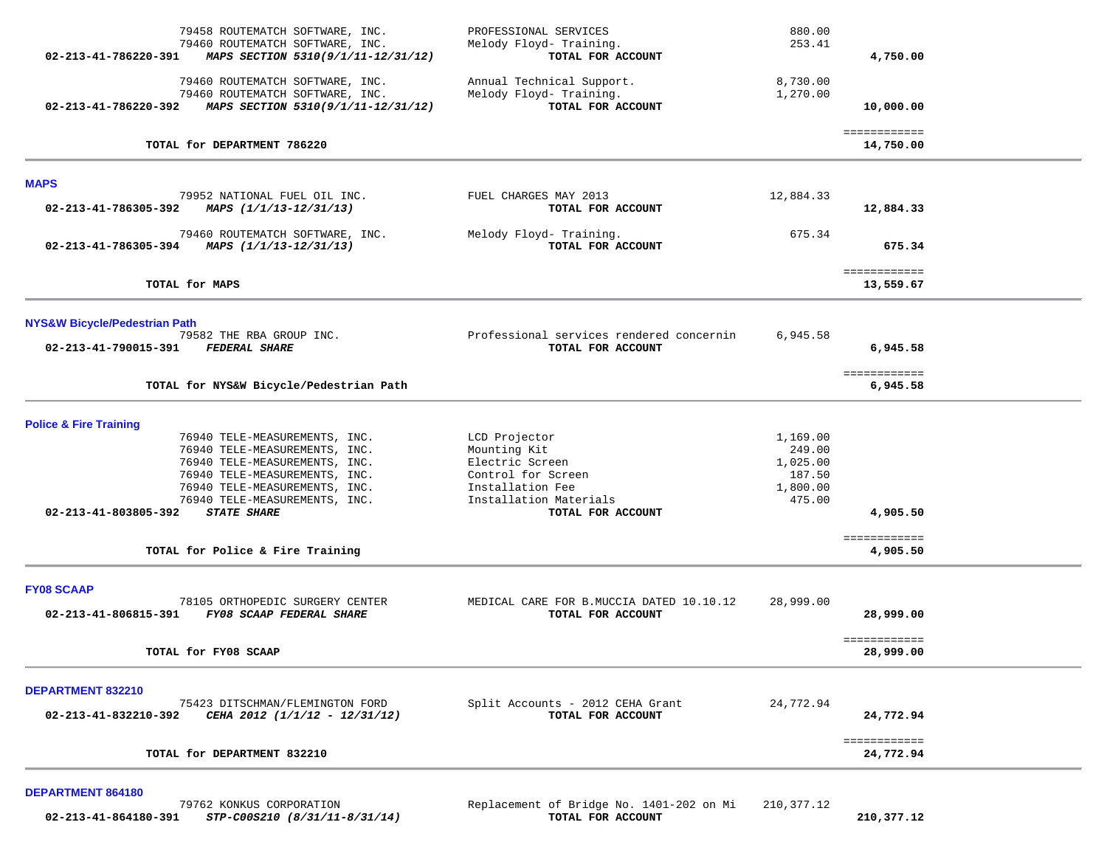|                                           | 79458 ROUTEMATCH SOFTWARE, INC.<br>79460 ROUTEMATCH SOFTWARE, INC.                                                                                                                                 | PROFESSIONAL SERVICES<br>Melody Floyd- Training.                                                                     | 880.00<br>253.41                                               |                           |  |
|-------------------------------------------|----------------------------------------------------------------------------------------------------------------------------------------------------------------------------------------------------|----------------------------------------------------------------------------------------------------------------------|----------------------------------------------------------------|---------------------------|--|
| 02-213-41-786220-391                      | MAPS SECTION 5310(9/1/11-12/31/12)                                                                                                                                                                 | TOTAL FOR ACCOUNT                                                                                                    |                                                                | 4,750.00                  |  |
| 02-213-41-786220-392                      | 79460 ROUTEMATCH SOFTWARE, INC.<br>79460 ROUTEMATCH SOFTWARE, INC.<br>MAPS SECTION 5310(9/1/11-12/31/12)                                                                                           | Annual Technical Support.<br>Melody Floyd- Training.<br>TOTAL FOR ACCOUNT                                            | 8,730.00<br>1,270.00                                           | 10,000.00                 |  |
|                                           | TOTAL for DEPARTMENT 786220                                                                                                                                                                        |                                                                                                                      |                                                                | ============<br>14,750.00 |  |
| <b>MAPS</b>                               |                                                                                                                                                                                                    |                                                                                                                      |                                                                |                           |  |
| 02-213-41-786305-392                      | 79952 NATIONAL FUEL OIL INC.<br>MAPS (1/1/13-12/31/13)                                                                                                                                             | FUEL CHARGES MAY 2013<br>TOTAL FOR ACCOUNT                                                                           | 12,884.33                                                      | 12,884.33                 |  |
| 02-213-41-786305-394                      | 79460 ROUTEMATCH SOFTWARE, INC.<br>MAPS (1/1/13-12/31/13)                                                                                                                                          | Melody Floyd- Training.<br>TOTAL FOR ACCOUNT                                                                         | 675.34                                                         | 675.34                    |  |
|                                           | TOTAL for MAPS                                                                                                                                                                                     |                                                                                                                      |                                                                | ============<br>13,559.67 |  |
| <b>NYS&amp;W Bicycle/Pedestrian Path</b>  |                                                                                                                                                                                                    |                                                                                                                      |                                                                |                           |  |
| 02-213-41-790015-391                      | 79582 THE RBA GROUP INC.<br><b>FEDERAL SHARE</b>                                                                                                                                                   | Professional services rendered concernin<br>TOTAL FOR ACCOUNT                                                        | 6,945.58                                                       | 6,945.58                  |  |
|                                           | TOTAL for NYS&W Bicycle/Pedestrian Path                                                                                                                                                            |                                                                                                                      |                                                                | ============<br>6,945.58  |  |
| <b>Police &amp; Fire Training</b>         |                                                                                                                                                                                                    |                                                                                                                      |                                                                |                           |  |
|                                           | 76940 TELE-MEASUREMENTS, INC.<br>76940 TELE-MEASUREMENTS, INC.<br>76940 TELE-MEASUREMENTS, INC.<br>76940 TELE-MEASUREMENTS, INC.<br>76940 TELE-MEASUREMENTS, INC.<br>76940 TELE-MEASUREMENTS, INC. | LCD Projector<br>Mounting Kit<br>Electric Screen<br>Control for Screen<br>Installation Fee<br>Installation Materials | 1,169.00<br>249.00<br>1,025.00<br>187.50<br>1,800.00<br>475.00 |                           |  |
| 02-213-41-803805-392                      | <b>STATE SHARE</b>                                                                                                                                                                                 | TOTAL FOR ACCOUNT                                                                                                    |                                                                | 4,905.50                  |  |
|                                           | TOTAL for Police & Fire Training                                                                                                                                                                   |                                                                                                                      |                                                                | ============<br>4,905.50  |  |
| <b>FY08 SCAAP</b><br>02-213-41-806815-391 | 78105 ORTHOPEDIC SURGERY CENTER<br>FY08 SCAAP FEDERAL SHARE                                                                                                                                        | MEDICAL CARE FOR B. MUCCIA DATED 10.10.12<br>TOTAL FOR ACCOUNT                                                       | 28,999.00                                                      | 28,999.00                 |  |
|                                           | TOTAL for FY08 SCAAP                                                                                                                                                                               |                                                                                                                      |                                                                | ------------<br>28,999.00 |  |
| <b>DEPARTMENT 832210</b>                  |                                                                                                                                                                                                    |                                                                                                                      |                                                                |                           |  |
| 02-213-41-832210-392                      | 75423 DITSCHMAN/FLEMINGTON FORD<br>CEHA 2012 (1/1/12 - 12/31/12)                                                                                                                                   | Split Accounts - 2012 CEHA Grant<br>TOTAL FOR ACCOUNT                                                                | 24,772.94                                                      | 24,772.94                 |  |
|                                           | TOTAL for DEPARTMENT 832210                                                                                                                                                                        |                                                                                                                      |                                                                | ============<br>24,772.94 |  |
|                                           |                                                                                                                                                                                                    |                                                                                                                      |                                                                |                           |  |

## **DEPARTMENT 864180**

|                      | 79762 KONKUS CORPORATION      | Replacement of Bridge No. 1401-202 on Mi | 210,377.12 |
|----------------------|-------------------------------|------------------------------------------|------------|
| 02-213-41-864180-391 | STP-C00S210 (8/31/11-8/31/14) | TOTAL FOR ACCOUNT                        | 210,377.12 |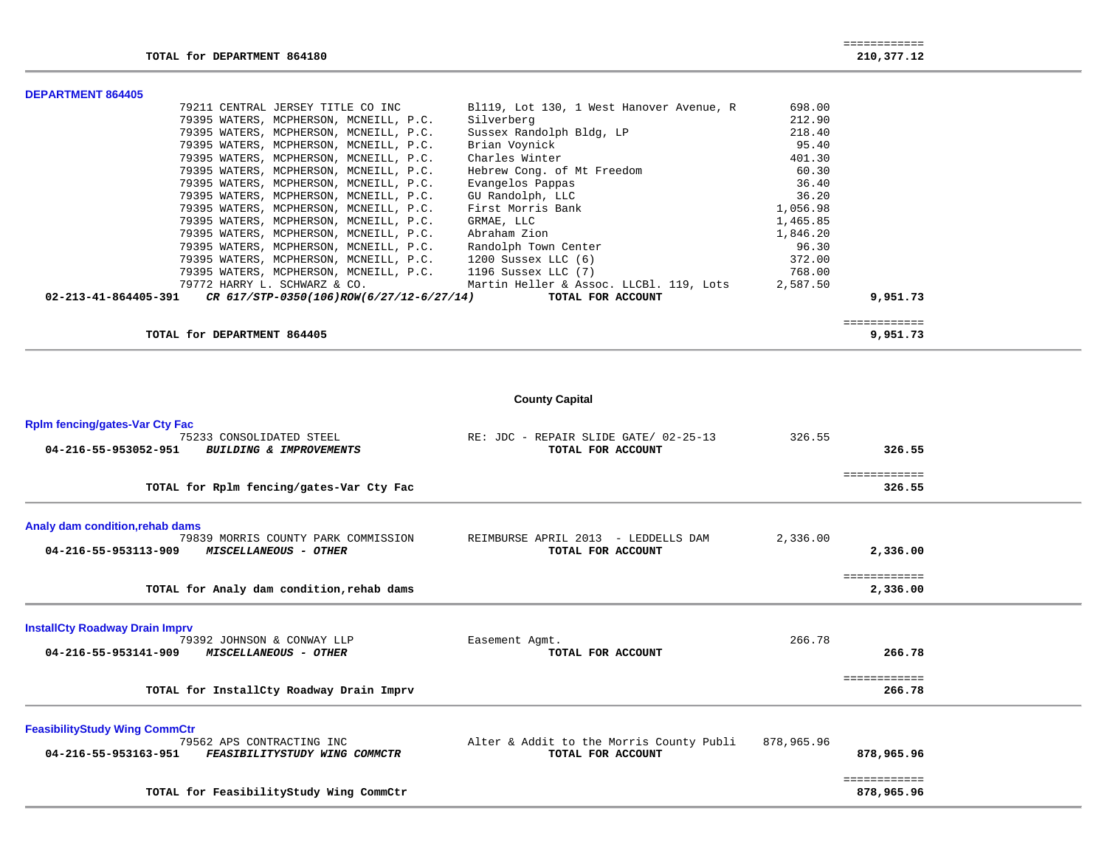### **DEPARTMENT 864405**

| PLI ANIMENI OVTTVJ |                                                                       |                                                                                  |          |              |
|--------------------|-----------------------------------------------------------------------|----------------------------------------------------------------------------------|----------|--------------|
|                    | 79211 CENTRAL JERSEY TITLE CO INC                                     | B1119, Lot 130, 1 West Hanover Avenue, R                                         | 698.00   |              |
|                    | 79395 WATERS, MCPHERSON, MCNEILL, P.C.                                | Silverberg                                                                       | 212.90   |              |
|                    | 79395 WATERS, MCPHERSON, MCNEILL, P.C.                                | Sussex Randolph Bldg, LP                                                         | 218.40   |              |
|                    | 79395 WATERS, MCPHERSON, MCNEILL, P.C.                                | Brian Voynick                                                                    | 95.40    |              |
|                    | 79395 WATERS, MCPHERSON, MCNEILL, P.C.                                | Charles Winter                                                                   | 401.30   |              |
|                    | 79395 WATERS, MCPHERSON, MCNEILL, P.C.                                | Hebrew Cong. of Mt Freedom                                                       | 60.30    |              |
|                    | 79395 WATERS, MCPHERSON, MCNEILL, P.C.                                | Evangelos Pappas                                                                 | 36.40    |              |
|                    | 79395 WATERS, MCPHERSON, MCNEILL, P.C.                                | GU Randolph, LLC                                                                 | 36.20    |              |
|                    | 79395 WATERS, MCPHERSON, MCNEILL, P.C.                                | First Morris Bank                                                                | 1,056.98 |              |
|                    | 79395 WATERS, MCPHERSON, MCNEILL, P.C.                                | GRMAE, LLC                                                                       | 1,465.85 |              |
|                    | 79395 WATERS, MCPHERSON, MCNEILL, P.C.                                | Abraham Zion                                                                     | 1,846.20 |              |
|                    | 79395 WATERS, MCPHERSON, MCNEILL, P.C.                                | Randolph Town Center                                                             | 96.30    |              |
|                    | 79395 WATERS, MCPHERSON, MCNEILL, P.C. 1200 Sussex LLC (6)            |                                                                                  | 372.00   |              |
|                    | 79395 WATERS, MCPHERSON, MCNEILL, P.C. 1196 Sussex LLC (7)            |                                                                                  | 768.00   |              |
|                    |                                                                       | 79772 HARRY L. SCHWARZ & CO.             Martin Heller & Assoc. LLCBl. 119, Lots | 2,587.50 |              |
|                    | $02-213-41-864405-391$ CR $617/STP-0350(106)$ ROW $(6/27/12-6/27/14)$ | TOTAL FOR ACCOUNT                                                                |          | 9,951.73     |
|                    |                                                                       |                                                                                  |          | ============ |
|                    | TOTAL for DEPARTMENT 864405                                           |                                                                                  |          | 9,951.73     |

## **County Capital**

| <b>Rplm fencing/gates-Var Cty Fac</b><br>75233 CONSOLIDATED STEEL<br>04-216-55-953052-951<br>BUILDING & IMPROVEMENTS           | RE: JDC - REPAIR SLIDE GATE/ 02-25-13<br>TOTAL FOR ACCOUNT    | 326.55     | 326.55                     |  |
|--------------------------------------------------------------------------------------------------------------------------------|---------------------------------------------------------------|------------|----------------------------|--|
| TOTAL for Rplm fencing/gates-Var Cty Fac                                                                                       |                                                               |            | ============<br>326.55     |  |
| Analy dam condition, rehab dams<br>79839 MORRIS COUNTY PARK COMMISSION                                                         | REIMBURSE APRIL 2013 - LEDDELLS DAM<br>TOTAL FOR ACCOUNT      | 2,336.00   | 2,336.00                   |  |
| 04-216-55-953113-909<br><b>MISCELLANEOUS - OTHER</b><br>TOTAL for Analy dam condition, rehab dams                              |                                                               |            | ============<br>2,336.00   |  |
|                                                                                                                                |                                                               |            |                            |  |
| <b>InstallCty Roadway Drain Imprv</b><br>79392 JOHNSON & CONWAY LLP<br>$04 - 216 - 55 - 953141 - 909$<br>MISCELLANEOUS - OTHER | Easement Agmt.<br>TOTAL FOR ACCOUNT                           | 266.78     | 266.78                     |  |
| TOTAL for InstallCty Roadway Drain Imprv                                                                                       |                                                               |            | ============<br>266.78     |  |
| <b>FeasibilityStudy Wing CommCtr</b><br>79562 APS CONTRACTING INC<br>04-216-55-953163-951<br>FEASIBILITYSTUDY WING COMMCTR     | Alter & Addit to the Morris County Publi<br>TOTAL FOR ACCOUNT | 878,965.96 | 878,965.96                 |  |
| TOTAL for FeasibilityStudy Wing CommCtr                                                                                        |                                                               |            | ============<br>878,965.96 |  |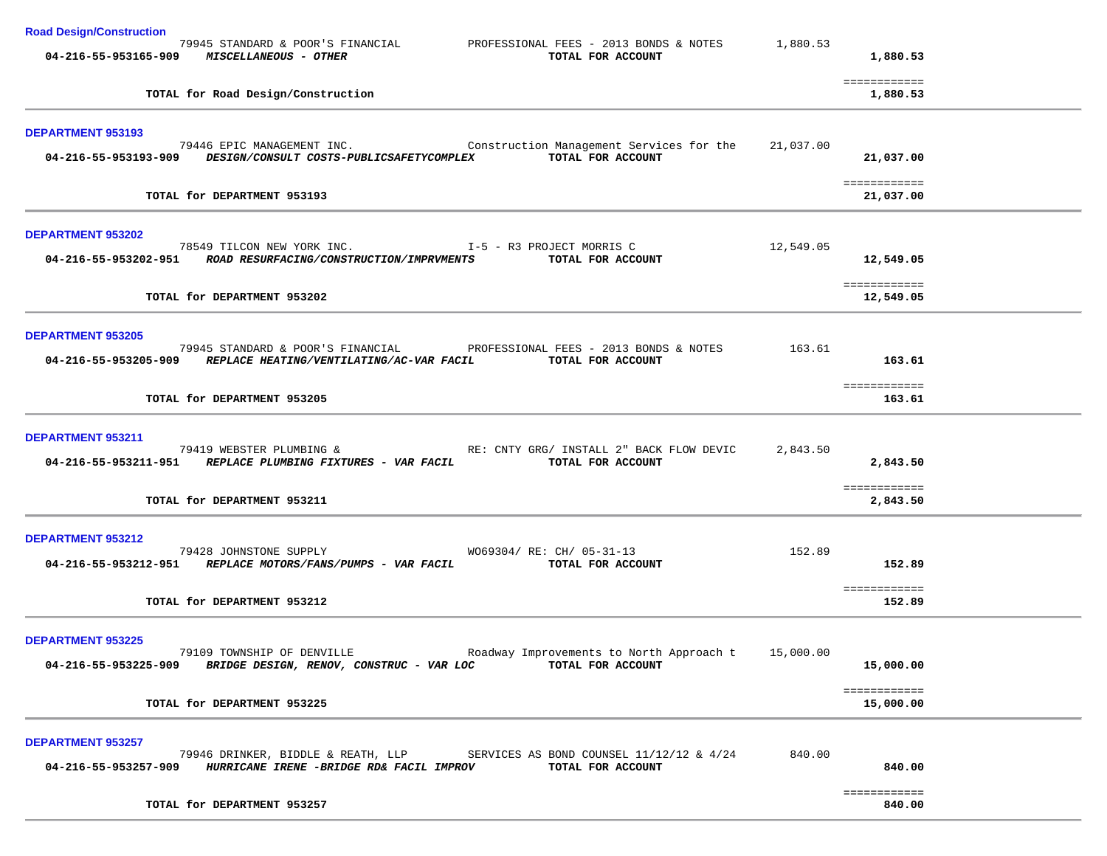| <b>Road Design/Construction</b>                                                                                                                                             |           |                           |  |
|-----------------------------------------------------------------------------------------------------------------------------------------------------------------------------|-----------|---------------------------|--|
| 79945 STANDARD & POOR'S FINANCIAL <b>FROFESSIONAL FEES - 2013 BONDS &amp; NOTES</b><br>04-216-55-953165-909 MISCELLANEOUS - OTHER<br>TOTAL FOR ACCOUNT                      | 1,880.53  | 1,880.53                  |  |
| TOTAL for Road Design/Construction                                                                                                                                          |           | ============<br>1,880.53  |  |
| <b>DEPARTMENT 953193</b>                                                                                                                                                    |           |                           |  |
| 79446 EPIC MANAGEMENT INC.<br>Construction Management Services for the<br>TOTAL FOR ACCOUNT<br>04-216-55-953193-909 DESIGN/CONSULT COSTS-PUBLICSAFETYCOMPLEX                | 21,037.00 | 21,037.00                 |  |
| TOTAL for DEPARTMENT 953193                                                                                                                                                 |           | ============<br>21,037.00 |  |
| <b>DEPARTMENT 953202</b>                                                                                                                                                    |           |                           |  |
| 78549 TILCON NEW YORK INC.<br>I-5 - R3 PROJECT MORRIS C<br>04-216-55-953202-951 ROAD RESURFACING/CONSTRUCTION/IMPRVMENTS<br>TOTAL FOR ACCOUNT                               | 12,549.05 | 12,549.05                 |  |
| TOTAL for DEPARTMENT 953202                                                                                                                                                 |           | ============<br>12,549.05 |  |
| <b>DEPARTMENT 953205</b>                                                                                                                                                    |           |                           |  |
| 79945 STANDARD & POOR'S FINANCIAL PROFESSIONAL FEES - 2013 BONDS & NOTES<br>04-216-55-953205-909 REPLACE HEATING/VENTILATING/AC-VAR FACIL<br>TOTAL FOR ACCOUNT              | 163.61    | 163.61                    |  |
| TOTAL for DEPARTMENT 953205                                                                                                                                                 |           | ============<br>163.61    |  |
| DEPARTMENT 953211                                                                                                                                                           |           |                           |  |
| 79419 WEBSTER PLUMBING &<br>RE: CNTY GRG/ INSTALL 2" BACK FLOW DEVIC<br>TOTAL FOR ACCOUNT<br>04-216-55-953211-951 REPLACE PLUMBING FIXTURES - VAR FACIL                     | 2,843.50  | 2,843.50                  |  |
| TOTAL for DEPARTMENT 953211                                                                                                                                                 |           | ============<br>2,843.50  |  |
| DEPARTMENT 953212                                                                                                                                                           |           |                           |  |
| 79428 JOHNSTONE SUPPLY<br>WO69304/ RE: CH/ 05-31-13<br>04-216-55-953212-951 REPLACE MOTORS/FANS/PUMPS - VAR FACIL<br>TOTAL FOR ACCOUNT                                      | 152.89    | 152.89                    |  |
| TOTAL for DEPARTMENT 953212                                                                                                                                                 |           | ============<br>152.89    |  |
| <b>DEPARTMENT 953225</b>                                                                                                                                                    |           |                           |  |
| 79109 TOWNSHIP OF DENVILLE<br>Roadway Improvements to North Approach t<br>BRIDGE DESIGN, RENOV, CONSTRUC - VAR LOC<br>TOTAL FOR ACCOUNT<br>04-216-55-953225-909             | 15,000.00 | 15,000.00                 |  |
| TOTAL for DEPARTMENT 953225                                                                                                                                                 |           | ============<br>15,000.00 |  |
| <b>DEPARTMENT 953257</b>                                                                                                                                                    |           |                           |  |
| 79946 DRINKER, BIDDLE & REATH, LLP<br>SERVICES AS BOND COUNSEL $11/12/12$ & $4/24$<br>04-216-55-953257-909<br>HURRICANE IRENE -BRIDGE RD& FACIL IMPROV<br>TOTAL FOR ACCOUNT | 840.00    | 840.00                    |  |
| TOTAL for DEPARTMENT 953257                                                                                                                                                 |           | ============<br>840.00    |  |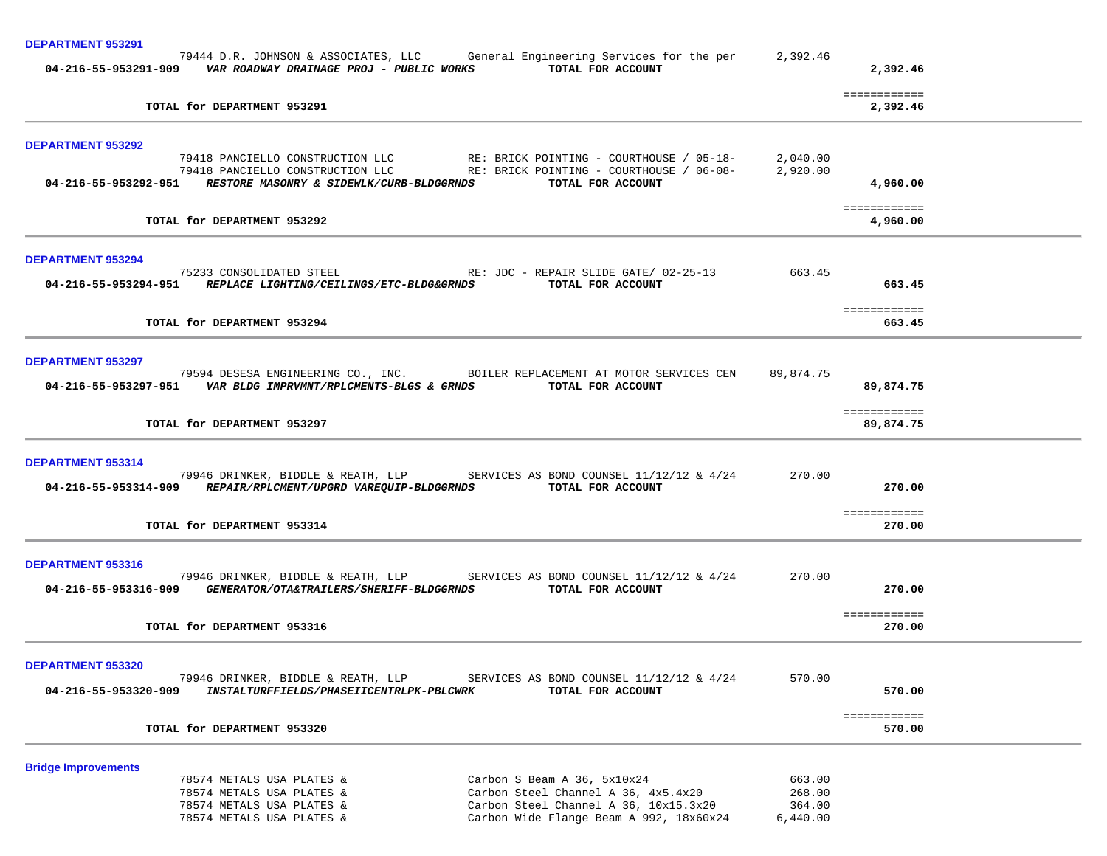| DEPARTMENT 953291                                                                                                                                                                                                                                                                                          |           |                                  |  |
|------------------------------------------------------------------------------------------------------------------------------------------------------------------------------------------------------------------------------------------------------------------------------------------------------------|-----------|----------------------------------|--|
| 79444 D.R. JOHNSON & ASSOCIATES, LLC General Engineering Services for the per 2,392.46<br>04-216-55-953291-909 VAR ROADWAY DRAINAGE PROJ - PUBLIC WORKS TOTAL FOR ACCOUNT                                                                                                                                  |           | 2,392.46                         |  |
| TOTAL for DEPARTMENT 953291                                                                                                                                                                                                                                                                                |           | ============<br>2,392.46         |  |
| <b>DEPARTMENT 953292</b>                                                                                                                                                                                                                                                                                   |           |                                  |  |
| 79418 PANCIELLO CONSTRUCTION LLC                  RE: BRICK POINTING - COURTHOUSE / 05-18-       2,040.00<br>79418 PANCIELLO CONSTRUCTION LLC                RE: BRICK POINTING - COURTHOUSE / 06-08-       2,920.00<br>04-216-55-953292-951 RESTORE MASONRY & SIDEWLK/CURB-BLDGGRNDS<br>TOTAL FOR ACCOUNT |           | 4,960.00                         |  |
| TOTAL for DEPARTMENT 953292                                                                                                                                                                                                                                                                                |           | ============<br>4,960.00         |  |
| <b>DEPARTMENT 953294</b>                                                                                                                                                                                                                                                                                   |           |                                  |  |
| 75233 CONSOLIDATED STEEL RE: JDC - REPAIR SLIDE GATE/ 02-25-13 663.45<br>04-216-55-953294-951 REPLACE LIGHTING/CEILINGS/ETC-BLDG&GRNDS TOTAL FOR ACCOUNT                                                                                                                                                   |           | 663.45                           |  |
| TOTAL for DEPARTMENT 953294                                                                                                                                                                                                                                                                                |           | ============<br>663.45           |  |
| <b>DEPARTMENT 953297</b><br>79594 DESESA ENGINEERING CO., INC. BOILER REPLACEMENT AT MOTOR SERVICES CEN<br>04-216-55-953297-951 VAR BLDG IMPRVMNT/RPLCMENTS-BLGS & GRNDS TOTAL FOR ACCOUNT                                                                                                                 | 89,874.75 | 89,874.75                        |  |
| TOTAL for DEPARTMENT 953297                                                                                                                                                                                                                                                                                |           | ============<br>89,874.75        |  |
| <b>DEPARTMENT 953314</b><br>79946 DRINKER, BIDDLE & REATH, LLP SERVICES AS BOND COUNSEL 11/12/12 & 4/24 270.00<br>04-216-55-953314-909 REPAIR/RPLCMENT/UPGRD VAREQUIP-BLDGGRNDS TOTAL FOR ACCOUNT                                                                                                          |           | 270.00<br>============           |  |
| TOTAL for DEPARTMENT 953314                                                                                                                                                                                                                                                                                |           | 270.00                           |  |
| DEPARTMENT 953316<br>79946 DRINKER, BIDDLE & REATH, LLP SERVICES AS BOND COUNSEL $11/12/12$ & $4/24$<br>04-216-55-953316-909 GENERATOR/OTA&TRAILERS/SHERIFF-BLDGGRNDS TOTAL FOR ACCOUNT                                                                                                                    | 270.00    | 270.00<br>============           |  |
| TOTAL for DEPARTMENT 953316                                                                                                                                                                                                                                                                                |           | 270.00                           |  |
| DEPARTMENT 953320<br>79946 DRINKER, BIDDLE & REATH, LLP<br>SERVICES AS BOND COUNSEL 11/12/12 & 4/24<br>INSTALTURFFIELDS/PHASEIICENTRLPK-PBLCWRK<br>TOTAL FOR ACCOUNT<br>04-216-55-953320-909<br>TOTAL for DEPARTMENT 953320                                                                                | 570.00    | 570.00<br>============<br>570.00 |  |
|                                                                                                                                                                                                                                                                                                            |           |                                  |  |
| <b>Bridge Improvements</b><br>78574 METALS USA PLATES &<br>Carbon S Beam A 36, 5x10x24                                                                                                                                                                                                                     | 663.00    |                                  |  |

-

÷.

| $10.71$ . The state oper the state of | $\frac{1}{2}$                           | .        |
|---------------------------------------|-----------------------------------------|----------|
| 78574 METALS USA PLATES &             | Carbon Steel Channel A 36, 4x5.4x20     | 268.00   |
| 78574 METALS USA PLATES &             | Carbon Steel Channel A 36, 10x15.3x20   | 364.00   |
| 78574 METALS USA PLATES &             | Carbon Wide Flange Beam A 992, 18x60x24 | 6,440.00 |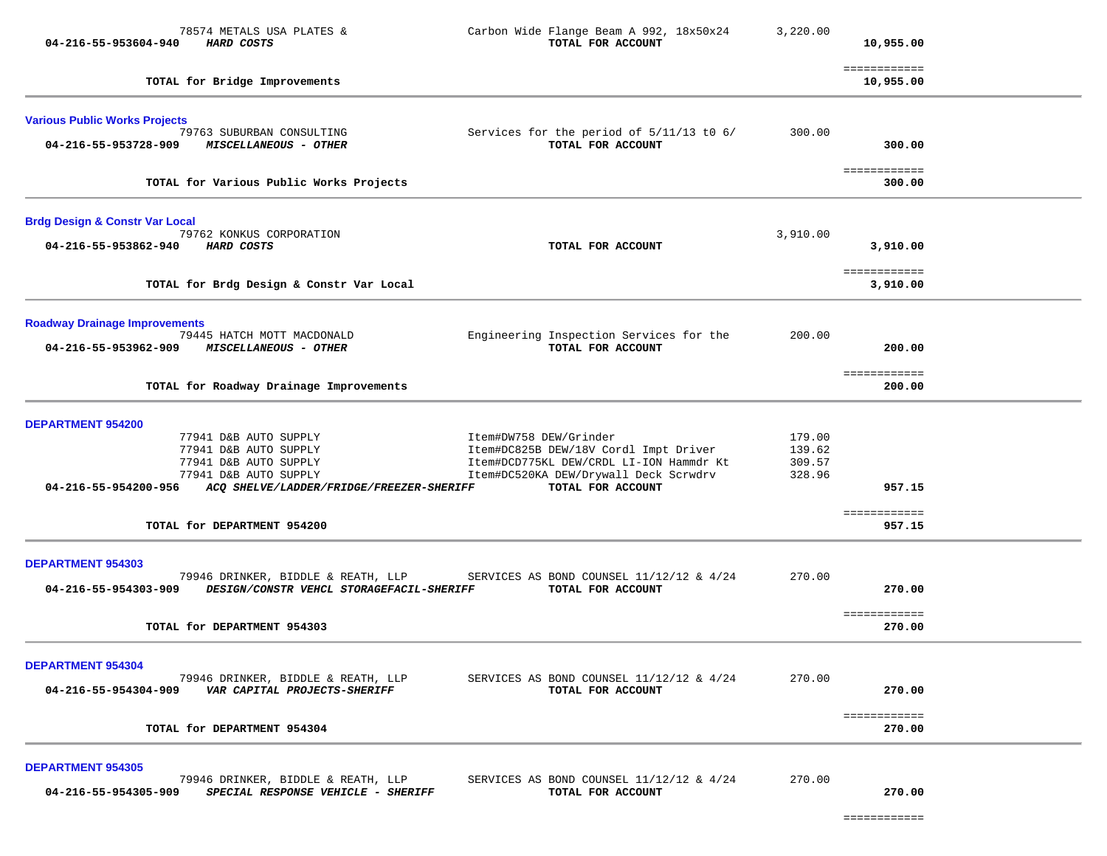| 04-216-55-953604-940                                              | 78574 METALS USA PLATES &<br>HARD COSTS                                                                                                                                     | Carbon Wide Flange Beam A 992, 18x50x24<br>TOTAL FOR ACCOUNT                                                                                                             | 3,220.00                             | 10,955.00                        |  |
|-------------------------------------------------------------------|-----------------------------------------------------------------------------------------------------------------------------------------------------------------------------|--------------------------------------------------------------------------------------------------------------------------------------------------------------------------|--------------------------------------|----------------------------------|--|
|                                                                   | TOTAL for Bridge Improvements                                                                                                                                               |                                                                                                                                                                          |                                      | ============<br>10,955.00        |  |
| <b>Various Public Works Projects</b><br>04-216-55-953728-909      | 79763 SUBURBAN CONSULTING<br>MISCELLANEOUS - OTHER                                                                                                                          | Services for the period of 5/11/13 t0 6/<br>TOTAL FOR ACCOUNT                                                                                                            | 300.00                               | 300.00                           |  |
|                                                                   | TOTAL for Various Public Works Projects                                                                                                                                     |                                                                                                                                                                          |                                      | ============<br>300.00           |  |
| <b>Brdg Design &amp; Constr Var Local</b><br>04-216-55-953862-940 | 79762 KONKUS CORPORATION<br><b>HARD COSTS</b>                                                                                                                               | TOTAL FOR ACCOUNT                                                                                                                                                        | 3,910.00                             | 3,910.00                         |  |
|                                                                   | TOTAL for Brdg Design & Constr Var Local                                                                                                                                    |                                                                                                                                                                          |                                      | ============<br>3,910.00         |  |
| <b>Roadway Drainage Improvements</b>                              | 79445 HATCH MOTT MACDONALD<br>04-216-55-953962-909 MISCELLANEOUS - OTHER                                                                                                    | Engineering Inspection Services for the<br>TOTAL FOR ACCOUNT                                                                                                             | 200.00                               | 200.00                           |  |
|                                                                   | TOTAL for Roadway Drainage Improvements                                                                                                                                     |                                                                                                                                                                          |                                      | ============<br>200.00           |  |
| <b>DEPARTMENT 954200</b><br>04-216-55-954200-956                  | 77941 D&B AUTO SUPPLY<br>77941 D&B AUTO SUPPLY<br>77941 D&B AUTO SUPPLY<br>77941 D&B AUTO SUPPLY<br>ACQ SHELVE/LADDER/FRIDGE/FREEZER-SHERIFF<br>TOTAL for DEPARTMENT 954200 | Item#DW758 DEW/Grinder<br>Item#DC825B DEW/18V Cordl Impt Driver<br>Item#DCD775KL DEW/CRDL LI-ION Hammdr Kt<br>Item#DC520KA DEW/Drywall Deck Scrwdrv<br>TOTAL FOR ACCOUNT | 179.00<br>139.62<br>309.57<br>328.96 | 957.15<br>============<br>957.15 |  |
| DEPARTMENT 954303<br>04-216-55-954303-909                         | 79946 DRINKER, BIDDLE & REATH, LLP<br>DESIGN/CONSTR VEHCL STORAGEFACIL-SHERIFF<br>TOTAL for DEPARTMENT 954303                                                               | SERVICES AS BOND COUNSEL 11/12/12 & 4/24<br>TOTAL FOR ACCOUNT                                                                                                            | 270.00                               | 270.00<br>============<br>270.00 |  |
| DEPARTMENT 954304<br>04-216-55-954304-909                         | 79946 DRINKER, BIDDLE & REATH, LLP<br>VAR CAPITAL PROJECTS-SHERIFF<br>TOTAL for DEPARTMENT 954304                                                                           | SERVICES AS BOND COUNSEL 11/12/12 & 4/24<br>TOTAL FOR ACCOUNT                                                                                                            | 270.00                               | 270.00<br>============<br>270.00 |  |
| <b>DEPARTMENT 954305</b>                                          |                                                                                                                                                                             |                                                                                                                                                                          |                                      |                                  |  |
| 04-216-55-954305-909                                              | 79946 DRINKER, BIDDLE & REATH, LLP<br>SPECIAL RESPONSE VEHICLE - SHERIFF                                                                                                    | SERVICES AS BOND COUNSEL 11/12/12 & 4/24<br>TOTAL FOR ACCOUNT                                                                                                            | 270.00                               | 270.00                           |  |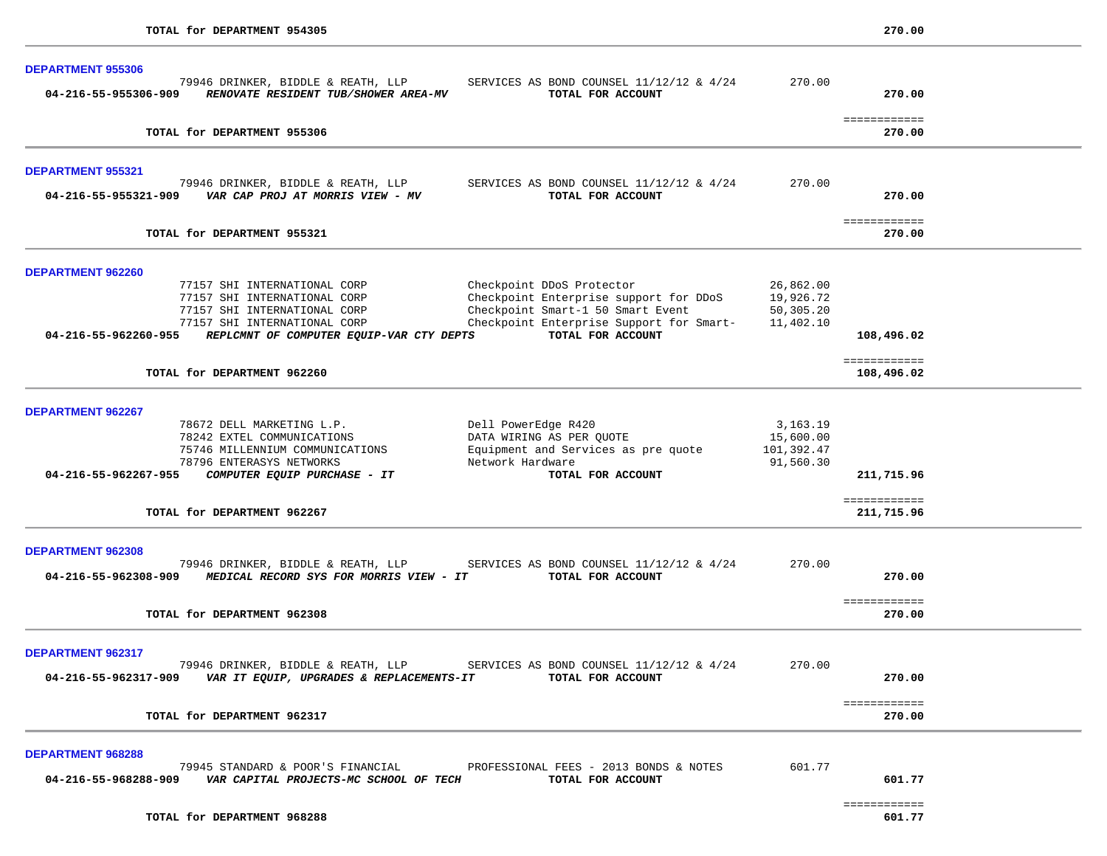| <b>DEPARTMENT 955306</b>                                                                           |                                                               |            |                        |  |
|----------------------------------------------------------------------------------------------------|---------------------------------------------------------------|------------|------------------------|--|
| 79946 DRINKER, BIDDLE & REATH, LLP<br>RENOVATE RESIDENT TUB/SHOWER AREA-MV<br>04-216-55-955306-909 | SERVICES AS BOND COUNSEL 11/12/12 & 4/24<br>TOTAL FOR ACCOUNT | 270.00     | 270.00                 |  |
| TOTAL for DEPARTMENT 955306                                                                        |                                                               |            | ============<br>270.00 |  |
| <b>DEPARTMENT 955321</b>                                                                           |                                                               |            |                        |  |
| 79946 DRINKER, BIDDLE & REATH, LLP                                                                 | SERVICES AS BOND COUNSEL 11/12/12 & 4/24                      | 270.00     |                        |  |
| VAR CAP PROJ AT MORRIS VIEW - MV<br>04-216-55-955321-909                                           | TOTAL FOR ACCOUNT                                             |            | 270.00                 |  |
| TOTAL for DEPARTMENT 955321                                                                        |                                                               |            | ============<br>270.00 |  |
| <b>DEPARTMENT 962260</b>                                                                           |                                                               |            |                        |  |
| 77157 SHI INTERNATIONAL CORP                                                                       | Checkpoint DDoS Protector                                     | 26,862.00  |                        |  |
| 77157 SHI INTERNATIONAL CORP                                                                       | Checkpoint Enterprise support for DDoS                        | 19,926.72  |                        |  |
| 77157 SHI INTERNATIONAL CORP                                                                       | Checkpoint Smart-1 50 Smart Event                             | 50,305.20  |                        |  |
| 77157 SHI INTERNATIONAL CORP<br>04-216-55-962260-955<br>REPLCMNT OF COMPUTER EQUIP-VAR CTY DEPTS   | Checkpoint Enterprise Support for Smart-<br>TOTAL FOR ACCOUNT | 11,402.10  | 108,496.02             |  |
|                                                                                                    |                                                               |            | ============           |  |
| TOTAL for DEPARTMENT 962260                                                                        |                                                               |            | 108,496.02             |  |
| <b>DEPARTMENT 962267</b>                                                                           |                                                               |            |                        |  |
| 78672 DELL MARKETING L.P.                                                                          | Dell PowerEdge R420                                           | 3,163.19   |                        |  |
| 78242 EXTEL COMMUNICATIONS                                                                         | DATA WIRING AS PER QUOTE                                      | 15,600.00  |                        |  |
| 75746 MILLENNIUM COMMUNICATIONS                                                                    | Equipment and Services as pre quote                           | 101,392.47 |                        |  |
| 78796 ENTERASYS NETWORKS<br>04-216-55-962267-955<br>COMPUTER EQUIP PURCHASE - IT                   | Network Hardware<br>TOTAL FOR ACCOUNT                         | 91,560.30  | 211,715.96             |  |
|                                                                                                    |                                                               |            | ============           |  |
| TOTAL for DEPARTMENT 962267                                                                        |                                                               |            | 211,715.96             |  |
| <b>DEPARTMENT 962308</b>                                                                           |                                                               |            |                        |  |
| 79946 DRINKER, BIDDLE & REATH, LLP                                                                 | SERVICES AS BOND COUNSEL 11/12/12 & 4/24                      | 270.00     |                        |  |
| MEDICAL RECORD SYS FOR MORRIS VIEW - IT<br>04-216-55-962308-909                                    | TOTAL FOR ACCOUNT                                             |            | 270.00                 |  |
| TOTAL for DEPARTMENT 962308                                                                        |                                                               |            | ============<br>270.00 |  |
|                                                                                                    |                                                               |            |                        |  |
| <b>DEPARTMENT 962317</b><br>79946 DRINKER, BIDDLE & REATH, LLP                                     | SERVICES AS BOND COUNSEL 11/12/12 & 4/24                      | 270.00     |                        |  |
| 04-216-55-962317-909<br>VAR IT EQUIP, UPGRADES & REPLACEMENTS-IT                                   | TOTAL FOR ACCOUNT                                             |            | 270.00                 |  |
|                                                                                                    |                                                               |            | ============           |  |
| TOTAL for DEPARTMENT 962317                                                                        |                                                               |            | 270.00                 |  |
| <b>DEPARTMENT 968288</b>                                                                           |                                                               |            |                        |  |
| 79945 STANDARD & POOR'S FINANCIAL                                                                  | PROFESSIONAL FEES - 2013 BONDS & NOTES                        | 601.77     |                        |  |
| 04-216-55-968288-909<br>VAR CAPITAL PROJECTS-MC SCHOOL OF TECH                                     | TOTAL FOR ACCOUNT                                             |            | 601.77                 |  |
|                                                                                                    |                                                               |            | ============           |  |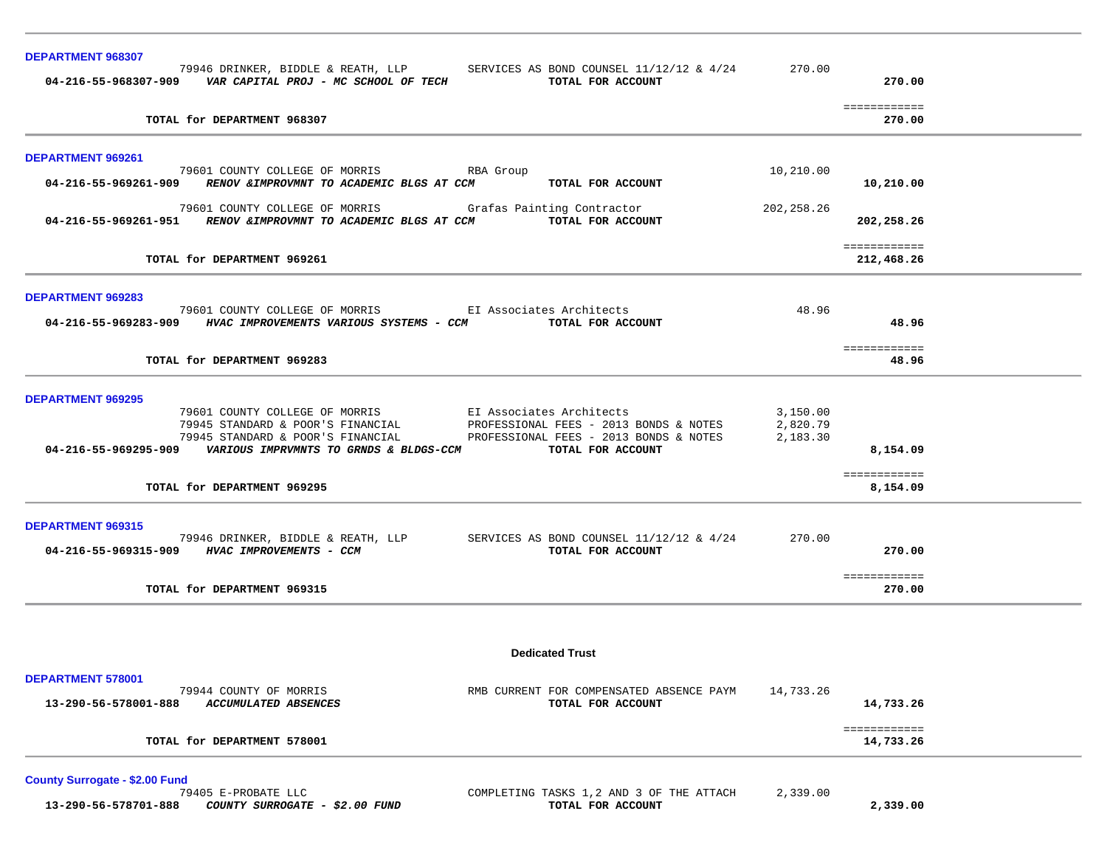| DEPARTMENT 968307                                                                                                                                                                                                                                                                                                                  |                                  |                            |  |
|------------------------------------------------------------------------------------------------------------------------------------------------------------------------------------------------------------------------------------------------------------------------------------------------------------------------------------|----------------------------------|----------------------------|--|
| 79946 DRINKER, BIDDLE & REATH, LLP<br>SERVICES AS BOND COUNSEL $11/12/12$ & $4/24$<br>TOTAL FOR ACCOUNT                                                                                                                                                                                                                            | 270.00                           | 270.00                     |  |
|                                                                                                                                                                                                                                                                                                                                    |                                  | ============               |  |
| TOTAL for DEPARTMENT 968307                                                                                                                                                                                                                                                                                                        |                                  | 270.00                     |  |
| DEPARTMENT 969261                                                                                                                                                                                                                                                                                                                  |                                  |                            |  |
| 79601 COUNTY COLLEGE OF MORRIS RBA Group<br>04-216-55-969261-909 RENOV & IMPROVMNT TO ACADEMIC BLGS AT CCM<br>TOTAL FOR ACCOUNT                                                                                                                                                                                                    | 10,210.00                        | 10,210.00                  |  |
| 79601 COUNTY COLLEGE OF MORRIS Grafas Painting Contractor<br>04-216-55-969261-951 RENOV & IMPROVMNT TO ACADEMIC BLGS AT CCM TOTAL FOR ACCOUNT                                                                                                                                                                                      | 202,258.26                       | 202,258.26                 |  |
| TOTAL for DEPARTMENT 969261                                                                                                                                                                                                                                                                                                        |                                  | ============<br>212,468.26 |  |
| <b>DEPARTMENT 969283</b>                                                                                                                                                                                                                                                                                                           |                                  |                            |  |
| 79601 COUNTY COLLEGE OF MORRIS EI Associates Architects<br>04-216-55-969283-909 HVAC IMPROVEMENTS VARIOUS SYSTEMS - CCM TOTAL FOR ACCOUNT                                                                                                                                                                                          | 48.96                            | 48.96                      |  |
| TOTAL for DEPARTMENT 969283                                                                                                                                                                                                                                                                                                        |                                  | ============<br>48.96      |  |
| <b>DEPARTMENT 969295</b><br>79601 COUNTY COLLEGE OF MORRIS BEI Associates Architects<br>79945 STANDARD & POOR'S FINANCIAL BEROFESSIONAL FEES - 2013 BONDS & NOTES<br>79945 STANDARD & POOR'S FINANCIAL BEROFESSIONAL FEES - 2013 BONDS & NOTES<br>04-216-55-969295-909 VARIOUS IMPRVMNTS TO GRNDS & BLDGS-CCM<br>TOTAL FOR ACCOUNT | 3,150.00<br>2,820.79<br>2,183.30 | 8,154.09                   |  |
| TOTAL for DEPARTMENT 969295                                                                                                                                                                                                                                                                                                        |                                  | ============<br>8,154.09   |  |
| <b>DEPARTMENT 969315</b><br>79946 DRINKER, BIDDLE & REATH, LLP SERVICES AS BOND COUNSEL 11/12/12 & 4/24<br>04-216-55-969315-909 HVAC IMPROVEMENTS - CCM<br>TOTAL FOR ACCOUNT                                                                                                                                                       | 270.00                           | 270.00<br>============     |  |
| TOTAL for DEPARTMENT 969315                                                                                                                                                                                                                                                                                                        |                                  | 270.00                     |  |
|                                                                                                                                                                                                                                                                                                                                    |                                  |                            |  |
| <b>Dedicated Trust</b>                                                                                                                                                                                                                                                                                                             |                                  |                            |  |

## TOTAL for DEPARTMENT 578001

**County Surrogate - \$2.00 Fund** 79405 E-PROBATE LLC COMPLETING TASKS 1,2 AND 3 OF THE ATTACH 2,339.00<br>13-290-56-578701-888 COUNTY SURROGATE - \$2.00 FUND TOTAL FOR ACCOUNT

 **13-290-56-578701-888** *COUNTY SURROGATE - \$2.00 FUND* **TOTAL FOR ACCOUNT 2,339.00**

14,733.26